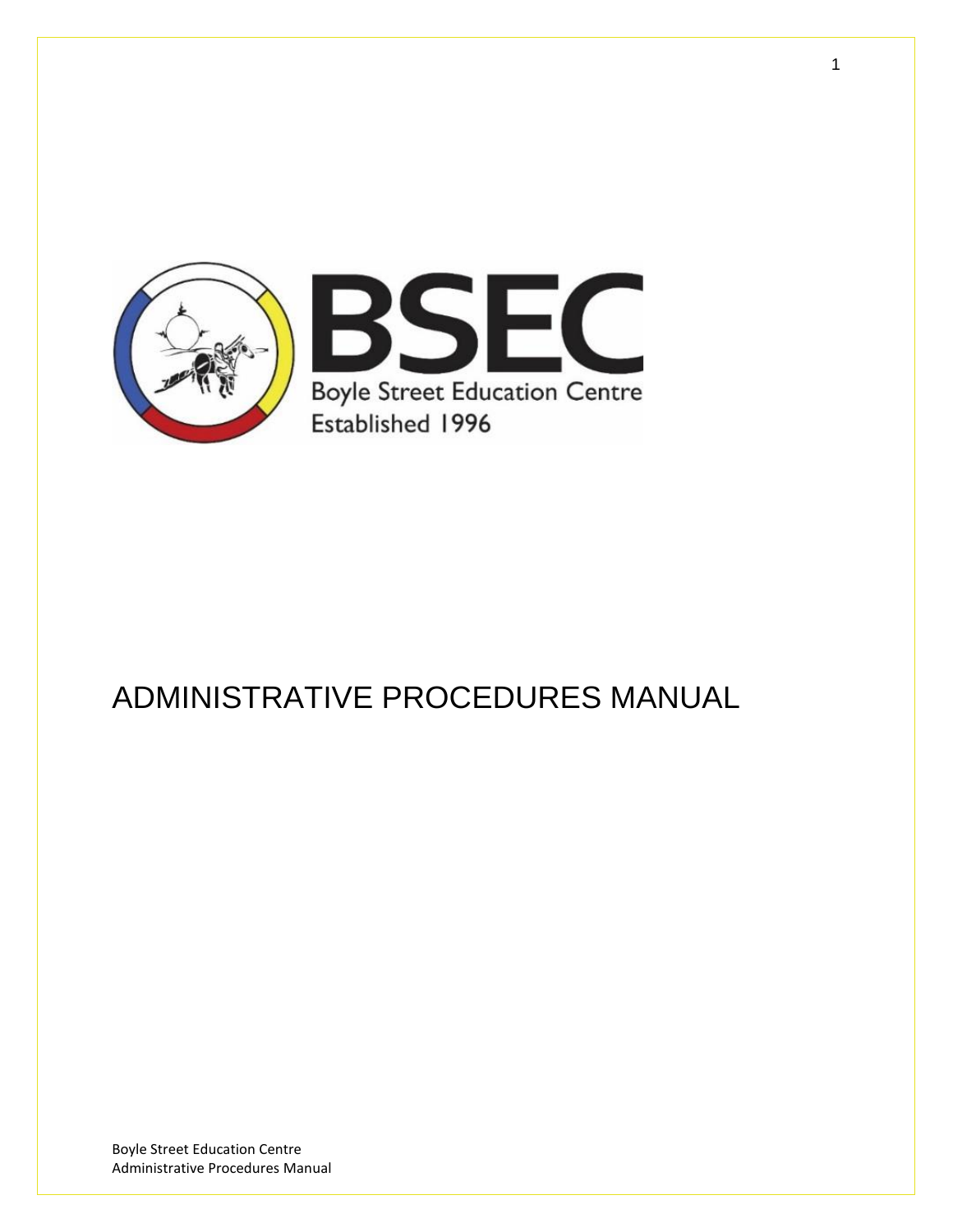

# ADMINISTRATIVE PROCEDURES MANUAL

Boyle Street Education Centre Administrative Procedures Manual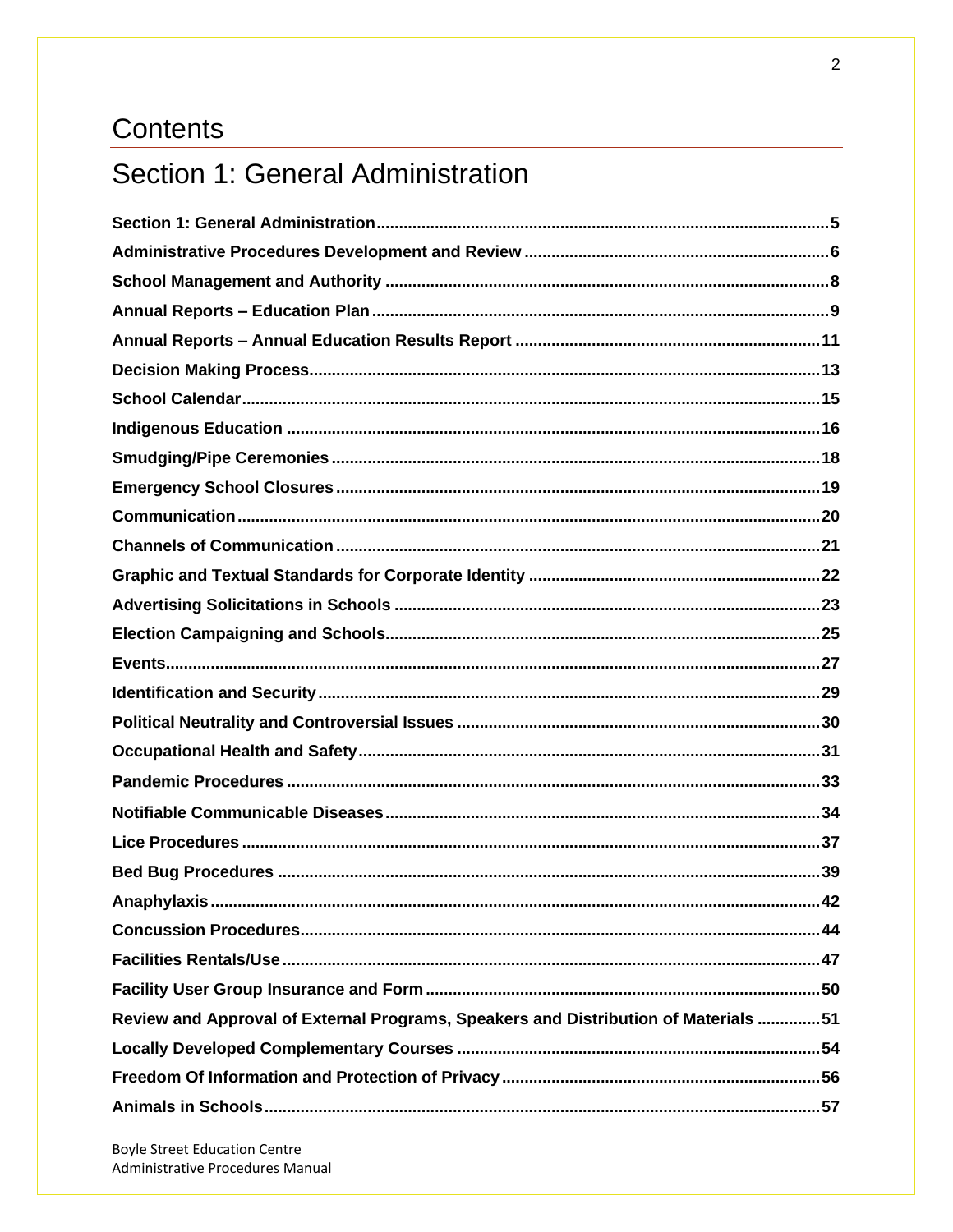## Contents

## Section 1: General Administration

| Review and Approval of External Programs, Speakers and Distribution of Materials 51 |
|-------------------------------------------------------------------------------------|
|                                                                                     |
|                                                                                     |
|                                                                                     |

**Boyle Street Education Centre** Administrative Procedures Manual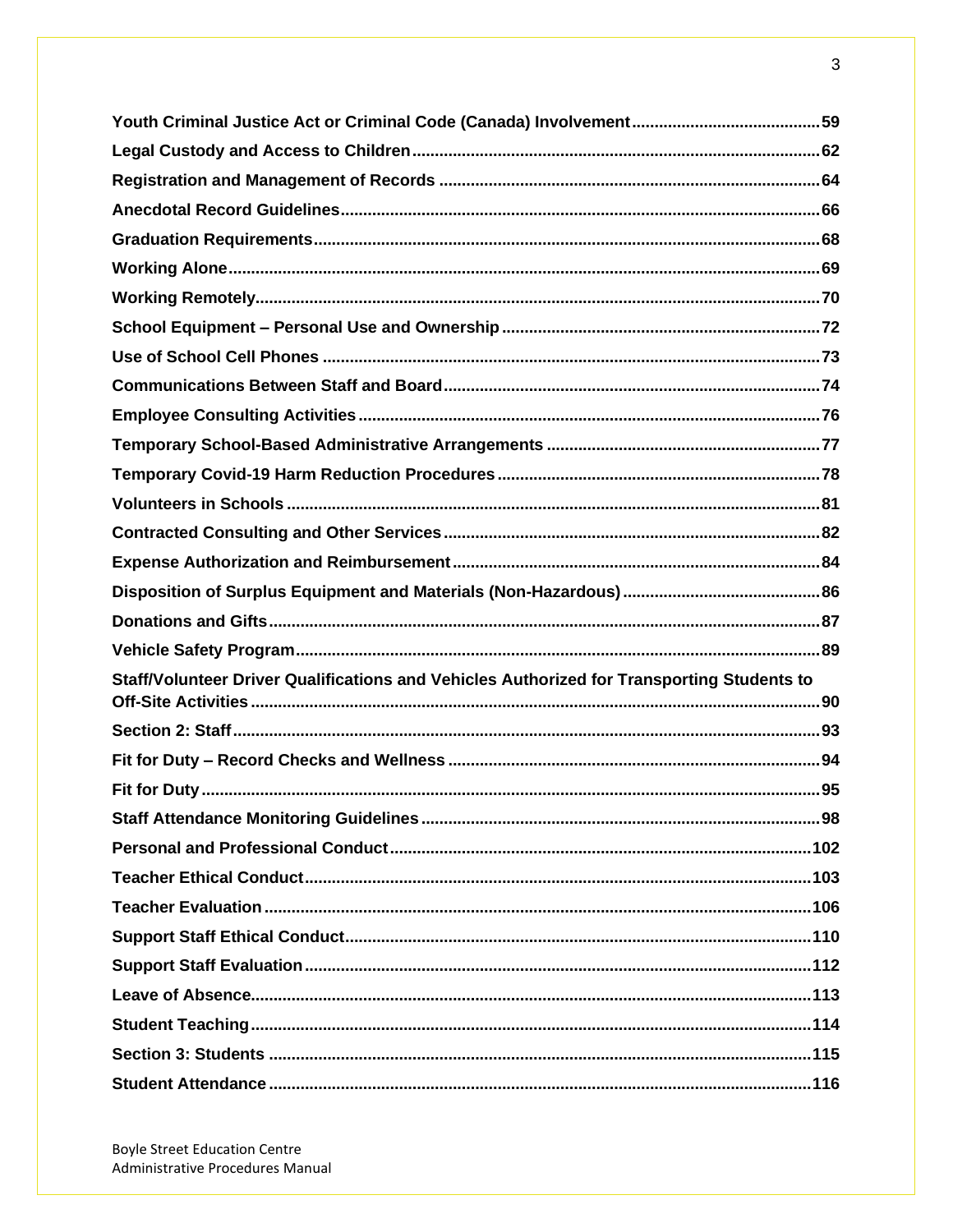| Staff/Volunteer Driver Qualifications and Vehicles Authorized for Transporting Students to |  |
|--------------------------------------------------------------------------------------------|--|
|                                                                                            |  |
|                                                                                            |  |
|                                                                                            |  |
|                                                                                            |  |
|                                                                                            |  |
|                                                                                            |  |
|                                                                                            |  |
|                                                                                            |  |
|                                                                                            |  |
|                                                                                            |  |
|                                                                                            |  |
|                                                                                            |  |
|                                                                                            |  |
|                                                                                            |  |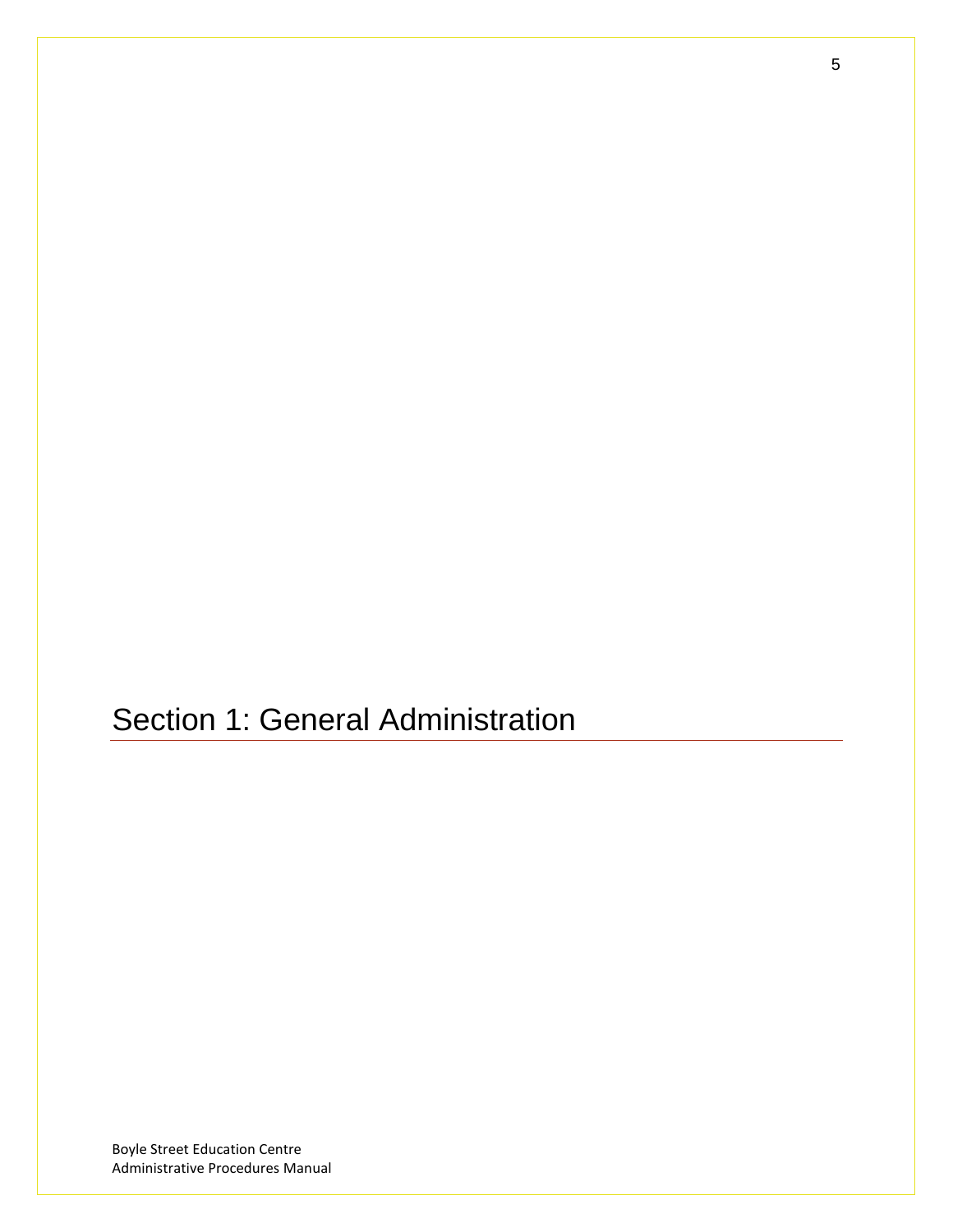<span id="page-4-0"></span>Section 1: General Administration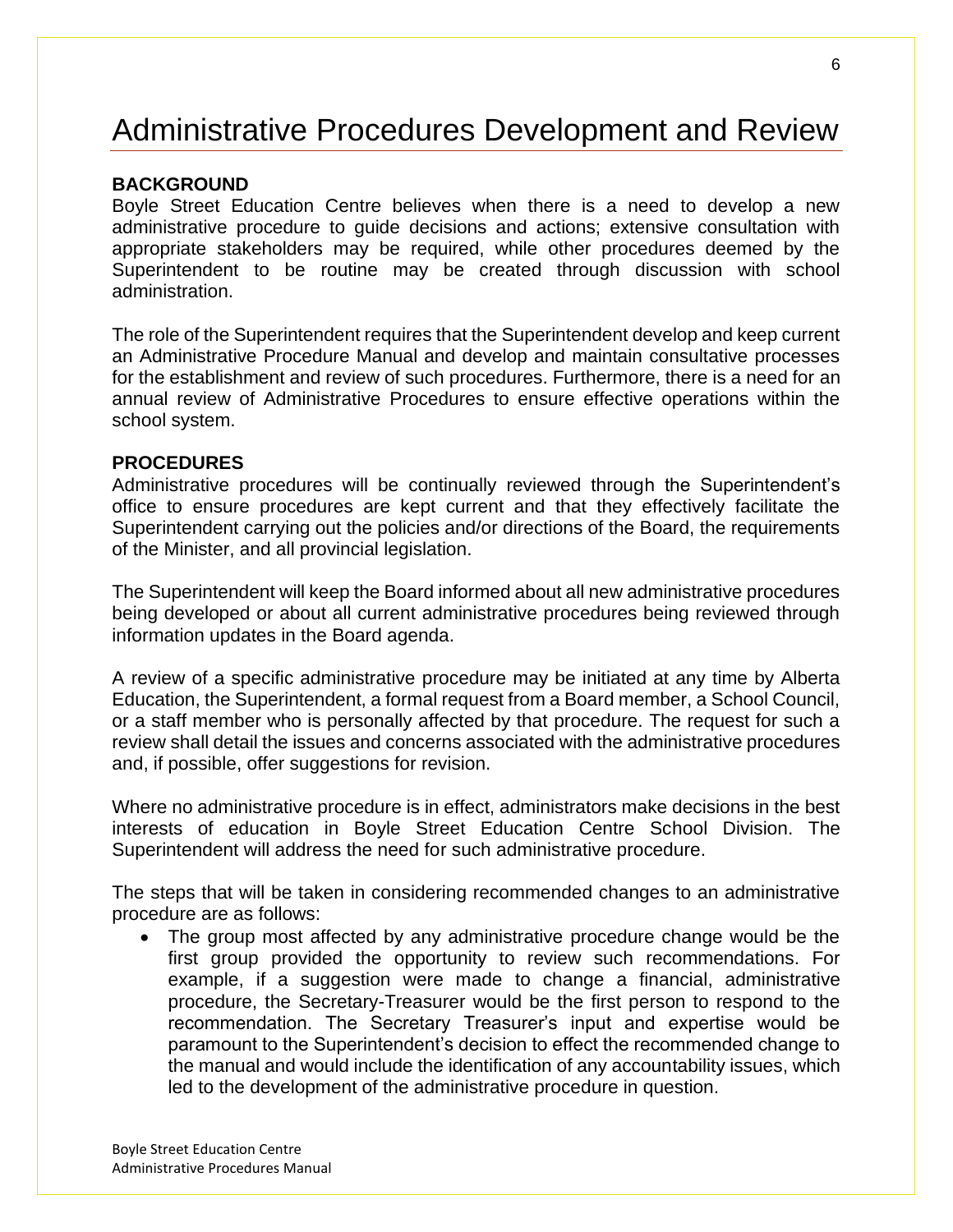# <span id="page-5-0"></span>Administrative Procedures Development and Review

#### **BACKGROUND**

Boyle Street Education Centre believes when there is a need to develop a new administrative procedure to guide decisions and actions; extensive consultation with appropriate stakeholders may be required, while other procedures deemed by the Superintendent to be routine may be created through discussion with school administration.

The role of the Superintendent requires that the Superintendent develop and keep current an Administrative Procedure Manual and develop and maintain consultative processes for the establishment and review of such procedures. Furthermore, there is a need for an annual review of Administrative Procedures to ensure effective operations within the school system.

#### **PROCEDURES**

Administrative procedures will be continually reviewed through the Superintendent's office to ensure procedures are kept current and that they effectively facilitate the Superintendent carrying out the policies and/or directions of the Board, the requirements of the Minister, and all provincial legislation.

The Superintendent will keep the Board informed about all new administrative procedures being developed or about all current administrative procedures being reviewed through information updates in the Board agenda.

A review of a specific administrative procedure may be initiated at any time by Alberta Education, the Superintendent, a formal request from a Board member, a School Council, or a staff member who is personally affected by that procedure. The request for such a review shall detail the issues and concerns associated with the administrative procedures and, if possible, offer suggestions for revision.

Where no administrative procedure is in effect, administrators make decisions in the best interests of education in Boyle Street Education Centre School Division. The Superintendent will address the need for such administrative procedure.

The steps that will be taken in considering recommended changes to an administrative procedure are as follows:

• The group most affected by any administrative procedure change would be the first group provided the opportunity to review such recommendations. For example, if a suggestion were made to change a financial, administrative procedure, the Secretary-Treasurer would be the first person to respond to the recommendation. The Secretary Treasurer's input and expertise would be paramount to the Superintendent's decision to effect the recommended change to the manual and would include the identification of any accountability issues, which led to the development of the administrative procedure in question.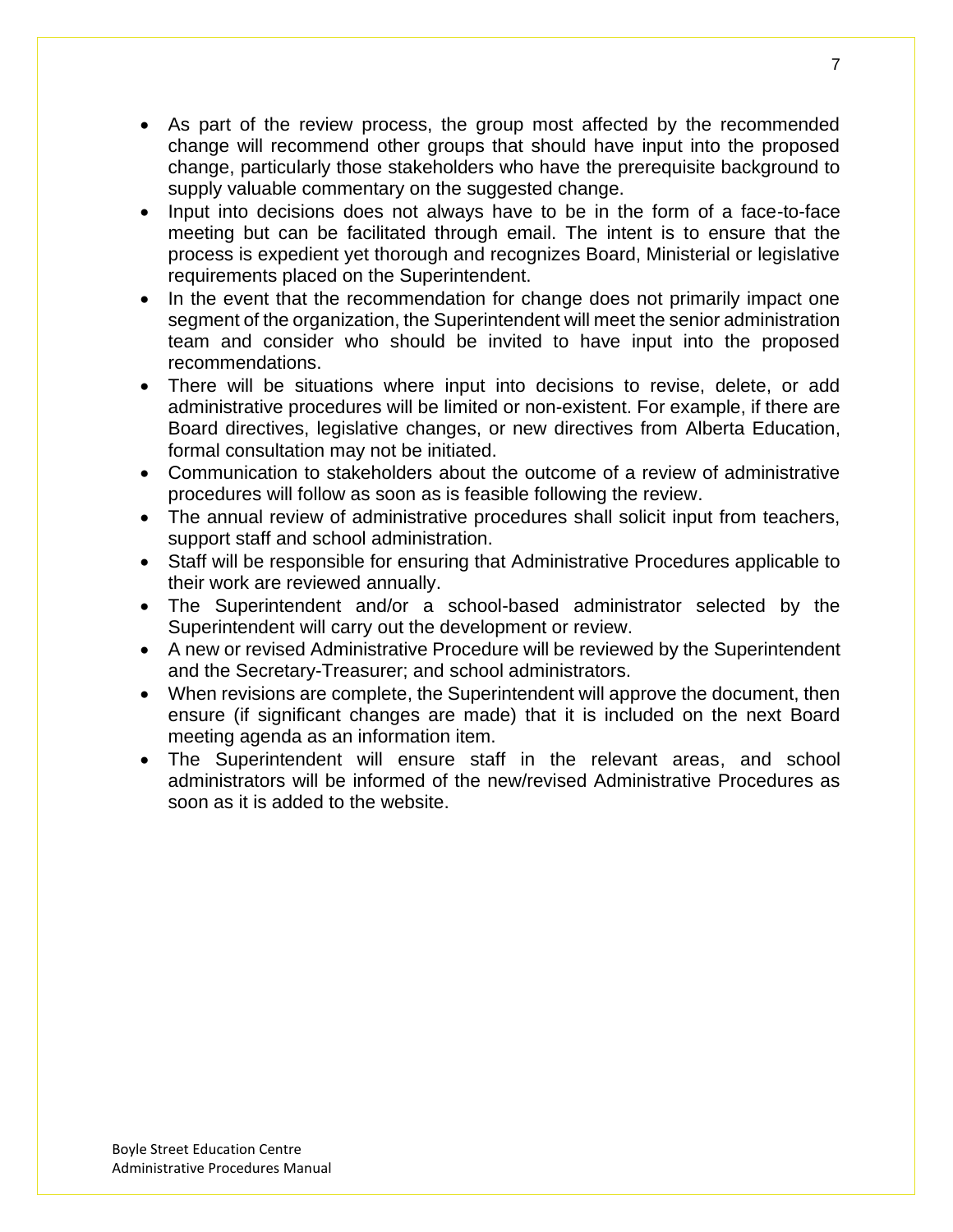- As part of the review process, the group most affected by the recommended change will recommend other groups that should have input into the proposed change, particularly those stakeholders who have the prerequisite background to supply valuable commentary on the suggested change.
- Input into decisions does not always have to be in the form of a face-to-face meeting but can be facilitated through email. The intent is to ensure that the process is expedient yet thorough and recognizes Board, Ministerial or legislative requirements placed on the Superintendent.
- In the event that the recommendation for change does not primarily impact one segment of the organization, the Superintendent will meet the senior administration team and consider who should be invited to have input into the proposed recommendations.
- There will be situations where input into decisions to revise, delete, or add administrative procedures will be limited or non-existent. For example, if there are Board directives, legislative changes, or new directives from Alberta Education, formal consultation may not be initiated.
- Communication to stakeholders about the outcome of a review of administrative procedures will follow as soon as is feasible following the review.
- The annual review of administrative procedures shall solicit input from teachers, support staff and school administration.
- Staff will be responsible for ensuring that Administrative Procedures applicable to their work are reviewed annually.
- The Superintendent and/or a school-based administrator selected by the Superintendent will carry out the development or review.
- A new or revised Administrative Procedure will be reviewed by the Superintendent and the Secretary-Treasurer; and school administrators.
- When revisions are complete, the Superintendent will approve the document, then ensure (if significant changes are made) that it is included on the next Board meeting agenda as an information item.
- The Superintendent will ensure staff in the relevant areas, and school administrators will be informed of the new/revised Administrative Procedures as soon as it is added to the website.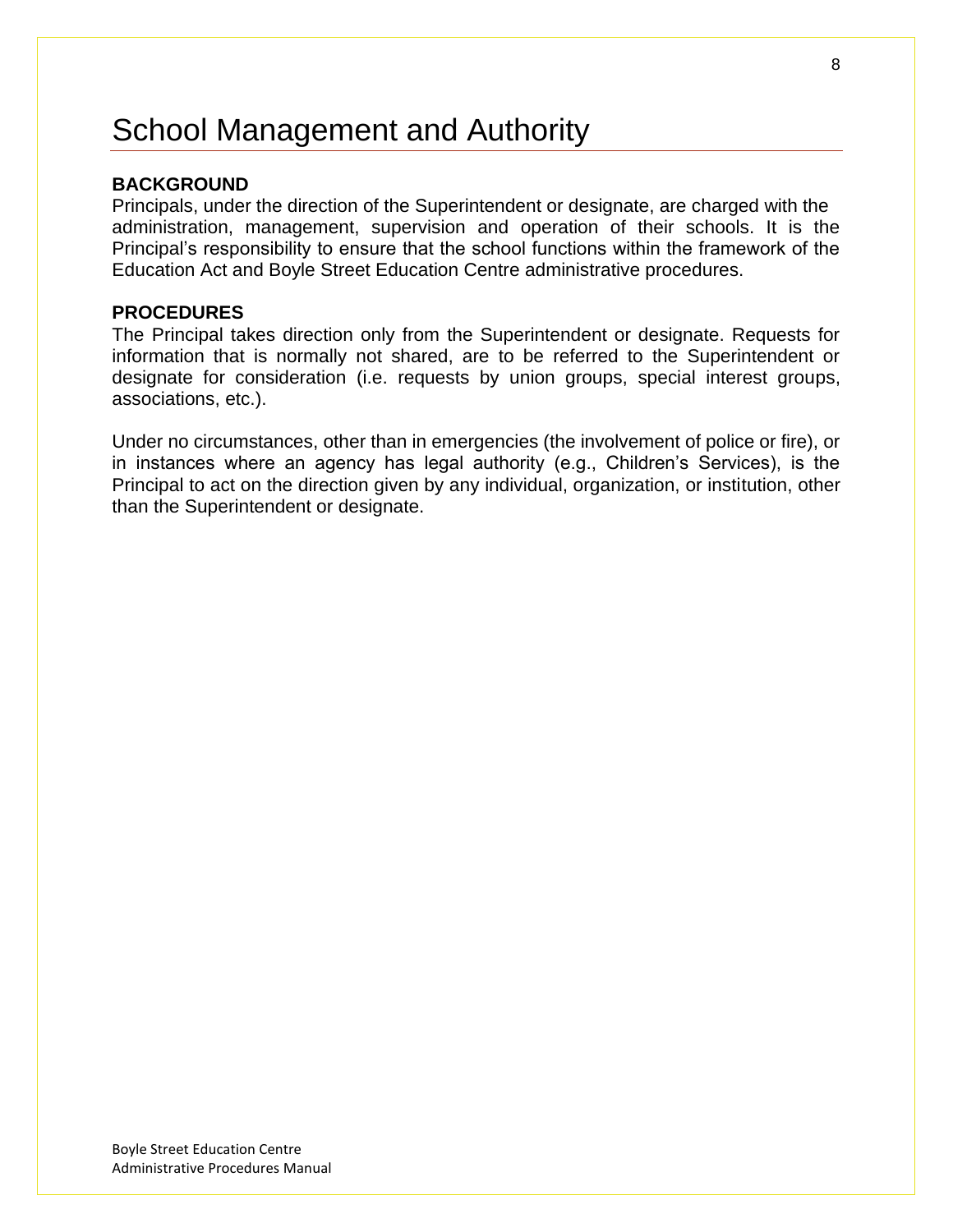# <span id="page-7-0"></span>School Management and Authority

#### **BACKGROUND**

Principals, under the direction of the Superintendent or designate, are charged with the administration, management, supervision and operation of their schools. It is the Principal's responsibility to ensure that the school functions within the framework of the Education Act and Boyle Street Education Centre administrative procedures.

#### **PROCEDURES**

The Principal takes direction only from the Superintendent or designate. Requests for information that is normally not shared, are to be referred to the Superintendent or designate for consideration (i.e. requests by union groups, special interest groups, associations, etc.).

Under no circumstances, other than in emergencies (the involvement of police or fire), or in instances where an agency has legal authority (e.g., Children's Services), is the Principal to act on the direction given by any individual, organization, or institution, other than the Superintendent or designate.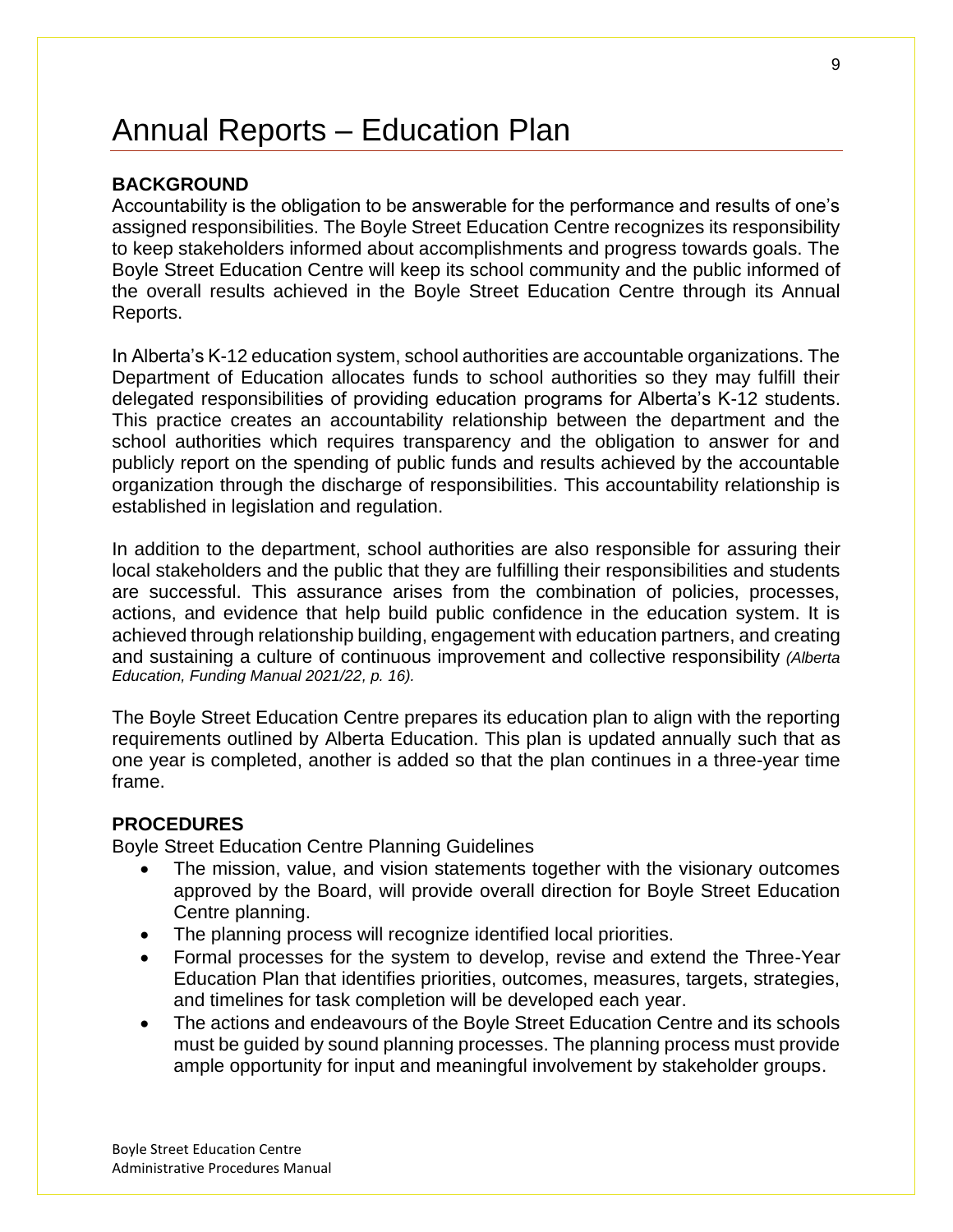# <span id="page-8-0"></span>Annual Reports – Education Plan

### **BACKGROUND**

Accountability is the obligation to be answerable for the performance and results of one's assigned responsibilities. The Boyle Street Education Centre recognizes its responsibility to keep stakeholders informed about accomplishments and progress towards goals. The Boyle Street Education Centre will keep its school community and the public informed of the overall results achieved in the Boyle Street Education Centre through its Annual Reports.

In Alberta's K-12 education system, school authorities are accountable organizations. The Department of Education allocates funds to school authorities so they may fulfill their delegated responsibilities of providing education programs for Alberta's K-12 students. This practice creates an accountability relationship between the department and the school authorities which requires transparency and the obligation to answer for and publicly report on the spending of public funds and results achieved by the accountable organization through the discharge of responsibilities. This accountability relationship is established in legislation and regulation.

In addition to the department, school authorities are also responsible for assuring their local stakeholders and the public that they are fulfilling their responsibilities and students are successful. This assurance arises from the combination of policies, processes, actions, and evidence that help build public confidence in the education system. It is achieved through relationship building, engagement with education partners, and creating and sustaining a culture of continuous improvement and collective responsibility *(Alberta Education, Funding Manual 2021/22, p. 16).*

The Boyle Street Education Centre prepares its education plan to align with the reporting requirements outlined by Alberta Education. This plan is updated annually such that as one year is completed, another is added so that the plan continues in a three-year time frame.

#### **PROCEDURES**

Boyle Street Education Centre Planning Guidelines

- The mission, value, and vision statements together with the visionary outcomes approved by the Board, will provide overall direction for Boyle Street Education Centre planning.
- The planning process will recognize identified local priorities.
- Formal processes for the system to develop, revise and extend the Three-Year Education Plan that identifies priorities, outcomes, measures, targets, strategies, and timelines for task completion will be developed each year.
- The actions and endeavours of the Boyle Street Education Centre and its schools must be guided by sound planning processes. The planning process must provide ample opportunity for input and meaningful involvement by stakeholder groups.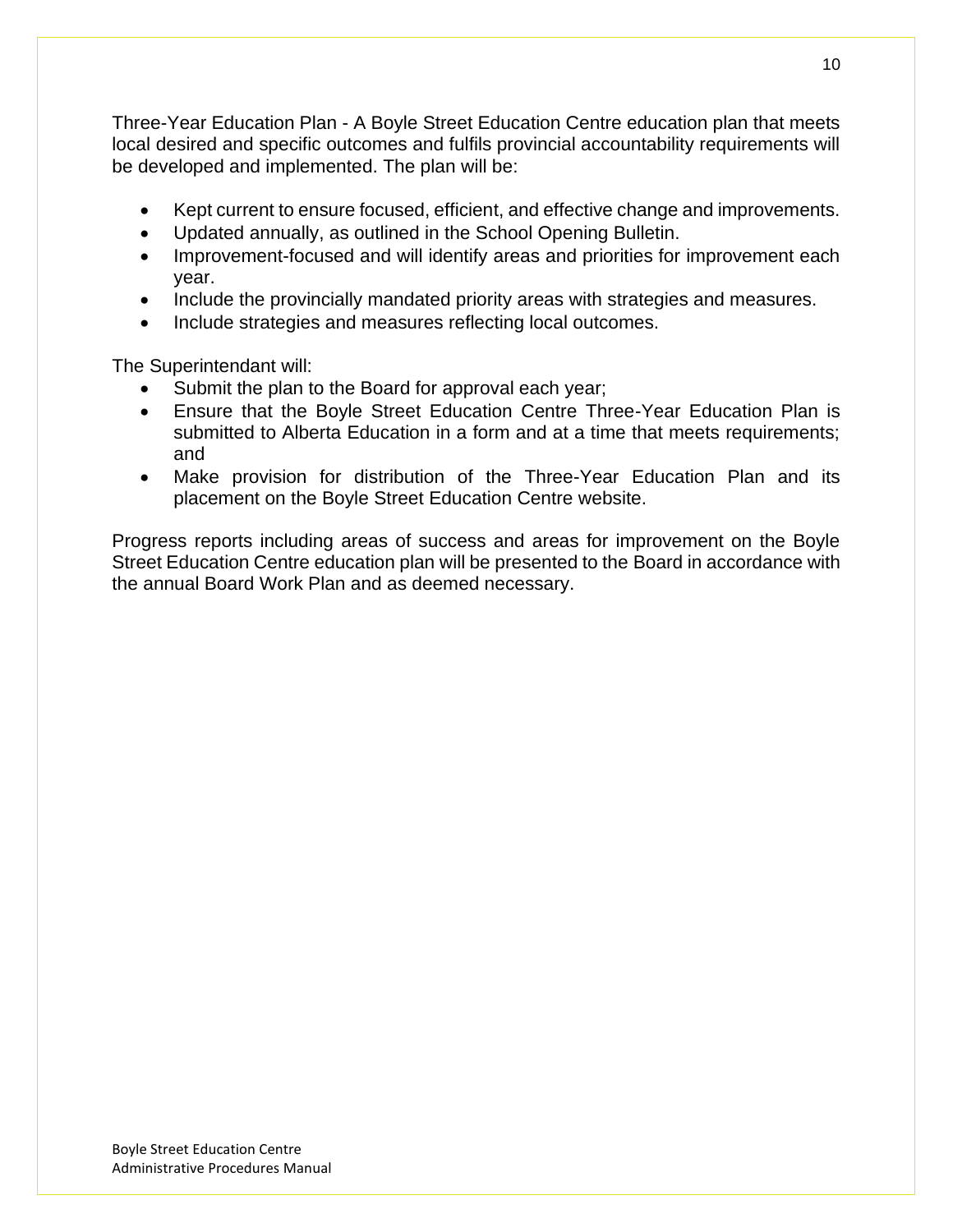Three-Year Education Plan - A Boyle Street Education Centre education plan that meets local desired and specific outcomes and fulfils provincial accountability requirements will be developed and implemented. The plan will be:

- Kept current to ensure focused, efficient, and effective change and improvements.
- Updated annually, as outlined in the School Opening Bulletin.
- Improvement-focused and will identify areas and priorities for improvement each year.
- Include the provincially mandated priority areas with strategies and measures.
- Include strategies and measures reflecting local outcomes.

The Superintendant will:

- Submit the plan to the Board for approval each year;
- Ensure that the Boyle Street Education Centre Three-Year Education Plan is submitted to Alberta Education in a form and at a time that meets requirements; and
- Make provision for distribution of the Three-Year Education Plan and its placement on the Boyle Street Education Centre website.

Progress reports including areas of success and areas for improvement on the Boyle Street Education Centre education plan will be presented to the Board in accordance with the annual Board Work Plan and as deemed necessary.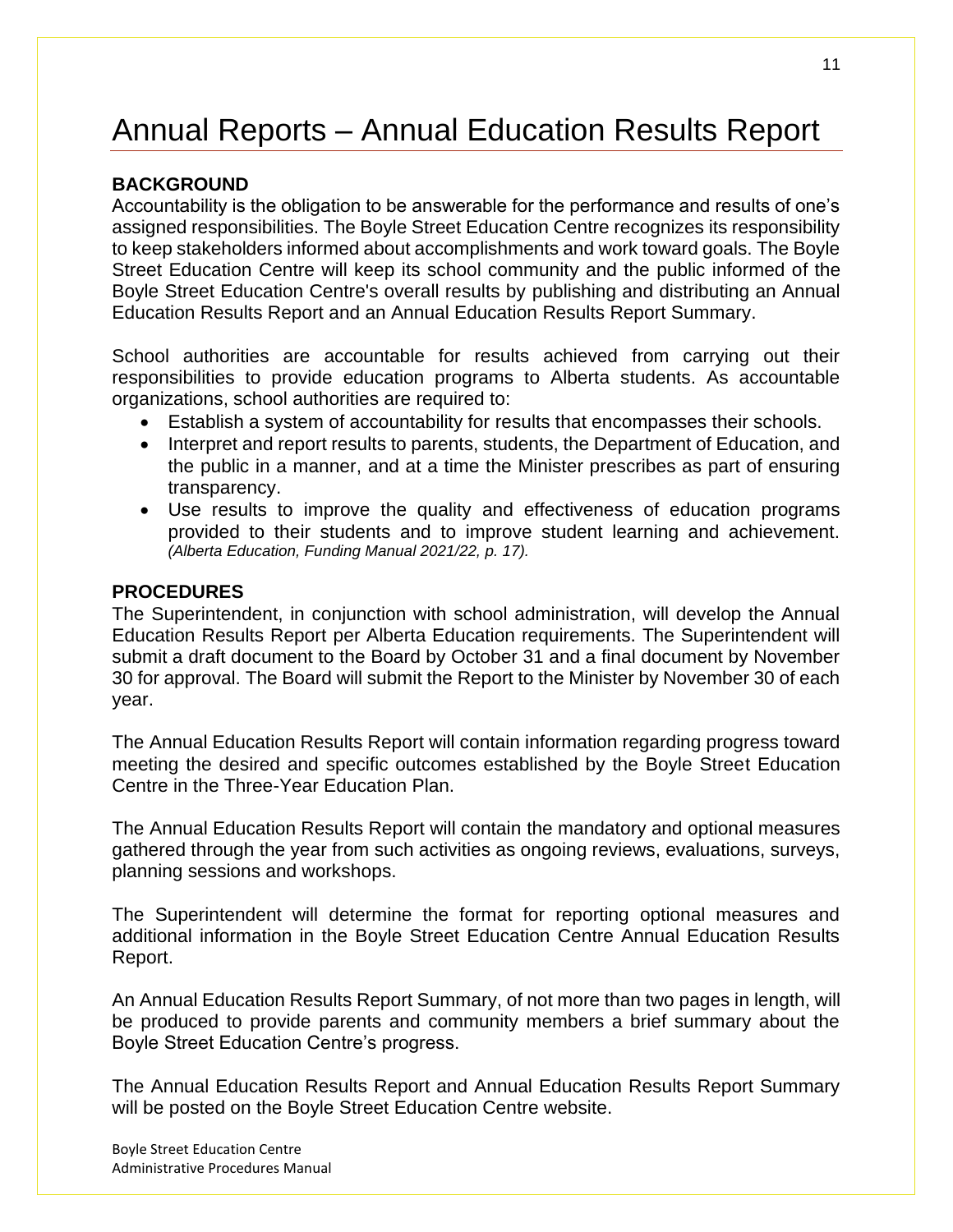# <span id="page-10-0"></span>Annual Reports – Annual Education Results Report

#### **BACKGROUND**

Accountability is the obligation to be answerable for the performance and results of one's assigned responsibilities. The Boyle Street Education Centre recognizes its responsibility to keep stakeholders informed about accomplishments and work toward goals. The Boyle Street Education Centre will keep its school community and the public informed of the Boyle Street Education Centre's overall results by publishing and distributing an Annual Education Results Report and an Annual Education Results Report Summary.

School authorities are accountable for results achieved from carrying out their responsibilities to provide education programs to Alberta students. As accountable organizations, school authorities are required to:

- Establish a system of accountability for results that encompasses their schools.
- Interpret and report results to parents, students, the Department of Education, and the public in a manner, and at a time the Minister prescribes as part of ensuring transparency.
- Use results to improve the quality and effectiveness of education programs provided to their students and to improve student learning and achievement. *(Alberta Education, Funding Manual 2021/22, p. 17).*

#### **PROCEDURES**

The Superintendent, in conjunction with school administration, will develop the Annual Education Results Report per Alberta Education requirements. The Superintendent will submit a draft document to the Board by October 31 and a final document by November 30 for approval. The Board will submit the Report to the Minister by November 30 of each year.

The Annual Education Results Report will contain information regarding progress toward meeting the desired and specific outcomes established by the Boyle Street Education Centre in the Three-Year Education Plan.

The Annual Education Results Report will contain the mandatory and optional measures gathered through the year from such activities as ongoing reviews, evaluations, surveys, planning sessions and workshops.

The Superintendent will determine the format for reporting optional measures and additional information in the Boyle Street Education Centre Annual Education Results Report.

An Annual Education Results Report Summary, of not more than two pages in length, will be produced to provide parents and community members a brief summary about the Boyle Street Education Centre's progress.

The Annual Education Results Report and Annual Education Results Report Summary will be posted on the Boyle Street Education Centre website.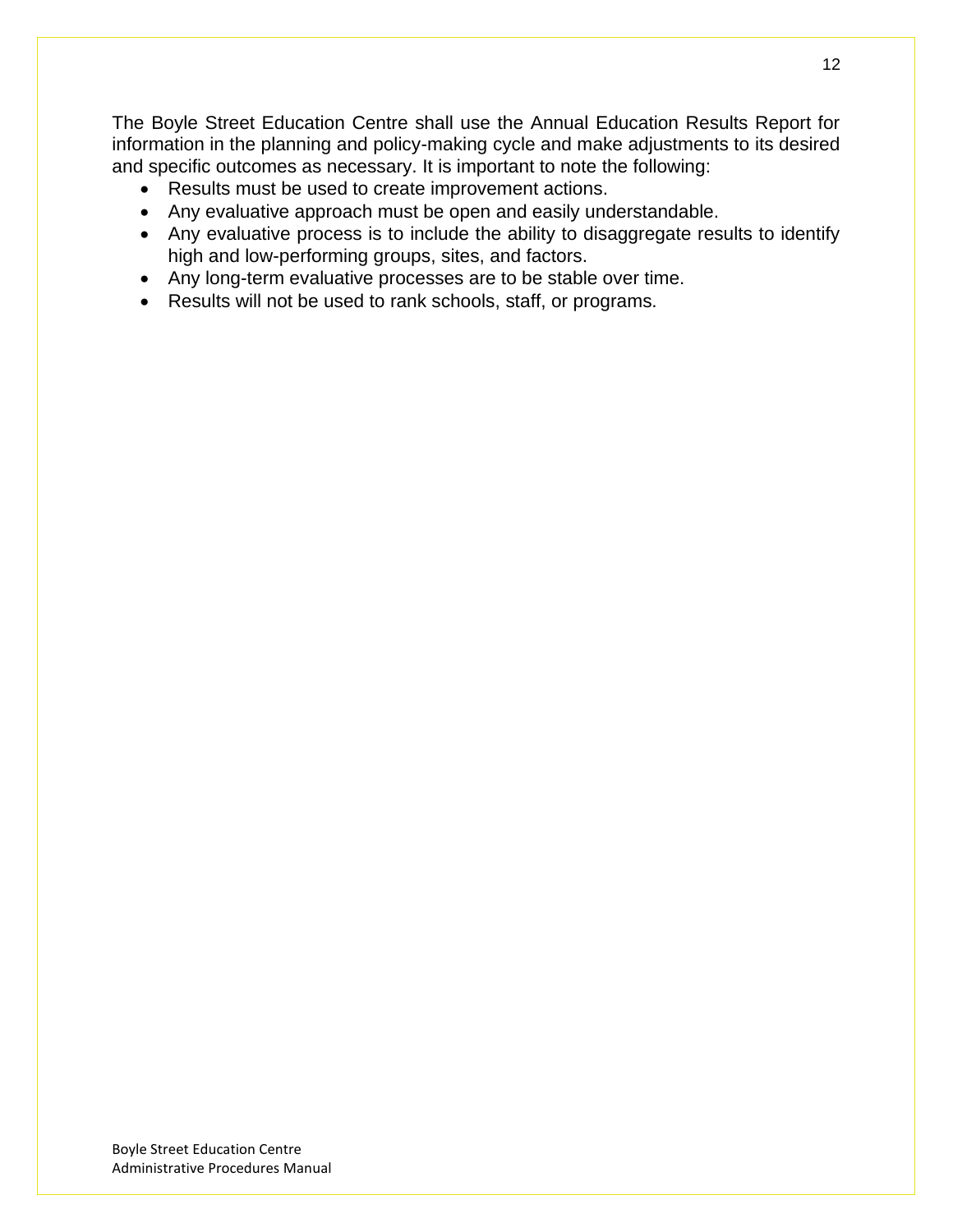The Boyle Street Education Centre shall use the Annual Education Results Report for information in the planning and policy-making cycle and make adjustments to its desired and specific outcomes as necessary. It is important to note the following:

- Results must be used to create improvement actions.
- Any evaluative approach must be open and easily understandable.
- Any evaluative process is to include the ability to disaggregate results to identify high and low-performing groups, sites, and factors.
- Any long-term evaluative processes are to be stable over time.
- Results will not be used to rank schools, staff, or programs.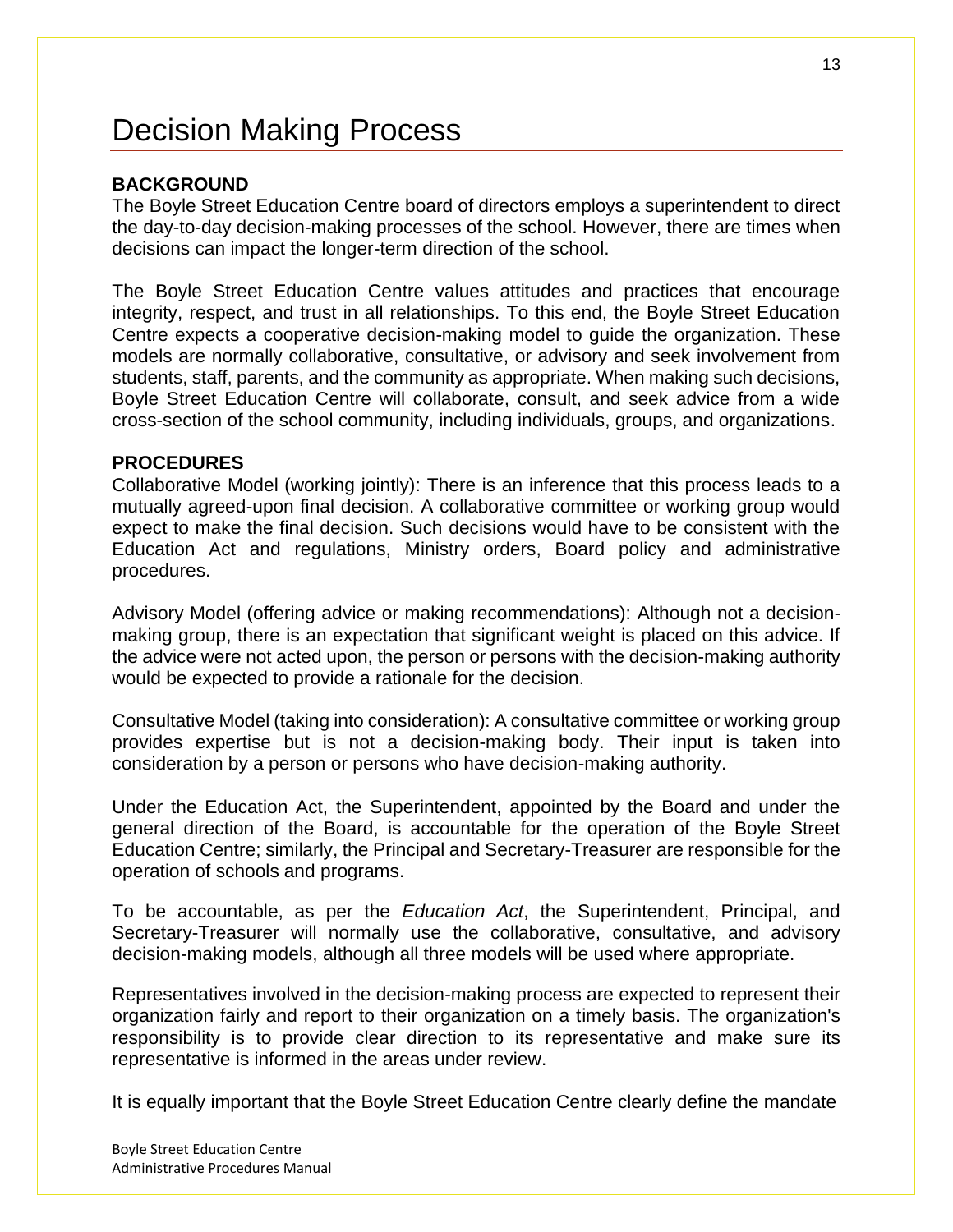# <span id="page-12-0"></span>Decision Making Process

## **BACKGROUND**

The Boyle Street Education Centre board of directors employs a superintendent to direct the day-to-day decision-making processes of the school. However, there are times when decisions can impact the longer-term direction of the school.

The Boyle Street Education Centre values attitudes and practices that encourage integrity, respect, and trust in all relationships. To this end, the Boyle Street Education Centre expects a cooperative decision-making model to guide the organization. These models are normally collaborative, consultative, or advisory and seek involvement from students, staff, parents, and the community as appropriate. When making such decisions, Boyle Street Education Centre will collaborate, consult, and seek advice from a wide cross-section of the school community, including individuals, groups, and organizations.

#### **PROCEDURES**

Collaborative Model (working jointly): There is an inference that this process leads to a mutually agreed-upon final decision. A collaborative committee or working group would expect to make the final decision. Such decisions would have to be consistent with the Education Act and regulations, Ministry orders, Board policy and administrative procedures.

Advisory Model (offering advice or making recommendations): Although not a decisionmaking group, there is an expectation that significant weight is placed on this advice. If the advice were not acted upon, the person or persons with the decision-making authority would be expected to provide a rationale for the decision.

Consultative Model (taking into consideration): A consultative committee or working group provides expertise but is not a decision-making body. Their input is taken into consideration by a person or persons who have decision-making authority.

Under the Education Act, the Superintendent, appointed by the Board and under the general direction of the Board, is accountable for the operation of the Boyle Street Education Centre; similarly, the Principal and Secretary-Treasurer are responsible for the operation of schools and programs.

To be accountable, as per the *Education Act*, the Superintendent, Principal, and Secretary-Treasurer will normally use the collaborative, consultative, and advisory decision-making models, although all three models will be used where appropriate.

Representatives involved in the decision-making process are expected to represent their organization fairly and report to their organization on a timely basis. The organization's responsibility is to provide clear direction to its representative and make sure its representative is informed in the areas under review.

It is equally important that the Boyle Street Education Centre clearly define the mandate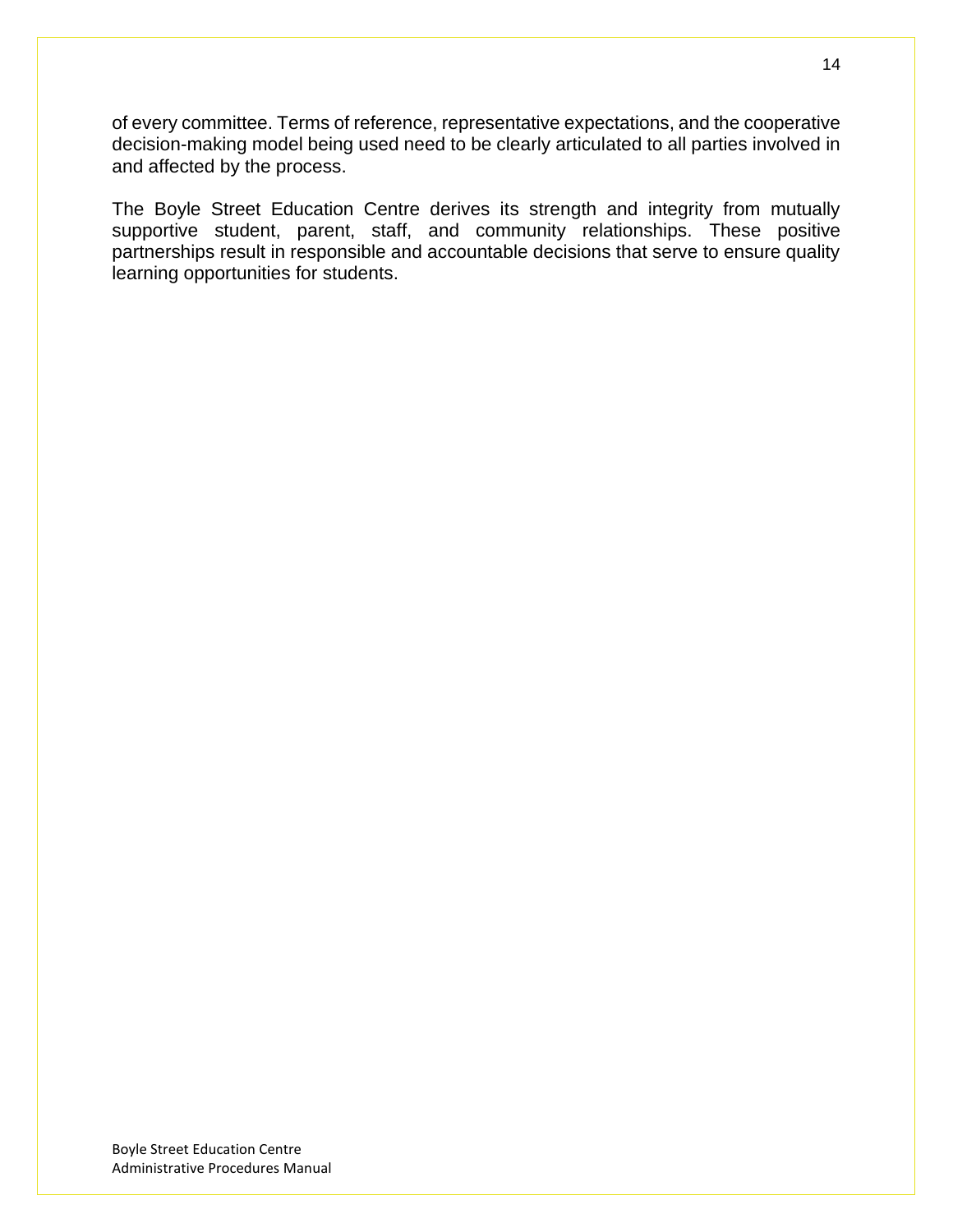of every committee. Terms of reference, representative expectations, and the cooperative decision-making model being used need to be clearly articulated to all parties involved in and affected by the process.

The Boyle Street Education Centre derives its strength and integrity from mutually supportive student, parent, staff, and community relationships. These positive partnerships result in responsible and accountable decisions that serve to ensure quality learning opportunities for students.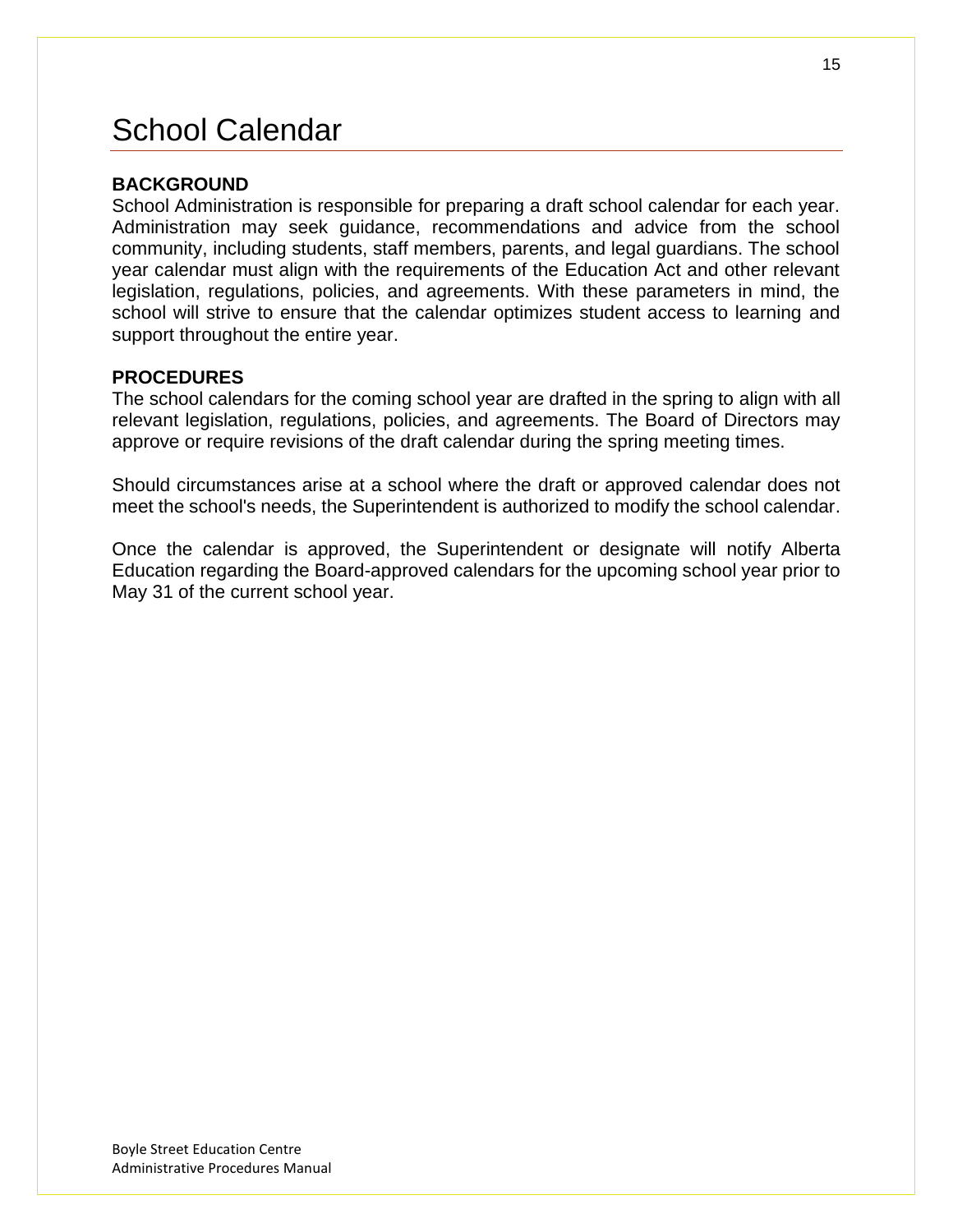# <span id="page-14-0"></span>School Calendar

## **BACKGROUND**

School Administration is responsible for preparing a draft school calendar for each year. Administration may seek guidance, recommendations and advice from the school community, including students, staff members, parents, and legal guardians. The school year calendar must align with the requirements of the Education Act and other relevant legislation, regulations, policies, and agreements. With these parameters in mind, the school will strive to ensure that the calendar optimizes student access to learning and support throughout the entire year.

## **PROCEDURES**

The school calendars for the coming school year are drafted in the spring to align with all relevant legislation, regulations, policies, and agreements. The Board of Directors may approve or require revisions of the draft calendar during the spring meeting times.

Should circumstances arise at a school where the draft or approved calendar does not meet the school's needs, the Superintendent is authorized to modify the school calendar.

Once the calendar is approved, the Superintendent or designate will notify Alberta Education regarding the Board-approved calendars for the upcoming school year prior to May 31 of the current school year.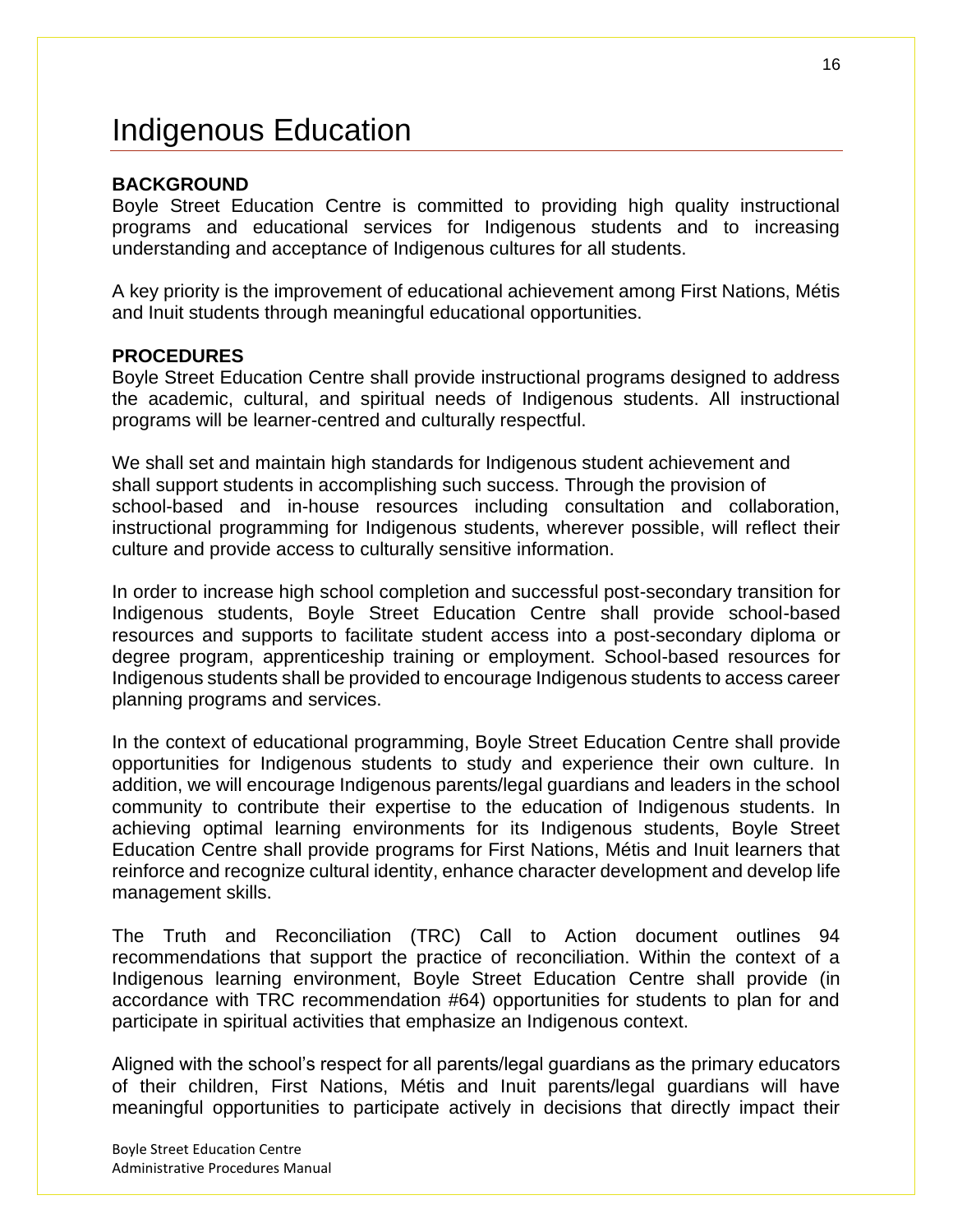## <span id="page-15-0"></span>Indigenous Education

### **BACKGROUND**

Boyle Street Education Centre is committed to providing high quality instructional programs and educational services for Indigenous students and to increasing understanding and acceptance of Indigenous cultures for all students.

A key priority is the improvement of educational achievement among First Nations, Métis and Inuit students through meaningful educational opportunities.

#### **PROCEDURES**

Boyle Street Education Centre shall provide instructional programs designed to address the academic, cultural, and spiritual needs of Indigenous students. All instructional programs will be learner-centred and culturally respectful.

We shall set and maintain high standards for Indigenous student achievement and shall support students in accomplishing such success. Through the provision of school-based and in-house resources including consultation and collaboration, instructional programming for Indigenous students, wherever possible, will reflect their culture and provide access to culturally sensitive information.

In order to increase high school completion and successful post-secondary transition for Indigenous students, Boyle Street Education Centre shall provide school-based resources and supports to facilitate student access into a post-secondary diploma or degree program, apprenticeship training or employment. School-based resources for Indigenous students shall be provided to encourage Indigenous students to access career planning programs and services.

In the context of educational programming, Boyle Street Education Centre shall provide opportunities for Indigenous students to study and experience their own culture. In addition, we will encourage Indigenous parents/legal guardians and leaders in the school community to contribute their expertise to the education of Indigenous students. In achieving optimal learning environments for its Indigenous students, Boyle Street Education Centre shall provide programs for First Nations, Métis and Inuit learners that reinforce and recognize cultural identity, enhance character development and develop life management skills.

The Truth and Reconciliation (TRC) Call to Action document outlines 94 recommendations that support the practice of reconciliation. Within the context of a Indigenous learning environment, Boyle Street Education Centre shall provide (in accordance with TRC recommendation #64) opportunities for students to plan for and participate in spiritual activities that emphasize an Indigenous context.

Aligned with the school's respect for all parents/legal guardians as the primary educators of their children, First Nations, Métis and Inuit parents/legal guardians will have meaningful opportunities to participate actively in decisions that directly impact their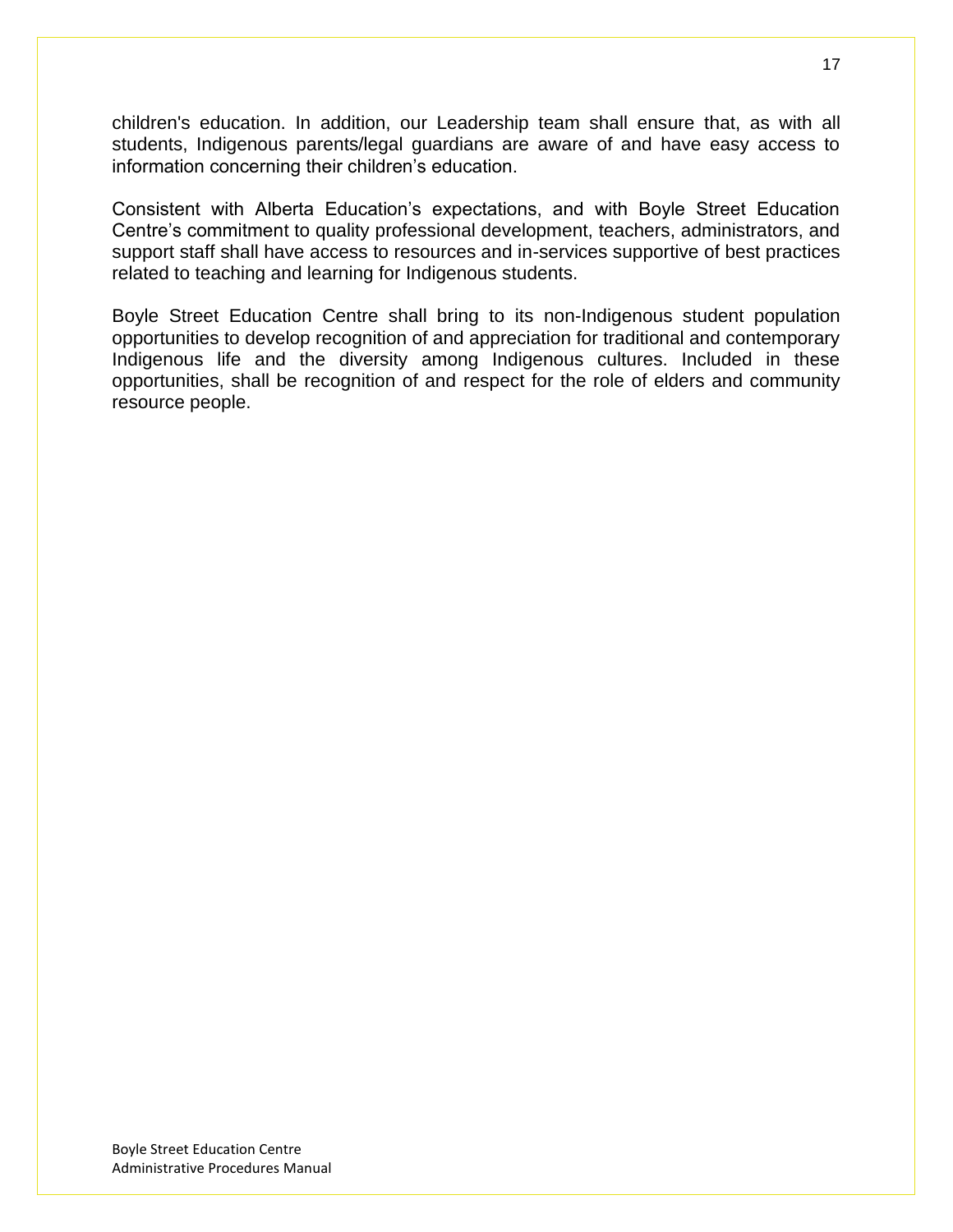children's education. In addition, our Leadership team shall ensure that, as with all students, Indigenous parents/legal guardians are aware of and have easy access to information concerning their children's education.

Consistent with Alberta Education's expectations, and with Boyle Street Education Centre's commitment to quality professional development, teachers, administrators, and support staff shall have access to resources and in-services supportive of best practices related to teaching and learning for Indigenous students.

Boyle Street Education Centre shall bring to its non-Indigenous student population opportunities to develop recognition of and appreciation for traditional and contemporary Indigenous life and the diversity among Indigenous cultures. Included in these opportunities, shall be recognition of and respect for the role of elders and community resource people.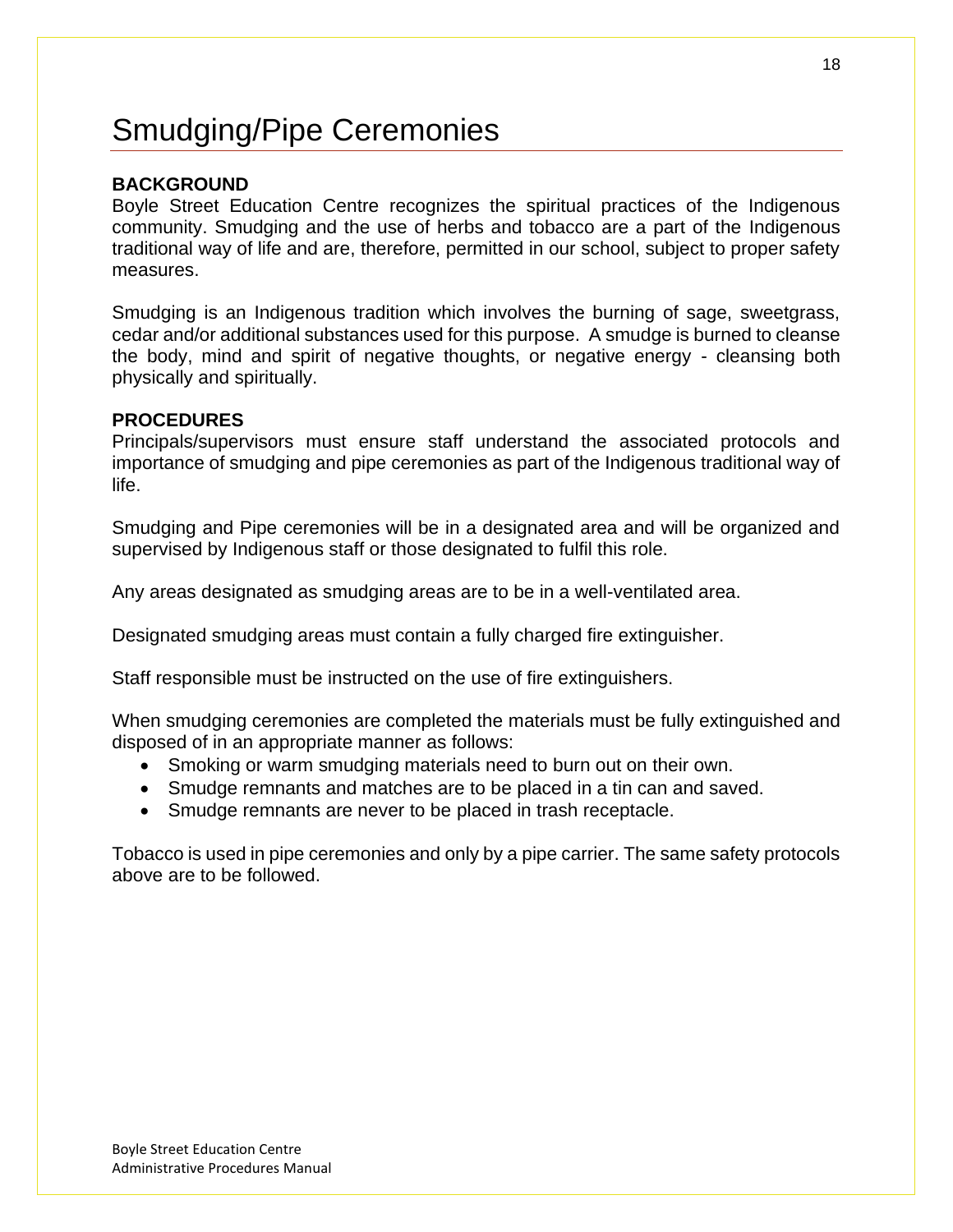# <span id="page-17-0"></span>Smudging/Pipe Ceremonies

## **BACKGROUND**

Boyle Street Education Centre recognizes the spiritual practices of the Indigenous community. Smudging and the use of herbs and tobacco are a part of the Indigenous traditional way of life and are, therefore, permitted in our school, subject to proper safety measures.

Smudging is an Indigenous tradition which involves the burning of sage, sweetgrass, cedar and/or additional substances used for this purpose. A smudge is burned to cleanse the body, mind and spirit of negative thoughts, or negative energy - cleansing both physically and spiritually.

#### **PROCEDURES**

Principals/supervisors must ensure staff understand the associated protocols and importance of smudging and pipe ceremonies as part of the Indigenous traditional way of life.

Smudging and Pipe ceremonies will be in a designated area and will be organized and supervised by Indigenous staff or those designated to fulfil this role.

Any areas designated as smudging areas are to be in a well-ventilated area.

Designated smudging areas must contain a fully charged fire extinguisher.

Staff responsible must be instructed on the use of fire extinguishers.

When smudging ceremonies are completed the materials must be fully extinguished and disposed of in an appropriate manner as follows:

- Smoking or warm smudging materials need to burn out on their own.
- Smudge remnants and matches are to be placed in a tin can and saved.
- Smudge remnants are never to be placed in trash receptacle.

Tobacco is used in pipe ceremonies and only by a pipe carrier. The same safety protocols above are to be followed.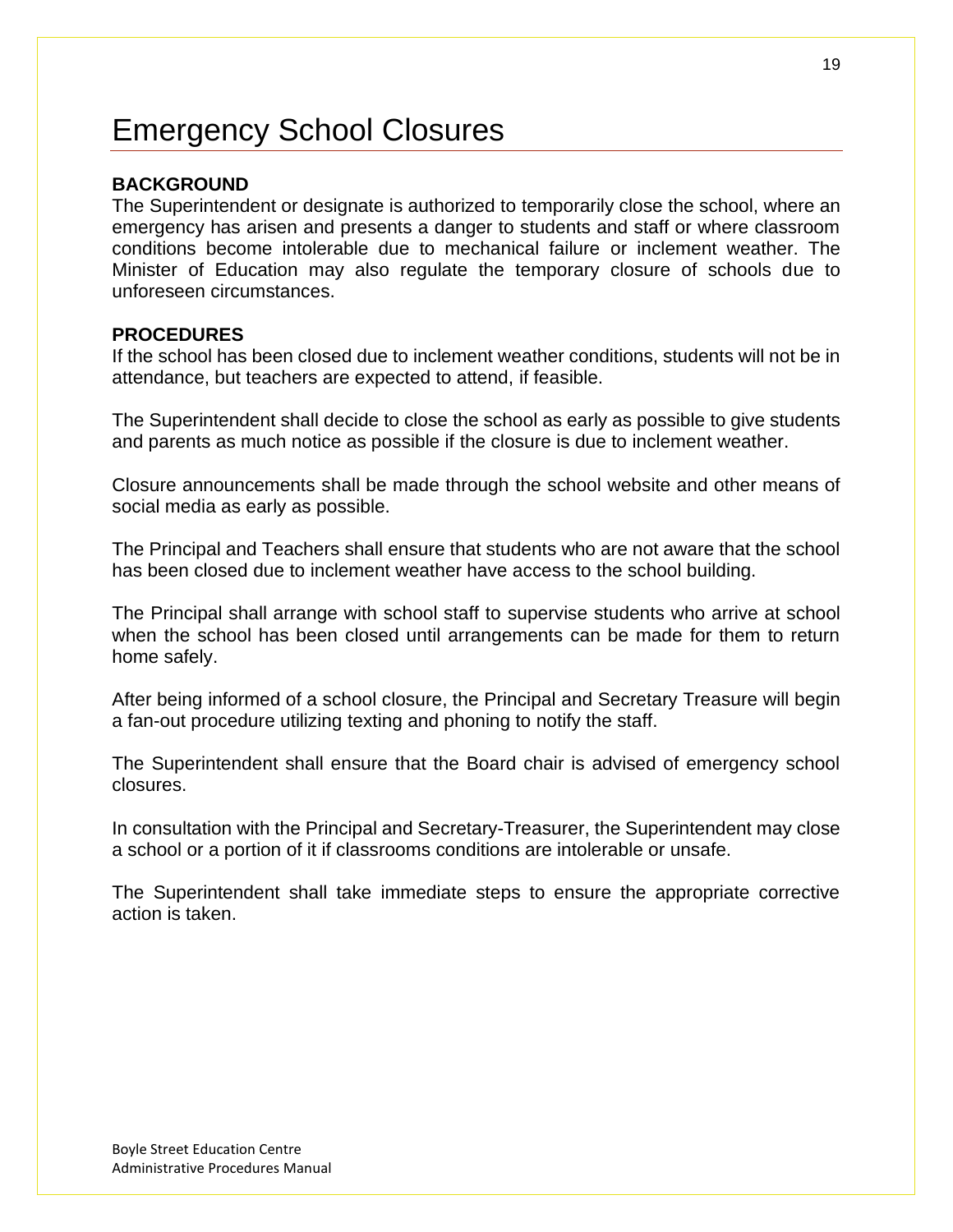# <span id="page-18-0"></span>Emergency School Closures

### **BACKGROUND**

The Superintendent or designate is authorized to temporarily close the school, where an emergency has arisen and presents a danger to students and staff or where classroom conditions become intolerable due to mechanical failure or inclement weather. The Minister of Education may also regulate the temporary closure of schools due to unforeseen circumstances.

#### **PROCEDURES**

If the school has been closed due to inclement weather conditions, students will not be in attendance, but teachers are expected to attend, if feasible.

The Superintendent shall decide to close the school as early as possible to give students and parents as much notice as possible if the closure is due to inclement weather.

Closure announcements shall be made through the school website and other means of social media as early as possible.

The Principal and Teachers shall ensure that students who are not aware that the school has been closed due to inclement weather have access to the school building.

The Principal shall arrange with school staff to supervise students who arrive at school when the school has been closed until arrangements can be made for them to return home safely.

After being informed of a school closure, the Principal and Secretary Treasure will begin a fan-out procedure utilizing texting and phoning to notify the staff.

The Superintendent shall ensure that the Board chair is advised of emergency school closures.

In consultation with the Principal and Secretary-Treasurer, the Superintendent may close a school or a portion of it if classrooms conditions are intolerable or unsafe.

The Superintendent shall take immediate steps to ensure the appropriate corrective action is taken.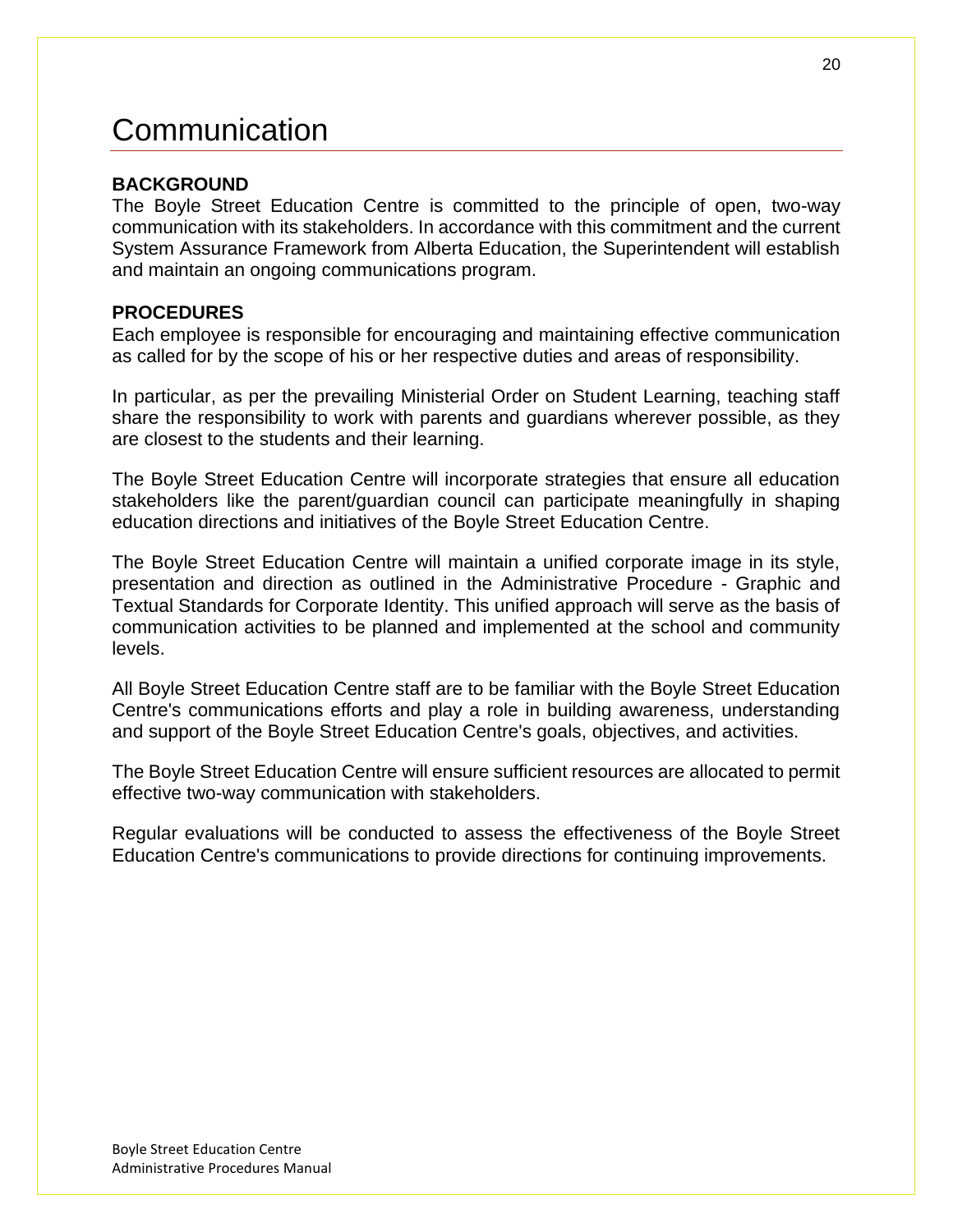# <span id="page-19-0"></span>Communication

## **BACKGROUND**

The Boyle Street Education Centre is committed to the principle of open, two-way communication with its stakeholders. In accordance with this commitment and the current System Assurance Framework from Alberta Education, the Superintendent will establish and maintain an ongoing communications program.

## **PROCEDURES**

Each employee is responsible for encouraging and maintaining effective communication as called for by the scope of his or her respective duties and areas of responsibility.

In particular, as per the prevailing Ministerial Order on Student Learning, teaching staff share the responsibility to work with parents and guardians wherever possible, as they are closest to the students and their learning.

The Boyle Street Education Centre will incorporate strategies that ensure all education stakeholders like the parent/guardian council can participate meaningfully in shaping education directions and initiatives of the Boyle Street Education Centre.

The Boyle Street Education Centre will maintain a unified corporate image in its style, presentation and direction as outlined in the Administrative Procedure - Graphic and Textual Standards for Corporate Identity. This unified approach will serve as the basis of communication activities to be planned and implemented at the school and community levels.

All Boyle Street Education Centre staff are to be familiar with the Boyle Street Education Centre's communications efforts and play a role in building awareness, understanding and support of the Boyle Street Education Centre's goals, objectives, and activities.

The Boyle Street Education Centre will ensure sufficient resources are allocated to permit effective two-way communication with stakeholders.

Regular evaluations will be conducted to assess the effectiveness of the Boyle Street Education Centre's communications to provide directions for continuing improvements.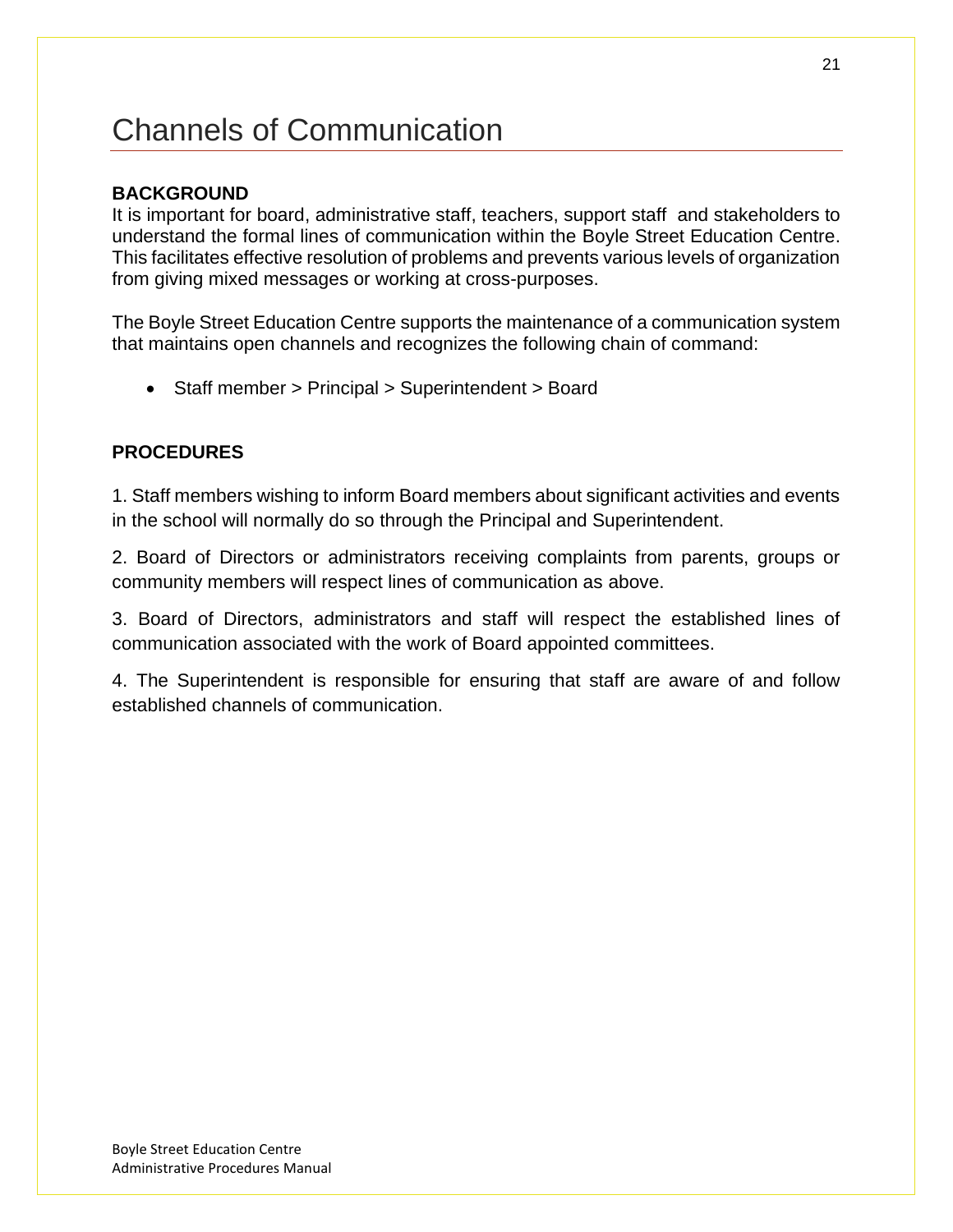# <span id="page-20-0"></span>Channels of Communication

## **BACKGROUND**

It is important for board, administrative staff, teachers, support staff and stakeholders to understand the formal lines of communication within the Boyle Street Education Centre. This facilitates effective resolution of problems and prevents various levels of organization from giving mixed messages or working at cross-purposes.

The Boyle Street Education Centre supports the maintenance of a communication system that maintains open channels and recognizes the following chain of command:

• Staff member > Principal > Superintendent > Board

## **PROCEDURES**

1. Staff members wishing to inform Board members about significant activities and events in the school will normally do so through the Principal and Superintendent.

2. Board of Directors or administrators receiving complaints from parents, groups or community members will respect lines of communication as above.

3. Board of Directors, administrators and staff will respect the established lines of communication associated with the work of Board appointed committees.

4. The Superintendent is responsible for ensuring that staff are aware of and follow established channels of communication.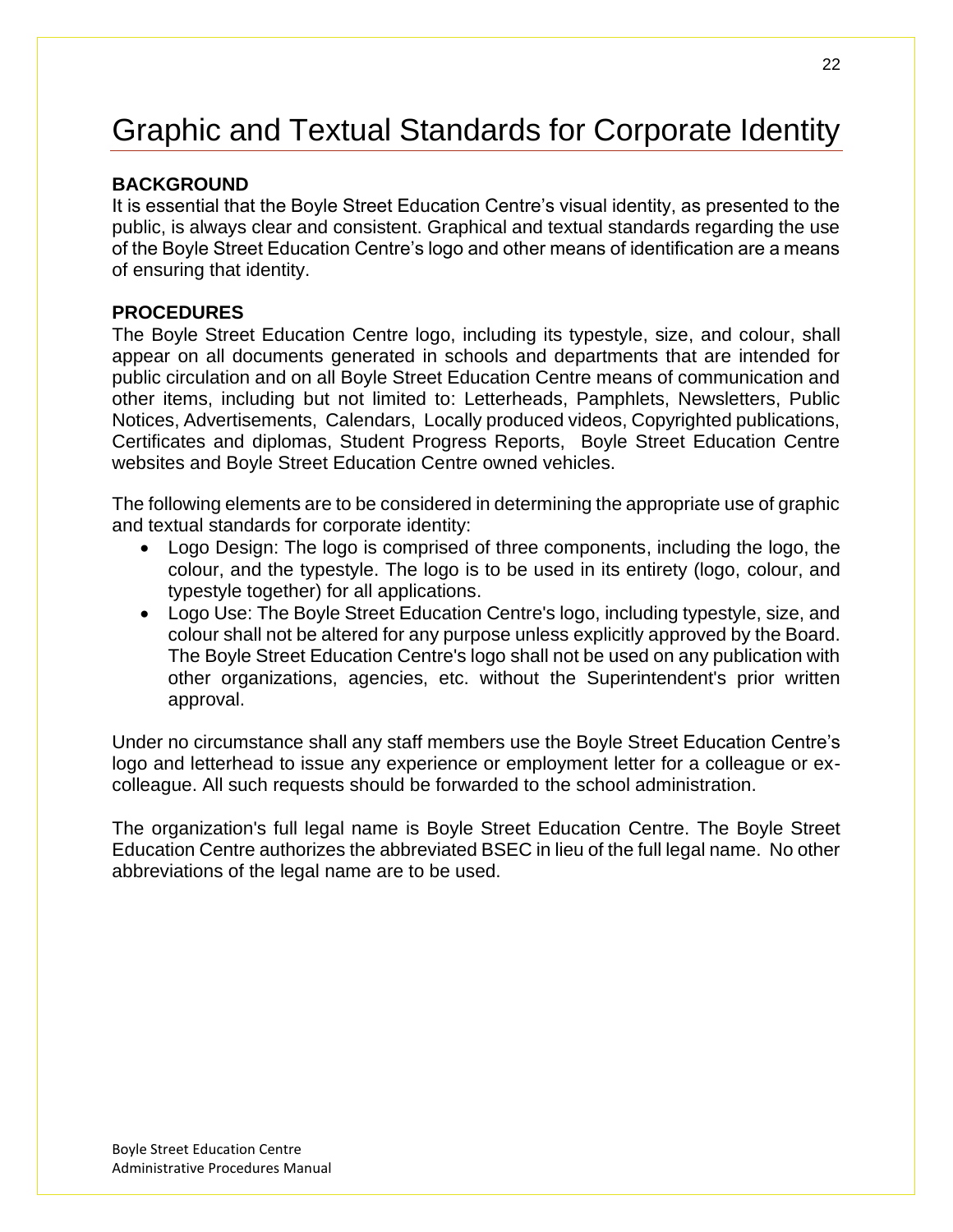# <span id="page-21-0"></span>Graphic and Textual Standards for Corporate Identity

## **BACKGROUND**

It is essential that the Boyle Street Education Centre's visual identity, as presented to the public, is always clear and consistent. Graphical and textual standards regarding the use of the Boyle Street Education Centre's logo and other means of identification are a means of ensuring that identity.

## **PROCEDURES**

The Boyle Street Education Centre logo, including its typestyle, size, and colour, shall appear on all documents generated in schools and departments that are intended for public circulation and on all Boyle Street Education Centre means of communication and other items, including but not limited to: Letterheads, Pamphlets, Newsletters, Public Notices, Advertisements, Calendars, Locally produced videos, Copyrighted publications, Certificates and diplomas, Student Progress Reports, Boyle Street Education Centre websites and Boyle Street Education Centre owned vehicles.

The following elements are to be considered in determining the appropriate use of graphic and textual standards for corporate identity:

- Logo Design: The logo is comprised of three components, including the logo, the colour, and the typestyle. The logo is to be used in its entirety (logo, colour, and typestyle together) for all applications.
- Logo Use: The Boyle Street Education Centre's logo, including typestyle, size, and colour shall not be altered for any purpose unless explicitly approved by the Board. The Boyle Street Education Centre's logo shall not be used on any publication with other organizations, agencies, etc. without the Superintendent's prior written approval.

Under no circumstance shall any staff members use the Boyle Street Education Centre's logo and letterhead to issue any experience or employment letter for a colleague or excolleague. All such requests should be forwarded to the school administration.

The organization's full legal name is Boyle Street Education Centre. The Boyle Street Education Centre authorizes the abbreviated BSEC in lieu of the full legal name. No other abbreviations of the legal name are to be used.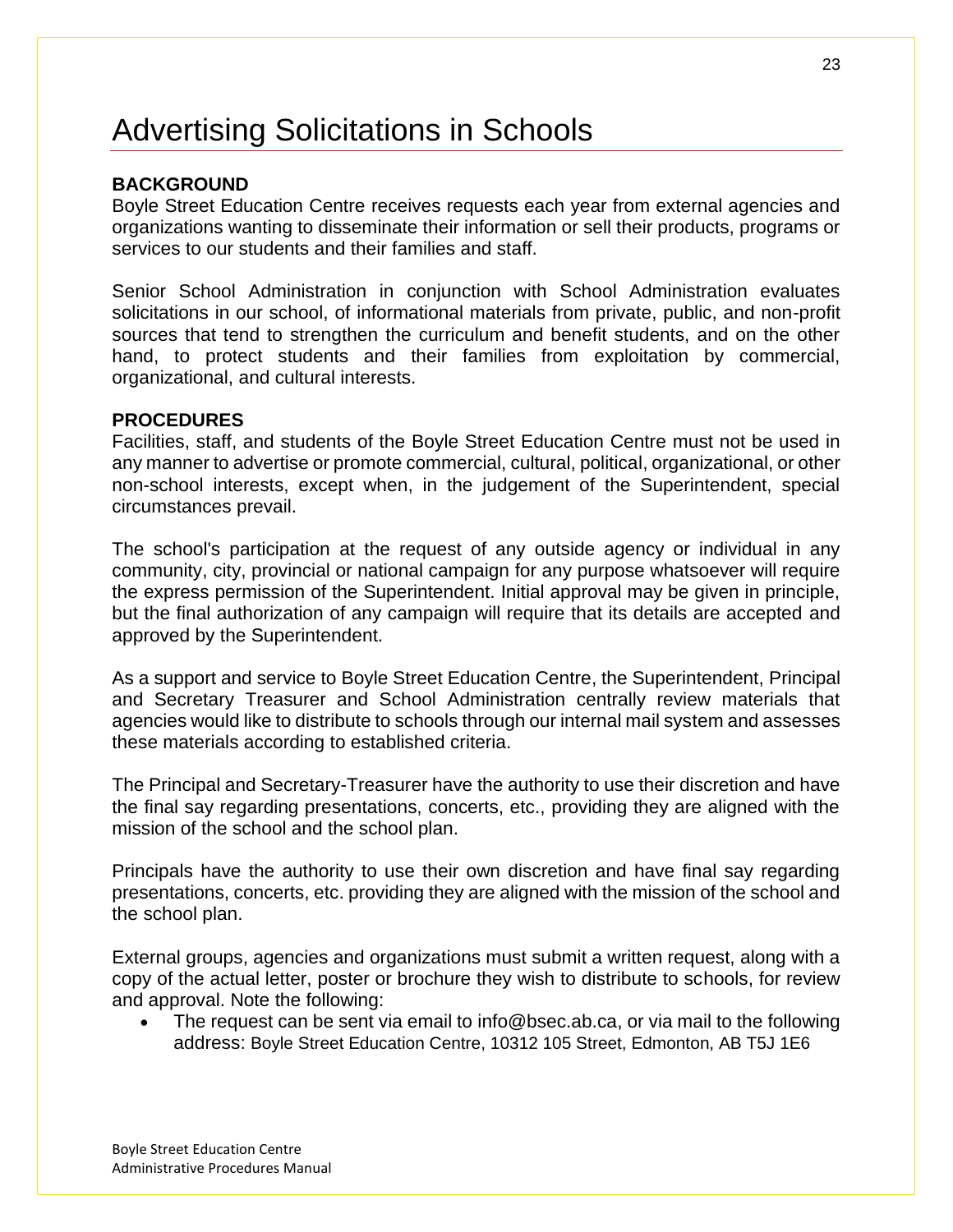# <span id="page-22-0"></span>Advertising Solicitations in Schools

## **BACKGROUND**

Boyle Street Education Centre receives requests each year from external agencies and organizations wanting to disseminate their information or sell their products, programs or services to our students and their families and staff.

Senior School Administration in conjunction with School Administration evaluates solicitations in our school, of informational materials from private, public, and non-profit sources that tend to strengthen the curriculum and benefit students, and on the other hand, to protect students and their families from exploitation by commercial, organizational, and cultural interests.

#### **PROCEDURES**

Facilities, staff, and students of the Boyle Street Education Centre must not be used in any manner to advertise or promote commercial, cultural, political, organizational, or other non-school interests, except when, in the judgement of the Superintendent, special circumstances prevail.

The school's participation at the request of any outside agency or individual in any community, city, provincial or national campaign for any purpose whatsoever will require the express permission of the Superintendent. Initial approval may be given in principle, but the final authorization of any campaign will require that its details are accepted and approved by the Superintendent.

As a support and service to Boyle Street Education Centre, the Superintendent, Principal and Secretary Treasurer and School Administration centrally review materials that agencies would like to distribute to schools through our internal mail system and assesses these materials according to established criteria.

The Principal and Secretary-Treasurer have the authority to use their discretion and have the final say regarding presentations, concerts, etc., providing they are aligned with the mission of the school and the school plan.

Principals have the authority to use their own discretion and have final say regarding presentations, concerts, etc. providing they are aligned with the mission of the school and the school plan.

External groups, agencies and organizations must submit a written request, along with a copy of the actual letter, poster or brochure they wish to distribute to schools, for review and approval. Note the following:

• The request can be sent via email to info@bsec.ab.ca, or via mail to the following address: Boyle Street Education Centre, 10312 105 Street, Edmonton, AB T5J 1E6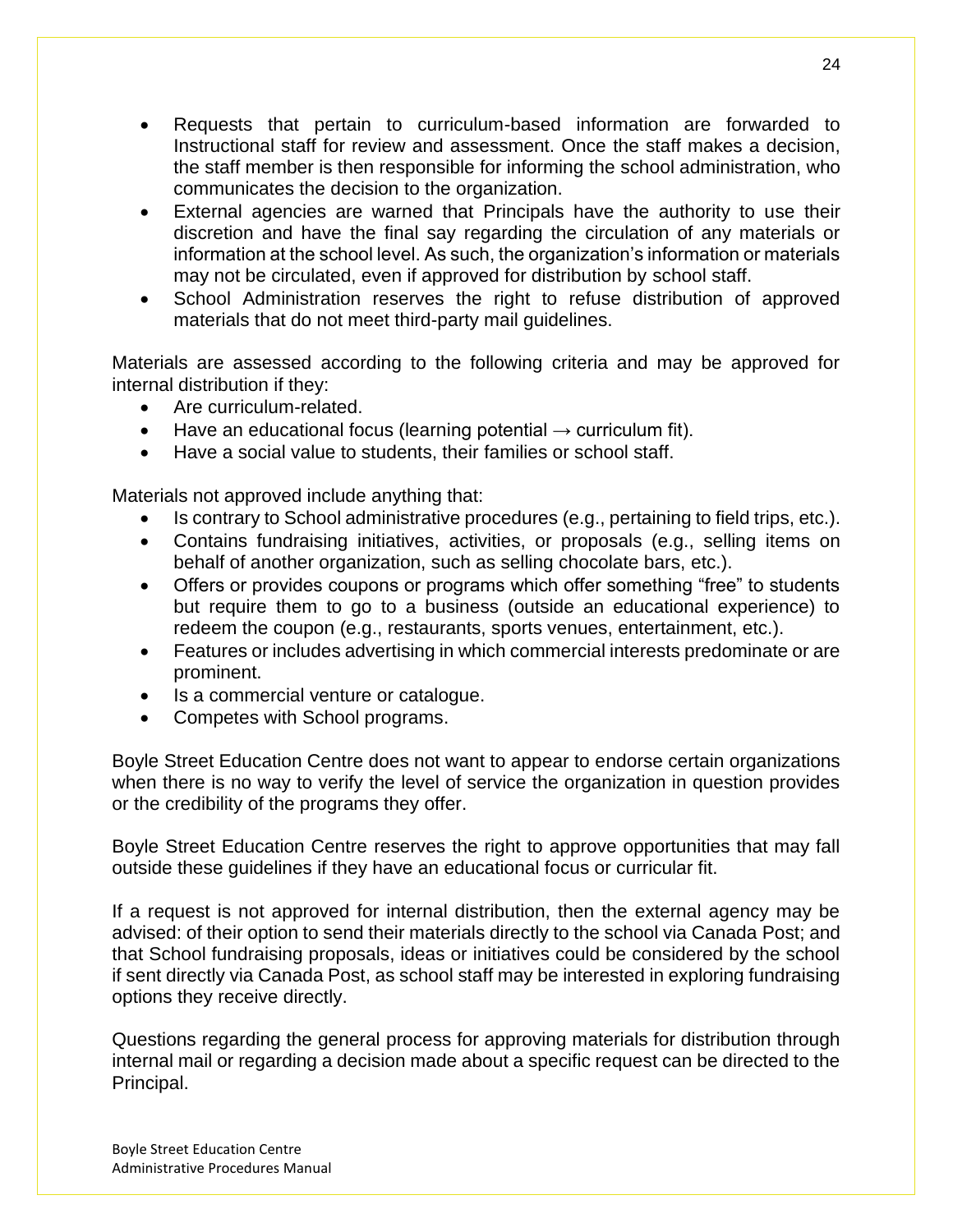- Requests that pertain to curriculum-based information are forwarded to Instructional staff for review and assessment. Once the staff makes a decision, the staff member is then responsible for informing the school administration, who communicates the decision to the organization.
- External agencies are warned that Principals have the authority to use their discretion and have the final say regarding the circulation of any materials or information at the school level. As such, the organization's information or materials may not be circulated, even if approved for distribution by school staff.
- School Administration reserves the right to refuse distribution of approved materials that do not meet third-party mail guidelines.

Materials are assessed according to the following criteria and may be approved for internal distribution if they:

- Are curriculum-related.
- Have an educational focus (learning potential  $\rightarrow$  curriculum fit).
- Have a social value to students, their families or school staff.

Materials not approved include anything that:

- Is contrary to School administrative procedures (e.g., pertaining to field trips, etc.).
- Contains fundraising initiatives, activities, or proposals (e.g., selling items on behalf of another organization, such as selling chocolate bars, etc.).
- Offers or provides coupons or programs which offer something "free" to students but require them to go to a business (outside an educational experience) to redeem the coupon (e.g., restaurants, sports venues, entertainment, etc.).
- Features or includes advertising in which commercial interests predominate or are prominent.
- Is a commercial venture or catalogue.
- Competes with School programs.

Boyle Street Education Centre does not want to appear to endorse certain organizations when there is no way to verify the level of service the organization in question provides or the credibility of the programs they offer.

Boyle Street Education Centre reserves the right to approve opportunities that may fall outside these guidelines if they have an educational focus or curricular fit.

If a request is not approved for internal distribution, then the external agency may be advised: of their option to send their materials directly to the school via Canada Post; and that School fundraising proposals, ideas or initiatives could be considered by the school if sent directly via Canada Post, as school staff may be interested in exploring fundraising options they receive directly.

Questions regarding the general process for approving materials for distribution through internal mail or regarding a decision made about a specific request can be directed to the Principal.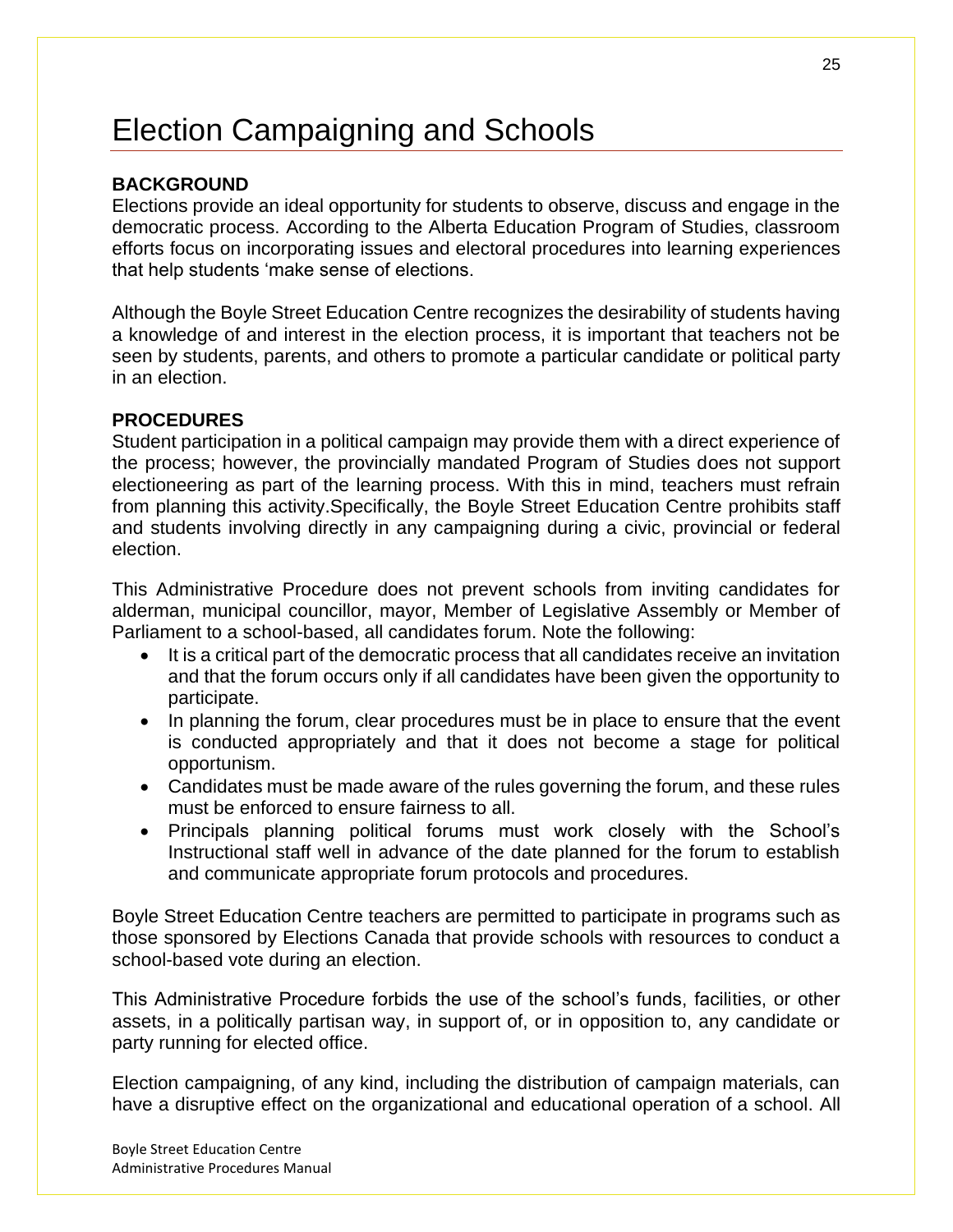# <span id="page-24-0"></span>Election Campaigning and Schools

## **BACKGROUND**

Elections provide an ideal opportunity for students to observe, discuss and engage in the democratic process. According to the Alberta Education Program of Studies, classroom efforts focus on incorporating issues and electoral procedures into learning experiences that help students 'make sense of elections.

Although the Boyle Street Education Centre recognizes the desirability of students having a knowledge of and interest in the election process, it is important that teachers not be seen by students, parents, and others to promote a particular candidate or political party in an election.

### **PROCEDURES**

Student participation in a political campaign may provide them with a direct experience of the process; however, the provincially mandated Program of Studies does not support electioneering as part of the learning process. With this in mind, teachers must refrain from planning this activity.Specifically, the Boyle Street Education Centre prohibits staff and students involving directly in any campaigning during a civic, provincial or federal election.

This Administrative Procedure does not prevent schools from inviting candidates for alderman, municipal councillor, mayor, Member of Legislative Assembly or Member of Parliament to a school-based, all candidates forum. Note the following:

- It is a critical part of the democratic process that all candidates receive an invitation and that the forum occurs only if all candidates have been given the opportunity to participate.
- In planning the forum, clear procedures must be in place to ensure that the event is conducted appropriately and that it does not become a stage for political opportunism.
- Candidates must be made aware of the rules governing the forum, and these rules must be enforced to ensure fairness to all.
- Principals planning political forums must work closely with the School's Instructional staff well in advance of the date planned for the forum to establish and communicate appropriate forum protocols and procedures.

Boyle Street Education Centre teachers are permitted to participate in programs such as those sponsored by Elections Canada that provide schools with resources to conduct a school-based vote during an election.

This Administrative Procedure forbids the use of the school's funds, facilities, or other assets, in a politically partisan way, in support of, or in opposition to, any candidate or party running for elected office.

Election campaigning, of any kind, including the distribution of campaign materials, can have a disruptive effect on the organizational and educational operation of a school. All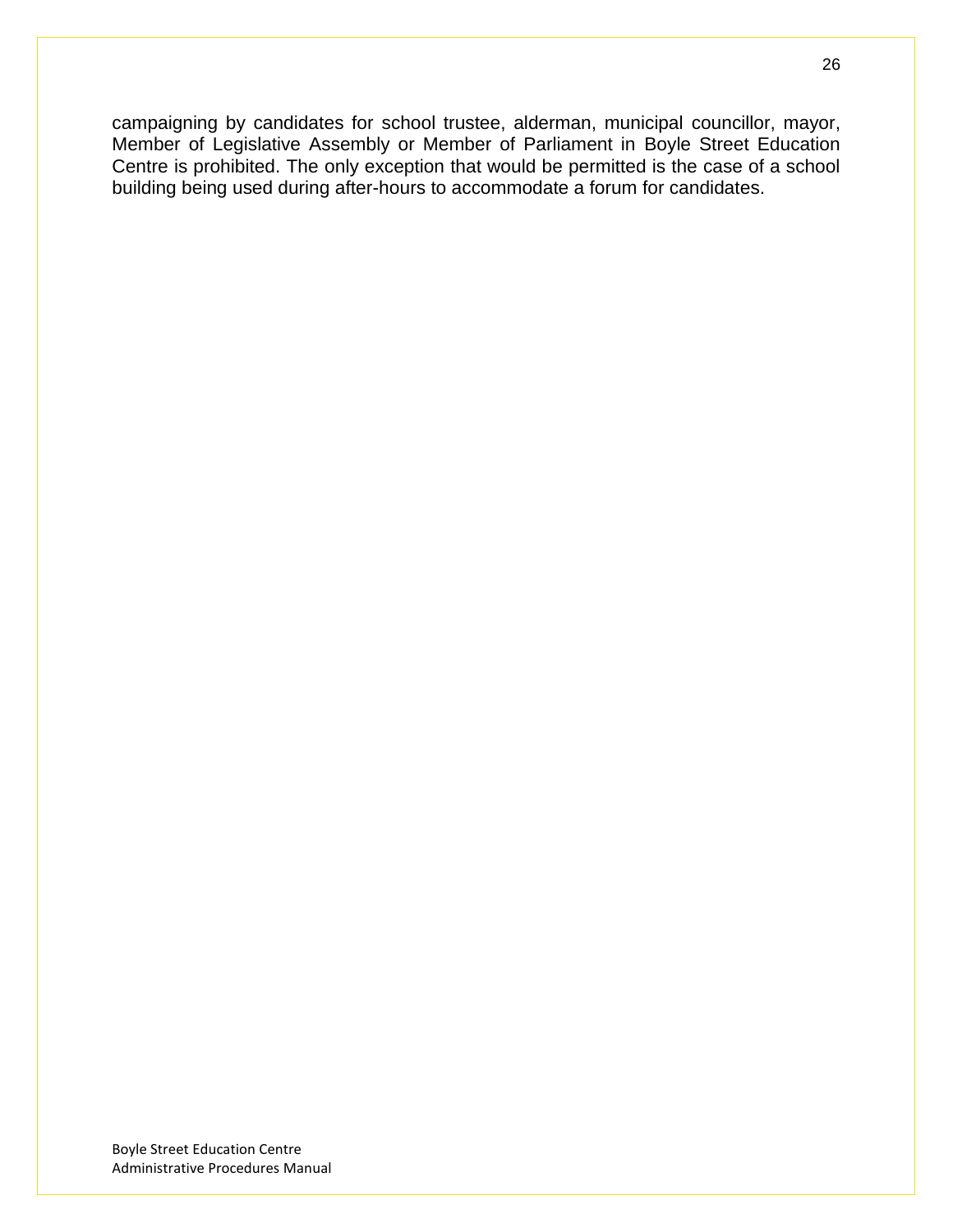campaigning by candidates for school trustee, alderman, municipal councillor, mayor, Member of Legislative Assembly or Member of Parliament in Boyle Street Education Centre is prohibited. The only exception that would be permitted is the case of a school building being used during after-hours to accommodate a forum for candidates.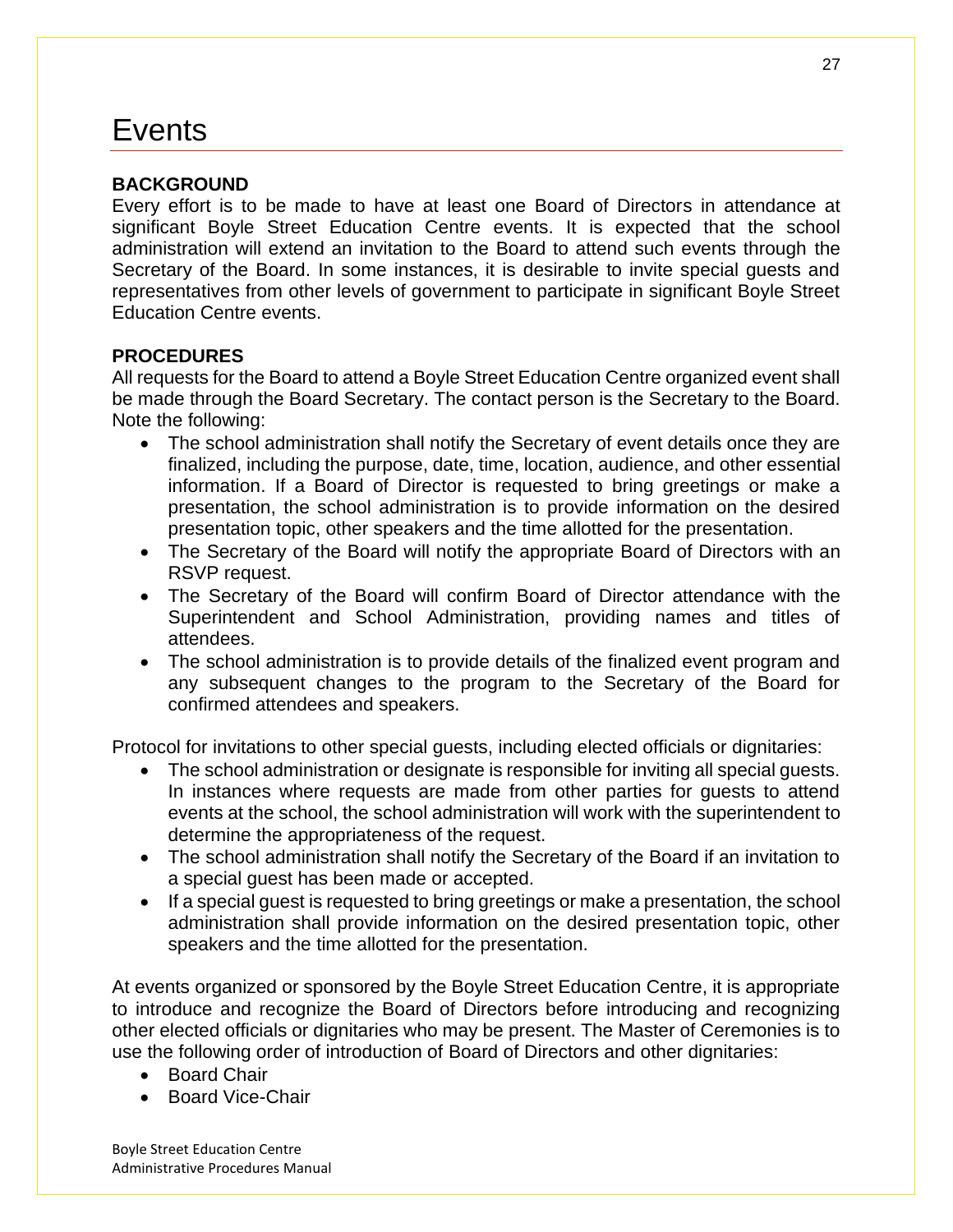# <span id="page-26-0"></span>**Events**

## **BACKGROUND**

Every effort is to be made to have at least one Board of Directors in attendance at significant Boyle Street Education Centre events. It is expected that the school administration will extend an invitation to the Board to attend such events through the Secretary of the Board. In some instances, it is desirable to invite special guests and representatives from other levels of government to participate in significant Boyle Street Education Centre events.

## **PROCEDURES**

All requests for the Board to attend a Boyle Street Education Centre organized event shall be made through the Board Secretary. The contact person is the Secretary to the Board. Note the following:

- The school administration shall notify the Secretary of event details once they are finalized, including the purpose, date, time, location, audience, and other essential information. If a Board of Director is requested to bring greetings or make a presentation, the school administration is to provide information on the desired presentation topic, other speakers and the time allotted for the presentation.
- The Secretary of the Board will notify the appropriate Board of Directors with an RSVP request.
- The Secretary of the Board will confirm Board of Director attendance with the Superintendent and School Administration, providing names and titles of attendees.
- The school administration is to provide details of the finalized event program and any subsequent changes to the program to the Secretary of the Board for confirmed attendees and speakers.

Protocol for invitations to other special guests, including elected officials or dignitaries:

- The school administration or designate is responsible for inviting all special guests. In instances where requests are made from other parties for guests to attend events at the school, the school administration will work with the superintendent to determine the appropriateness of the request.
- The school administration shall notify the Secretary of the Board if an invitation to a special guest has been made or accepted.
- If a special guest is requested to bring greetings or make a presentation, the school administration shall provide information on the desired presentation topic, other speakers and the time allotted for the presentation.

At events organized or sponsored by the Boyle Street Education Centre, it is appropriate to introduce and recognize the Board of Directors before introducing and recognizing other elected officials or dignitaries who may be present. The Master of Ceremonies is to use the following order of introduction of Board of Directors and other dignitaries:

- Board Chair
- Board Vice-Chair

Boyle Street Education Centre Administrative Procedures Manual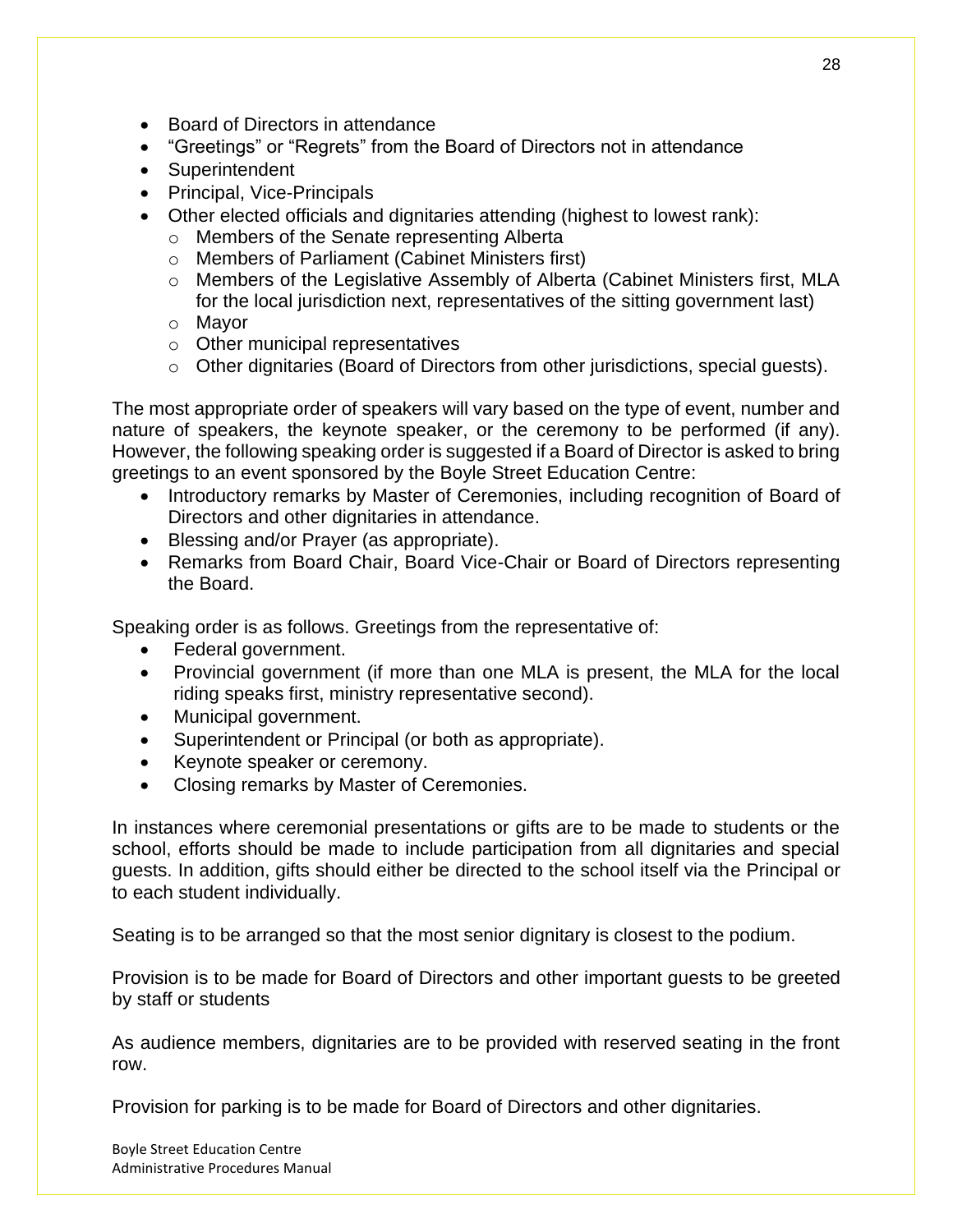- Board of Directors in attendance
- "Greetings" or "Regrets" from the Board of Directors not in attendance
- Superintendent
- Principal, Vice-Principals
- Other elected officials and dignitaries attending (highest to lowest rank):
	- o Members of the Senate representing Alberta
	- o Members of Parliament (Cabinet Ministers first)
	- o Members of the Legislative Assembly of Alberta (Cabinet Ministers first, MLA for the local jurisdiction next, representatives of the sitting government last)
	- o Mayor
	- o Other municipal representatives
	- o Other dignitaries (Board of Directors from other jurisdictions, special guests).

The most appropriate order of speakers will vary based on the type of event, number and nature of speakers, the keynote speaker, or the ceremony to be performed (if any). However, the following speaking order is suggested if a Board of Director is asked to bring greetings to an event sponsored by the Boyle Street Education Centre:

- Introductory remarks by Master of Ceremonies, including recognition of Board of Directors and other dignitaries in attendance.
- Blessing and/or Prayer (as appropriate).
- Remarks from Board Chair, Board Vice-Chair or Board of Directors representing the Board.

Speaking order is as follows. Greetings from the representative of:

- Federal government.
- Provincial government (if more than one MLA is present, the MLA for the local riding speaks first, ministry representative second).
- Municipal government.
- Superintendent or Principal (or both as appropriate).
- Keynote speaker or ceremony.
- Closing remarks by Master of Ceremonies.

In instances where ceremonial presentations or gifts are to be made to students or the school, efforts should be made to include participation from all dignitaries and special guests. In addition, gifts should either be directed to the school itself via the Principal or to each student individually.

Seating is to be arranged so that the most senior dignitary is closest to the podium.

Provision is to be made for Board of Directors and other important guests to be greeted by staff or students

As audience members, dignitaries are to be provided with reserved seating in the front row.

Provision for parking is to be made for Board of Directors and other dignitaries.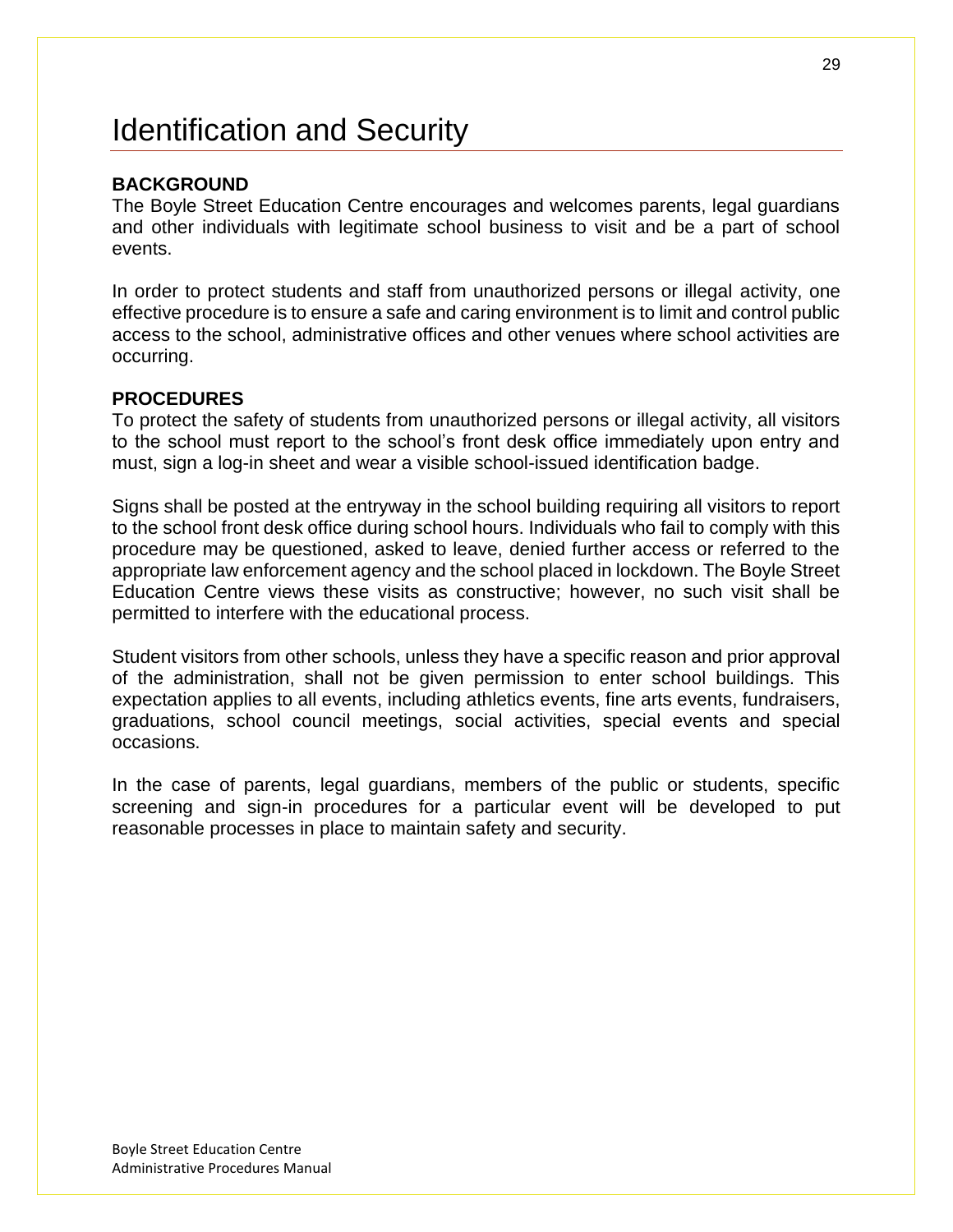## <span id="page-28-0"></span>Identification and Security

### **BACKGROUND**

The Boyle Street Education Centre encourages and welcomes parents, legal guardians and other individuals with legitimate school business to visit and be a part of school events.

In order to protect students and staff from unauthorized persons or illegal activity, one effective procedure is to ensure a safe and caring environment is to limit and control public access to the school, administrative offices and other venues where school activities are occurring.

#### **PROCEDURES**

To protect the safety of students from unauthorized persons or illegal activity, all visitors to the school must report to the school's front desk office immediately upon entry and must, sign a log-in sheet and wear a visible school-issued identification badge.

Signs shall be posted at the entryway in the school building requiring all visitors to report to the school front desk office during school hours. Individuals who fail to comply with this procedure may be questioned, asked to leave, denied further access or referred to the appropriate law enforcement agency and the school placed in lockdown. The Boyle Street Education Centre views these visits as constructive; however, no such visit shall be permitted to interfere with the educational process.

Student visitors from other schools, unless they have a specific reason and prior approval of the administration, shall not be given permission to enter school buildings. This expectation applies to all events, including athletics events, fine arts events, fundraisers, graduations, school council meetings, social activities, special events and special occasions.

In the case of parents, legal guardians, members of the public or students, specific screening and sign-in procedures for a particular event will be developed to put reasonable processes in place to maintain safety and security.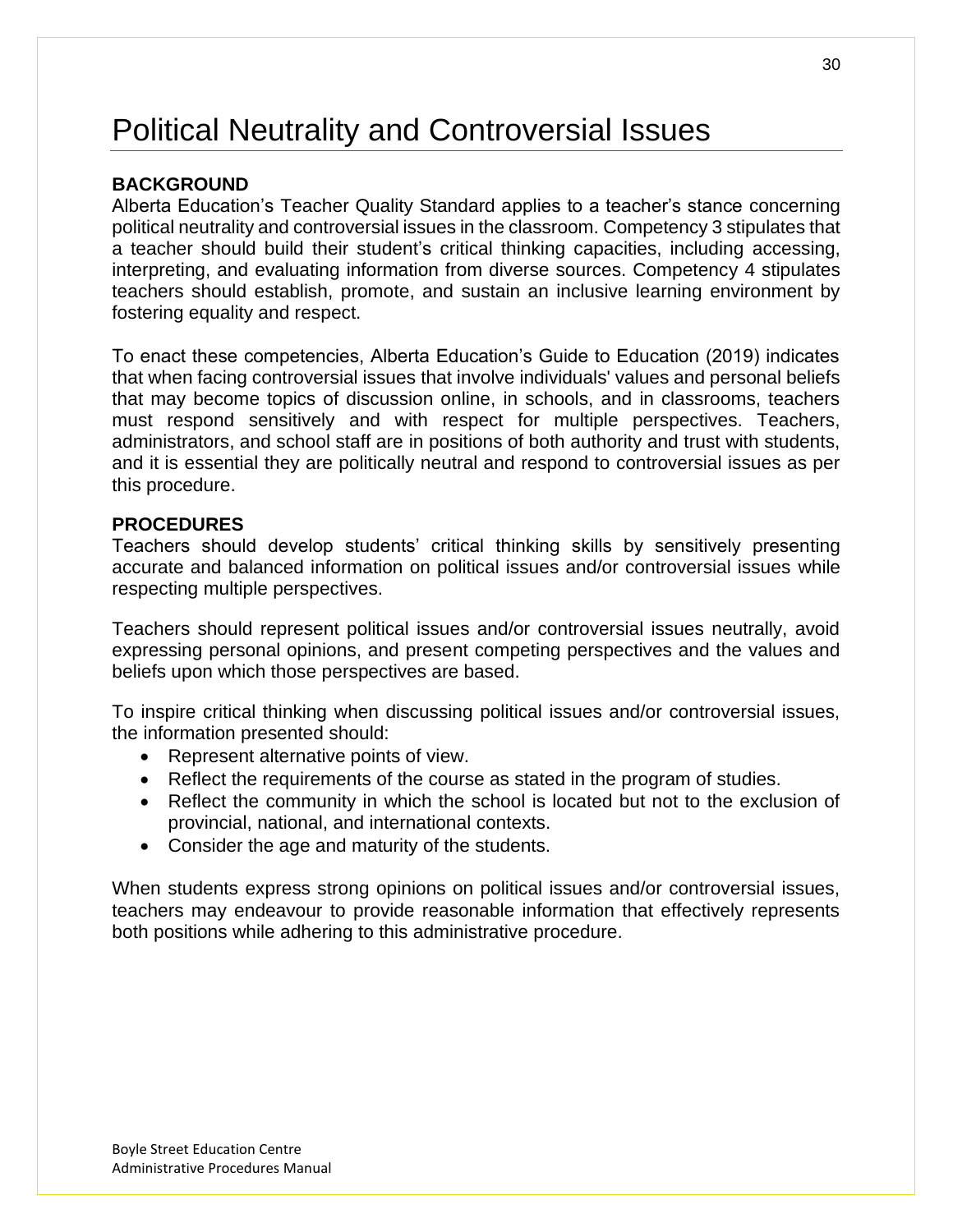# <span id="page-29-0"></span>Political Neutrality and Controversial Issues

### **BACKGROUND**

Alberta Education's Teacher Quality Standard applies to a teacher's stance concerning political neutrality and controversial issues in the classroom. Competency 3 stipulates that a teacher should build their student's critical thinking capacities, including accessing, interpreting, and evaluating information from diverse sources. Competency 4 stipulates teachers should establish, promote, and sustain an inclusive learning environment by fostering equality and respect.

To enact these competencies, Alberta Education's Guide to Education (2019) indicates that when facing controversial issues that involve individuals' values and personal beliefs that may become topics of discussion online, in schools, and in classrooms, teachers must respond sensitively and with respect for multiple perspectives. Teachers, administrators, and school staff are in positions of both authority and trust with students, and it is essential they are politically neutral and respond to controversial issues as per this procedure.

#### **PROCEDURES**

Teachers should develop students' critical thinking skills by sensitively presenting accurate and balanced information on political issues and/or controversial issues while respecting multiple perspectives.

Teachers should represent political issues and/or controversial issues neutrally, avoid expressing personal opinions, and present competing perspectives and the values and beliefs upon which those perspectives are based.

To inspire critical thinking when discussing political issues and/or controversial issues, the information presented should:

- Represent alternative points of view.
- Reflect the requirements of the course as stated in the program of studies.
- Reflect the community in which the school is located but not to the exclusion of provincial, national, and international contexts.
- Consider the age and maturity of the students.

When students express strong opinions on political issues and/or controversial issues, teachers may endeavour to provide reasonable information that effectively represents both positions while adhering to this administrative procedure.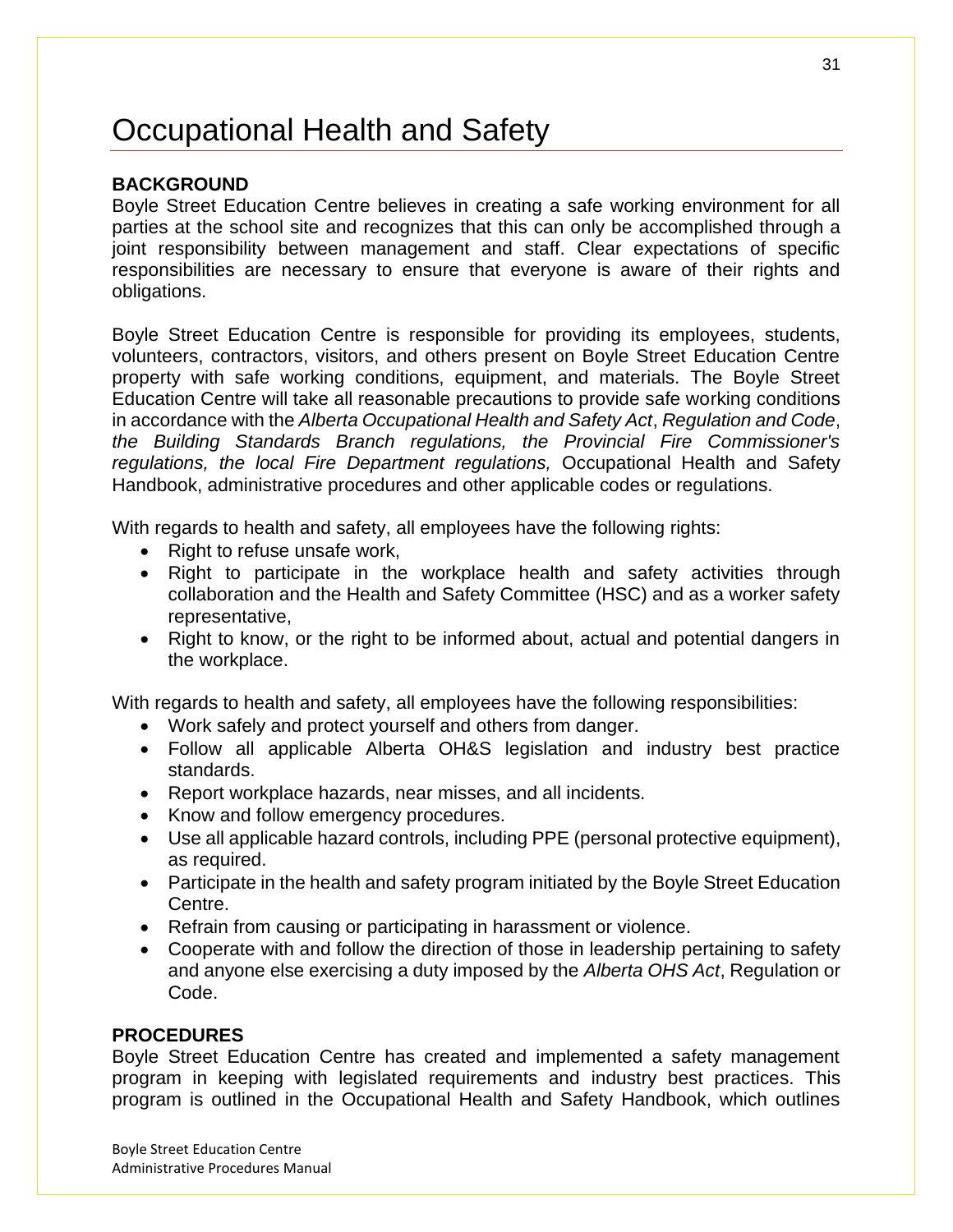# <span id="page-30-0"></span>Occupational Health and Safety

## **BACKGROUND**

Boyle Street Education Centre believes in creating a safe working environment for all parties at the school site and recognizes that this can only be accomplished through a joint responsibility between management and staff. Clear expectations of specific responsibilities are necessary to ensure that everyone is aware of their rights and obligations.

Boyle Street Education Centre is responsible for providing its employees, students, volunteers, contractors, visitors, and others present on Boyle Street Education Centre property with safe working conditions, equipment, and materials. The Boyle Street Education Centre will take all reasonable precautions to provide safe working conditions in accordance with the *Alberta Occupational Health and Safety Act*, *Regulation and Code*, *the Building Standards Branch regulations, the Provincial Fire Commissioner's regulations, the local Fire Department regulations,* Occupational Health and Safety Handbook, administrative procedures and other applicable codes or regulations.

With regards to health and safety, all employees have the following rights:

- Right to refuse unsafe work.
- Right to participate in the workplace health and safety activities through collaboration and the Health and Safety Committee (HSC) and as a worker safety representative,
- Right to know, or the right to be informed about, actual and potential dangers in the workplace.

With regards to health and safety, all employees have the following responsibilities:

- Work safely and protect yourself and others from danger.
- Follow all applicable Alberta OH&S legislation and industry best practice standards.
- Report workplace hazards, near misses, and all incidents.
- Know and follow emergency procedures.
- Use all applicable hazard controls, including PPE (personal protective equipment), as required.
- Participate in the health and safety program initiated by the Boyle Street Education Centre.
- Refrain from causing or participating in harassment or violence.
- Cooperate with and follow the direction of those in leadership pertaining to safety and anyone else exercising a duty imposed by the *Alberta OHS Act*, Regulation or Code.

#### **PROCEDURES**

Boyle Street Education Centre has created and implemented a safety management program in keeping with legislated requirements and industry best practices. This program is outlined in the Occupational Health and Safety Handbook, which outlines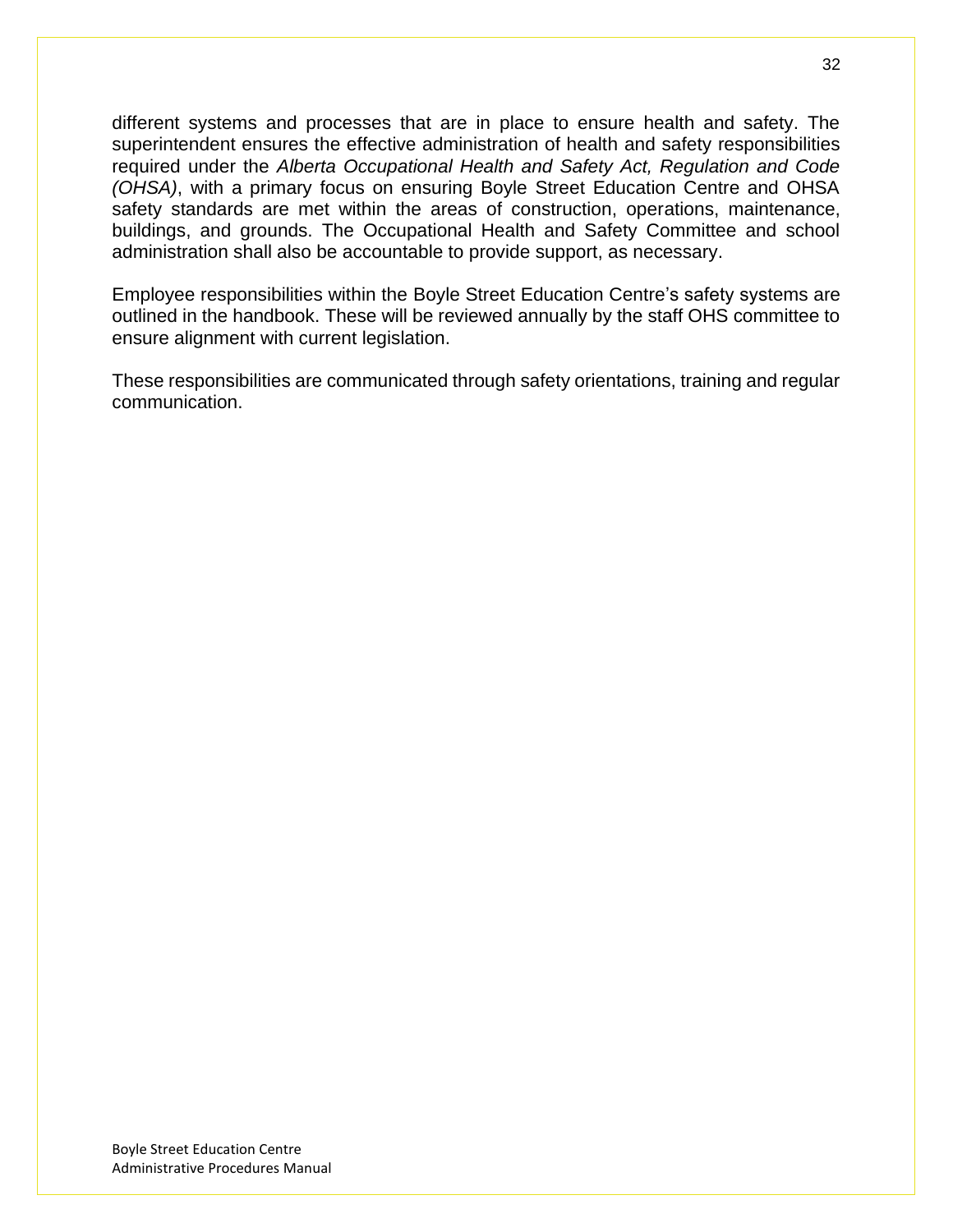different systems and processes that are in place to ensure health and safety. The superintendent ensures the effective administration of health and safety responsibilities required under the *Alberta Occupational Health and Safety Act, Regulation and Code (OHSA)*, with a primary focus on ensuring Boyle Street Education Centre and OHSA safety standards are met within the areas of construction, operations, maintenance, buildings, and grounds. The Occupational Health and Safety Committee and school administration shall also be accountable to provide support, as necessary.

Employee responsibilities within the Boyle Street Education Centre's safety systems are outlined in the handbook. These will be reviewed annually by the staff OHS committee to ensure alignment with current legislation.

These responsibilities are communicated through safety orientations, training and regular communication.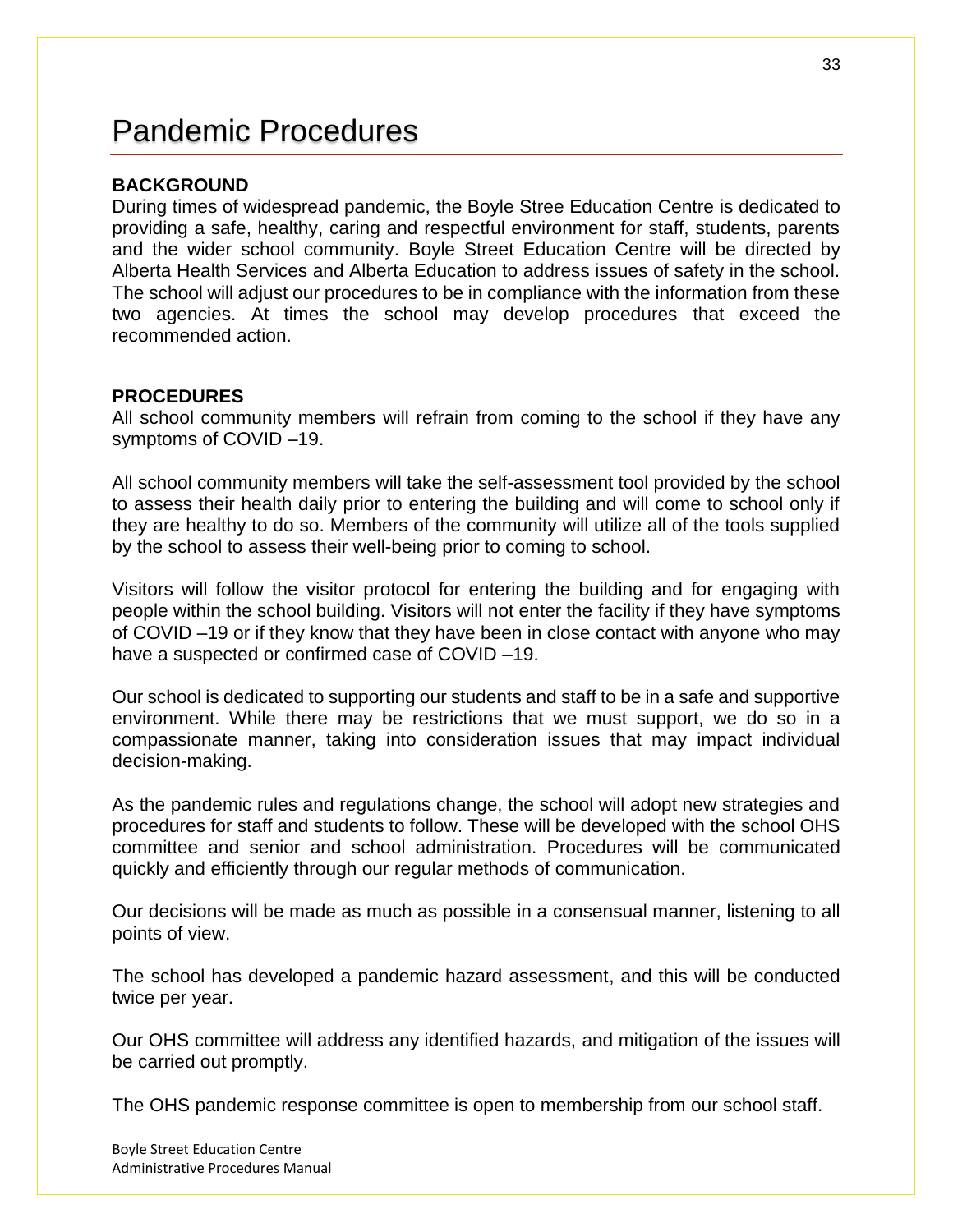## <span id="page-32-0"></span>Pandemic Procedures

#### **BACKGROUND**

During times of widespread pandemic, the Boyle Stree Education Centre is dedicated to providing a safe, healthy, caring and respectful environment for staff, students, parents and the wider school community. Boyle Street Education Centre will be directed by Alberta Health Services and Alberta Education to address issues of safety in the school. The school will adjust our procedures to be in compliance with the information from these two agencies. At times the school may develop procedures that exceed the recommended action.

#### **PROCEDURES**

All school community members will refrain from coming to the school if they have any symptoms of COVID –19.

All school community members will take the self-assessment tool provided by the school to assess their health daily prior to entering the building and will come to school only if they are healthy to do so. Members of the community will utilize all of the tools supplied by the school to assess their well-being prior to coming to school.

Visitors will follow the visitor protocol for entering the building and for engaging with people within the school building. Visitors will not enter the facility if they have symptoms of COVID –19 or if they know that they have been in close contact with anyone who may have a suspected or confirmed case of COVID-19.

Our school is dedicated to supporting our students and staff to be in a safe and supportive environment. While there may be restrictions that we must support, we do so in a compassionate manner, taking into consideration issues that may impact individual decision-making.

As the pandemic rules and regulations change, the school will adopt new strategies and procedures for staff and students to follow. These will be developed with the school OHS committee and senior and school administration. Procedures will be communicated quickly and efficiently through our regular methods of communication.

Our decisions will be made as much as possible in a consensual manner, listening to all points of view.

The school has developed a pandemic hazard assessment, and this will be conducted twice per year.

Our OHS committee will address any identified hazards, and mitigation of the issues will be carried out promptly.

The OHS pandemic response committee is open to membership from our school staff.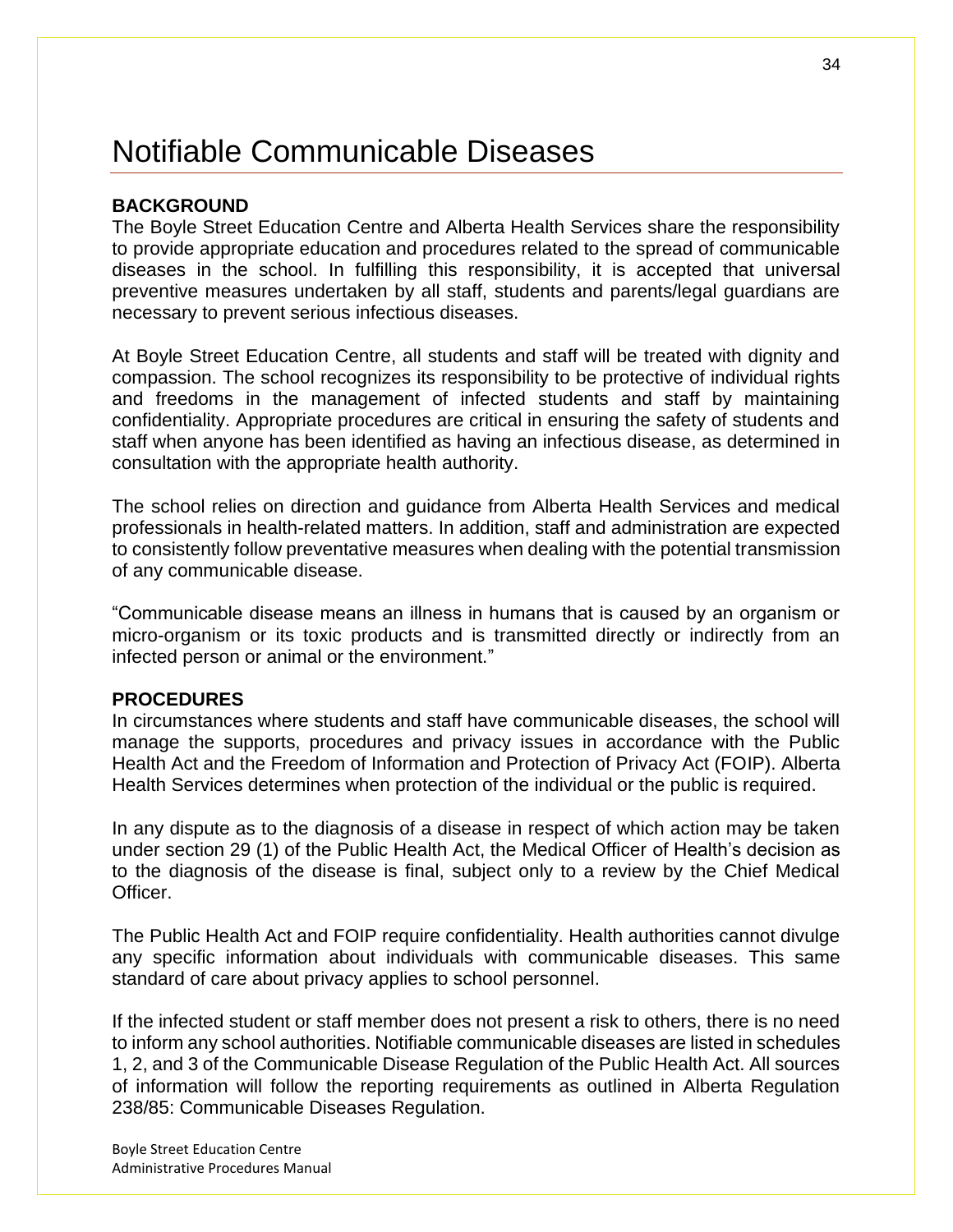# <span id="page-33-0"></span>Notifiable Communicable Diseases

#### **BACKGROUND**

The Boyle Street Education Centre and Alberta Health Services share the responsibility to provide appropriate education and procedures related to the spread of communicable diseases in the school. In fulfilling this responsibility, it is accepted that universal preventive measures undertaken by all staff, students and parents/legal guardians are necessary to prevent serious infectious diseases.

At Boyle Street Education Centre, all students and staff will be treated with dignity and compassion. The school recognizes its responsibility to be protective of individual rights and freedoms in the management of infected students and staff by maintaining confidentiality. Appropriate procedures are critical in ensuring the safety of students and staff when anyone has been identified as having an infectious disease, as determined in consultation with the appropriate health authority.

The school relies on direction and guidance from Alberta Health Services and medical professionals in health-related matters. In addition, staff and administration are expected to consistently follow preventative measures when dealing with the potential transmission of any communicable disease.

"Communicable disease means an illness in humans that is caused by an organism or micro-organism or its toxic products and is transmitted directly or indirectly from an infected person or animal or the environment."

#### **PROCEDURES**

In circumstances where students and staff have communicable diseases, the school will manage the supports, procedures and privacy issues in accordance with the Public Health Act and the Freedom of Information and Protection of Privacy Act (FOIP). Alberta Health Services determines when protection of the individual or the public is required.

In any dispute as to the diagnosis of a disease in respect of which action may be taken under section 29 (1) of the Public Health Act, the Medical Officer of Health's decision as to the diagnosis of the disease is final, subject only to a review by the Chief Medical Officer.

The Public Health Act and FOIP require confidentiality. Health authorities cannot divulge any specific information about individuals with communicable diseases. This same standard of care about privacy applies to school personnel.

If the infected student or staff member does not present a risk to others, there is no need to inform any school authorities. Notifiable communicable diseases are listed in schedules 1, 2, and 3 of the Communicable Disease Regulation of the Public Health Act. All sources of information will follow the reporting requirements as outlined in Alberta Regulation 238/85: Communicable Diseases Regulation.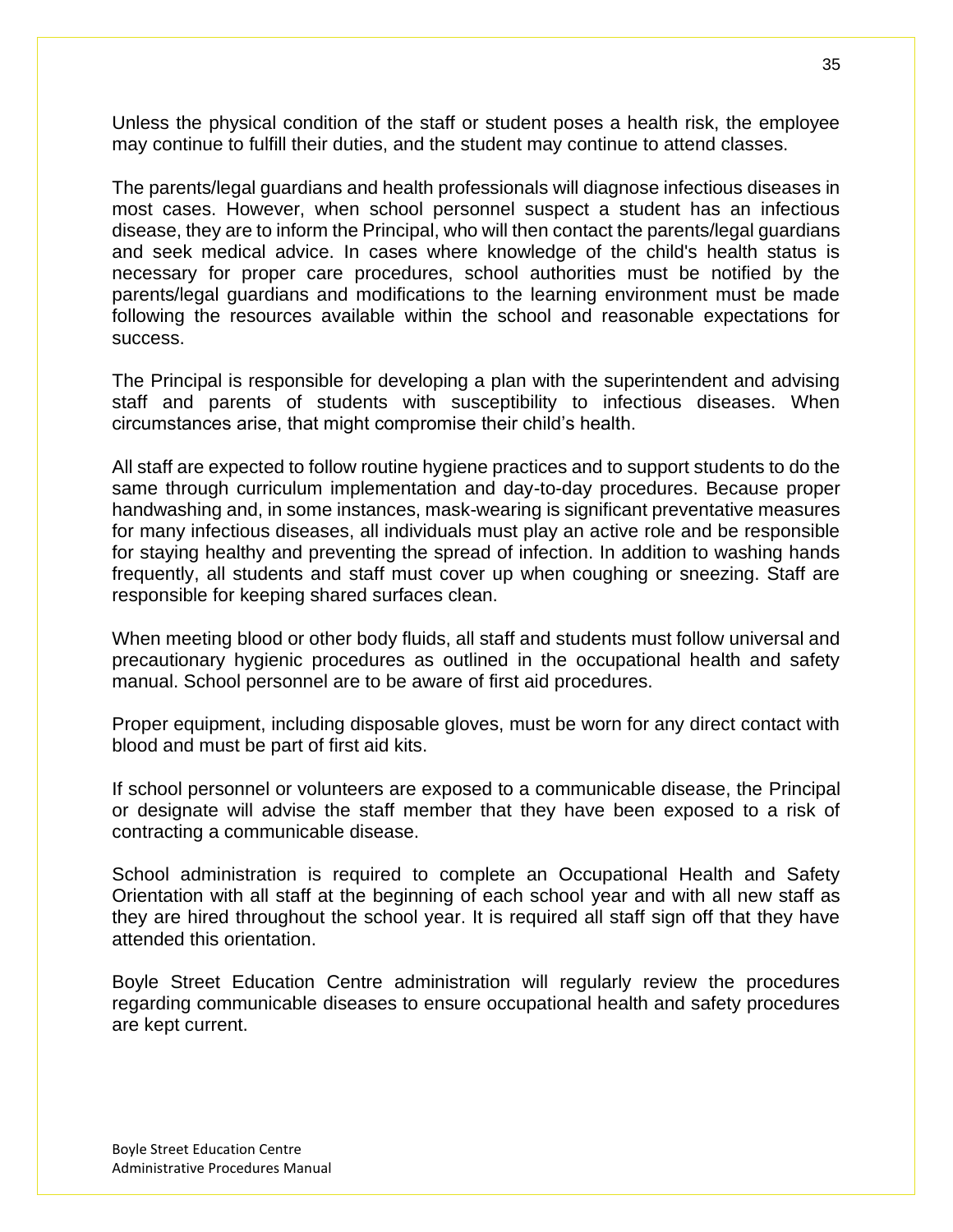Unless the physical condition of the staff or student poses a health risk, the employee may continue to fulfill their duties, and the student may continue to attend classes.

The parents/legal guardians and health professionals will diagnose infectious diseases in most cases. However, when school personnel suspect a student has an infectious disease, they are to inform the Principal, who will then contact the parents/legal guardians and seek medical advice. In cases where knowledge of the child's health status is necessary for proper care procedures, school authorities must be notified by the parents/legal guardians and modifications to the learning environment must be made following the resources available within the school and reasonable expectations for success.

The Principal is responsible for developing a plan with the superintendent and advising staff and parents of students with susceptibility to infectious diseases. When circumstances arise, that might compromise their child's health.

All staff are expected to follow routine hygiene practices and to support students to do the same through curriculum implementation and day-to-day procedures. Because proper handwashing and, in some instances, mask-wearing is significant preventative measures for many infectious diseases, all individuals must play an active role and be responsible for staying healthy and preventing the spread of infection. In addition to washing hands frequently, all students and staff must cover up when coughing or sneezing. Staff are responsible for keeping shared surfaces clean.

When meeting blood or other body fluids, all staff and students must follow universal and precautionary hygienic procedures as outlined in the occupational health and safety manual. School personnel are to be aware of first aid procedures.

Proper equipment, including disposable gloves, must be worn for any direct contact with blood and must be part of first aid kits.

If school personnel or volunteers are exposed to a communicable disease, the Principal or designate will advise the staff member that they have been exposed to a risk of contracting a communicable disease.

School administration is required to complete an Occupational Health and Safety Orientation with all staff at the beginning of each school year and with all new staff as they are hired throughout the school year. It is required all staff sign off that they have attended this orientation.

Boyle Street Education Centre administration will regularly review the procedures regarding communicable diseases to ensure occupational health and safety procedures are kept current.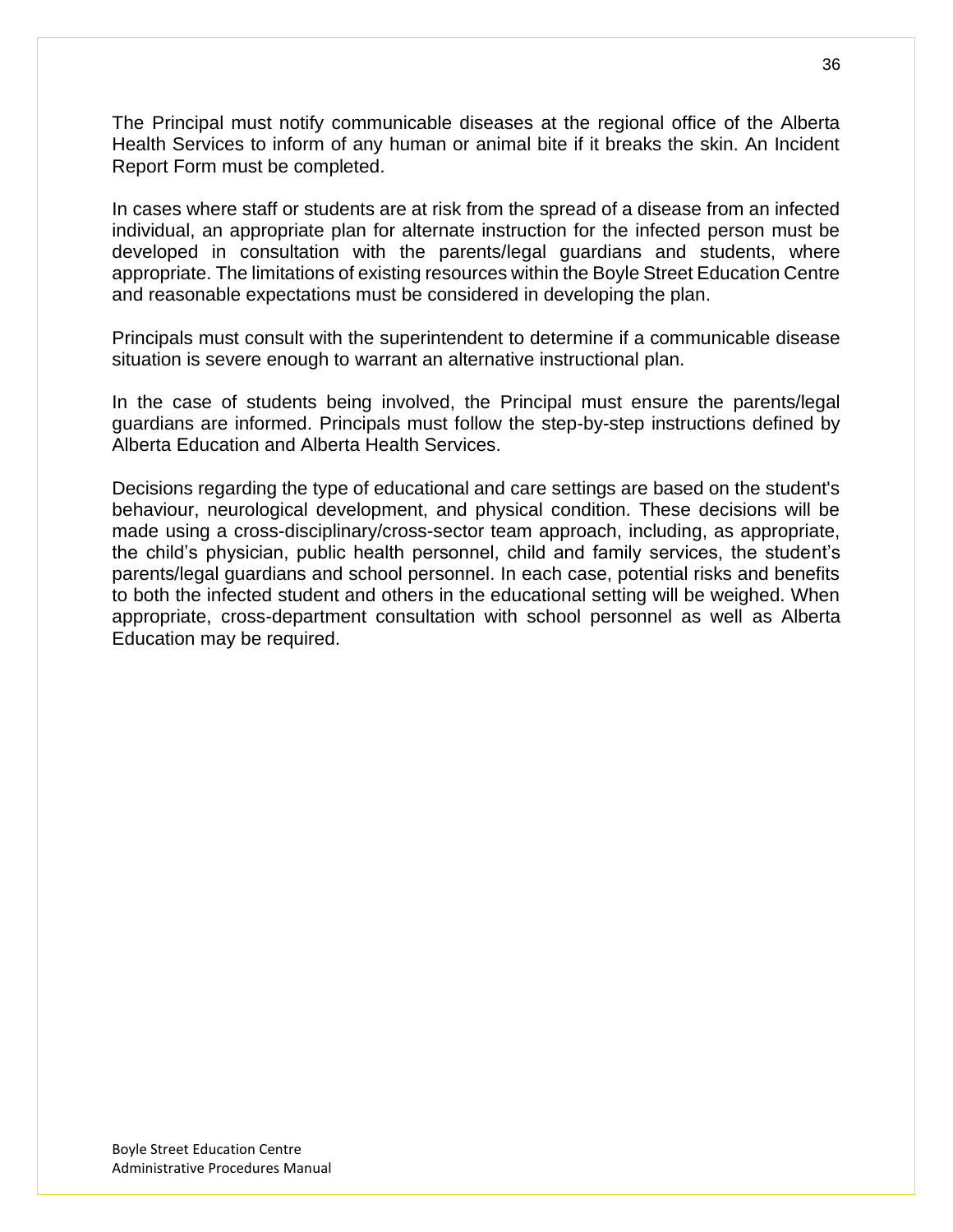The Principal must notify communicable diseases at the regional office of the Alberta Health Services to inform of any human or animal bite if it breaks the skin. An Incident Report Form must be completed.

In cases where staff or students are at risk from the spread of a disease from an infected individual, an appropriate plan for alternate instruction for the infected person must be developed in consultation with the parents/legal guardians and students, where appropriate. The limitations of existing resources within the Boyle Street Education Centre and reasonable expectations must be considered in developing the plan.

Principals must consult with the superintendent to determine if a communicable disease situation is severe enough to warrant an alternative instructional plan.

In the case of students being involved, the Principal must ensure the parents/legal guardians are informed. Principals must follow the step-by-step instructions defined by Alberta Education and Alberta Health Services.

Decisions regarding the type of educational and care settings are based on the student's behaviour, neurological development, and physical condition. These decisions will be made using a cross-disciplinary/cross-sector team approach, including, as appropriate, the child's physician, public health personnel, child and family services, the student's parents/legal guardians and school personnel. In each case, potential risks and benefits to both the infected student and others in the educational setting will be weighed. When appropriate, cross-department consultation with school personnel as well as Alberta Education may be required.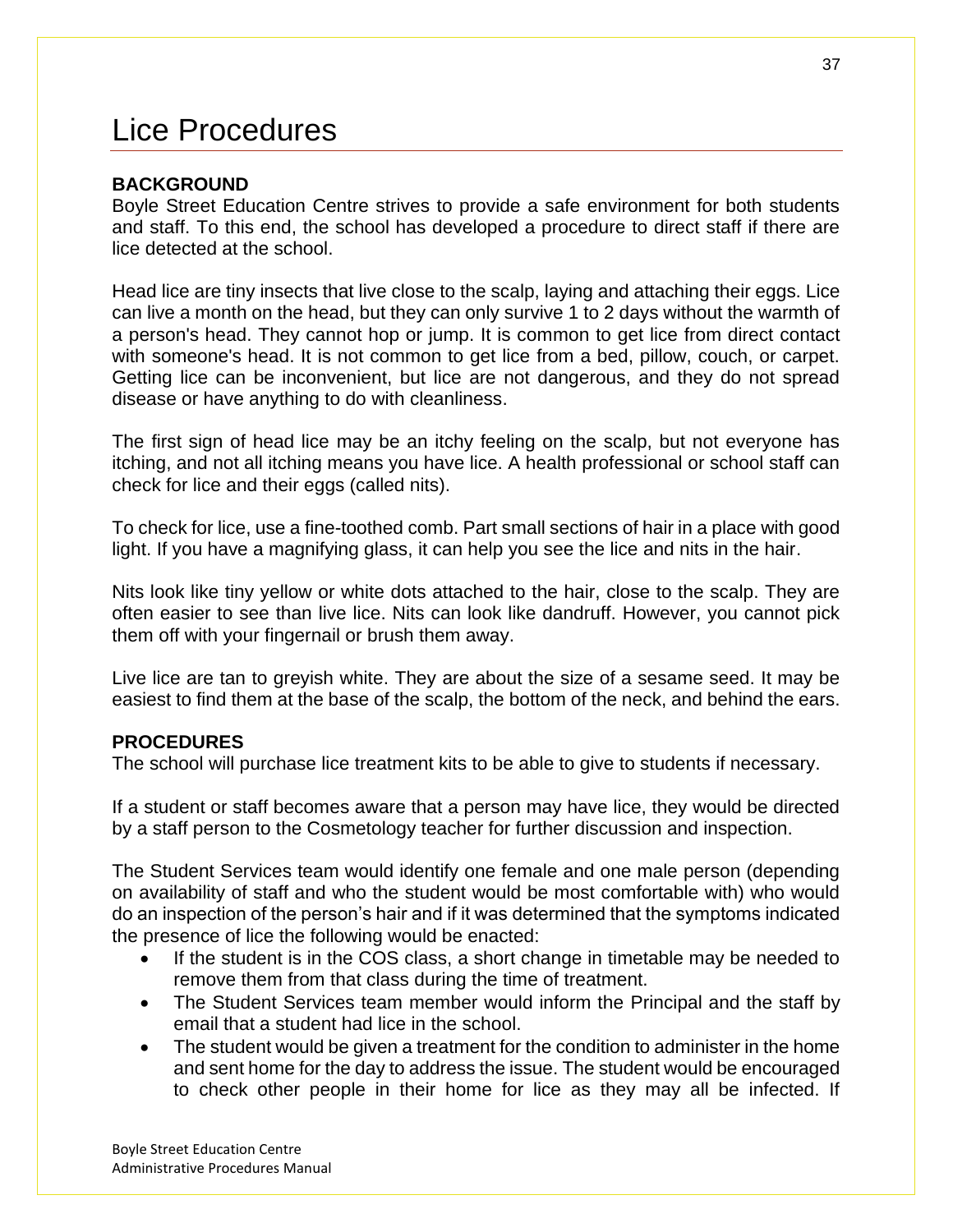# Lice Procedures

### **BACKGROUND**

Boyle Street Education Centre strives to provide a safe environment for both students and staff. To this end, the school has developed a procedure to direct staff if there are lice detected at the school.

Head lice are tiny insects that live close to the scalp, laying and attaching their eggs. Lice can live a month on the head, but they can only survive 1 to 2 days without the warmth of a person's head. They cannot hop or jump. It is common to get lice from direct contact with someone's head. It is not common to get lice from a bed, pillow, couch, or carpet. Getting lice can be inconvenient, but lice are not dangerous, and they do not spread disease or have anything to do with cleanliness.

The first sign of head lice may be an itchy feeling on the scalp, but not everyone has itching, and not all itching means you have lice. A health professional or school staff can check for lice and their eggs (called nits).

To check for lice, use a fine-toothed comb. Part small sections of hair in a place with good light. If you have a magnifying glass, it can help you see the lice and nits in the hair.

Nits look like tiny yellow or white dots attached to the hair, close to the scalp. They are often easier to see than live lice. Nits can look like dandruff. However, you cannot pick them off with your fingernail or brush them away.

Live lice are tan to greyish white. They are about the size of a sesame seed. It may be easiest to find them at the base of the scalp, the bottom of the neck, and behind the ears.

### **PROCEDURES**

The school will purchase lice treatment kits to be able to give to students if necessary.

If a student or staff becomes aware that a person may have lice, they would be directed by a staff person to the Cosmetology teacher for further discussion and inspection.

The Student Services team would identify one female and one male person (depending on availability of staff and who the student would be most comfortable with) who would do an inspection of the person's hair and if it was determined that the symptoms indicated the presence of lice the following would be enacted:

- If the student is in the COS class, a short change in timetable may be needed to remove them from that class during the time of treatment.
- The Student Services team member would inform the Principal and the staff by email that a student had lice in the school.
- The student would be given a treatment for the condition to administer in the home and sent home for the day to address the issue. The student would be encouraged to check other people in their home for lice as they may all be infected. If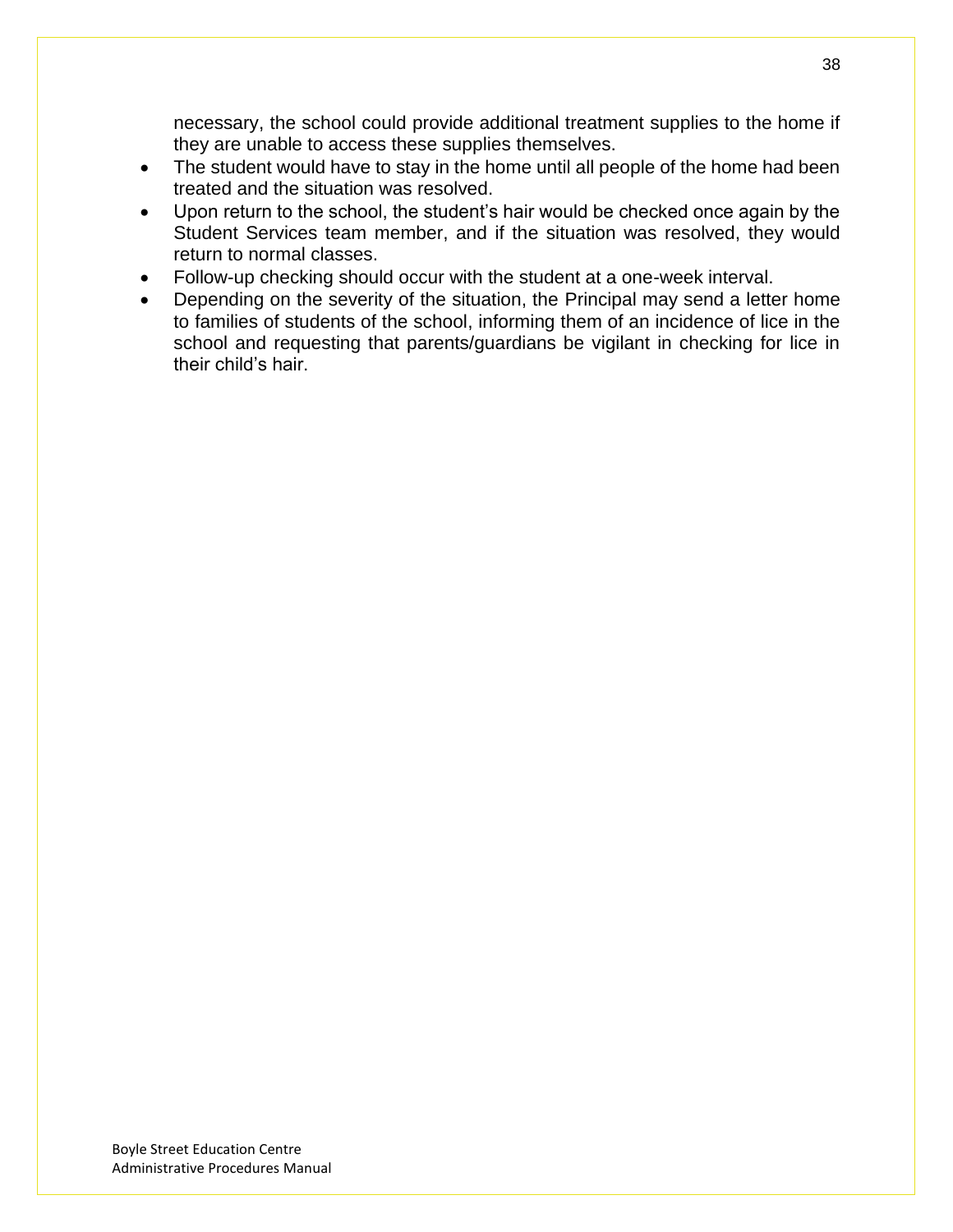necessary, the school could provide additional treatment supplies to the home if they are unable to access these supplies themselves.

- The student would have to stay in the home until all people of the home had been treated and the situation was resolved.
- Upon return to the school, the student's hair would be checked once again by the Student Services team member, and if the situation was resolved, they would return to normal classes.
- Follow-up checking should occur with the student at a one-week interval.
- Depending on the severity of the situation, the Principal may send a letter home to families of students of the school, informing them of an incidence of lice in the school and requesting that parents/guardians be vigilant in checking for lice in their child's hair.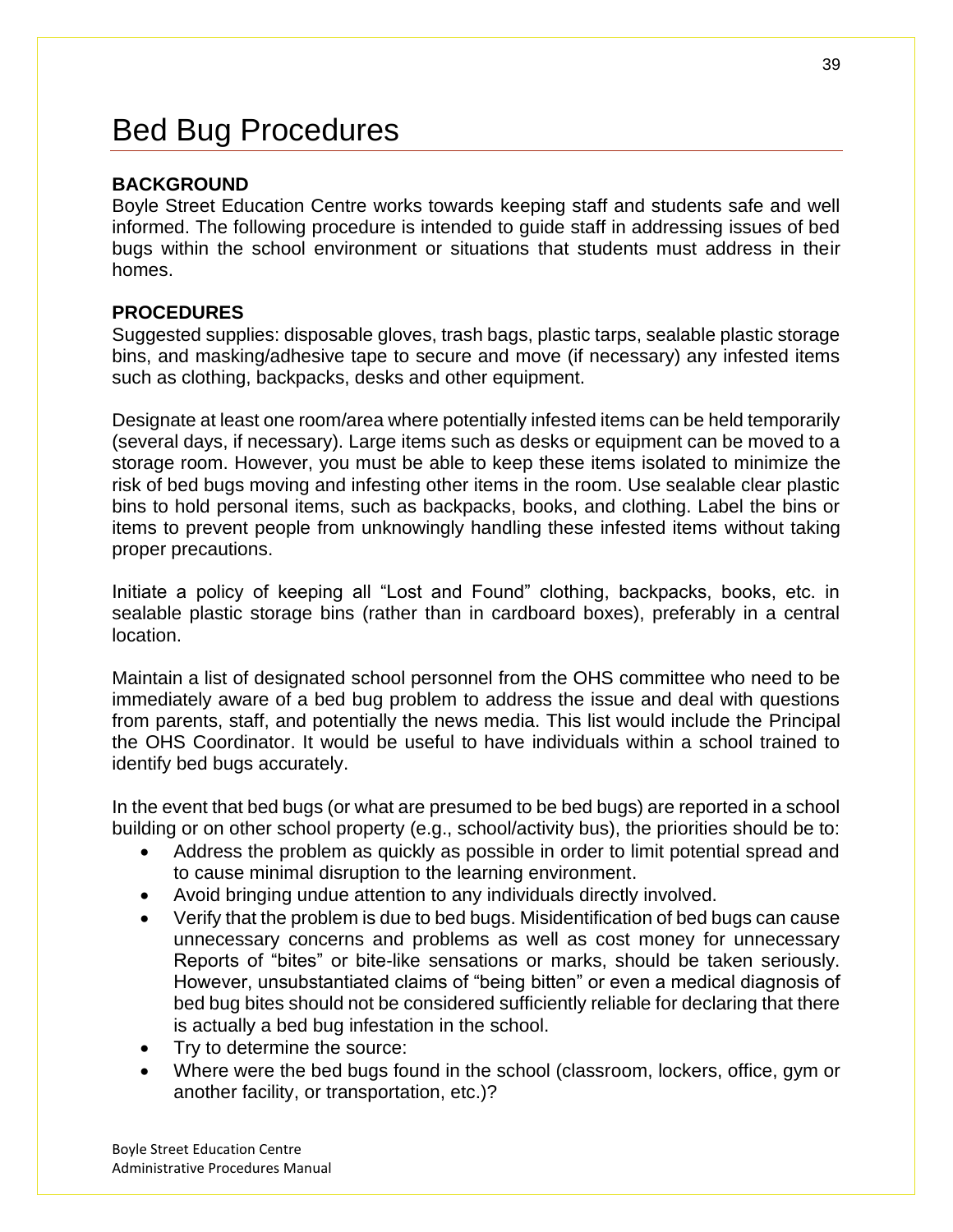# Bed Bug Procedures

## **BACKGROUND**

Boyle Street Education Centre works towards keeping staff and students safe and well informed. The following procedure is intended to guide staff in addressing issues of bed bugs within the school environment or situations that students must address in their homes.

## **PROCEDURES**

Suggested supplies: disposable gloves, trash bags, plastic tarps, sealable plastic storage bins, and masking/adhesive tape to secure and move (if necessary) any infested items such as clothing, backpacks, desks and other equipment.

Designate at least one room/area where potentially infested items can be held temporarily (several days, if necessary). Large items such as desks or equipment can be moved to a storage room. However, you must be able to keep these items isolated to minimize the risk of bed bugs moving and infesting other items in the room. Use sealable clear plastic bins to hold personal items, such as backpacks, books, and clothing. Label the bins or items to prevent people from unknowingly handling these infested items without taking proper precautions.

Initiate a policy of keeping all "Lost and Found" clothing, backpacks, books, etc. in sealable plastic storage bins (rather than in cardboard boxes), preferably in a central location.

Maintain a list of designated school personnel from the OHS committee who need to be immediately aware of a bed bug problem to address the issue and deal with questions from parents, staff, and potentially the news media. This list would include the Principal the OHS Coordinator. It would be useful to have individuals within a school trained to identify bed bugs accurately.

In the event that bed bugs (or what are presumed to be bed bugs) are reported in a school building or on other school property (e.g., school/activity bus), the priorities should be to:

- Address the problem as quickly as possible in order to limit potential spread and to cause minimal disruption to the learning environment.
- Avoid bringing undue attention to any individuals directly involved.
- Verify that the problem is due to bed bugs. Misidentification of bed bugs can cause unnecessary concerns and problems as well as cost money for unnecessary Reports of "bites" or bite-like sensations or marks, should be taken seriously. However, unsubstantiated claims of "being bitten" or even a medical diagnosis of bed bug bites should not be considered sufficiently reliable for declaring that there is actually a bed bug infestation in the school.
- Try to determine the source:
- Where were the bed bugs found in the school (classroom, lockers, office, gym or another facility, or transportation, etc.)?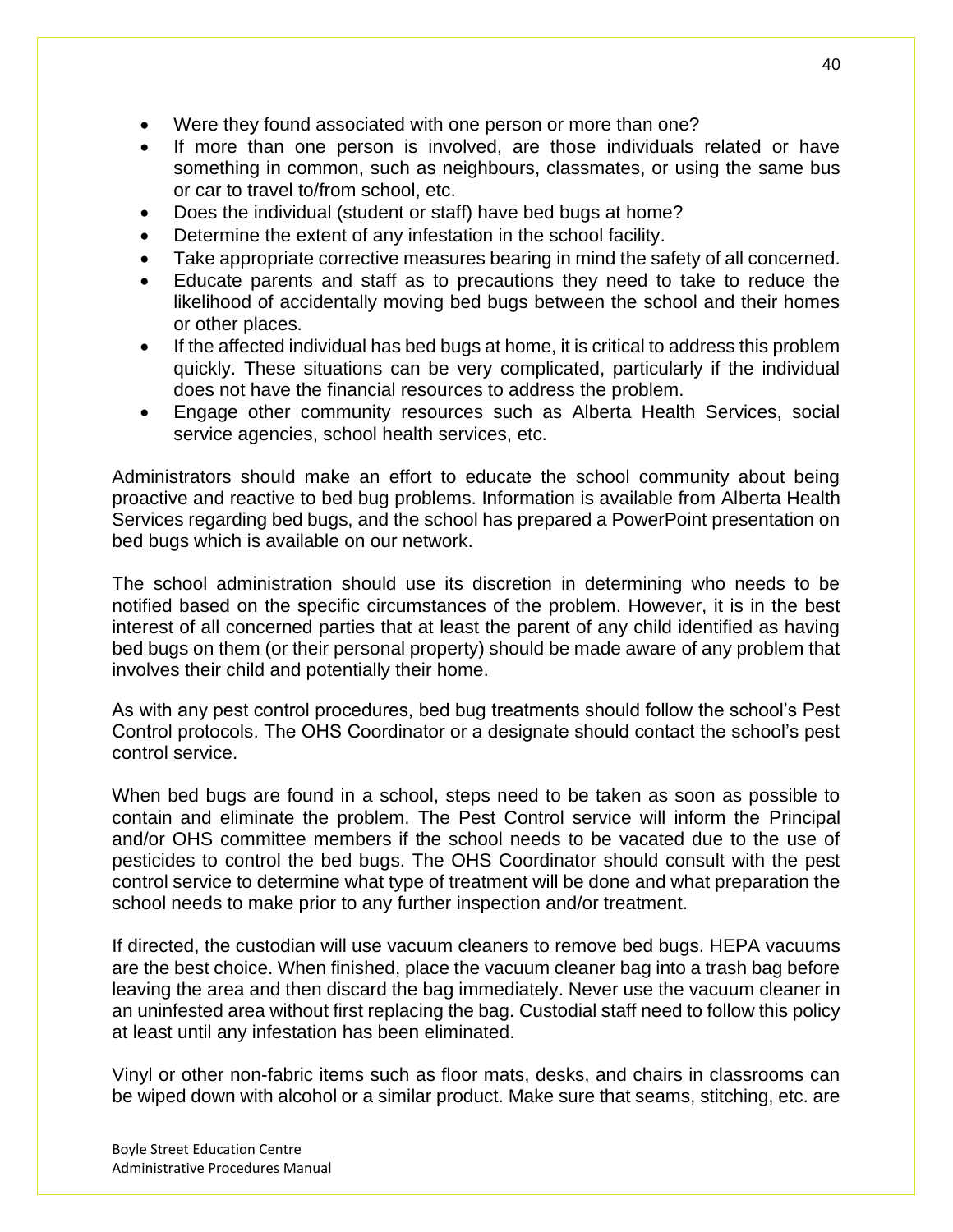- Were they found associated with one person or more than one?
- If more than one person is involved, are those individuals related or have something in common, such as neighbours, classmates, or using the same bus or car to travel to/from school, etc.
- Does the individual (student or staff) have bed bugs at home?
- Determine the extent of any infestation in the school facility.
- Take appropriate corrective measures bearing in mind the safety of all concerned.
- Educate parents and staff as to precautions they need to take to reduce the likelihood of accidentally moving bed bugs between the school and their homes or other places.
- If the affected individual has bed bugs at home, it is critical to address this problem quickly. These situations can be very complicated, particularly if the individual does not have the financial resources to address the problem.
- Engage other community resources such as Alberta Health Services, social service agencies, school health services, etc.

Administrators should make an effort to educate the school community about being proactive and reactive to bed bug problems. Information is available from Alberta Health Services regarding bed bugs, and the school has prepared a PowerPoint presentation on bed bugs which is available on our network.

The school administration should use its discretion in determining who needs to be notified based on the specific circumstances of the problem. However, it is in the best interest of all concerned parties that at least the parent of any child identified as having bed bugs on them (or their personal property) should be made aware of any problem that involves their child and potentially their home.

As with any pest control procedures, bed bug treatments should follow the school's Pest Control protocols. The OHS Coordinator or a designate should contact the school's pest control service.

When bed bugs are found in a school, steps need to be taken as soon as possible to contain and eliminate the problem. The Pest Control service will inform the Principal and/or OHS committee members if the school needs to be vacated due to the use of pesticides to control the bed bugs. The OHS Coordinator should consult with the pest control service to determine what type of treatment will be done and what preparation the school needs to make prior to any further inspection and/or treatment.

If directed, the custodian will use vacuum cleaners to remove bed bugs. HEPA vacuums are the best choice. When finished, place the vacuum cleaner bag into a trash bag before leaving the area and then discard the bag immediately. Never use the vacuum cleaner in an uninfested area without first replacing the bag. Custodial staff need to follow this policy at least until any infestation has been eliminated.

Vinyl or other non-fabric items such as floor mats, desks, and chairs in classrooms can be wiped down with alcohol or a similar product. Make sure that seams, stitching, etc. are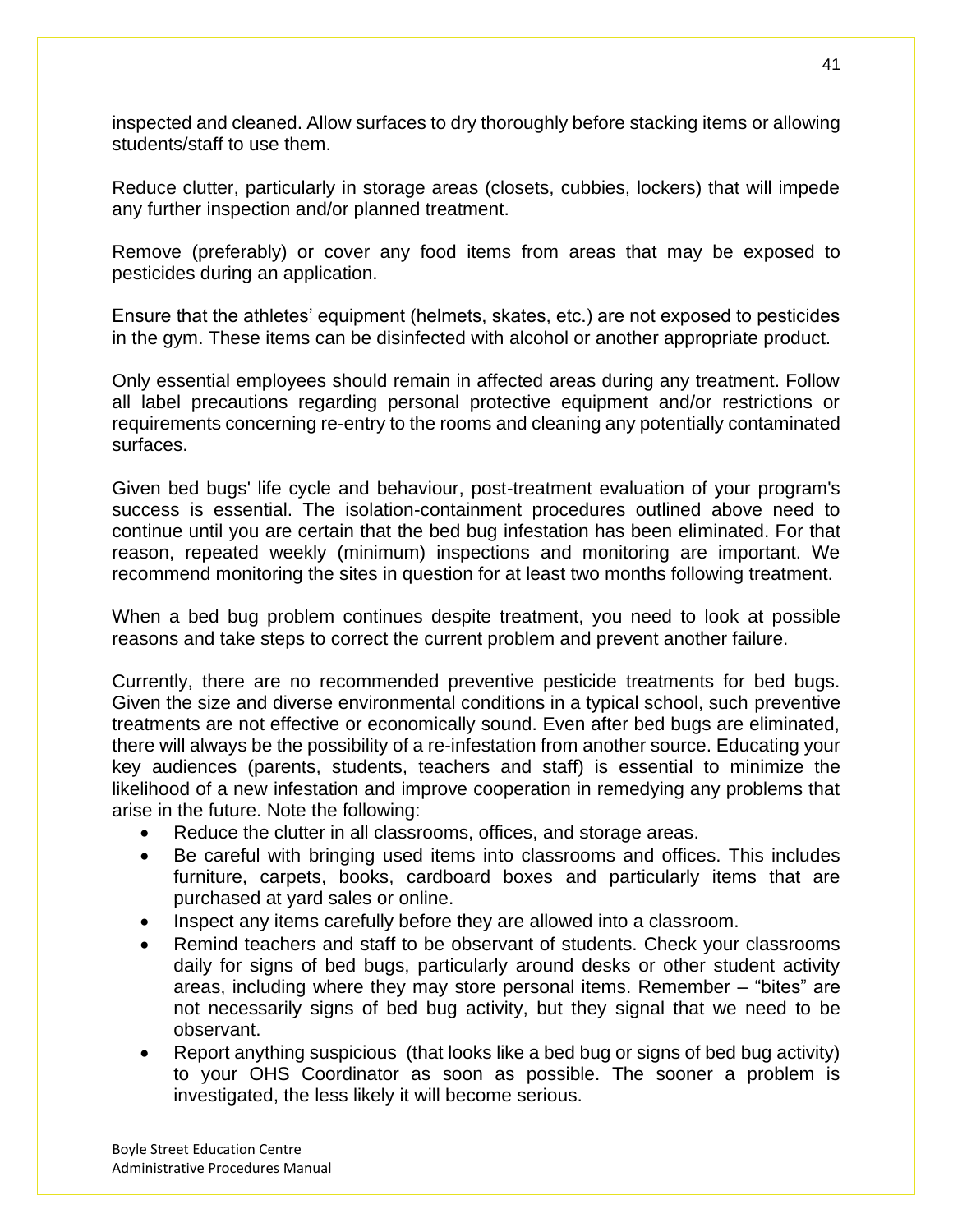inspected and cleaned. Allow surfaces to dry thoroughly before stacking items or allowing students/staff to use them.

Reduce clutter, particularly in storage areas (closets, cubbies, lockers) that will impede any further inspection and/or planned treatment.

Remove (preferably) or cover any food items from areas that may be exposed to pesticides during an application.

Ensure that the athletes' equipment (helmets, skates, etc.) are not exposed to pesticides in the gym. These items can be disinfected with alcohol or another appropriate product.

Only essential employees should remain in affected areas during any treatment. Follow all label precautions regarding personal protective equipment and/or restrictions or requirements concerning re-entry to the rooms and cleaning any potentially contaminated surfaces.

Given bed bugs' life cycle and behaviour, post-treatment evaluation of your program's success is essential. The isolation-containment procedures outlined above need to continue until you are certain that the bed bug infestation has been eliminated. For that reason, repeated weekly (minimum) inspections and monitoring are important. We recommend monitoring the sites in question for at least two months following treatment.

When a bed bug problem continues despite treatment, you need to look at possible reasons and take steps to correct the current problem and prevent another failure.

Currently, there are no recommended preventive pesticide treatments for bed bugs. Given the size and diverse environmental conditions in a typical school, such preventive treatments are not effective or economically sound. Even after bed bugs are eliminated, there will always be the possibility of a re-infestation from another source. Educating your key audiences (parents, students, teachers and staff) is essential to minimize the likelihood of a new infestation and improve cooperation in remedying any problems that arise in the future. Note the following:

- Reduce the clutter in all classrooms, offices, and storage areas.
- Be careful with bringing used items into classrooms and offices. This includes furniture, carpets, books, cardboard boxes and particularly items that are purchased at yard sales or online.
- Inspect any items carefully before they are allowed into a classroom.
- Remind teachers and staff to be observant of students. Check your classrooms daily for signs of bed bugs, particularly around desks or other student activity areas, including where they may store personal items. Remember – "bites" are not necessarily signs of bed bug activity, but they signal that we need to be observant.
- Report anything suspicious (that looks like a bed bug or signs of bed bug activity) to your OHS Coordinator as soon as possible. The sooner a problem is investigated, the less likely it will become serious.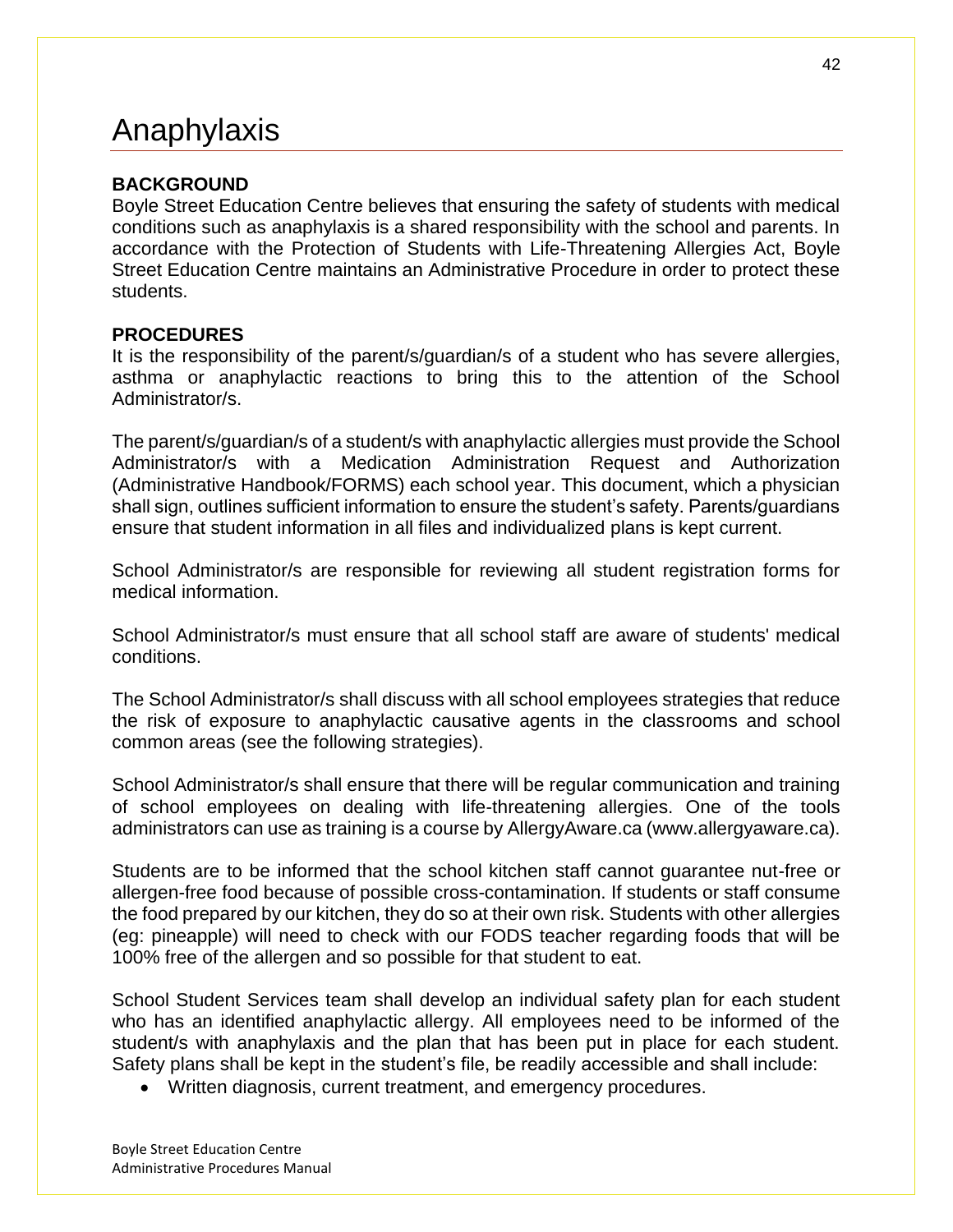# Anaphylaxis

## **BACKGROUND**

Boyle Street Education Centre believes that ensuring the safety of students with medical conditions such as anaphylaxis is a shared responsibility with the school and parents. In accordance with the Protection of Students with Life-Threatening Allergies Act, Boyle Street Education Centre maintains an Administrative Procedure in order to protect these students.

### **PROCEDURES**

It is the responsibility of the parent/s/guardian/s of a student who has severe allergies, asthma or anaphylactic reactions to bring this to the attention of the School Administrator/s.

The parent/s/guardian/s of a student/s with anaphylactic allergies must provide the School Administrator/s with a Medication Administration Request and Authorization (Administrative Handbook/FORMS) each school year. This document, which a physician shall sign, outlines sufficient information to ensure the student's safety. Parents/guardians ensure that student information in all files and individualized plans is kept current.

School Administrator/s are responsible for reviewing all student registration forms for medical information.

School Administrator/s must ensure that all school staff are aware of students' medical conditions.

The School Administrator/s shall discuss with all school employees strategies that reduce the risk of exposure to anaphylactic causative agents in the classrooms and school common areas (see the following strategies).

School Administrator/s shall ensure that there will be regular communication and training of school employees on dealing with life-threatening allergies. One of the tools administrators can use as training is a course by AllergyAware.ca (www.allergyaware.ca).

Students are to be informed that the school kitchen staff cannot guarantee nut-free or allergen-free food because of possible cross-contamination. If students or staff consume the food prepared by our kitchen, they do so at their own risk. Students with other allergies (eg: pineapple) will need to check with our FODS teacher regarding foods that will be 100% free of the allergen and so possible for that student to eat.

School Student Services team shall develop an individual safety plan for each student who has an identified anaphylactic allergy. All employees need to be informed of the student/s with anaphylaxis and the plan that has been put in place for each student. Safety plans shall be kept in the student's file, be readily accessible and shall include:

• Written diagnosis, current treatment, and emergency procedures.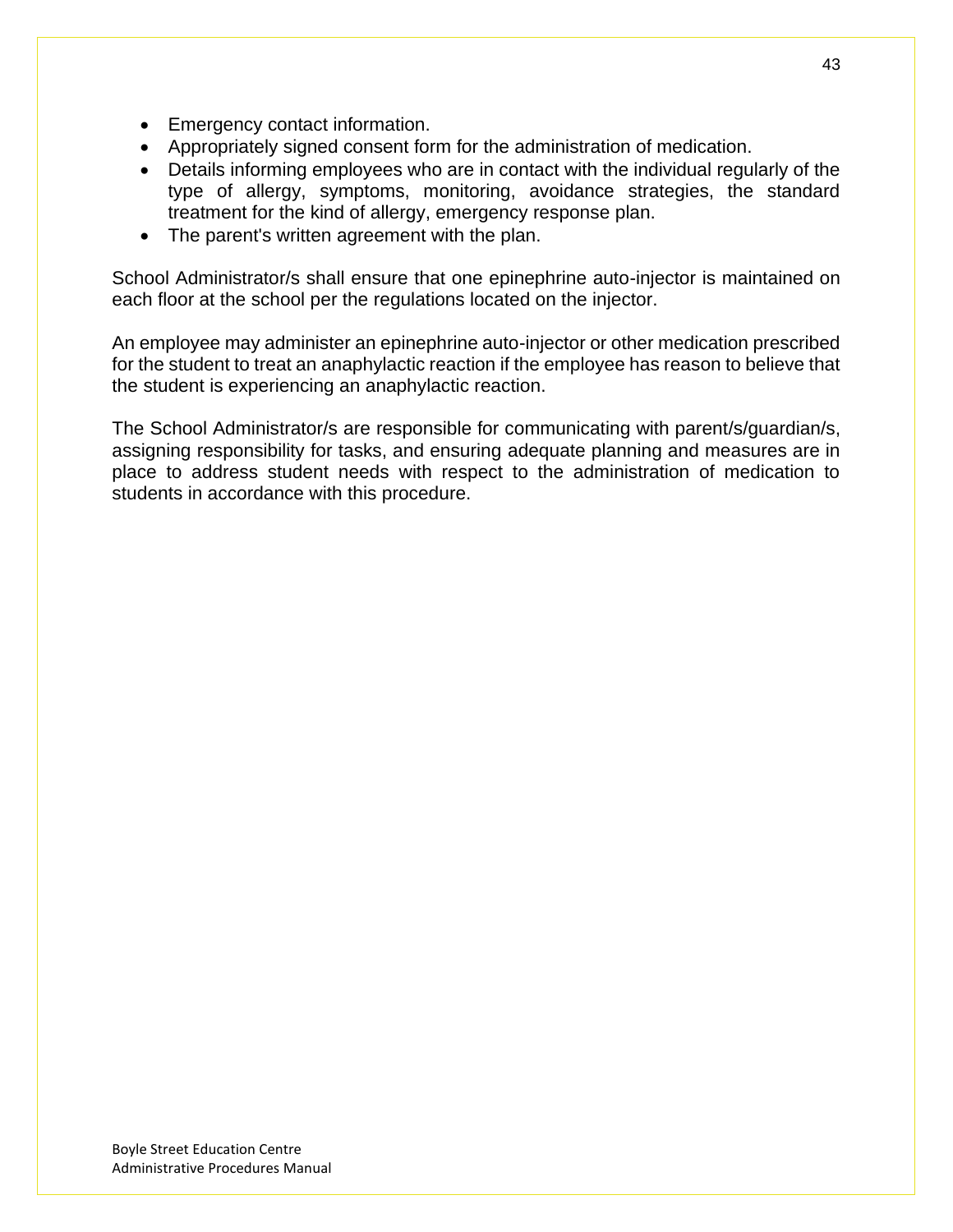- Emergency contact information.
- Appropriately signed consent form for the administration of medication.
- Details informing employees who are in contact with the individual regularly of the type of allergy, symptoms, monitoring, avoidance strategies, the standard treatment for the kind of allergy, emergency response plan.
- The parent's written agreement with the plan.

School Administrator/s shall ensure that one epinephrine auto-injector is maintained on each floor at the school per the regulations located on the injector.

An employee may administer an epinephrine auto-injector or other medication prescribed for the student to treat an anaphylactic reaction if the employee has reason to believe that the student is experiencing an anaphylactic reaction.

The School Administrator/s are responsible for communicating with parent/s/guardian/s, assigning responsibility for tasks, and ensuring adequate planning and measures are in place to address student needs with respect to the administration of medication to students in accordance with this procedure.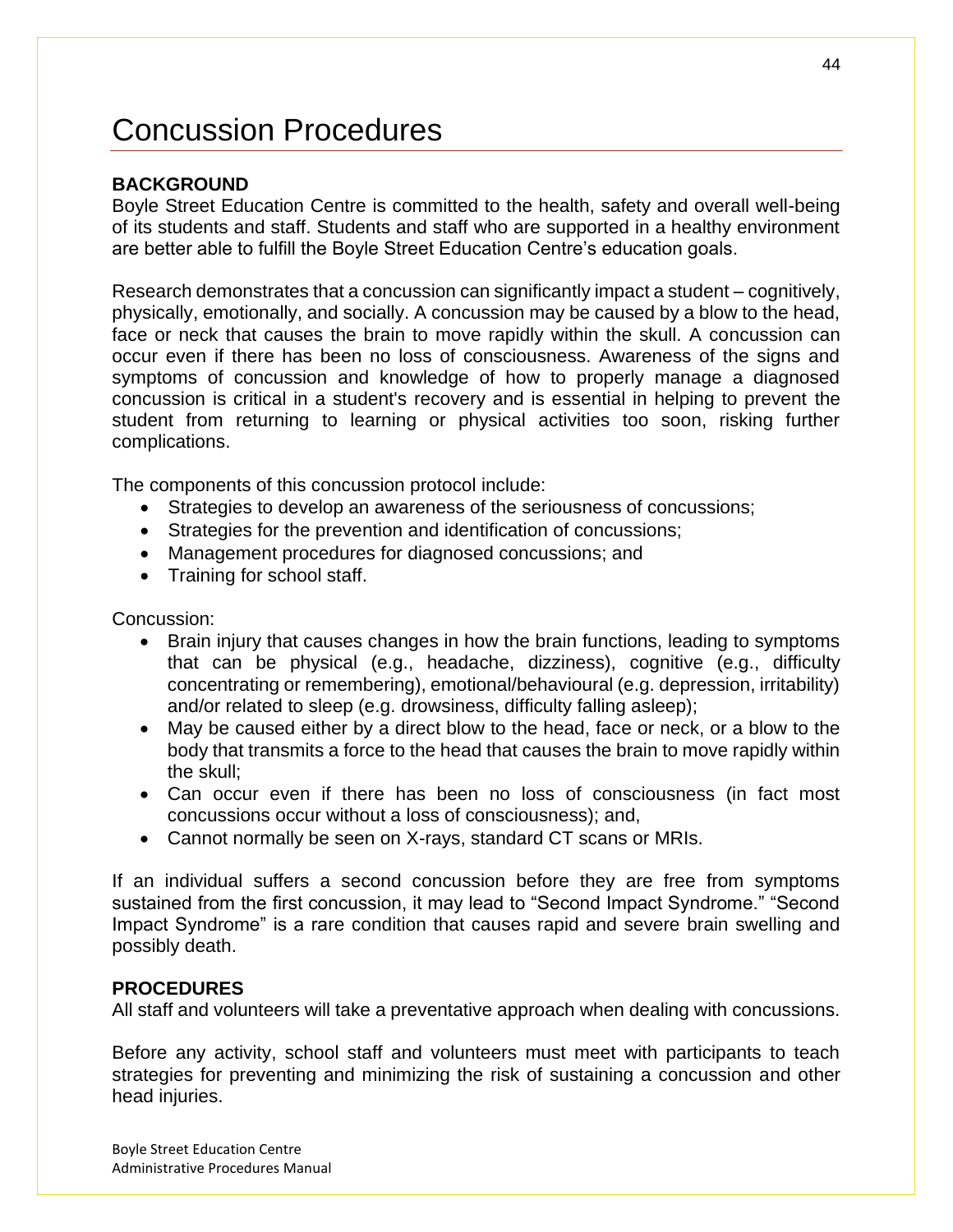# Concussion Procedures

### **BACKGROUND**

Boyle Street Education Centre is committed to the health, safety and overall well-being of its students and staff. Students and staff who are supported in a healthy environment are better able to fulfill the Boyle Street Education Centre's education goals.

Research demonstrates that a concussion can significantly impact a student – cognitively, physically, emotionally, and socially. A concussion may be caused by a blow to the head, face or neck that causes the brain to move rapidly within the skull. A concussion can occur even if there has been no loss of consciousness. Awareness of the signs and symptoms of concussion and knowledge of how to properly manage a diagnosed concussion is critical in a student's recovery and is essential in helping to prevent the student from returning to learning or physical activities too soon, risking further complications.

The components of this concussion protocol include:

- Strategies to develop an awareness of the seriousness of concussions;
- Strategies for the prevention and identification of concussions;
- Management procedures for diagnosed concussions; and
- Training for school staff.

Concussion:

- Brain injury that causes changes in how the brain functions, leading to symptoms that can be physical (e.g., headache, dizziness), cognitive (e.g., difficulty concentrating or remembering), emotional/behavioural (e.g. depression, irritability) and/or related to sleep (e.g. drowsiness, difficulty falling asleep);
- May be caused either by a direct blow to the head, face or neck, or a blow to the body that transmits a force to the head that causes the brain to move rapidly within the skull;
- Can occur even if there has been no loss of consciousness (in fact most concussions occur without a loss of consciousness); and,
- Cannot normally be seen on X-rays, standard CT scans or MRIs.

If an individual suffers a second concussion before they are free from symptoms sustained from the first concussion, it may lead to "Second Impact Syndrome." "Second Impact Syndrome" is a rare condition that causes rapid and severe brain swelling and possibly death.

#### **PROCEDURES**

All staff and volunteers will take a preventative approach when dealing with concussions.

Before any activity, school staff and volunteers must meet with participants to teach strategies for preventing and minimizing the risk of sustaining a concussion and other head injuries.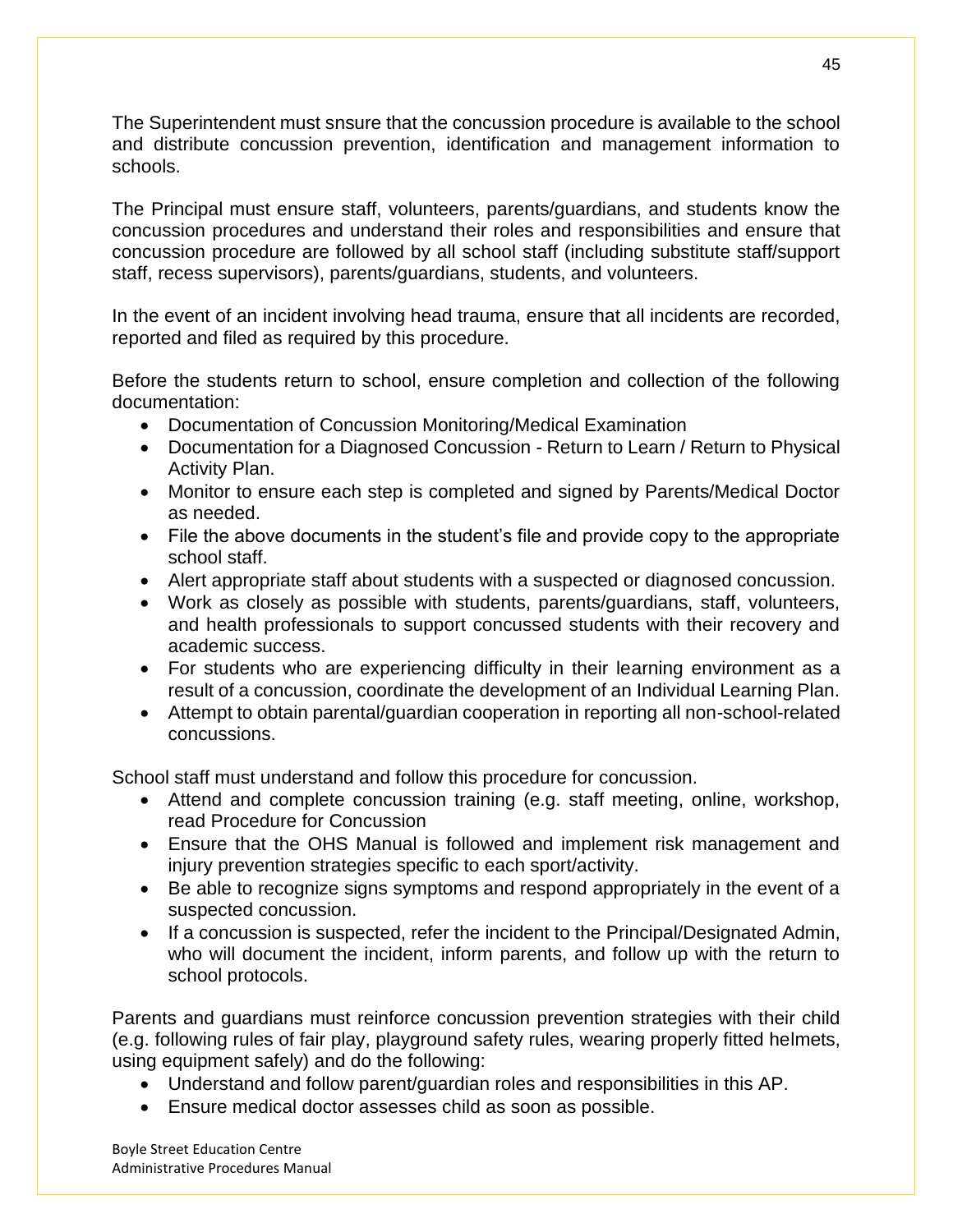The Superintendent must snsure that the concussion procedure is available to the school and distribute concussion prevention, identification and management information to schools.

The Principal must ensure staff, volunteers, parents/guardians, and students know the concussion procedures and understand their roles and responsibilities and ensure that concussion procedure are followed by all school staff (including substitute staff/support staff, recess supervisors), parents/guardians, students, and volunteers.

In the event of an incident involving head trauma, ensure that all incidents are recorded, reported and filed as required by this procedure.

Before the students return to school, ensure completion and collection of the following documentation:

- Documentation of Concussion Monitoring/Medical Examination
- Documentation for a Diagnosed Concussion Return to Learn / Return to Physical Activity Plan.
- Monitor to ensure each step is completed and signed by Parents/Medical Doctor as needed.
- File the above documents in the student's file and provide copy to the appropriate school staff.
- Alert appropriate staff about students with a suspected or diagnosed concussion.
- Work as closely as possible with students, parents/guardians, staff, volunteers, and health professionals to support concussed students with their recovery and academic success.
- For students who are experiencing difficulty in their learning environment as a result of a concussion, coordinate the development of an Individual Learning Plan.
- Attempt to obtain parental/guardian cooperation in reporting all non-school-related concussions.

School staff must understand and follow this procedure for concussion.

- Attend and complete concussion training (e.g. staff meeting, online, workshop, read Procedure for Concussion
- Ensure that the OHS Manual is followed and implement risk management and injury prevention strategies specific to each sport/activity.
- Be able to recognize signs symptoms and respond appropriately in the event of a suspected concussion.
- If a concussion is suspected, refer the incident to the Principal/Designated Admin, who will document the incident, inform parents, and follow up with the return to school protocols.

Parents and guardians must reinforce concussion prevention strategies with their child (e.g. following rules of fair play, playground safety rules, wearing properly fitted helmets, using equipment safely) and do the following:

- Understand and follow parent/guardian roles and responsibilities in this AP.
- Ensure medical doctor assesses child as soon as possible.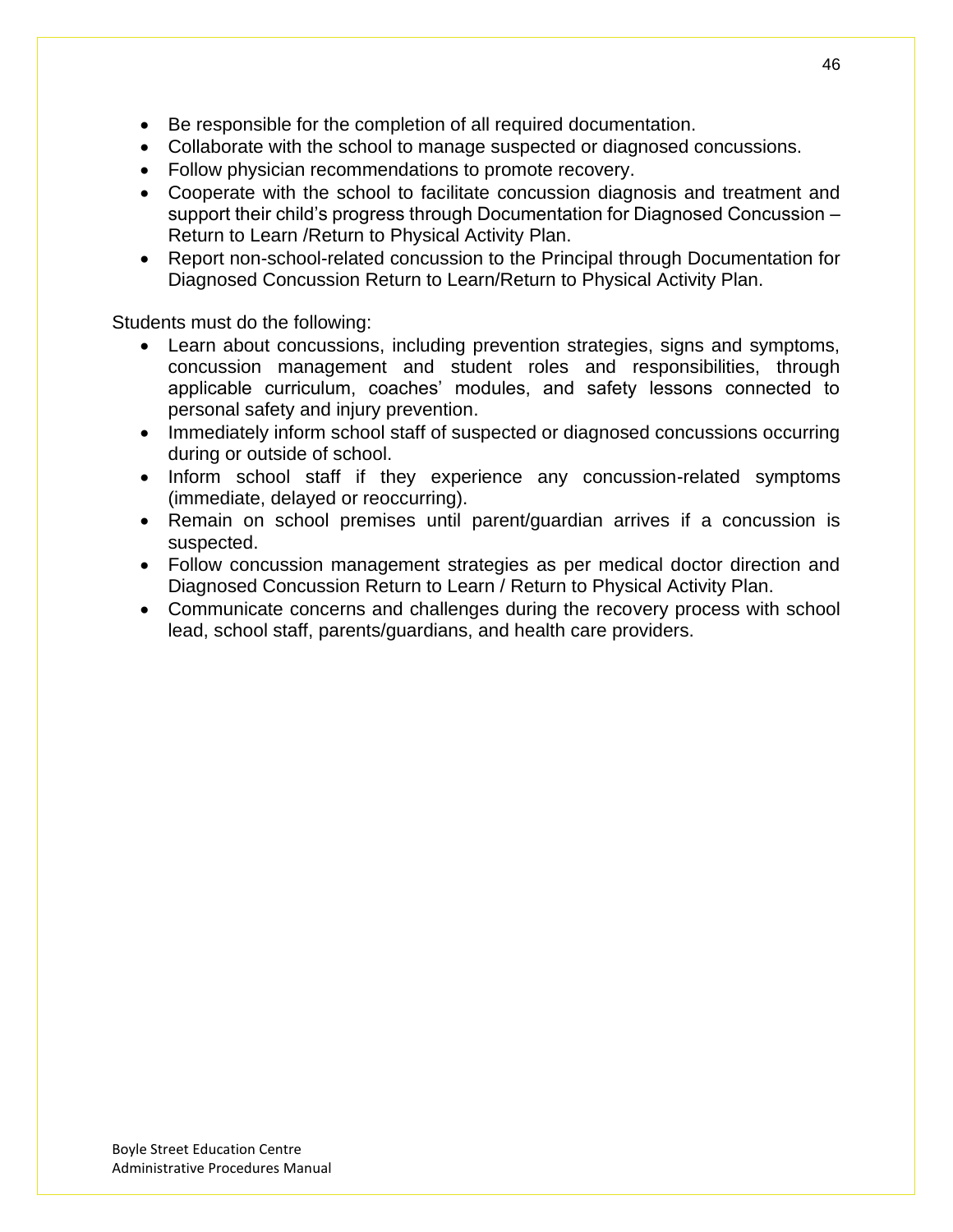- Be responsible for the completion of all required documentation.
- Collaborate with the school to manage suspected or diagnosed concussions.
- Follow physician recommendations to promote recovery.
- Cooperate with the school to facilitate concussion diagnosis and treatment and support their child's progress through Documentation for Diagnosed Concussion – Return to Learn /Return to Physical Activity Plan.
- Report non-school-related concussion to the Principal through Documentation for Diagnosed Concussion Return to Learn/Return to Physical Activity Plan.

Students must do the following:

- Learn about concussions, including prevention strategies, signs and symptoms, concussion management and student roles and responsibilities, through applicable curriculum, coaches' modules, and safety lessons connected to personal safety and injury prevention.
- Immediately inform school staff of suspected or diagnosed concussions occurring during or outside of school.
- Inform school staff if they experience any concussion-related symptoms (immediate, delayed or reoccurring).
- Remain on school premises until parent/guardian arrives if a concussion is suspected.
- Follow concussion management strategies as per medical doctor direction and Diagnosed Concussion Return to Learn / Return to Physical Activity Plan.
- Communicate concerns and challenges during the recovery process with school lead, school staff, parents/guardians, and health care providers.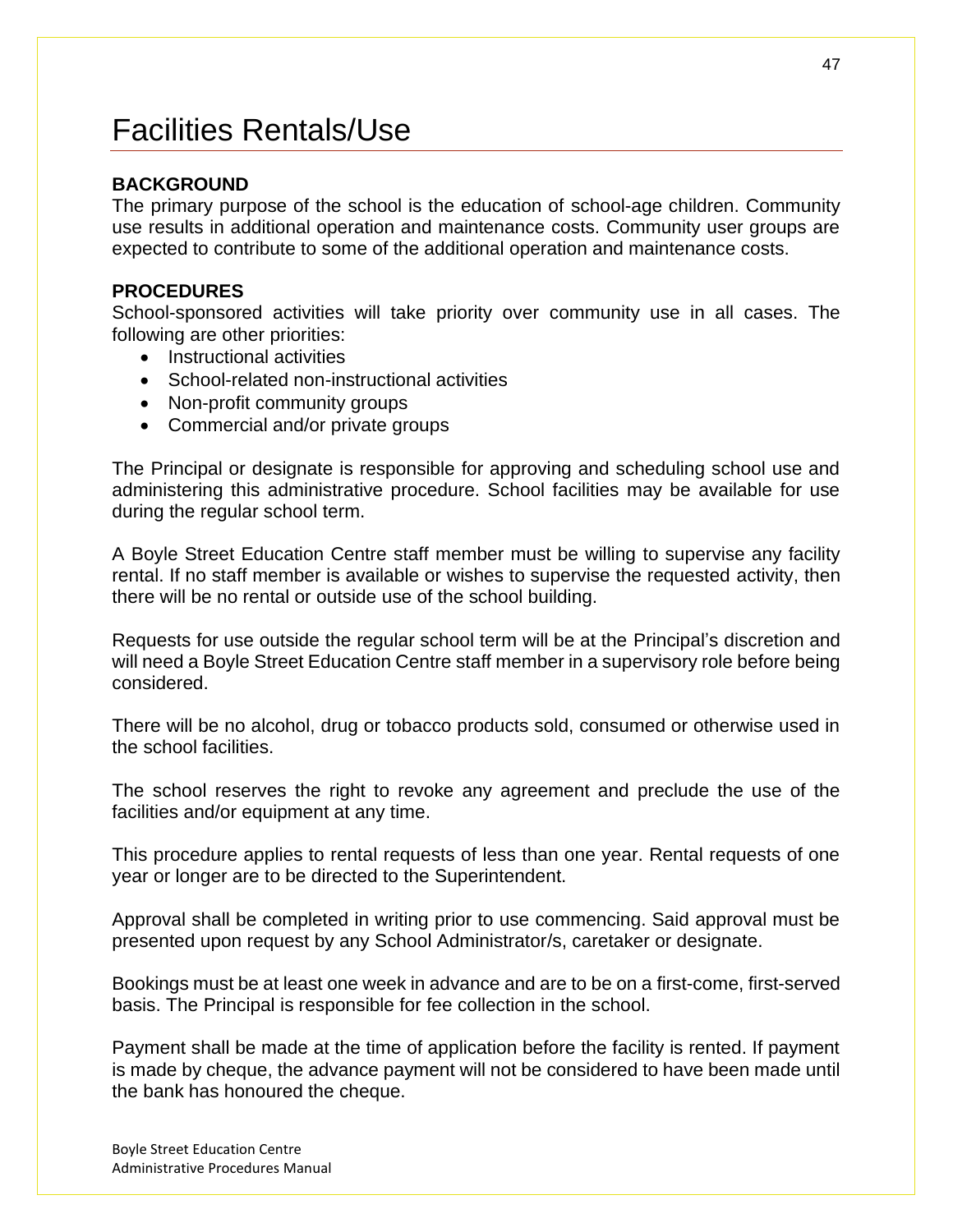# Facilities Rentals/Use

### **BACKGROUND**

The primary purpose of the school is the education of school-age children. Community use results in additional operation and maintenance costs. Community user groups are expected to contribute to some of the additional operation and maintenance costs.

### **PROCEDURES**

School-sponsored activities will take priority over community use in all cases. The following are other priorities:

- Instructional activities
- School-related non-instructional activities
- Non-profit community groups
- Commercial and/or private groups

The Principal or designate is responsible for approving and scheduling school use and administering this administrative procedure. School facilities may be available for use during the regular school term.

A Boyle Street Education Centre staff member must be willing to supervise any facility rental. If no staff member is available or wishes to supervise the requested activity, then there will be no rental or outside use of the school building.

Requests for use outside the regular school term will be at the Principal's discretion and will need a Boyle Street Education Centre staff member in a supervisory role before being considered.

There will be no alcohol, drug or tobacco products sold, consumed or otherwise used in the school facilities.

The school reserves the right to revoke any agreement and preclude the use of the facilities and/or equipment at any time.

This procedure applies to rental requests of less than one year. Rental requests of one year or longer are to be directed to the Superintendent.

Approval shall be completed in writing prior to use commencing. Said approval must be presented upon request by any School Administrator/s, caretaker or designate.

Bookings must be at least one week in advance and are to be on a first-come, first-served basis. The Principal is responsible for fee collection in the school.

Payment shall be made at the time of application before the facility is rented. If payment is made by cheque, the advance payment will not be considered to have been made until the bank has honoured the cheque.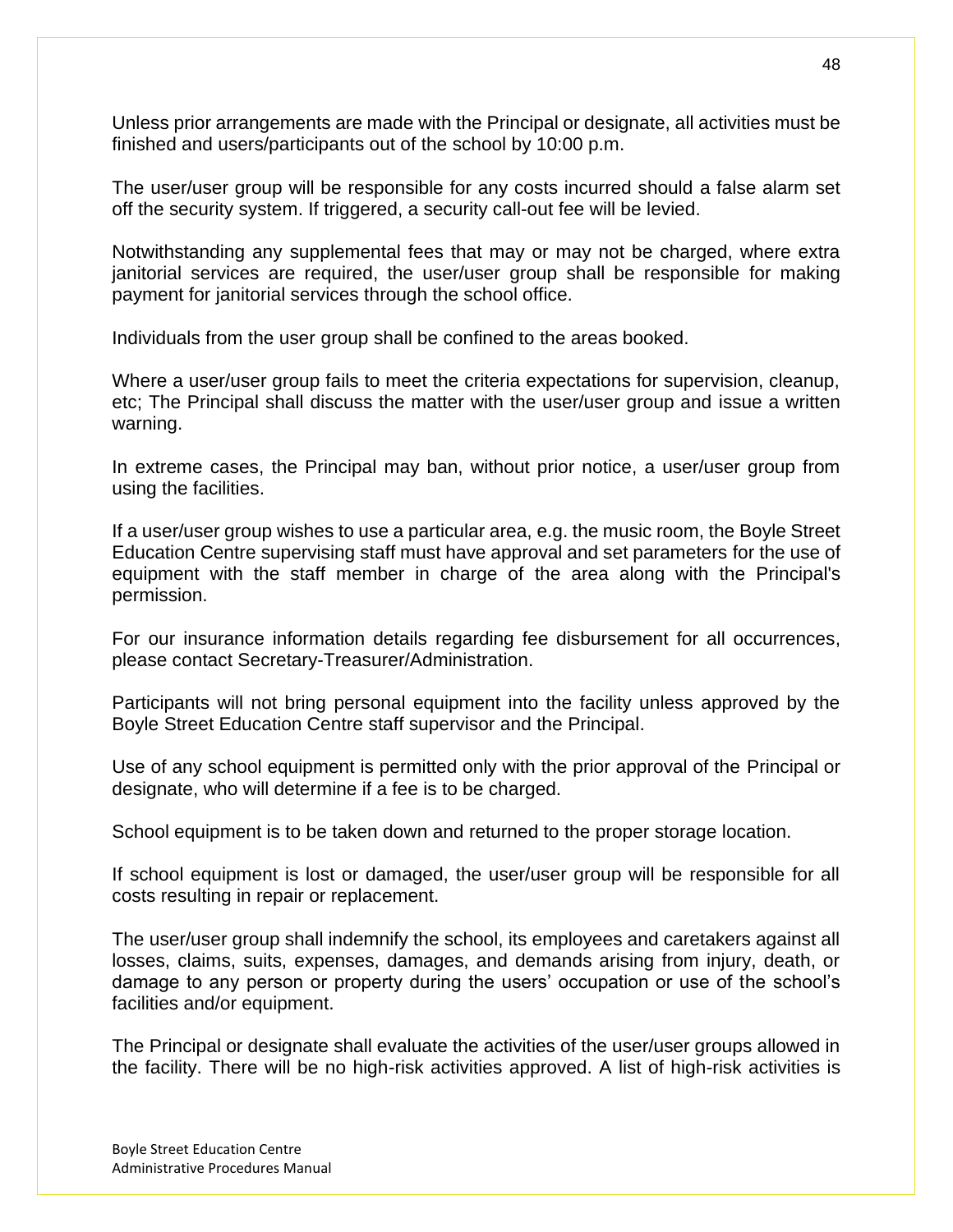Unless prior arrangements are made with the Principal or designate, all activities must be finished and users/participants out of the school by 10:00 p.m.

The user/user group will be responsible for any costs incurred should a false alarm set off the security system. If triggered, a security call-out fee will be levied.

Notwithstanding any supplemental fees that may or may not be charged, where extra janitorial services are required, the user/user group shall be responsible for making payment for janitorial services through the school office.

Individuals from the user group shall be confined to the areas booked.

Where a user/user group fails to meet the criteria expectations for supervision, cleanup, etc; The Principal shall discuss the matter with the user/user group and issue a written warning.

In extreme cases, the Principal may ban, without prior notice, a user/user group from using the facilities.

If a user/user group wishes to use a particular area, e.g. the music room, the Boyle Street Education Centre supervising staff must have approval and set parameters for the use of equipment with the staff member in charge of the area along with the Principal's permission.

For our insurance information details regarding fee disbursement for all occurrences, please contact Secretary-Treasurer/Administration.

Participants will not bring personal equipment into the facility unless approved by the Boyle Street Education Centre staff supervisor and the Principal.

Use of any school equipment is permitted only with the prior approval of the Principal or designate, who will determine if a fee is to be charged.

School equipment is to be taken down and returned to the proper storage location.

If school equipment is lost or damaged, the user/user group will be responsible for all costs resulting in repair or replacement.

The user/user group shall indemnify the school, its employees and caretakers against all losses, claims, suits, expenses, damages, and demands arising from injury, death, or damage to any person or property during the users' occupation or use of the school's facilities and/or equipment.

The Principal or designate shall evaluate the activities of the user/user groups allowed in the facility. There will be no high-risk activities approved. A list of high-risk activities is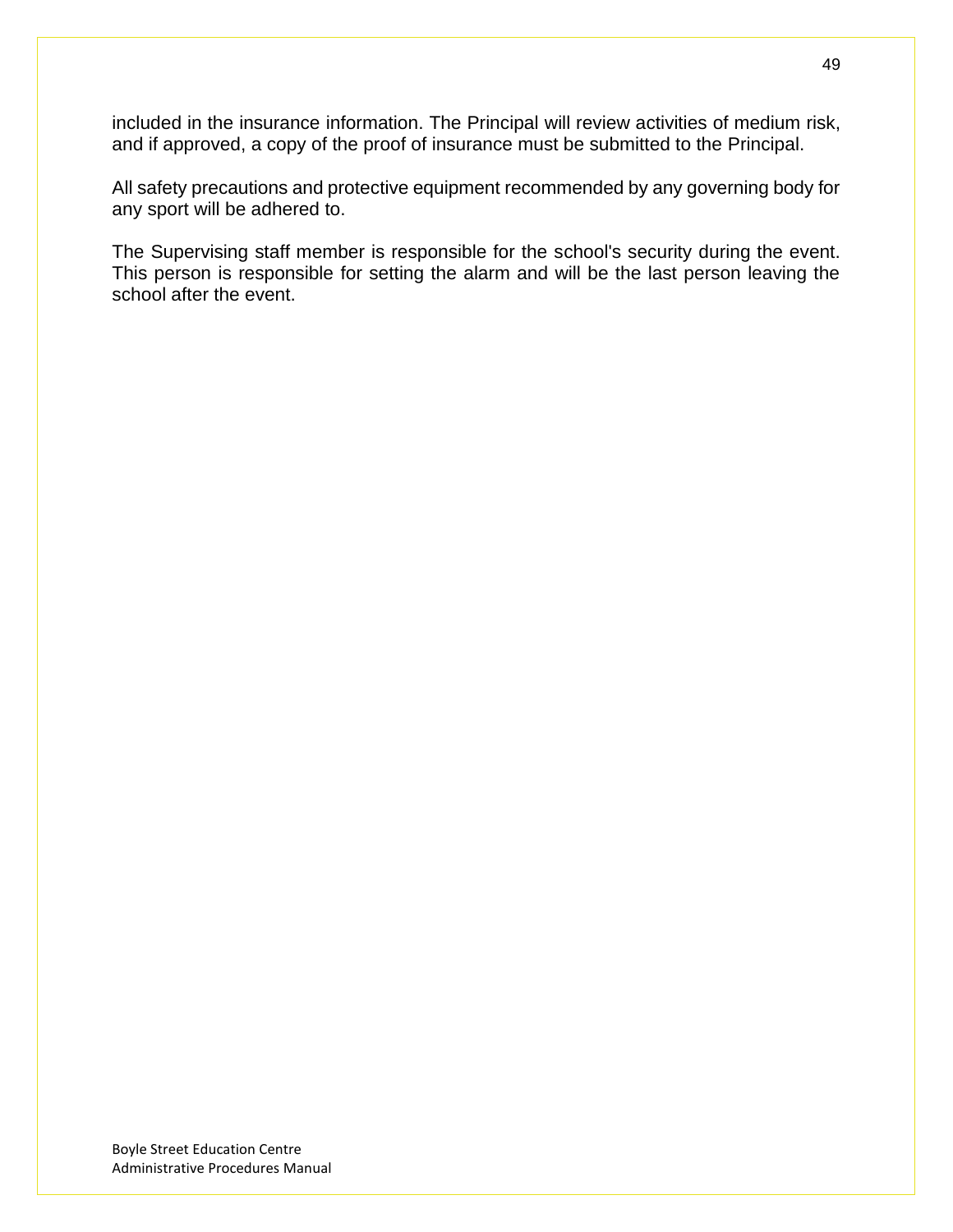included in the insurance information. The Principal will review activities of medium risk, and if approved, a copy of the proof of insurance must be submitted to the Principal.

All safety precautions and protective equipment recommended by any governing body for any sport will be adhered to.

The Supervising staff member is responsible for the school's security during the event. This person is responsible for setting the alarm and will be the last person leaving the school after the event.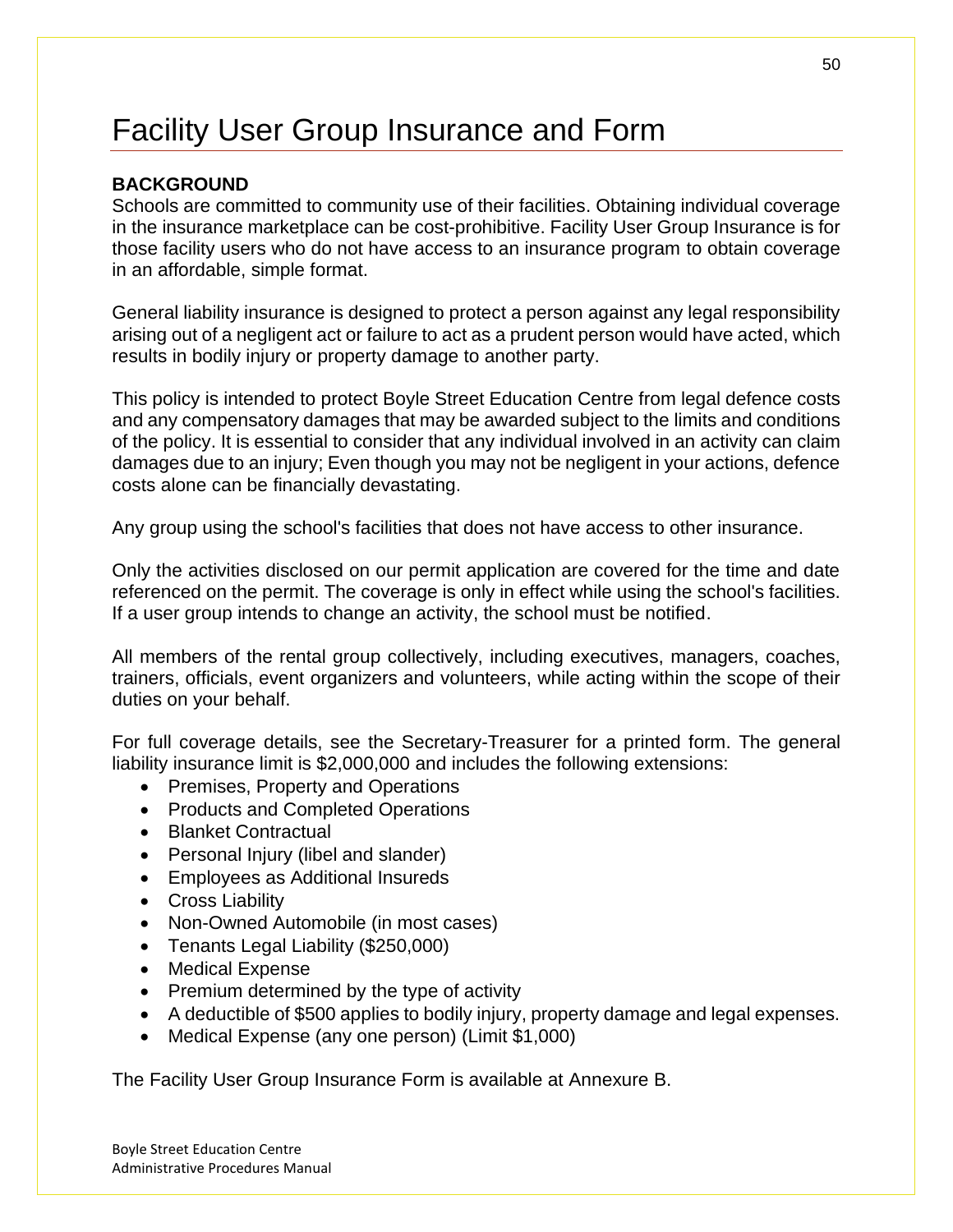# Facility User Group Insurance and Form

## **BACKGROUND**

Schools are committed to community use of their facilities. Obtaining individual coverage in the insurance marketplace can be cost-prohibitive. Facility User Group Insurance is for those facility users who do not have access to an insurance program to obtain coverage in an affordable, simple format.

General liability insurance is designed to protect a person against any legal responsibility arising out of a negligent act or failure to act as a prudent person would have acted, which results in bodily injury or property damage to another party.

This policy is intended to protect Boyle Street Education Centre from legal defence costs and any compensatory damages that may be awarded subject to the limits and conditions of the policy. It is essential to consider that any individual involved in an activity can claim damages due to an injury; Even though you may not be negligent in your actions, defence costs alone can be financially devastating.

Any group using the school's facilities that does not have access to other insurance.

Only the activities disclosed on our permit application are covered for the time and date referenced on the permit. The coverage is only in effect while using the school's facilities. If a user group intends to change an activity, the school must be notified.

All members of the rental group collectively, including executives, managers, coaches, trainers, officials, event organizers and volunteers, while acting within the scope of their duties on your behalf.

For full coverage details, see the Secretary-Treasurer for a printed form. The general liability insurance limit is \$2,000,000 and includes the following extensions:

- Premises, Property and Operations
- Products and Completed Operations
- Blanket Contractual
- Personal Injury (libel and slander)
- Employees as Additional Insureds
- Cross Liability
- Non-Owned Automobile (in most cases)
- Tenants Legal Liability (\$250,000)
- Medical Expense
- Premium determined by the type of activity
- A deductible of \$500 applies to bodily injury, property damage and legal expenses.
- Medical Expense (any one person) (Limit \$1,000)

The Facility User Group Insurance Form is available at Annexure B.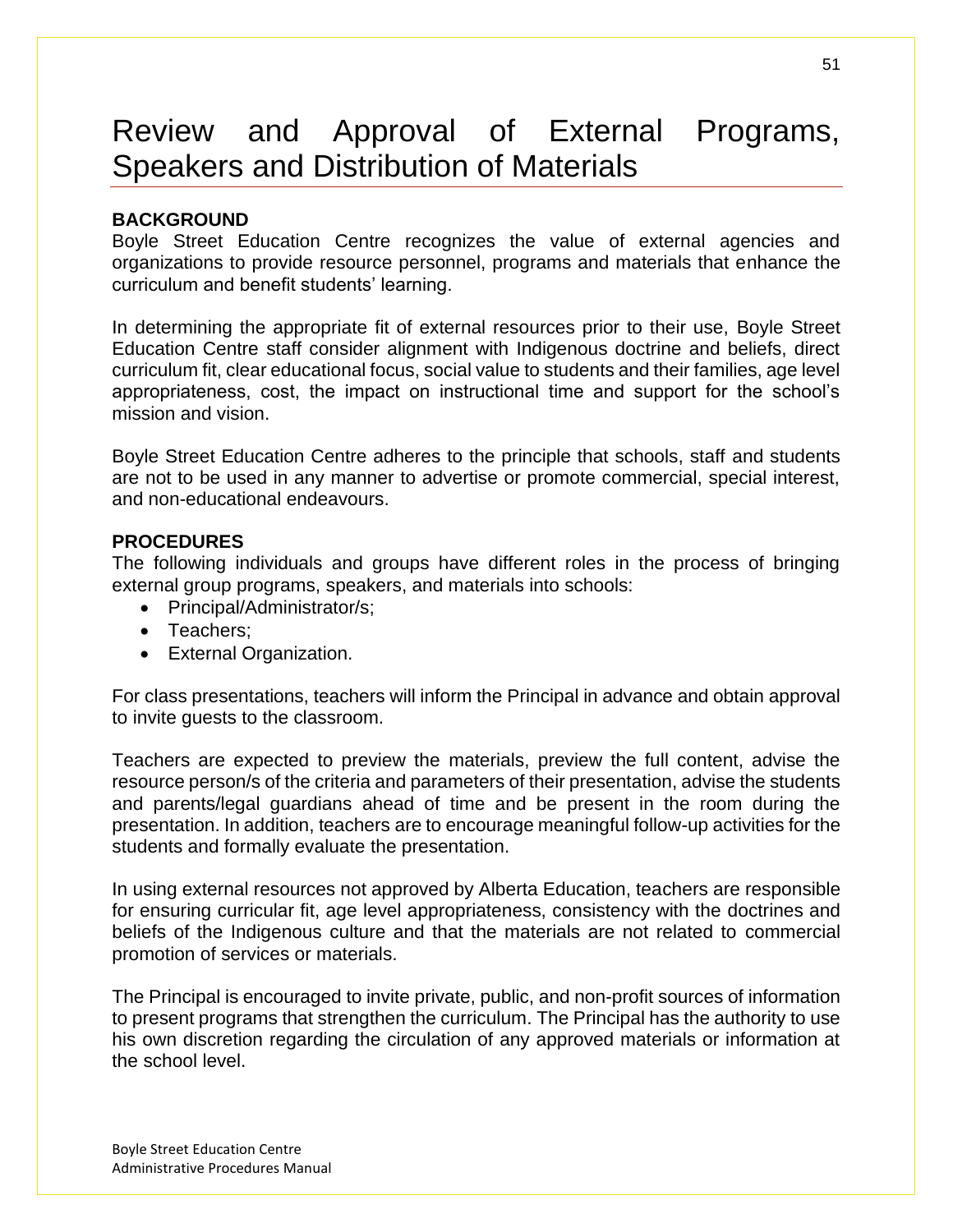# Review and Approval of External Programs, Speakers and Distribution of Materials

### **BACKGROUND**

Boyle Street Education Centre recognizes the value of external agencies and organizations to provide resource personnel, programs and materials that enhance the curriculum and benefit students' learning.

In determining the appropriate fit of external resources prior to their use, Boyle Street Education Centre staff consider alignment with Indigenous doctrine and beliefs, direct curriculum fit, clear educational focus, social value to students and their families, age level appropriateness, cost, the impact on instructional time and support for the school's mission and vision.

Boyle Street Education Centre adheres to the principle that schools, staff and students are not to be used in any manner to advertise or promote commercial, special interest, and non-educational endeavours.

### **PROCEDURES**

The following individuals and groups have different roles in the process of bringing external group programs, speakers, and materials into schools:

- Principal/Administrator/s;
- Teachers;
- External Organization.

For class presentations, teachers will inform the Principal in advance and obtain approval to invite guests to the classroom.

Teachers are expected to preview the materials, preview the full content, advise the resource person/s of the criteria and parameters of their presentation, advise the students and parents/legal guardians ahead of time and be present in the room during the presentation. In addition, teachers are to encourage meaningful follow-up activities for the students and formally evaluate the presentation.

In using external resources not approved by Alberta Education, teachers are responsible for ensuring curricular fit, age level appropriateness, consistency with the doctrines and beliefs of the Indigenous culture and that the materials are not related to commercial promotion of services or materials.

The Principal is encouraged to invite private, public, and non-profit sources of information to present programs that strengthen the curriculum. The Principal has the authority to use his own discretion regarding the circulation of any approved materials or information at the school level.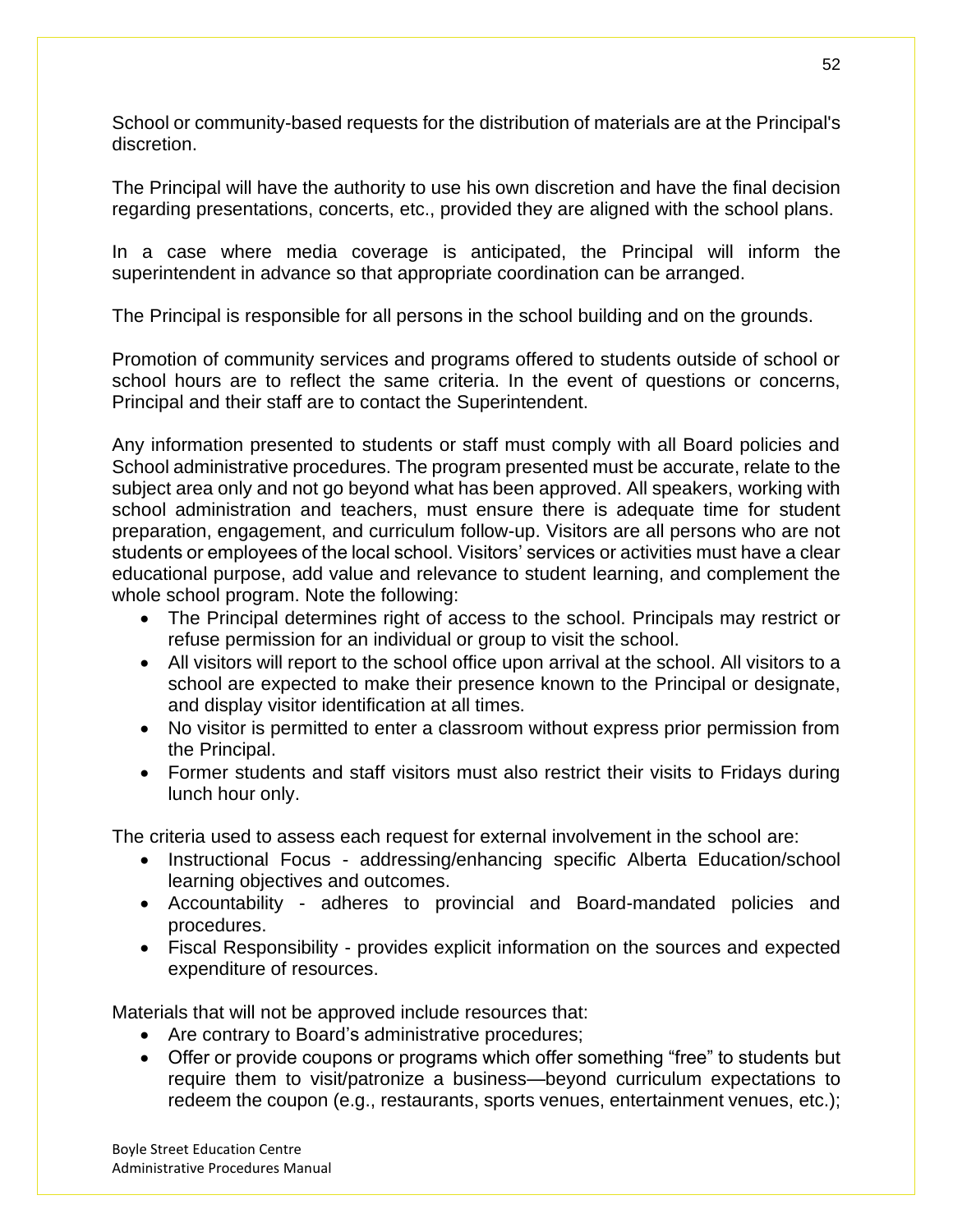School or community-based requests for the distribution of materials are at the Principal's discretion.

The Principal will have the authority to use his own discretion and have the final decision regarding presentations, concerts, etc., provided they are aligned with the school plans.

In a case where media coverage is anticipated, the Principal will inform the superintendent in advance so that appropriate coordination can be arranged.

The Principal is responsible for all persons in the school building and on the grounds.

Promotion of community services and programs offered to students outside of school or school hours are to reflect the same criteria. In the event of questions or concerns, Principal and their staff are to contact the Superintendent.

Any information presented to students or staff must comply with all Board policies and School administrative procedures. The program presented must be accurate, relate to the subject area only and not go beyond what has been approved. All speakers, working with school administration and teachers, must ensure there is adequate time for student preparation, engagement, and curriculum follow-up. Visitors are all persons who are not students or employees of the local school. Visitors' services or activities must have a clear educational purpose, add value and relevance to student learning, and complement the whole school program. Note the following:

- The Principal determines right of access to the school. Principals may restrict or refuse permission for an individual or group to visit the school.
- All visitors will report to the school office upon arrival at the school. All visitors to a school are expected to make their presence known to the Principal or designate, and display visitor identification at all times.
- No visitor is permitted to enter a classroom without express prior permission from the Principal.
- Former students and staff visitors must also restrict their visits to Fridays during lunch hour only.

The criteria used to assess each request for external involvement in the school are:

- Instructional Focus addressing/enhancing specific Alberta Education/school learning objectives and outcomes.
- Accountability adheres to provincial and Board-mandated policies and procedures.
- Fiscal Responsibility provides explicit information on the sources and expected expenditure of resources.

Materials that will not be approved include resources that:

- Are contrary to Board's administrative procedures;
- Offer or provide coupons or programs which offer something "free" to students but require them to visit/patronize a business—beyond curriculum expectations to redeem the coupon (e.g., restaurants, sports venues, entertainment venues, etc.);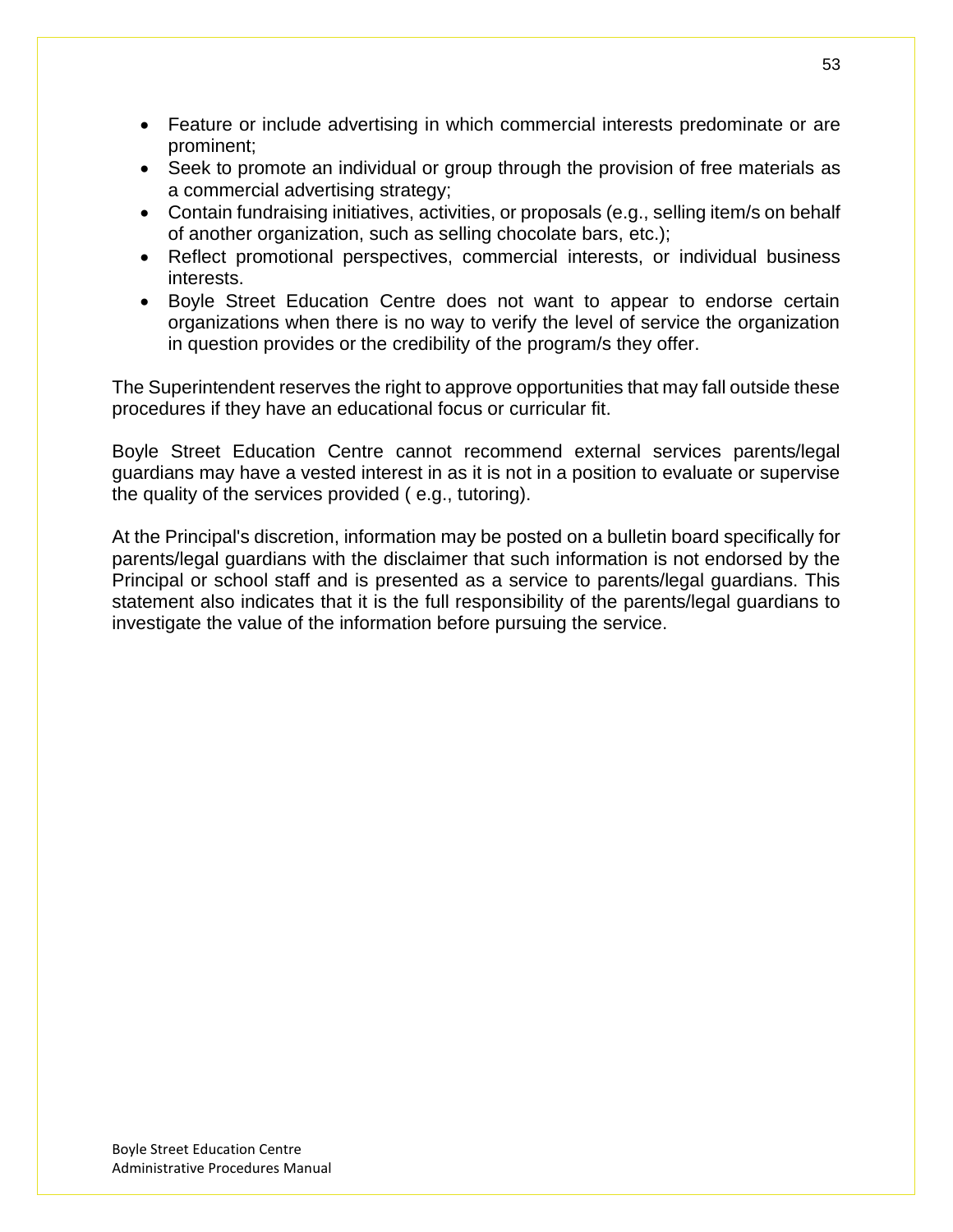- Feature or include advertising in which commercial interests predominate or are prominent;
- Seek to promote an individual or group through the provision of free materials as a commercial advertising strategy;
- Contain fundraising initiatives, activities, or proposals (e.g., selling item/s on behalf of another organization, such as selling chocolate bars, etc.);
- Reflect promotional perspectives, commercial interests, or individual business interests.
- Boyle Street Education Centre does not want to appear to endorse certain organizations when there is no way to verify the level of service the organization in question provides or the credibility of the program/s they offer.

The Superintendent reserves the right to approve opportunities that may fall outside these procedures if they have an educational focus or curricular fit.

Boyle Street Education Centre cannot recommend external services parents/legal guardians may have a vested interest in as it is not in a position to evaluate or supervise the quality of the services provided ( e.g., tutoring).

At the Principal's discretion, information may be posted on a bulletin board specifically for parents/legal guardians with the disclaimer that such information is not endorsed by the Principal or school staff and is presented as a service to parents/legal guardians. This statement also indicates that it is the full responsibility of the parents/legal guardians to investigate the value of the information before pursuing the service.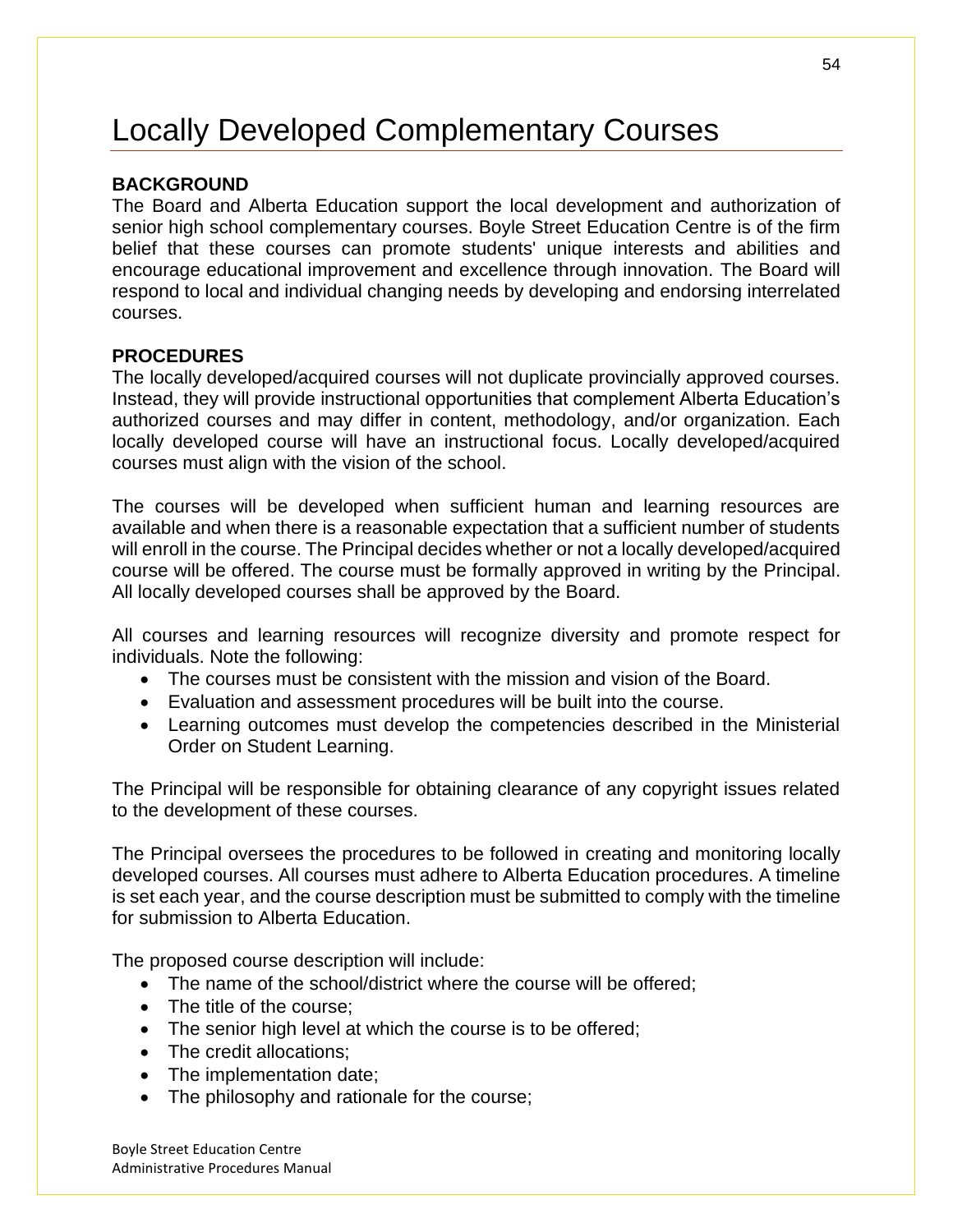# Locally Developed Complementary Courses

### **BACKGROUND**

The Board and Alberta Education support the local development and authorization of senior high school complementary courses. Boyle Street Education Centre is of the firm belief that these courses can promote students' unique interests and abilities and encourage educational improvement and excellence through innovation. The Board will respond to local and individual changing needs by developing and endorsing interrelated courses.

### **PROCEDURES**

The locally developed/acquired courses will not duplicate provincially approved courses. Instead, they will provide instructional opportunities that complement Alberta Education's authorized courses and may differ in content, methodology, and/or organization. Each locally developed course will have an instructional focus. Locally developed/acquired courses must align with the vision of the school.

The courses will be developed when sufficient human and learning resources are available and when there is a reasonable expectation that a sufficient number of students will enroll in the course. The Principal decides whether or not a locally developed/acquired course will be offered. The course must be formally approved in writing by the Principal. All locally developed courses shall be approved by the Board.

All courses and learning resources will recognize diversity and promote respect for individuals. Note the following:

- The courses must be consistent with the mission and vision of the Board.
- Evaluation and assessment procedures will be built into the course.
- Learning outcomes must develop the competencies described in the Ministerial Order on Student Learning.

The Principal will be responsible for obtaining clearance of any copyright issues related to the development of these courses.

The Principal oversees the procedures to be followed in creating and monitoring locally developed courses. All courses must adhere to Alberta Education procedures. A timeline is set each year, and the course description must be submitted to comply with the timeline for submission to Alberta Education.

The proposed course description will include:

- The name of the school/district where the course will be offered;
- The title of the course:
- The senior high level at which the course is to be offered;
- The credit allocations;
- The implementation date;
- The philosophy and rationale for the course;

Boyle Street Education Centre Administrative Procedures Manual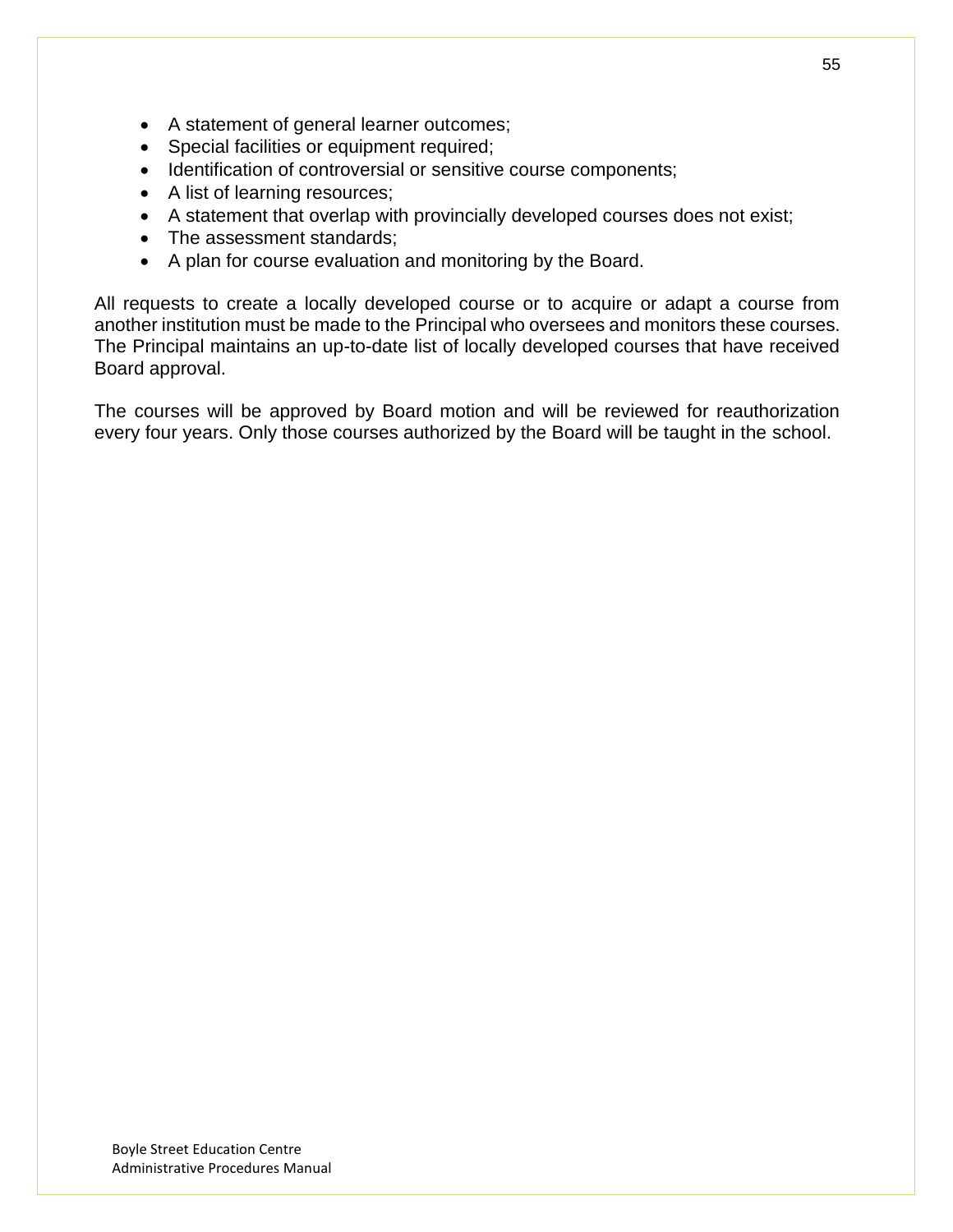- A statement of general learner outcomes;
- Special facilities or equipment required;
- Identification of controversial or sensitive course components;
- A list of learning resources;
- A statement that overlap with provincially developed courses does not exist;
- The assessment standards;
- A plan for course evaluation and monitoring by the Board.

All requests to create a locally developed course or to acquire or adapt a course from another institution must be made to the Principal who oversees and monitors these courses. The Principal maintains an up-to-date list of locally developed courses that have received Board approval.

The courses will be approved by Board motion and will be reviewed for reauthorization every four years. Only those courses authorized by the Board will be taught in the school.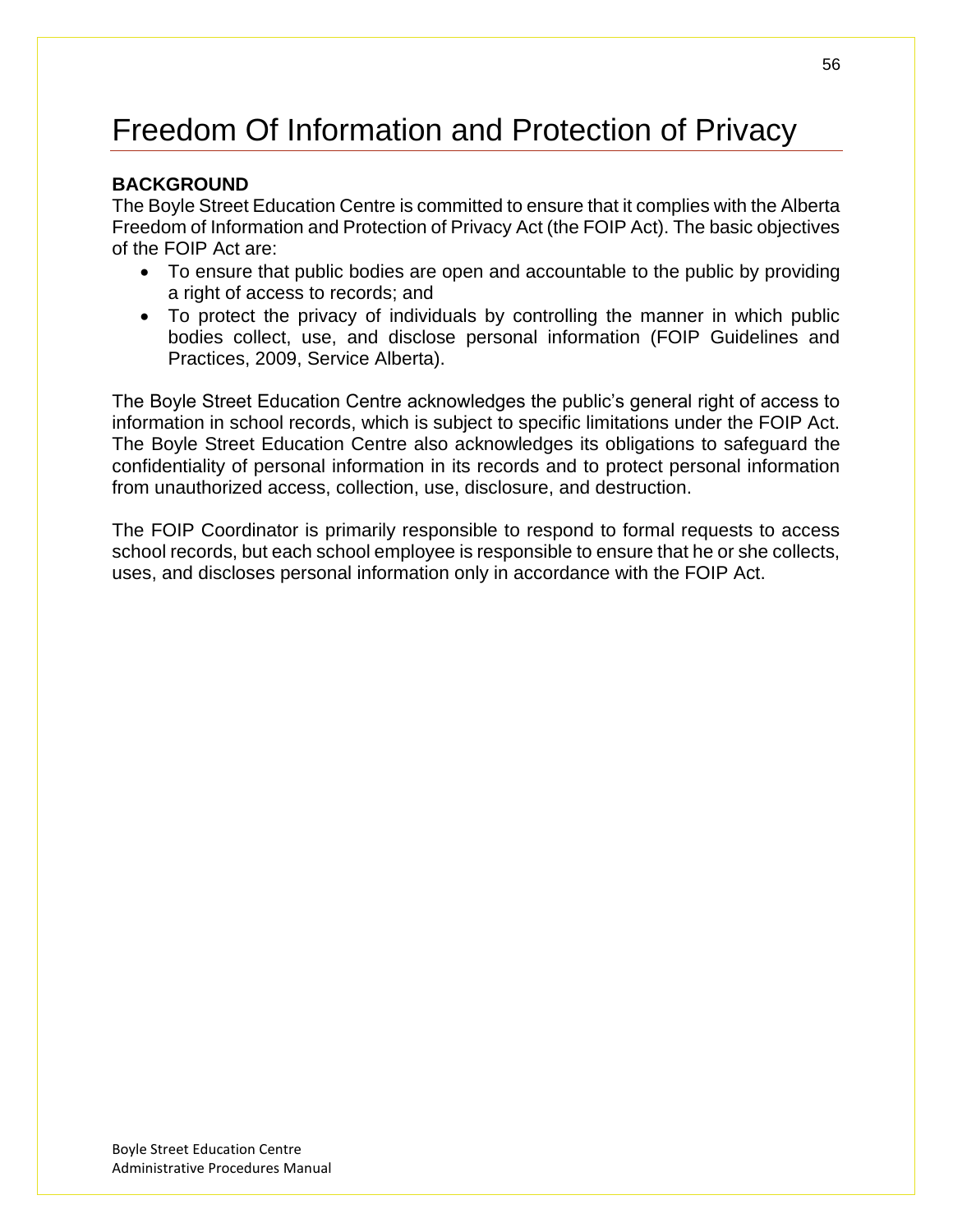# Freedom Of Information and Protection of Privacy

## **BACKGROUND**

The Boyle Street Education Centre is committed to ensure that it complies with the Alberta Freedom of Information and Protection of Privacy Act (the FOIP Act). The basic objectives of the FOIP Act are:

- To ensure that public bodies are open and accountable to the public by providing a right of access to records; and
- To protect the privacy of individuals by controlling the manner in which public bodies collect, use, and disclose personal information (FOIP Guidelines and Practices, 2009, Service Alberta).

The Boyle Street Education Centre acknowledges the public's general right of access to information in school records, which is subject to specific limitations under the FOIP Act. The Boyle Street Education Centre also acknowledges its obligations to safeguard the confidentiality of personal information in its records and to protect personal information from unauthorized access, collection, use, disclosure, and destruction.

The FOIP Coordinator is primarily responsible to respond to formal requests to access school records, but each school employee is responsible to ensure that he or she collects, uses, and discloses personal information only in accordance with the FOIP Act.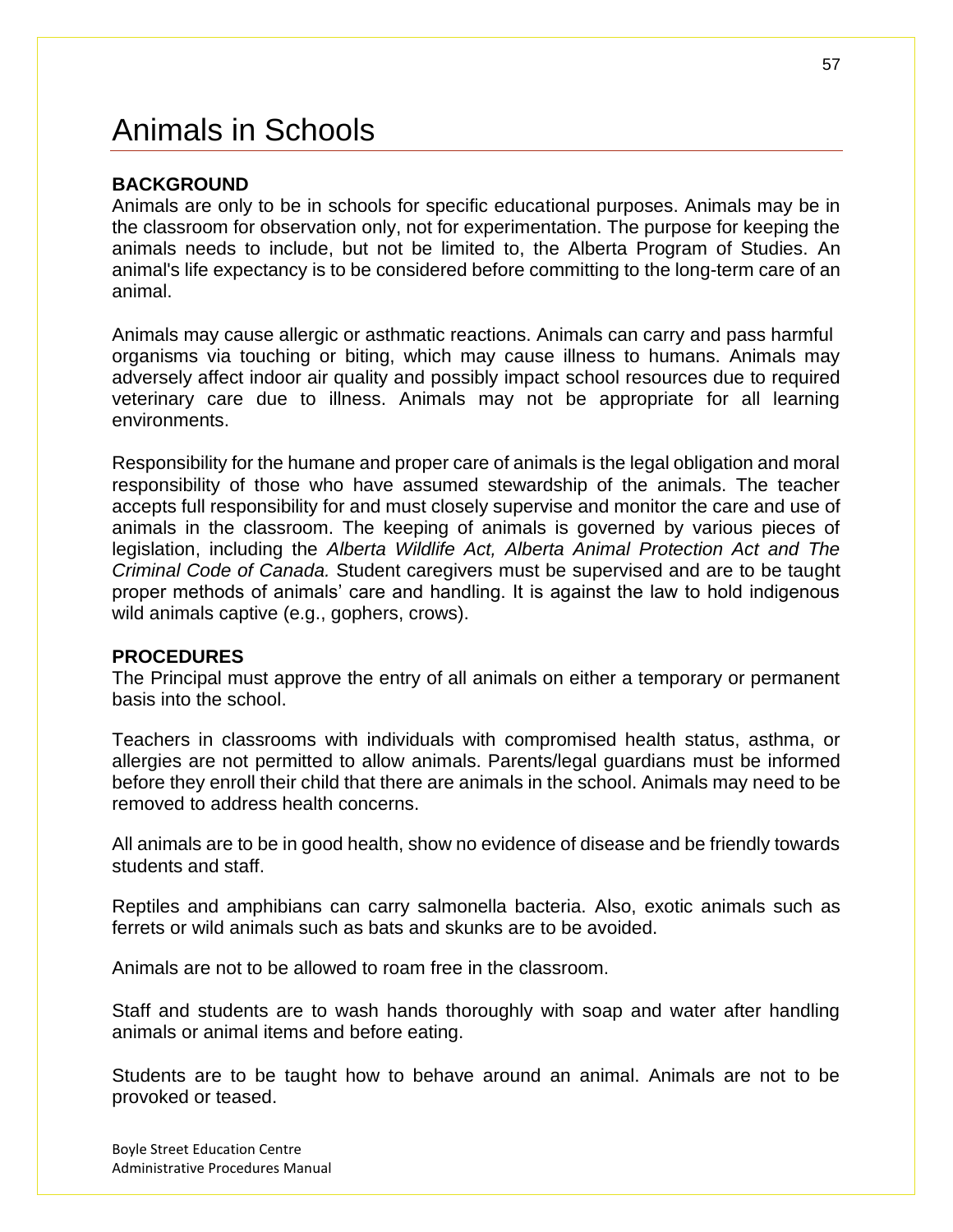# Animals in Schools

### **BACKGROUND**

Animals are only to be in schools for specific educational purposes. Animals may be in the classroom for observation only, not for experimentation. The purpose for keeping the animals needs to include, but not be limited to, the Alberta Program of Studies. An animal's life expectancy is to be considered before committing to the long-term care of an animal.

Animals may cause allergic or asthmatic reactions. Animals can carry and pass harmful organisms via touching or biting, which may cause illness to humans. Animals may adversely affect indoor air quality and possibly impact school resources due to required veterinary care due to illness. Animals may not be appropriate for all learning environments.

Responsibility for the humane and proper care of animals is the legal obligation and moral responsibility of those who have assumed stewardship of the animals. The teacher accepts full responsibility for and must closely supervise and monitor the care and use of animals in the classroom. The keeping of animals is governed by various pieces of legislation, including the *Alberta Wildlife Act, Alberta Animal Protection Act and The Criminal Code of Canada.* Student caregivers must be supervised and are to be taught proper methods of animals' care and handling. It is against the law to hold indigenous wild animals captive (e.g., gophers, crows).

### **PROCEDURES**

The Principal must approve the entry of all animals on either a temporary or permanent basis into the school.

Teachers in classrooms with individuals with compromised health status, asthma, or allergies are not permitted to allow animals. Parents/legal guardians must be informed before they enroll their child that there are animals in the school. Animals may need to be removed to address health concerns.

All animals are to be in good health, show no evidence of disease and be friendly towards students and staff.

Reptiles and amphibians can carry salmonella bacteria. Also, exotic animals such as ferrets or wild animals such as bats and skunks are to be avoided.

Animals are not to be allowed to roam free in the classroom.

Staff and students are to wash hands thoroughly with soap and water after handling animals or animal items and before eating.

Students are to be taught how to behave around an animal. Animals are not to be provoked or teased.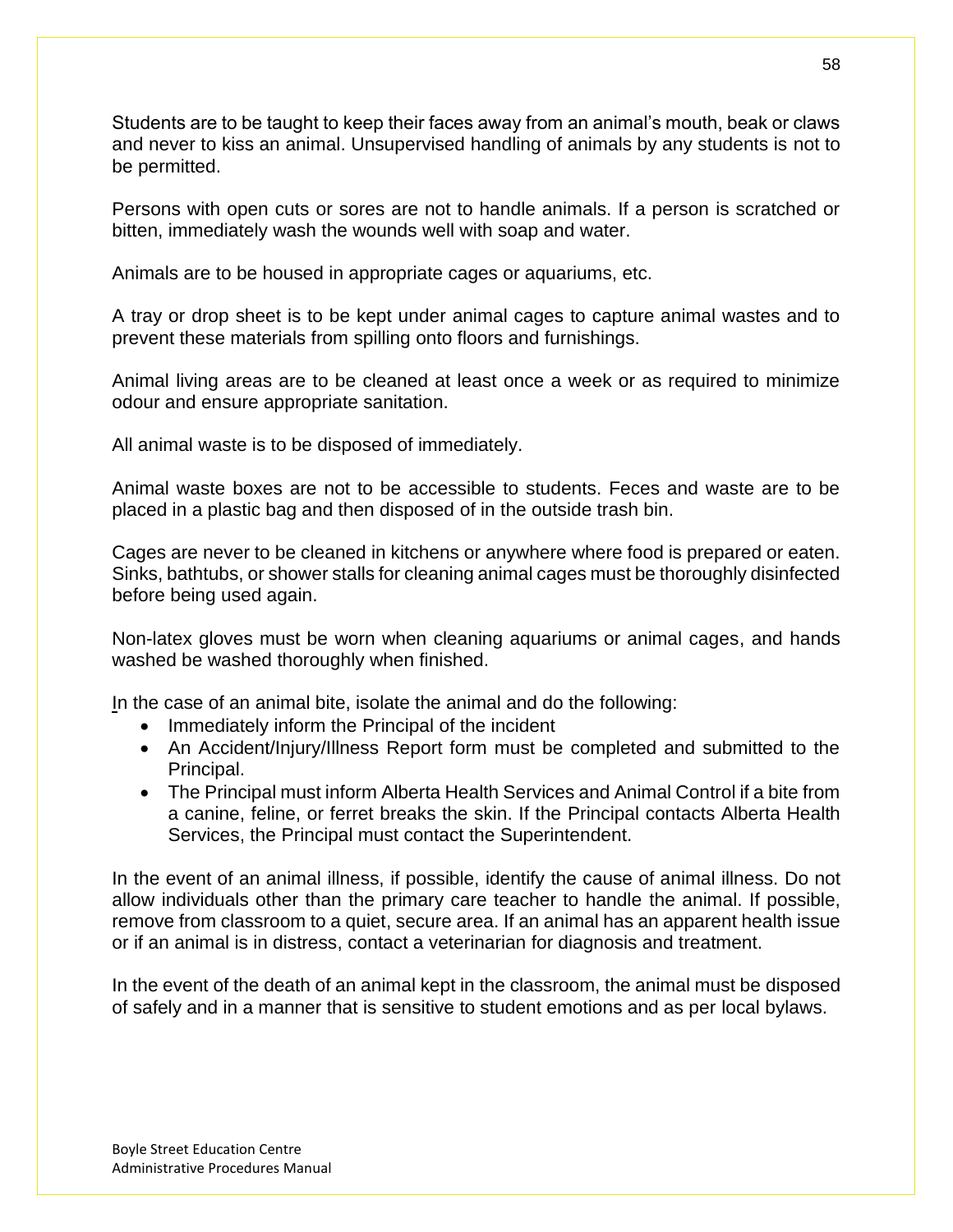Students are to be taught to keep their faces away from an animal's mouth, beak or claws and never to kiss an animal. Unsupervised handling of animals by any students is not to be permitted.

Persons with open cuts or sores are not to handle animals. If a person is scratched or bitten, immediately wash the wounds well with soap and water.

Animals are to be housed in appropriate cages or aquariums, etc.

A tray or drop sheet is to be kept under animal cages to capture animal wastes and to prevent these materials from spilling onto floors and furnishings.

Animal living areas are to be cleaned at least once a week or as required to minimize odour and ensure appropriate sanitation.

All animal waste is to be disposed of immediately.

Animal waste boxes are not to be accessible to students. Feces and waste are to be placed in a plastic bag and then disposed of in the outside trash bin.

Cages are never to be cleaned in kitchens or anywhere where food is prepared or eaten. Sinks, bathtubs, or shower stalls for cleaning animal cages must be thoroughly disinfected before being used again.

Non-latex gloves must be worn when cleaning aquariums or animal cages, and hands washed be washed thoroughly when finished.

In the case of an animal bite, isolate the animal and do the following:

- Immediately inform the Principal of the incident
- An Accident/Injury/Illness Report form must be completed and submitted to the Principal.
- The Principal must inform Alberta Health Services and Animal Control if a bite from a canine, feline, or ferret breaks the skin. If the Principal contacts Alberta Health Services, the Principal must contact the Superintendent.

In the event of an animal illness, if possible, identify the cause of animal illness. Do not allow individuals other than the primary care teacher to handle the animal. If possible, remove from classroom to a quiet, secure area. If an animal has an apparent health issue or if an animal is in distress, contact a veterinarian for diagnosis and treatment.

In the event of the death of an animal kept in the classroom, the animal must be disposed of safely and in a manner that is sensitive to student emotions and as per local bylaws.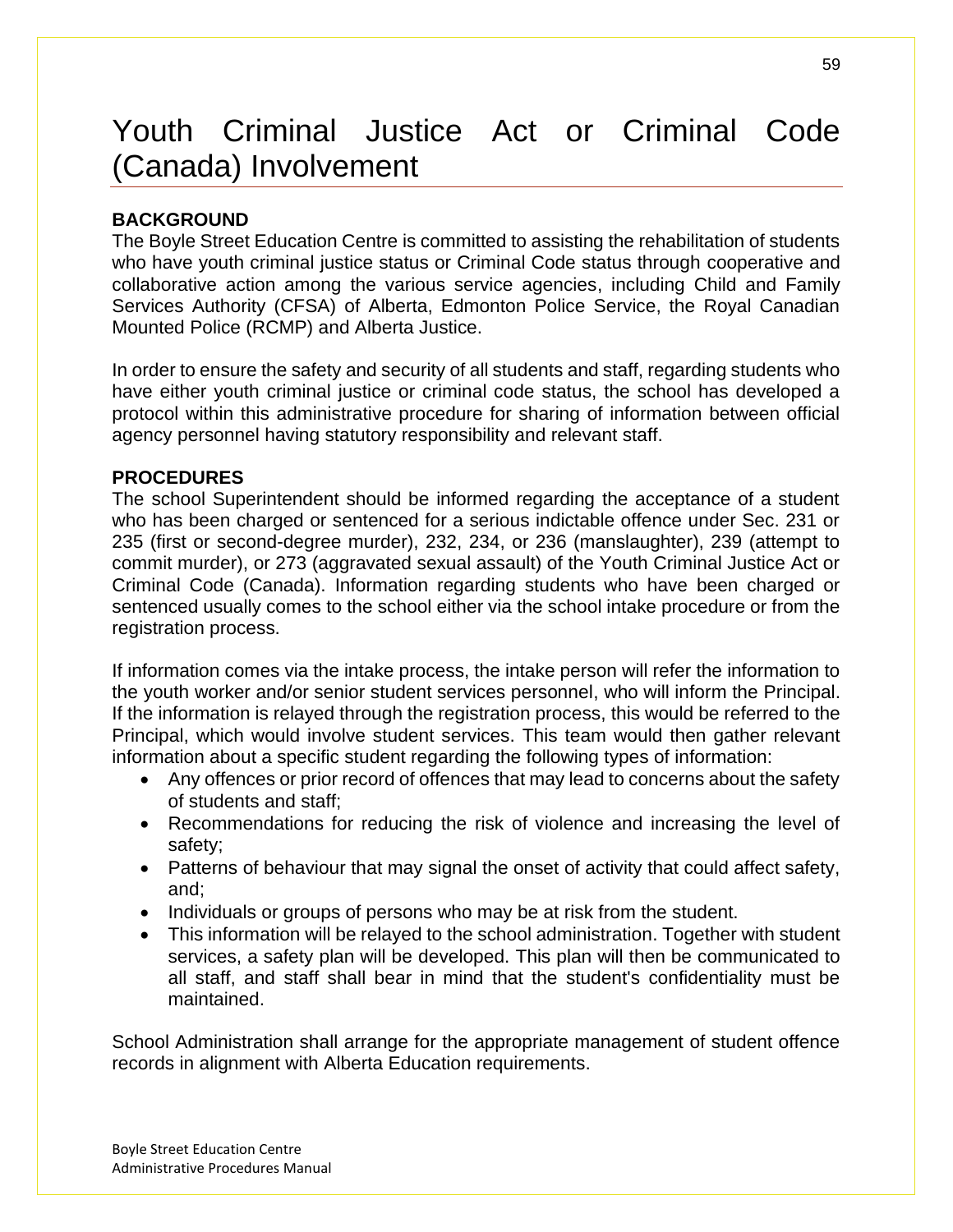# Youth Criminal Justice Act or Criminal Code (Canada) Involvement

## **BACKGROUND**

The Boyle Street Education Centre is committed to assisting the rehabilitation of students who have youth criminal justice status or Criminal Code status through cooperative and collaborative action among the various service agencies, including Child and Family Services Authority (CFSA) of Alberta, Edmonton Police Service, the Royal Canadian Mounted Police (RCMP) and Alberta Justice.

In order to ensure the safety and security of all students and staff, regarding students who have either youth criminal justice or criminal code status, the school has developed a protocol within this administrative procedure for sharing of information between official agency personnel having statutory responsibility and relevant staff.

## **PROCEDURES**

The school Superintendent should be informed regarding the acceptance of a student who has been charged or sentenced for a serious indictable offence under Sec. 231 or 235 (first or second-degree murder), 232, 234, or 236 (manslaughter), 239 (attempt to commit murder), or 273 (aggravated sexual assault) of the Youth Criminal Justice Act or Criminal Code (Canada). Information regarding students who have been charged or sentenced usually comes to the school either via the school intake procedure or from the registration process.

If information comes via the intake process, the intake person will refer the information to the youth worker and/or senior student services personnel, who will inform the Principal. If the information is relayed through the registration process, this would be referred to the Principal, which would involve student services. This team would then gather relevant information about a specific student regarding the following types of information:

- Any offences or prior record of offences that may lead to concerns about the safety of students and staff;
- Recommendations for reducing the risk of violence and increasing the level of safety;
- Patterns of behaviour that may signal the onset of activity that could affect safety, and;
- Individuals or groups of persons who may be at risk from the student.
- This information will be relayed to the school administration. Together with student services, a safety plan will be developed. This plan will then be communicated to all staff, and staff shall bear in mind that the student's confidentiality must be maintained.

School Administration shall arrange for the appropriate management of student offence records in alignment with Alberta Education requirements.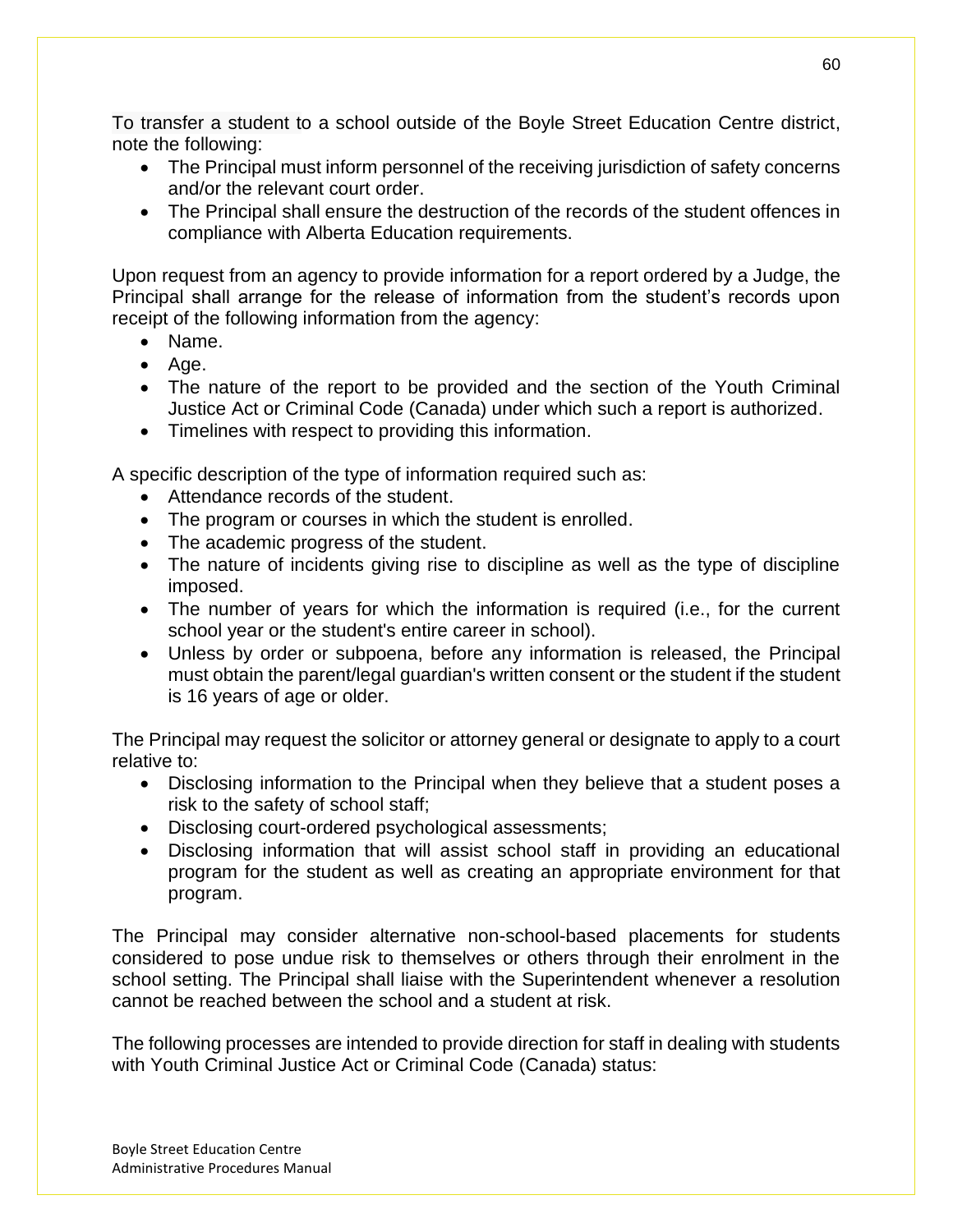To transfer a student to a school outside of the Boyle Street Education Centre district, note the following:

- The Principal must inform personnel of the receiving jurisdiction of safety concerns and/or the relevant court order.
- The Principal shall ensure the destruction of the records of the student offences in compliance with Alberta Education requirements.

Upon request from an agency to provide information for a report ordered by a Judge, the Principal shall arrange for the release of information from the student's records upon receipt of the following information from the agency:

- Name.
- Age.
- The nature of the report to be provided and the section of the Youth Criminal Justice Act or Criminal Code (Canada) under which such a report is authorized.
- Timelines with respect to providing this information.

A specific description of the type of information required such as:

- Attendance records of the student.
- The program or courses in which the student is enrolled.
- The academic progress of the student.
- The nature of incidents giving rise to discipline as well as the type of discipline imposed.
- The number of years for which the information is required (i.e., for the current school year or the student's entire career in school).
- Unless by order or subpoena, before any information is released, the Principal must obtain the parent/legal guardian's written consent or the student if the student is 16 years of age or older.

The Principal may request the solicitor or attorney general or designate to apply to a court relative to:

- Disclosing information to the Principal when they believe that a student poses a risk to the safety of school staff;
- Disclosing court-ordered psychological assessments;
- Disclosing information that will assist school staff in providing an educational program for the student as well as creating an appropriate environment for that program.

The Principal may consider alternative non-school-based placements for students considered to pose undue risk to themselves or others through their enrolment in the school setting. The Principal shall liaise with the Superintendent whenever a resolution cannot be reached between the school and a student at risk.

The following processes are intended to provide direction for staff in dealing with students with Youth Criminal Justice Act or Criminal Code (Canada) status:

60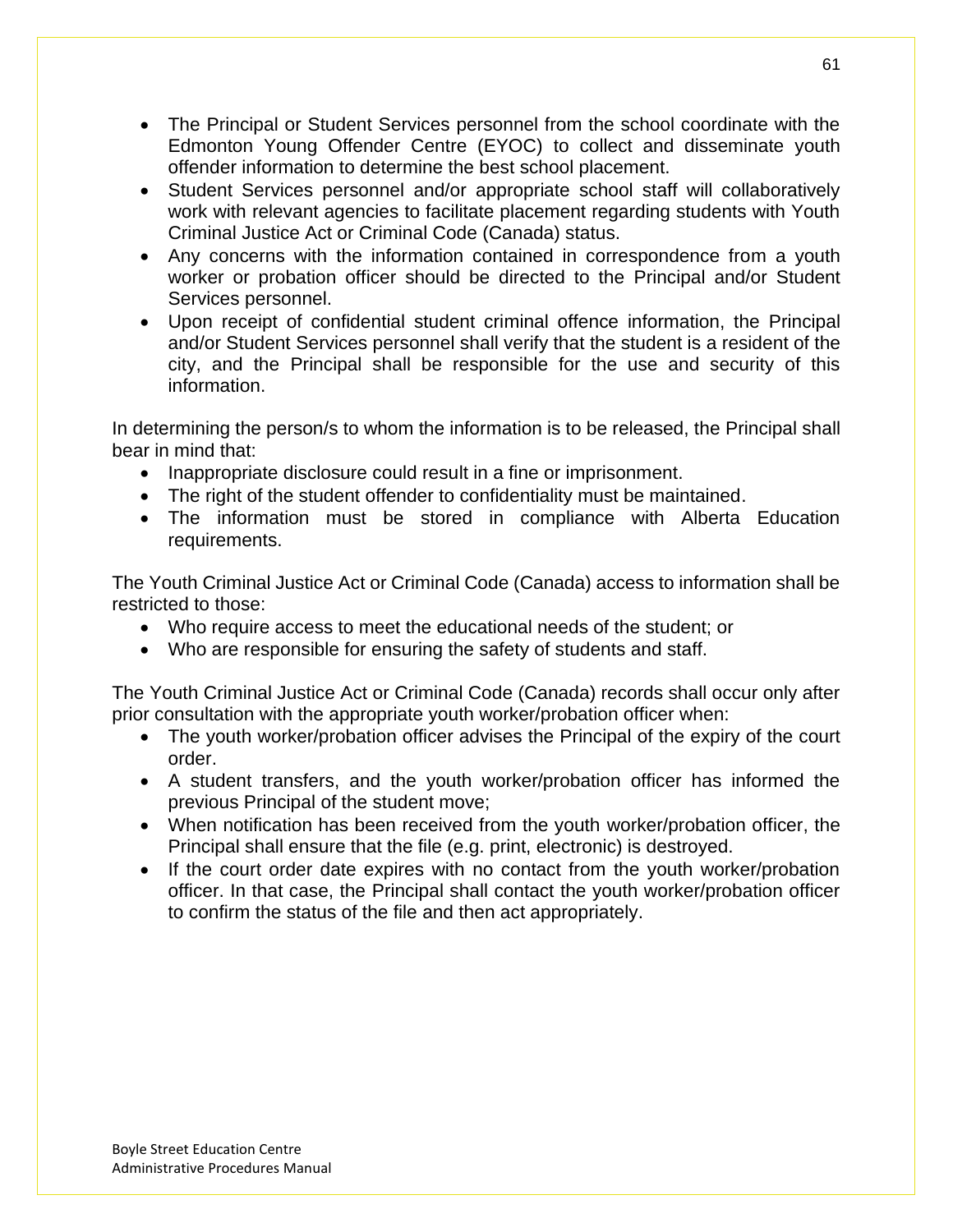- The Principal or Student Services personnel from the school coordinate with the Edmonton Young Offender Centre (EYOC) to collect and disseminate youth offender information to determine the best school placement.
- Student Services personnel and/or appropriate school staff will collaboratively work with relevant agencies to facilitate placement regarding students with Youth Criminal Justice Act or Criminal Code (Canada) status.
- Any concerns with the information contained in correspondence from a youth worker or probation officer should be directed to the Principal and/or Student Services personnel.
- Upon receipt of confidential student criminal offence information, the Principal and/or Student Services personnel shall verify that the student is a resident of the city, and the Principal shall be responsible for the use and security of this information.

In determining the person/s to whom the information is to be released, the Principal shall bear in mind that:

- Inappropriate disclosure could result in a fine or imprisonment.
- The right of the student offender to confidentiality must be maintained.
- The information must be stored in compliance with Alberta Education requirements.

The Youth Criminal Justice Act or Criminal Code (Canada) access to information shall be restricted to those:

- Who require access to meet the educational needs of the student; or
- Who are responsible for ensuring the safety of students and staff.

The Youth Criminal Justice Act or Criminal Code (Canada) records shall occur only after prior consultation with the appropriate youth worker/probation officer when:

- The youth worker/probation officer advises the Principal of the expiry of the court order.
- A student transfers, and the youth worker/probation officer has informed the previous Principal of the student move;
- When notification has been received from the youth worker/probation officer, the Principal shall ensure that the file (e.g. print, electronic) is destroyed.
- If the court order date expires with no contact from the youth worker/probation officer. In that case, the Principal shall contact the youth worker/probation officer to confirm the status of the file and then act appropriately.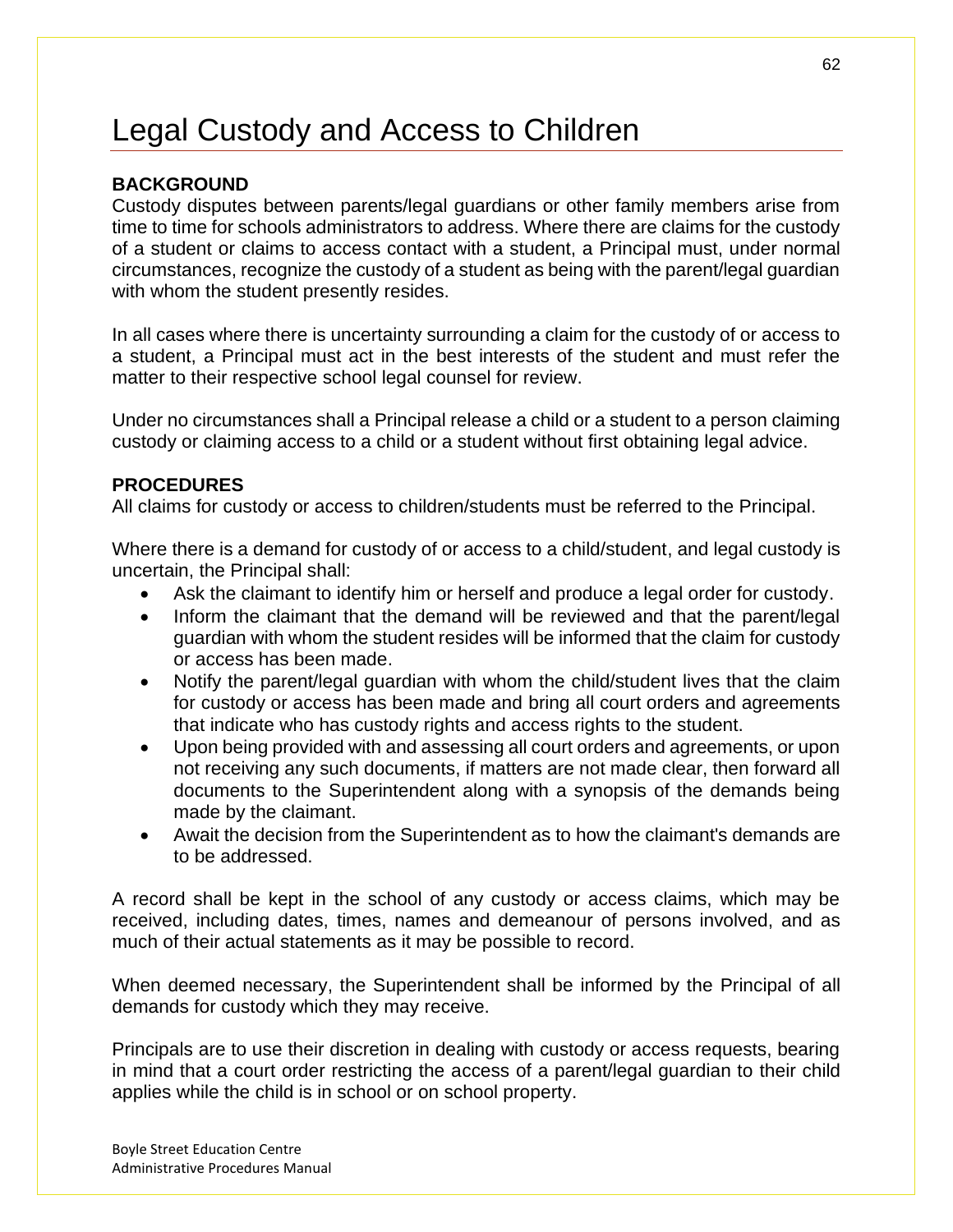# Legal Custody and Access to Children

## **BACKGROUND**

Custody disputes between parents/legal guardians or other family members arise from time to time for schools administrators to address. Where there are claims for the custody of a student or claims to access contact with a student, a Principal must, under normal circumstances, recognize the custody of a student as being with the parent/legal guardian with whom the student presently resides.

In all cases where there is uncertainty surrounding a claim for the custody of or access to a student, a Principal must act in the best interests of the student and must refer the matter to their respective school legal counsel for review.

Under no circumstances shall a Principal release a child or a student to a person claiming custody or claiming access to a child or a student without first obtaining legal advice.

### **PROCEDURES**

All claims for custody or access to children/students must be referred to the Principal.

Where there is a demand for custody of or access to a child/student, and legal custody is uncertain, the Principal shall:

- Ask the claimant to identify him or herself and produce a legal order for custody.
- Inform the claimant that the demand will be reviewed and that the parent/legal guardian with whom the student resides will be informed that the claim for custody or access has been made.
- Notify the parent/legal guardian with whom the child/student lives that the claim for custody or access has been made and bring all court orders and agreements that indicate who has custody rights and access rights to the student.
- Upon being provided with and assessing all court orders and agreements, or upon not receiving any such documents, if matters are not made clear, then forward all documents to the Superintendent along with a synopsis of the demands being made by the claimant.
- Await the decision from the Superintendent as to how the claimant's demands are to be addressed.

A record shall be kept in the school of any custody or access claims, which may be received, including dates, times, names and demeanour of persons involved, and as much of their actual statements as it may be possible to record.

When deemed necessary, the Superintendent shall be informed by the Principal of all demands for custody which they may receive.

Principals are to use their discretion in dealing with custody or access requests, bearing in mind that a court order restricting the access of a parent/legal guardian to their child applies while the child is in school or on school property.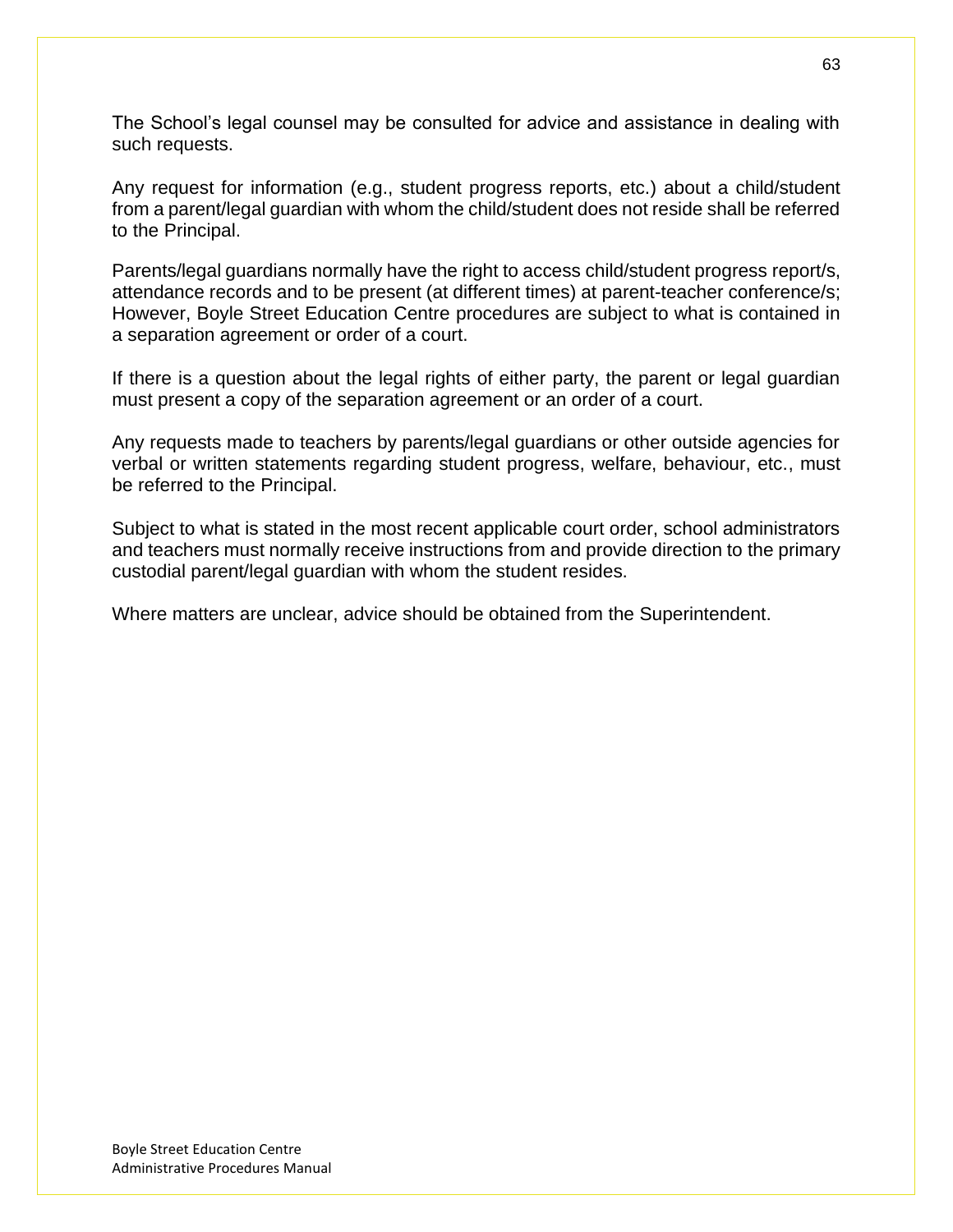The School's legal counsel may be consulted for advice and assistance in dealing with such requests.

Any request for information (e.g., student progress reports, etc.) about a child/student from a parent/legal guardian with whom the child/student does not reside shall be referred to the Principal.

Parents/legal guardians normally have the right to access child/student progress report/s, attendance records and to be present (at different times) at parent-teacher conference/s; However, Boyle Street Education Centre procedures are subject to what is contained in a separation agreement or order of a court.

If there is a question about the legal rights of either party, the parent or legal guardian must present a copy of the separation agreement or an order of a court.

Any requests made to teachers by parents/legal guardians or other outside agencies for verbal or written statements regarding student progress, welfare, behaviour, etc., must be referred to the Principal.

Subject to what is stated in the most recent applicable court order, school administrators and teachers must normally receive instructions from and provide direction to the primary custodial parent/legal guardian with whom the student resides.

Where matters are unclear, advice should be obtained from the Superintendent.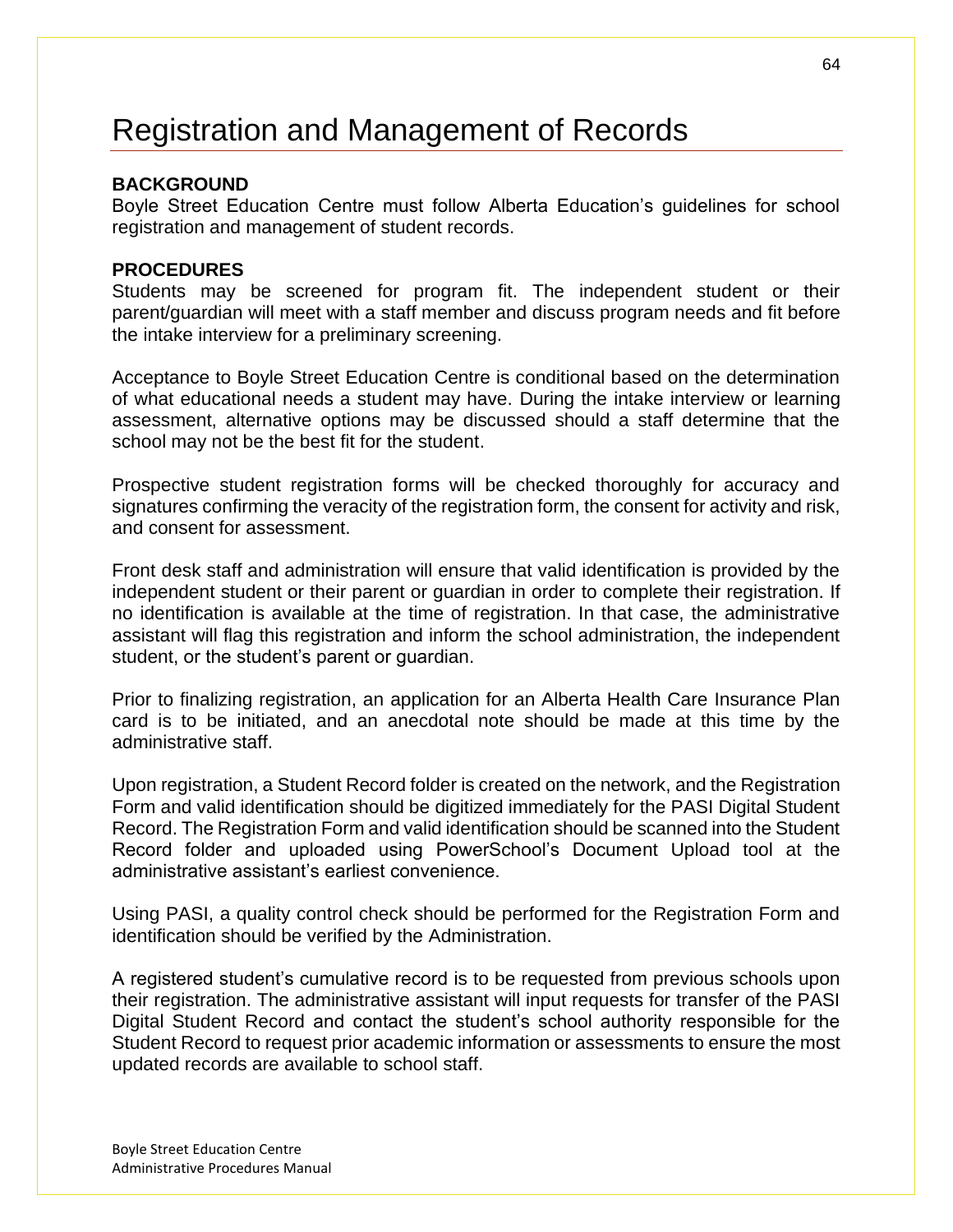# Registration and Management of Records

### **BACKGROUND**

Boyle Street Education Centre must follow Alberta Education's guidelines for school registration and management of student records.

### **PROCEDURES**

Students may be screened for program fit. The independent student or their parent/guardian will meet with a staff member and discuss program needs and fit before the intake interview for a preliminary screening.

Acceptance to Boyle Street Education Centre is conditional based on the determination of what educational needs a student may have. During the intake interview or learning assessment, alternative options may be discussed should a staff determine that the school may not be the best fit for the student.

Prospective student registration forms will be checked thoroughly for accuracy and signatures confirming the veracity of the registration form, the consent for activity and risk, and consent for assessment.

Front desk staff and administration will ensure that valid identification is provided by the independent student or their parent or guardian in order to complete their registration. If no identification is available at the time of registration. In that case, the administrative assistant will flag this registration and inform the school administration, the independent student, or the student's parent or guardian.

Prior to finalizing registration, an application for an Alberta Health Care Insurance Plan card is to be initiated, and an anecdotal note should be made at this time by the administrative staff.

Upon registration, a Student Record folder is created on the network, and the Registration Form and valid identification should be digitized immediately for the PASI Digital Student Record. The Registration Form and valid identification should be scanned into the Student Record folder and uploaded using PowerSchool's Document Upload tool at the administrative assistant's earliest convenience.

Using PASI, a quality control check should be performed for the Registration Form and identification should be verified by the Administration.

A registered student's cumulative record is to be requested from previous schools upon their registration. The administrative assistant will input requests for transfer of the PASI Digital Student Record and contact the student's school authority responsible for the Student Record to request prior academic information or assessments to ensure the most updated records are available to school staff.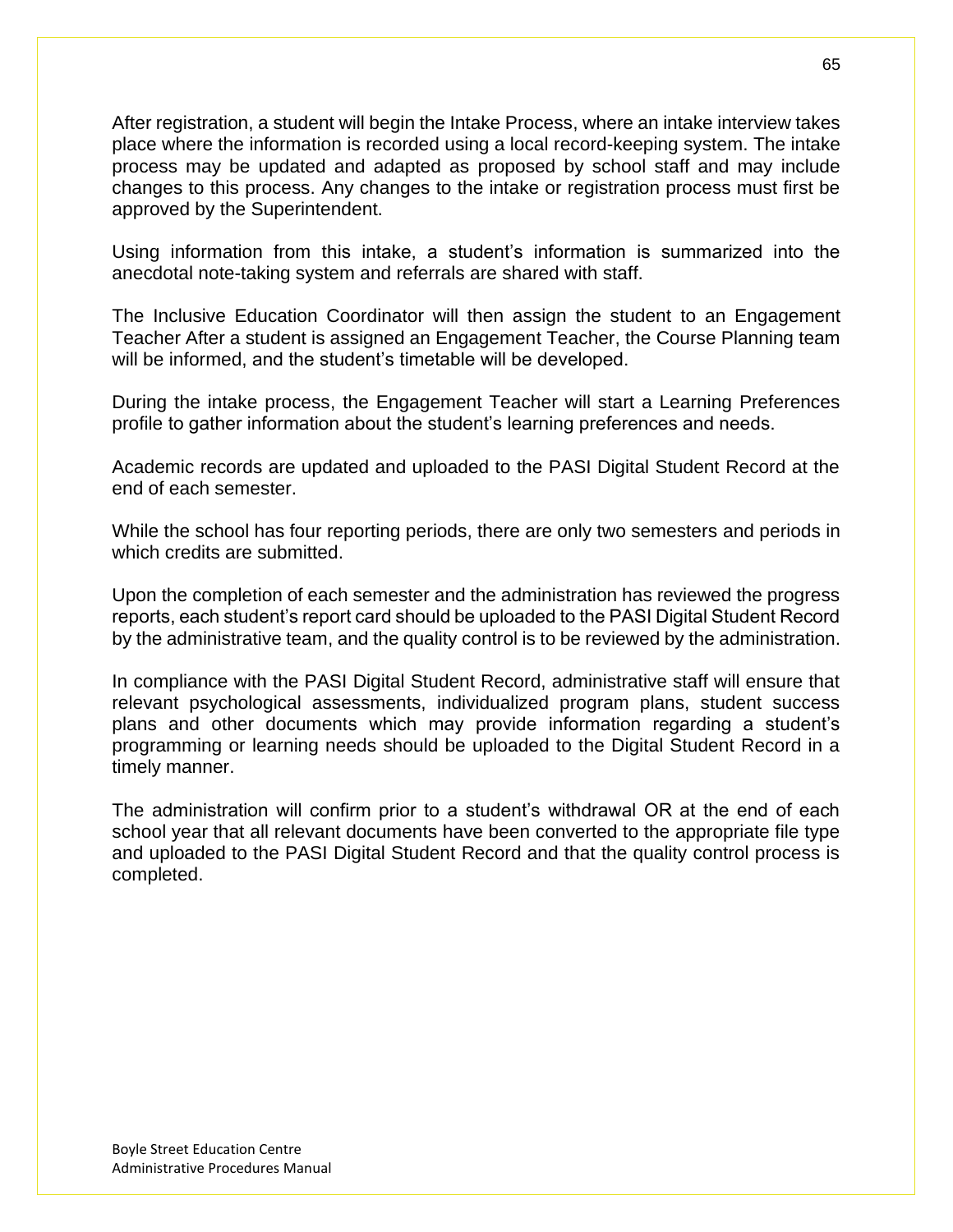After registration, a student will begin the Intake Process, where an intake interview takes place where the information is recorded using a local record-keeping system. The intake process may be updated and adapted as proposed by school staff and may include changes to this process. Any changes to the intake or registration process must first be approved by the Superintendent.

Using information from this intake, a student's information is summarized into the anecdotal note-taking system and referrals are shared with staff.

The Inclusive Education Coordinator will then assign the student to an Engagement Teacher After a student is assigned an Engagement Teacher, the Course Planning team will be informed, and the student's timetable will be developed.

During the intake process, the Engagement Teacher will start a Learning Preferences profile to gather information about the student's learning preferences and needs.

Academic records are updated and uploaded to the PASI Digital Student Record at the end of each semester.

While the school has four reporting periods, there are only two semesters and periods in which credits are submitted.

Upon the completion of each semester and the administration has reviewed the progress reports, each student's report card should be uploaded to the PASI Digital Student Record by the administrative team, and the quality control is to be reviewed by the administration.

In compliance with the PASI Digital Student Record, administrative staff will ensure that relevant psychological assessments, individualized program plans, student success plans and other documents which may provide information regarding a student's programming or learning needs should be uploaded to the Digital Student Record in a timely manner.

The administration will confirm prior to a student's withdrawal OR at the end of each school year that all relevant documents have been converted to the appropriate file type and uploaded to the PASI Digital Student Record and that the quality control process is completed.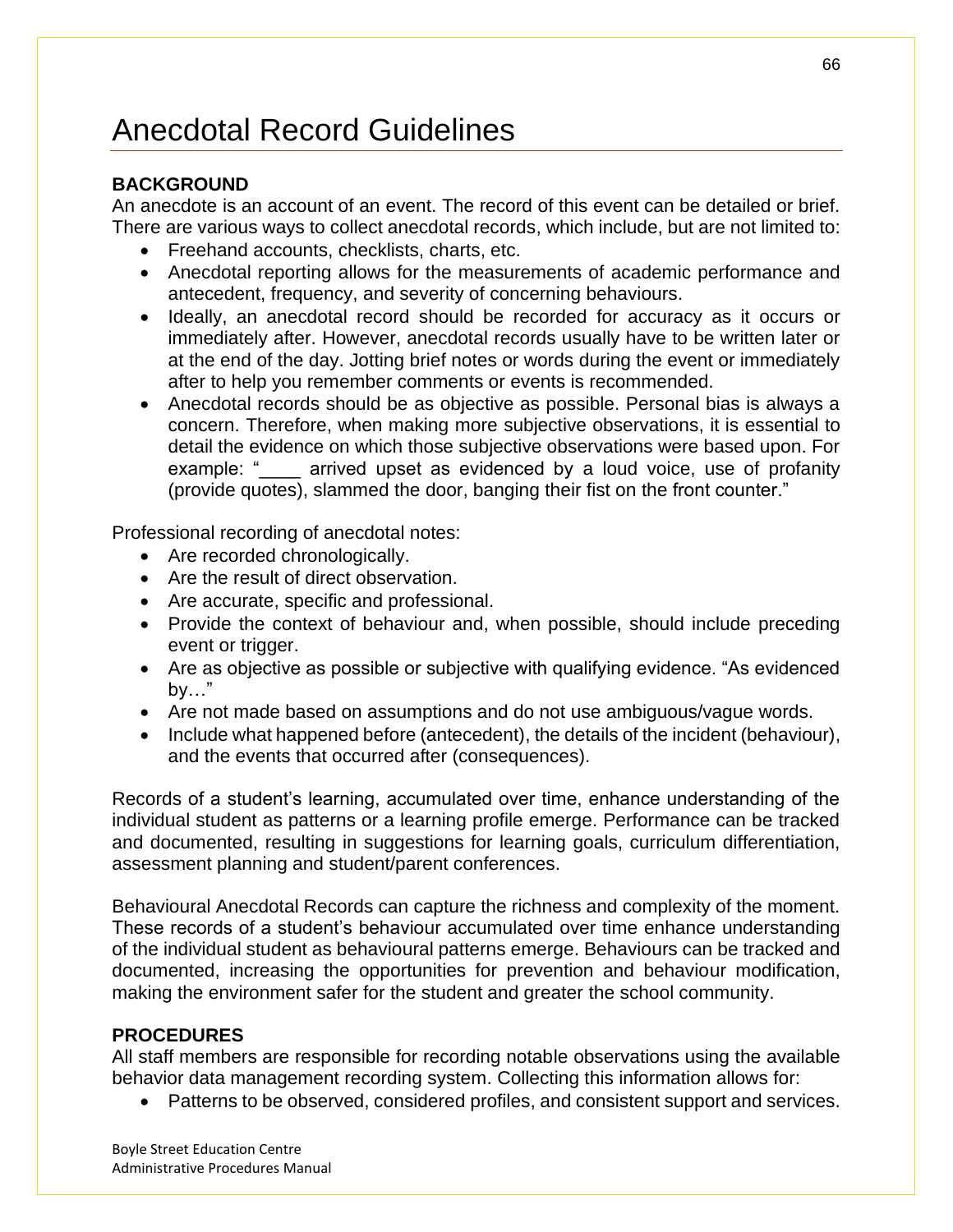# Anecdotal Record Guidelines

## **BACKGROUND**

An anecdote is an account of an event. The record of this event can be detailed or brief. There are various ways to collect anecdotal records, which include, but are not limited to:

- Freehand accounts, checklists, charts, etc.
- Anecdotal reporting allows for the measurements of academic performance and antecedent, frequency, and severity of concerning behaviours.
- Ideally, an anecdotal record should be recorded for accuracy as it occurs or immediately after. However, anecdotal records usually have to be written later or at the end of the day. Jotting brief notes or words during the event or immediately after to help you remember comments or events is recommended.
- Anecdotal records should be as objective as possible. Personal bias is always a concern. Therefore, when making more subjective observations, it is essential to detail the evidence on which those subjective observations were based upon. For example: "\_\_\_\_ arrived upset as evidenced by a loud voice, use of profanity (provide quotes), slammed the door, banging their fist on the front counter."

Professional recording of anecdotal notes:

- Are recorded chronologically.
- Are the result of direct observation.
- Are accurate, specific and professional.
- Provide the context of behaviour and, when possible, should include preceding event or trigger.
- Are as objective as possible or subjective with qualifying evidence. "As evidenced by…"
- Are not made based on assumptions and do not use ambiguous/vague words.
- Include what happened before (antecedent), the details of the incident (behaviour), and the events that occurred after (consequences).

Records of a student's learning, accumulated over time, enhance understanding of the individual student as patterns or a learning profile emerge. Performance can be tracked and documented, resulting in suggestions for learning goals, curriculum differentiation, assessment planning and student/parent conferences.

Behavioural Anecdotal Records can capture the richness and complexity of the moment. These records of a student's behaviour accumulated over time enhance understanding of the individual student as behavioural patterns emerge. Behaviours can be tracked and documented, increasing the opportunities for prevention and behaviour modification, making the environment safer for the student and greater the school community.

## **PROCEDURES**

All staff members are responsible for recording notable observations using the available behavior data management recording system. Collecting this information allows for:

• Patterns to be observed, considered profiles, and consistent support and services.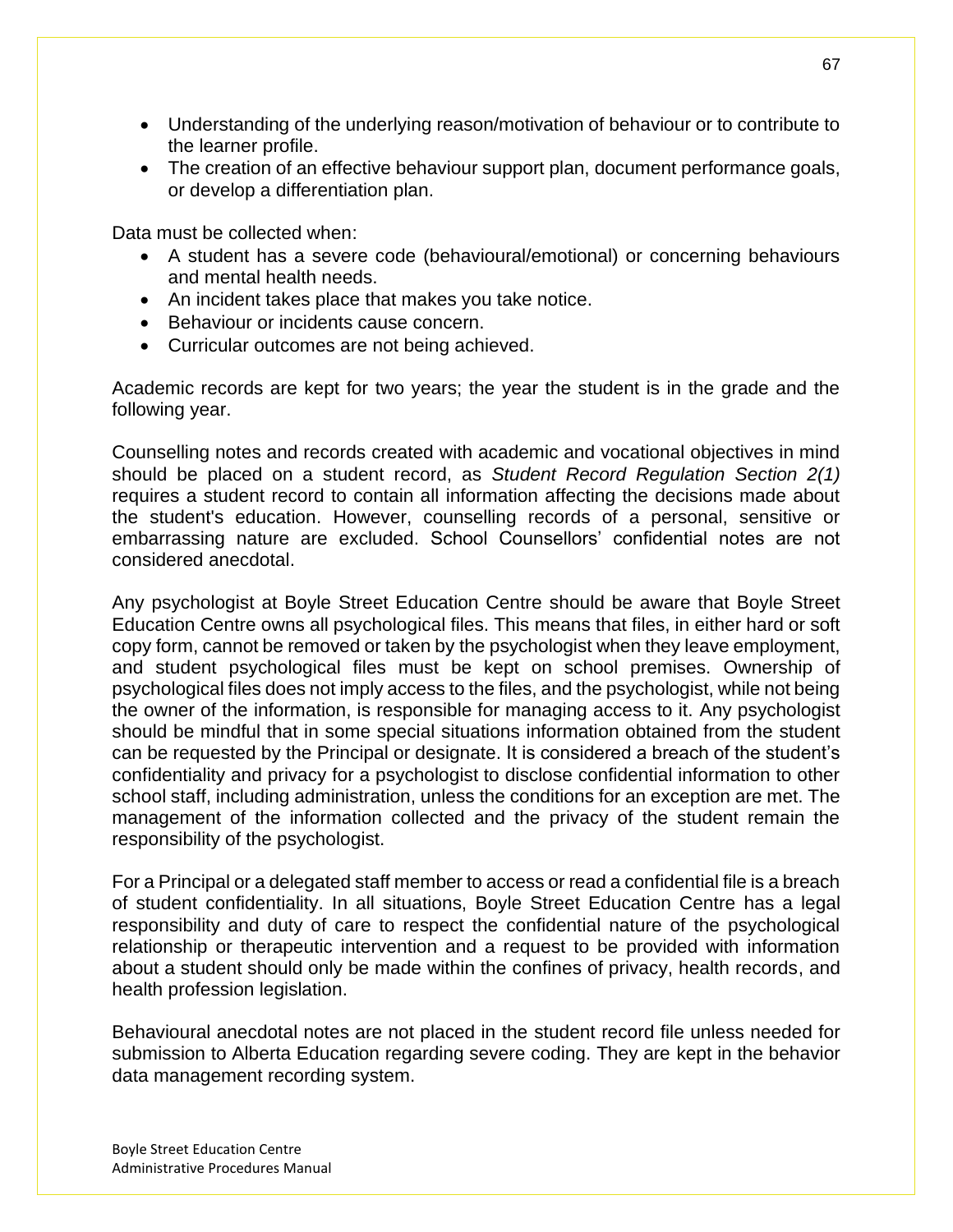- Understanding of the underlying reason/motivation of behaviour or to contribute to the learner profile.
- The creation of an effective behaviour support plan, document performance goals, or develop a differentiation plan.

Data must be collected when:

- A student has a severe code (behavioural/emotional) or concerning behaviours and mental health needs.
- An incident takes place that makes you take notice.
- Behaviour or incidents cause concern.
- Curricular outcomes are not being achieved.

Academic records are kept for two years; the year the student is in the grade and the following year.

Counselling notes and records created with academic and vocational objectives in mind should be placed on a student record, as *Student Record Regulation Section 2(1)*  requires a student record to contain all information affecting the decisions made about the student's education. However, counselling records of a personal, sensitive or embarrassing nature are excluded. School Counsellors' confidential notes are not considered anecdotal.

Any psychologist at Boyle Street Education Centre should be aware that Boyle Street Education Centre owns all psychological files. This means that files, in either hard or soft copy form, cannot be removed or taken by the psychologist when they leave employment, and student psychological files must be kept on school premises. Ownership of psychological files does not imply access to the files, and the psychologist, while not being the owner of the information, is responsible for managing access to it. Any psychologist should be mindful that in some special situations information obtained from the student can be requested by the Principal or designate. It is considered a breach of the student's confidentiality and privacy for a psychologist to disclose confidential information to other school staff, including administration, unless the conditions for an exception are met. The management of the information collected and the privacy of the student remain the responsibility of the psychologist.

For a Principal or a delegated staff member to access or read a confidential file is a breach of student confidentiality. In all situations, Boyle Street Education Centre has a legal responsibility and duty of care to respect the confidential nature of the psychological relationship or therapeutic intervention and a request to be provided with information about a student should only be made within the confines of privacy, health records, and health profession legislation.

Behavioural anecdotal notes are not placed in the student record file unless needed for submission to Alberta Education regarding severe coding. They are kept in the behavior data management recording system.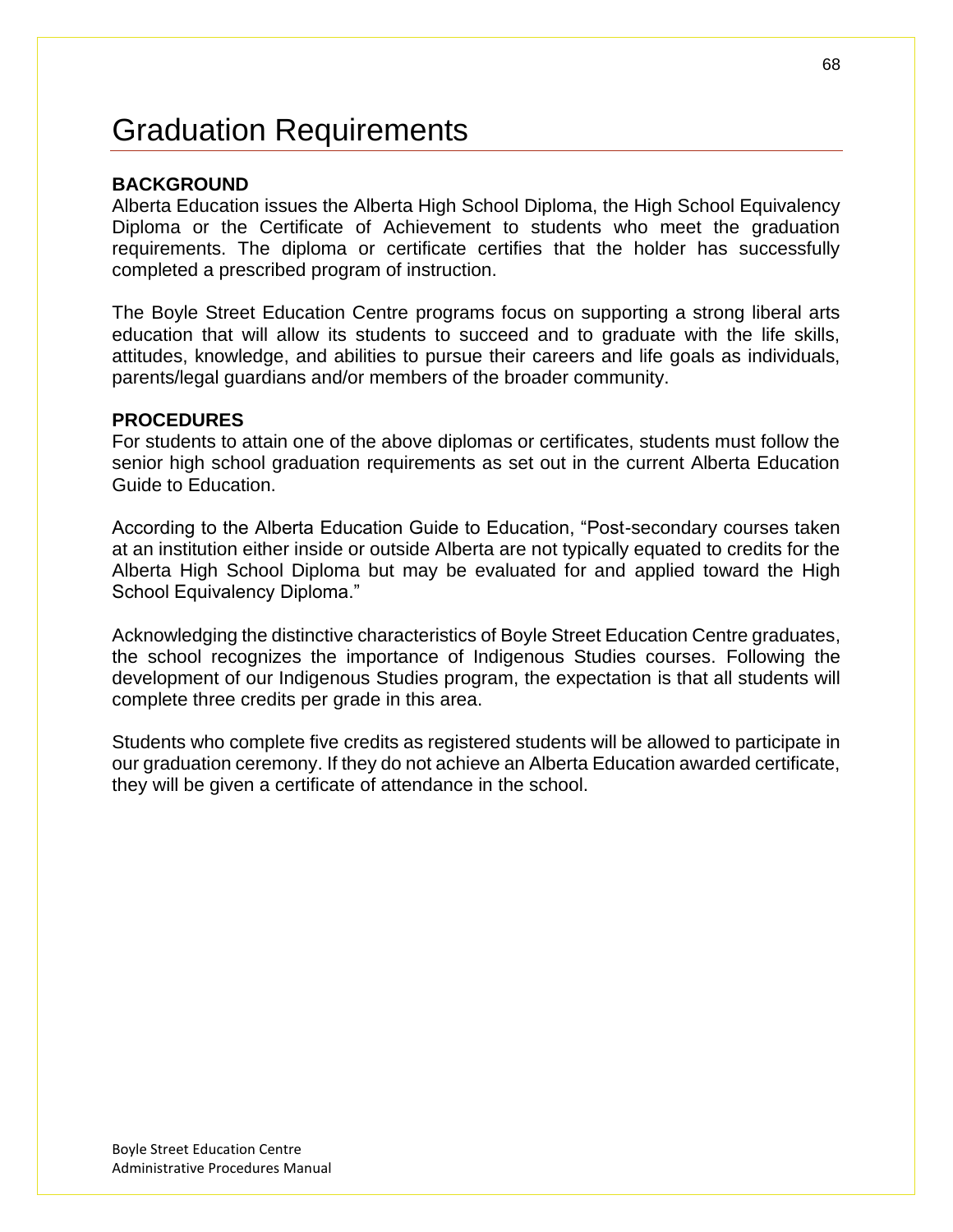# Graduation Requirements

### **BACKGROUND**

Alberta Education issues the Alberta High School Diploma, the High School Equivalency Diploma or the Certificate of Achievement to students who meet the graduation requirements. The diploma or certificate certifies that the holder has successfully completed a prescribed program of instruction.

The Boyle Street Education Centre programs focus on supporting a strong liberal arts education that will allow its students to succeed and to graduate with the life skills, attitudes, knowledge, and abilities to pursue their careers and life goals as individuals, parents/legal guardians and/or members of the broader community.

#### **PROCEDURES**

For students to attain one of the above diplomas or certificates, students must follow the senior high school graduation requirements as set out in the current Alberta Education Guide to Education.

According to the Alberta Education Guide to Education, "Post-secondary courses taken at an institution either inside or outside Alberta are not typically equated to credits for the Alberta High School Diploma but may be evaluated for and applied toward the High School Equivalency Diploma."

Acknowledging the distinctive characteristics of Boyle Street Education Centre graduates, the school recognizes the importance of Indigenous Studies courses. Following the development of our Indigenous Studies program, the expectation is that all students will complete three credits per grade in this area.

Students who complete five credits as registered students will be allowed to participate in our graduation ceremony. If they do not achieve an Alberta Education awarded certificate, they will be given a certificate of attendance in the school.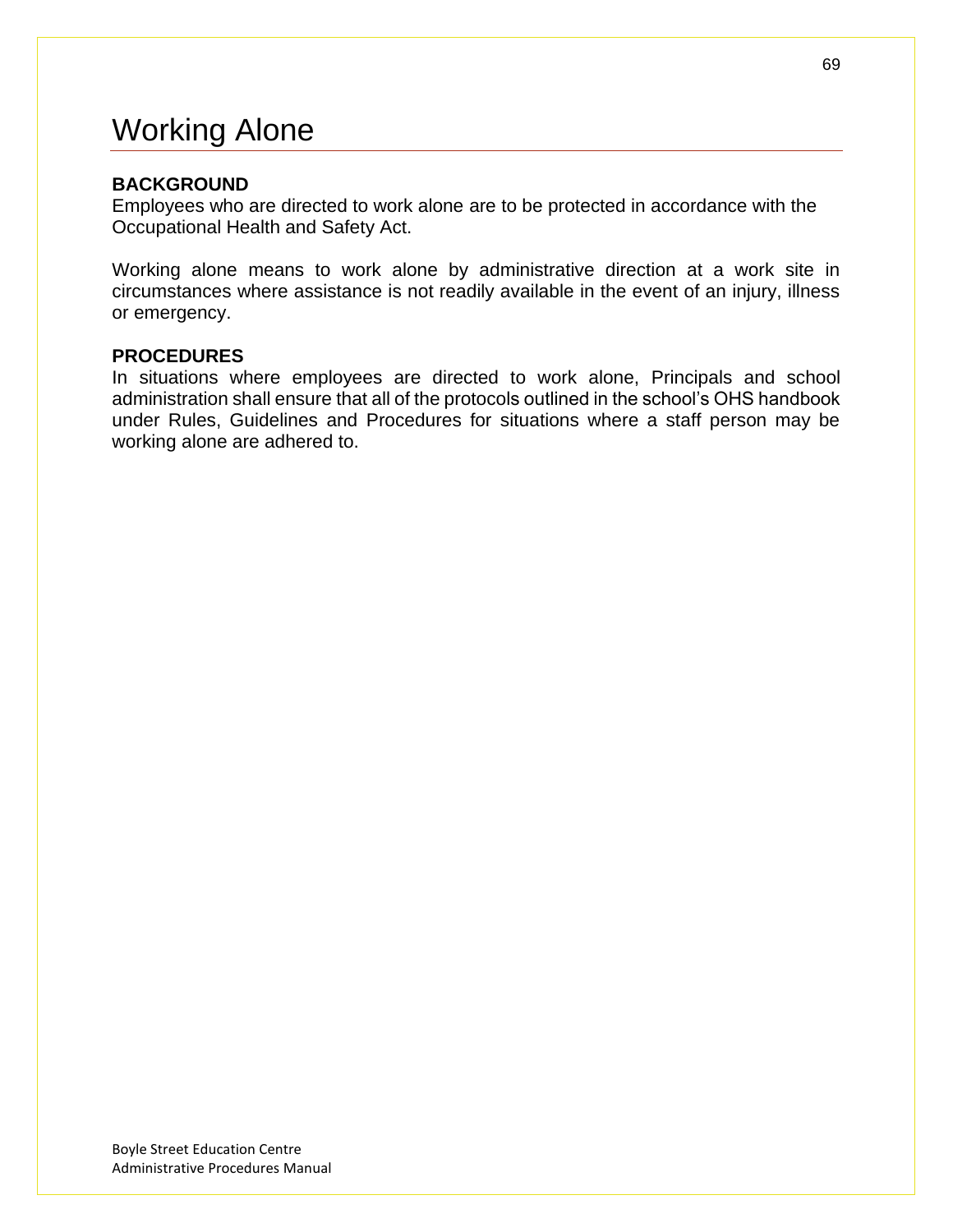# Working Alone

### **BACKGROUND**

Employees who are directed to work alone are to be protected in accordance with the Occupational Health and Safety Act.

Working alone means to work alone by administrative direction at a work site in circumstances where assistance is not readily available in the event of an injury, illness or emergency.

### **PROCEDURES**

In situations where employees are directed to work alone, Principals and school administration shall ensure that all of the protocols outlined in the school's OHS handbook under Rules, Guidelines and Procedures for situations where a staff person may be working alone are adhered to.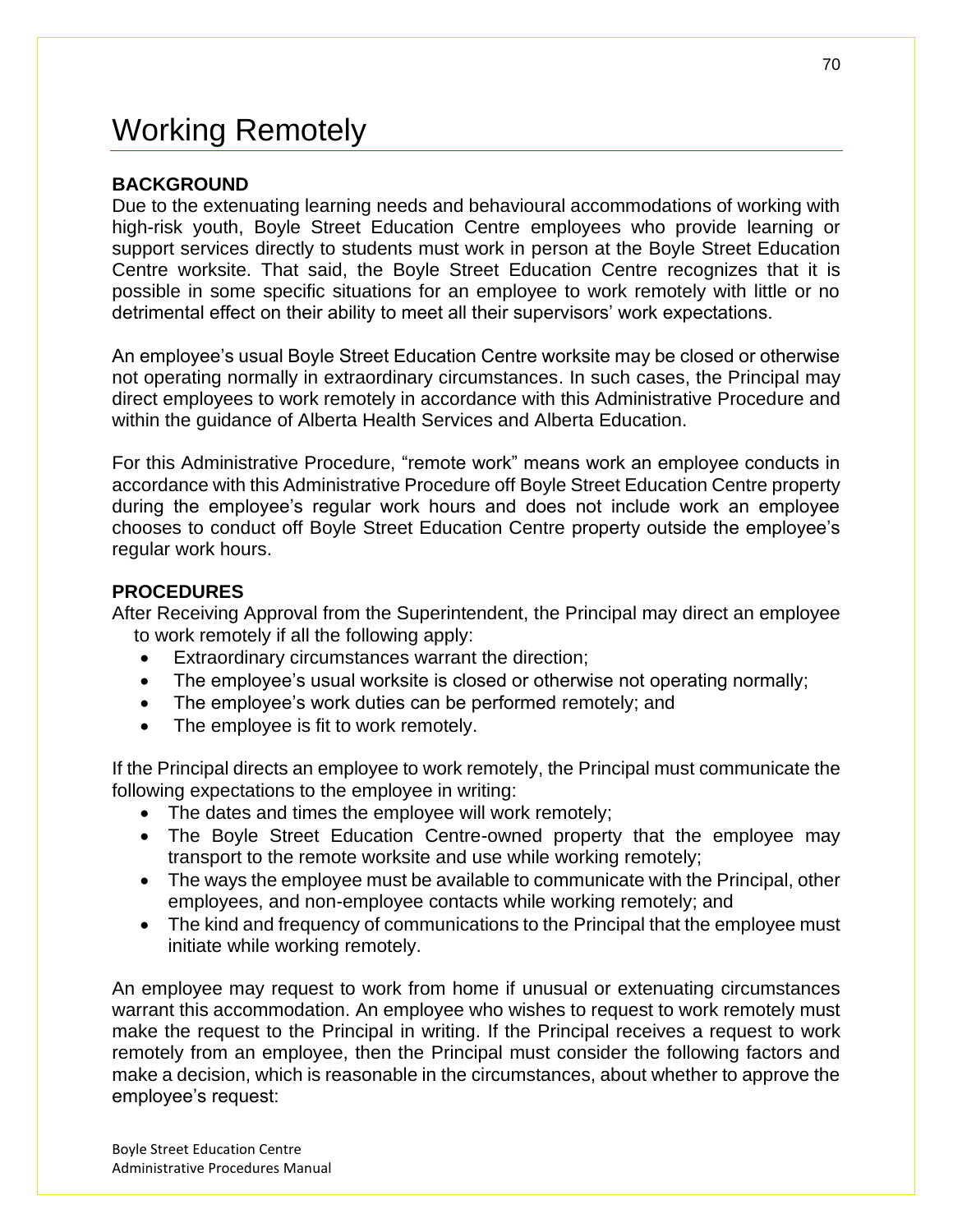# Working Remotely

## **BACKGROUND**

Due to the extenuating learning needs and behavioural accommodations of working with high-risk youth, Boyle Street Education Centre employees who provide learning or support services directly to students must work in person at the Boyle Street Education Centre worksite. That said, the Boyle Street Education Centre recognizes that it is possible in some specific situations for an employee to work remotely with little or no detrimental effect on their ability to meet all their supervisors' work expectations.

An employee's usual Boyle Street Education Centre worksite may be closed or otherwise not operating normally in extraordinary circumstances. In such cases, the Principal may direct employees to work remotely in accordance with this Administrative Procedure and within the guidance of Alberta Health Services and Alberta Education.

For this Administrative Procedure, "remote work" means work an employee conducts in accordance with this Administrative Procedure off Boyle Street Education Centre property during the employee's regular work hours and does not include work an employee chooses to conduct off Boyle Street Education Centre property outside the employee's regular work hours.

### **PROCEDURES**

After Receiving Approval from the Superintendent, the Principal may direct an employee to work remotely if all the following apply:

- Extraordinary circumstances warrant the direction;
- The employee's usual worksite is closed or otherwise not operating normally;
- The employee's work duties can be performed remotely; and
- The employee is fit to work remotely.

If the Principal directs an employee to work remotely, the Principal must communicate the following expectations to the employee in writing:

- The dates and times the employee will work remotely;
- The Boyle Street Education Centre-owned property that the employee may transport to the remote worksite and use while working remotely;
- The ways the employee must be available to communicate with the Principal, other employees, and non-employee contacts while working remotely; and
- The kind and frequency of communications to the Principal that the employee must initiate while working remotely.

An employee may request to work from home if unusual or extenuating circumstances warrant this accommodation. An employee who wishes to request to work remotely must make the request to the Principal in writing. If the Principal receives a request to work remotely from an employee, then the Principal must consider the following factors and make a decision, which is reasonable in the circumstances, about whether to approve the employee's request: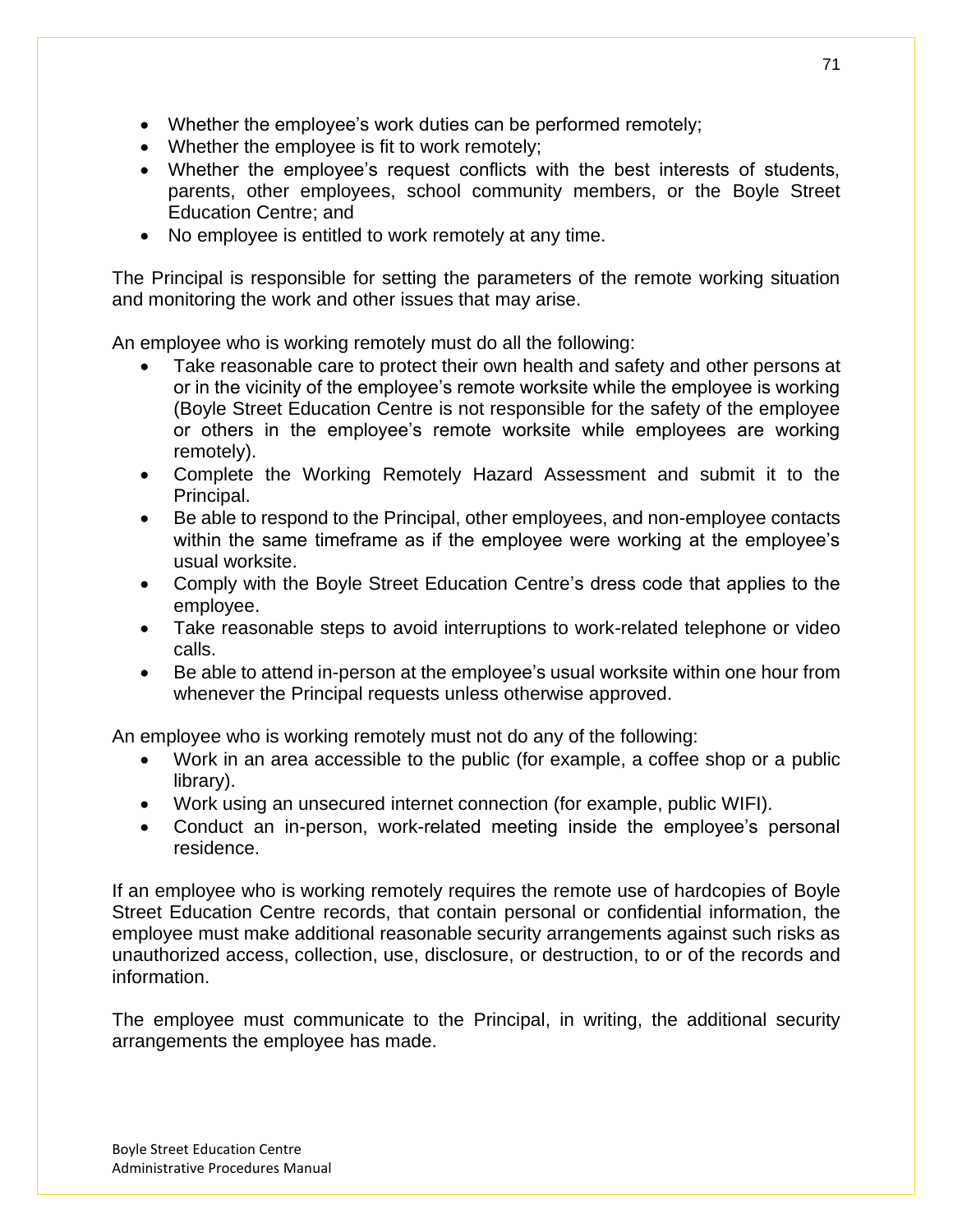- Whether the employee's work duties can be performed remotely;
- Whether the employee is fit to work remotely;
- Whether the employee's request conflicts with the best interests of students, parents, other employees, school community members, or the Boyle Street Education Centre; and
- No employee is entitled to work remotely at any time.

The Principal is responsible for setting the parameters of the remote working situation and monitoring the work and other issues that may arise.

An employee who is working remotely must do all the following:

- Take reasonable care to protect their own health and safety and other persons at or in the vicinity of the employee's remote worksite while the employee is working (Boyle Street Education Centre is not responsible for the safety of the employee or others in the employee's remote worksite while employees are working remotely).
- Complete the Working Remotely Hazard Assessment and submit it to the Principal.
- Be able to respond to the Principal, other employees, and non-employee contacts within the same timeframe as if the employee were working at the employee's usual worksite.
- Comply with the Boyle Street Education Centre's dress code that applies to the employee.
- Take reasonable steps to avoid interruptions to work-related telephone or video calls.
- Be able to attend in-person at the employee's usual worksite within one hour from whenever the Principal requests unless otherwise approved.

An employee who is working remotely must not do any of the following:

- Work in an area accessible to the public (for example, a coffee shop or a public library).
- Work using an unsecured internet connection (for example, public WIFI).
- Conduct an in-person, work-related meeting inside the employee's personal residence.

If an employee who is working remotely requires the remote use of hardcopies of Boyle Street Education Centre records, that contain personal or confidential information, the employee must make additional reasonable security arrangements against such risks as unauthorized access, collection, use, disclosure, or destruction, to or of the records and information.

The employee must communicate to the Principal, in writing, the additional security arrangements the employee has made.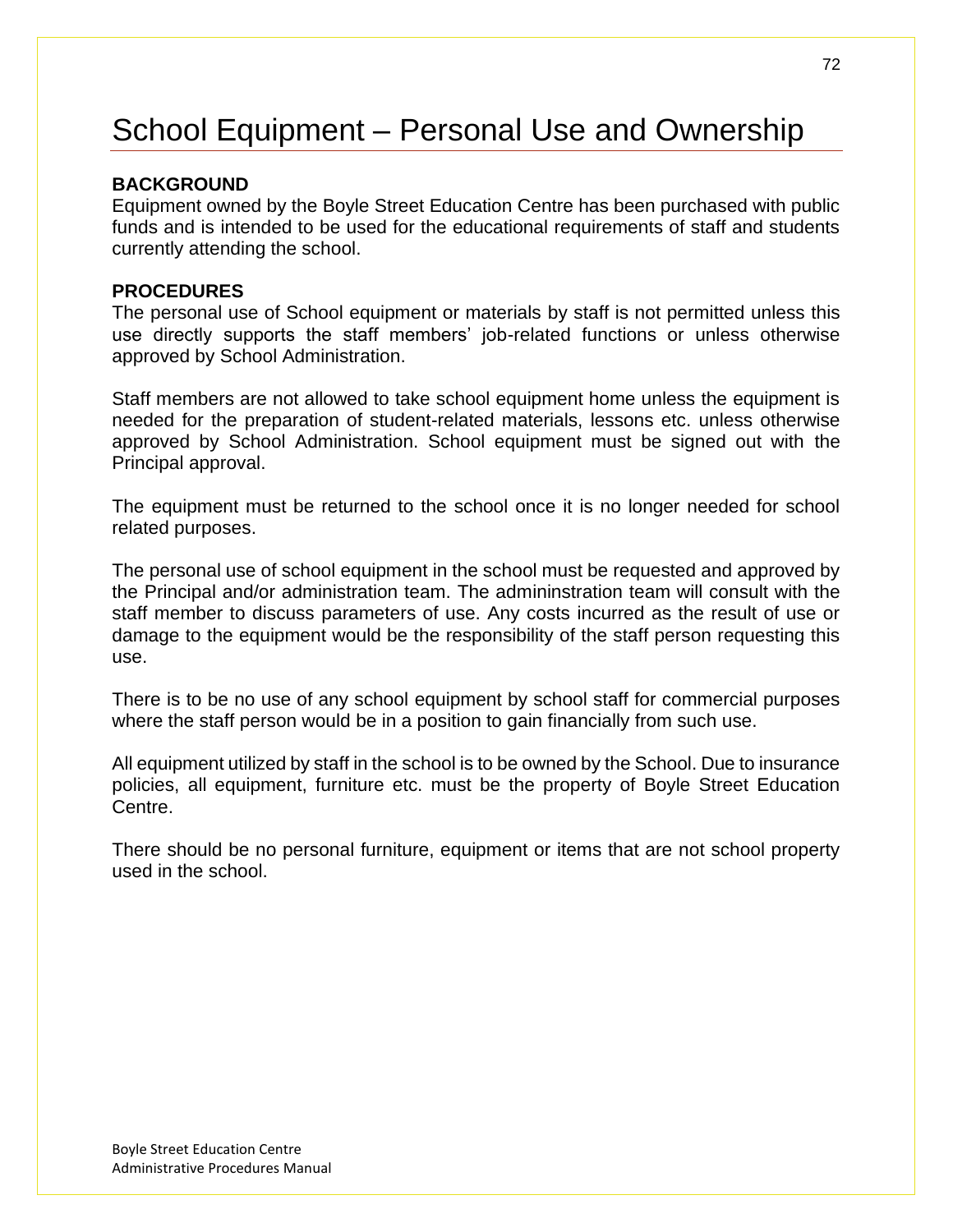# School Equipment – Personal Use and Ownership

### **BACKGROUND**

Equipment owned by the Boyle Street Education Centre has been purchased with public funds and is intended to be used for the educational requirements of staff and students currently attending the school.

## **PROCEDURES**

The personal use of School equipment or materials by staff is not permitted unless this use directly supports the staff members' job-related functions or unless otherwise approved by School Administration.

Staff members are not allowed to take school equipment home unless the equipment is needed for the preparation of student-related materials, lessons etc. unless otherwise approved by School Administration. School equipment must be signed out with the Principal approval.

The equipment must be returned to the school once it is no longer needed for school related purposes.

The personal use of school equipment in the school must be requested and approved by the Principal and/or administration team. The admininstration team will consult with the staff member to discuss parameters of use. Any costs incurred as the result of use or damage to the equipment would be the responsibility of the staff person requesting this use.

There is to be no use of any school equipment by school staff for commercial purposes where the staff person would be in a position to gain financially from such use.

All equipment utilized by staff in the school is to be owned by the School. Due to insurance policies, all equipment, furniture etc. must be the property of Boyle Street Education Centre.

There should be no personal furniture, equipment or items that are not school property used in the school.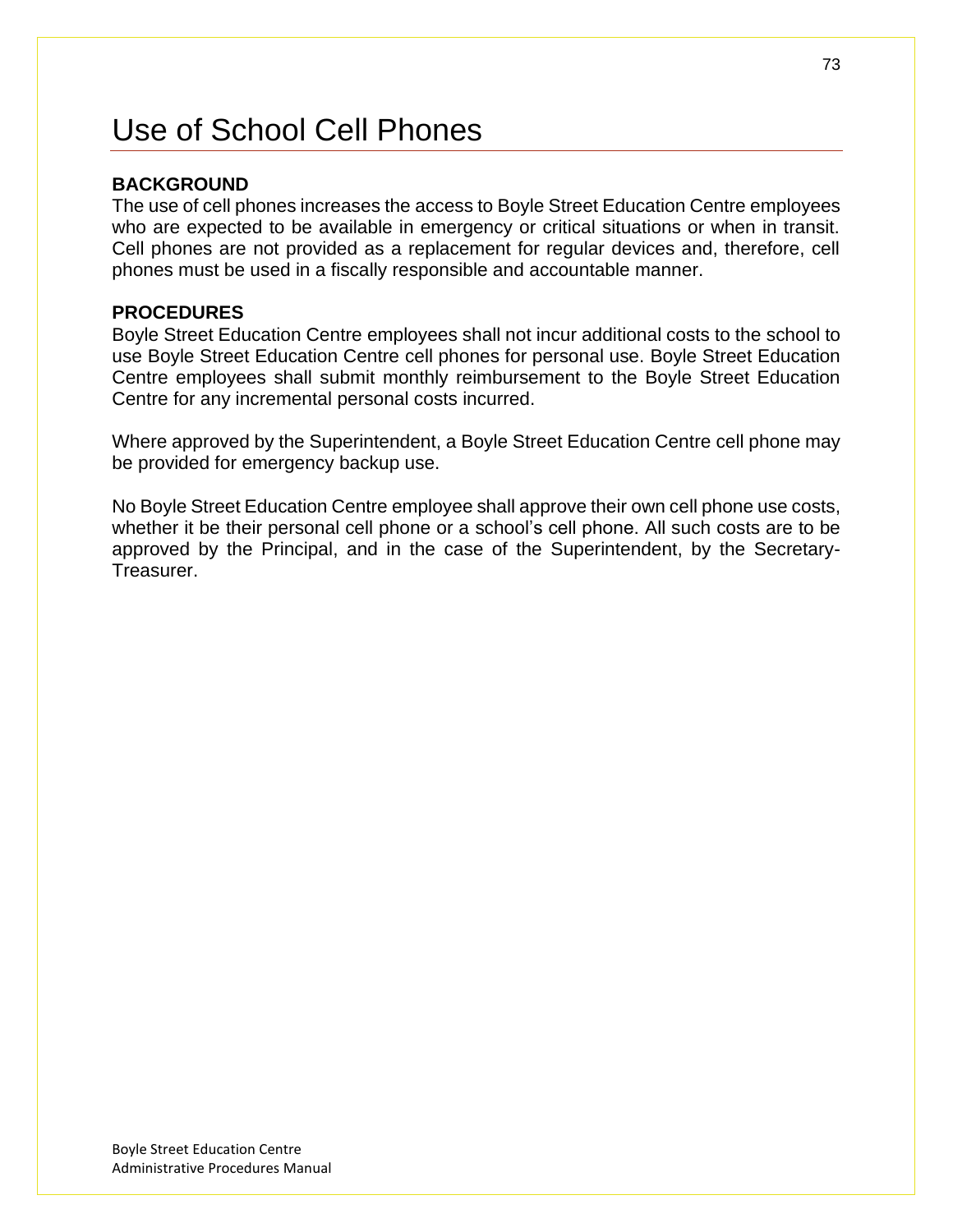# Use of School Cell Phones

### **BACKGROUND**

The use of cell phones increases the access to Boyle Street Education Centre employees who are expected to be available in emergency or critical situations or when in transit. Cell phones are not provided as a replacement for regular devices and, therefore, cell phones must be used in a fiscally responsible and accountable manner.

#### **PROCEDURES**

Boyle Street Education Centre employees shall not incur additional costs to the school to use Boyle Street Education Centre cell phones for personal use. Boyle Street Education Centre employees shall submit monthly reimbursement to the Boyle Street Education Centre for any incremental personal costs incurred.

Where approved by the Superintendent, a Boyle Street Education Centre cell phone may be provided for emergency backup use.

No Boyle Street Education Centre employee shall approve their own cell phone use costs, whether it be their personal cell phone or a school's cell phone. All such costs are to be approved by the Principal, and in the case of the Superintendent, by the Secretary-Treasurer.

73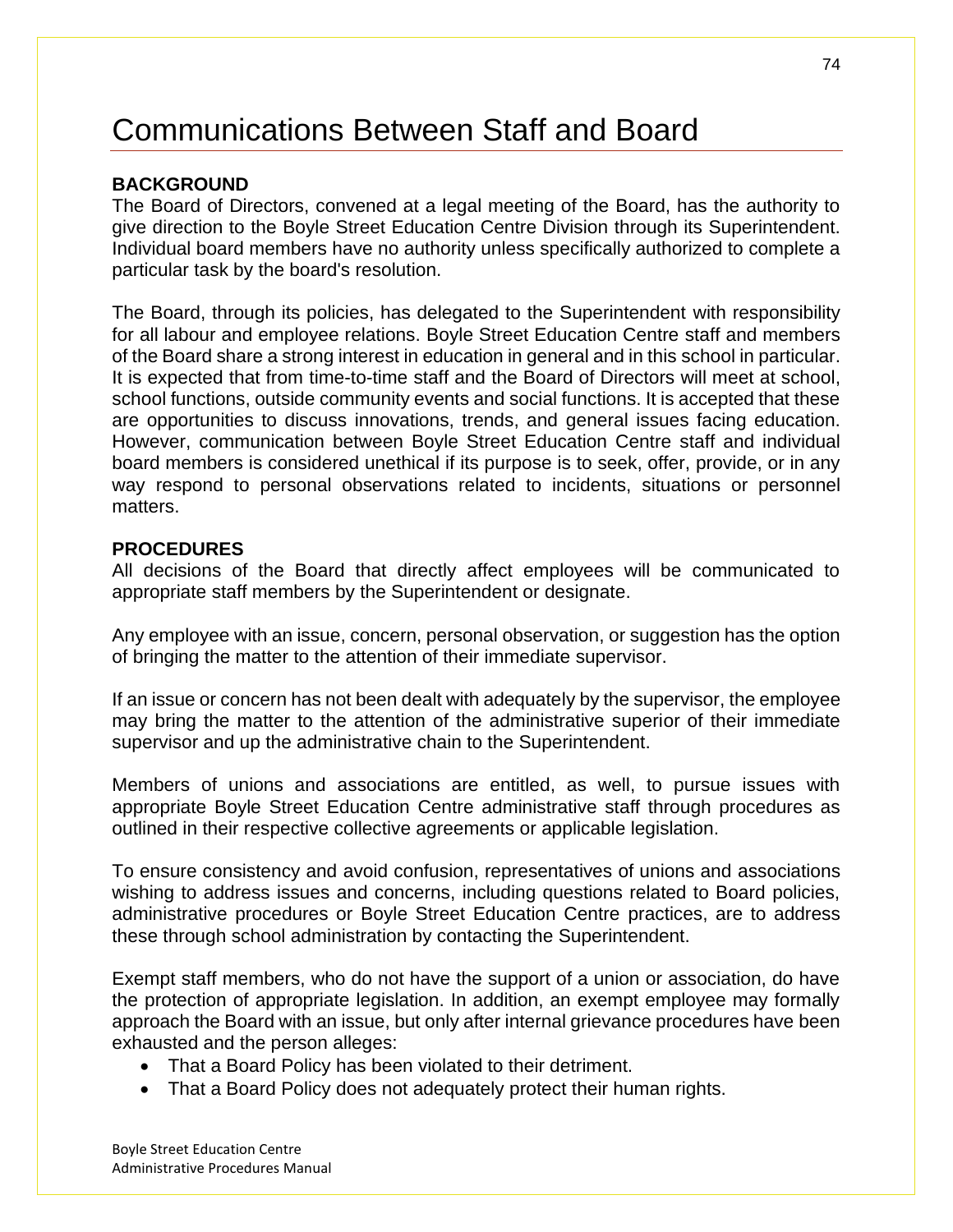# Communications Between Staff and Board

### **BACKGROUND**

The Board of Directors, convened at a legal meeting of the Board, has the authority to give direction to the Boyle Street Education Centre Division through its Superintendent. Individual board members have no authority unless specifically authorized to complete a particular task by the board's resolution.

The Board, through its policies, has delegated to the Superintendent with responsibility for all labour and employee relations. Boyle Street Education Centre staff and members of the Board share a strong interest in education in general and in this school in particular. It is expected that from time-to-time staff and the Board of Directors will meet at school, school functions, outside community events and social functions. It is accepted that these are opportunities to discuss innovations, trends, and general issues facing education. However, communication between Boyle Street Education Centre staff and individual board members is considered unethical if its purpose is to seek, offer, provide, or in any way respond to personal observations related to incidents, situations or personnel matters.

#### **PROCEDURES**

All decisions of the Board that directly affect employees will be communicated to appropriate staff members by the Superintendent or designate.

Any employee with an issue, concern, personal observation, or suggestion has the option of bringing the matter to the attention of their immediate supervisor.

If an issue or concern has not been dealt with adequately by the supervisor, the employee may bring the matter to the attention of the administrative superior of their immediate supervisor and up the administrative chain to the Superintendent.

Members of unions and associations are entitled, as well, to pursue issues with appropriate Boyle Street Education Centre administrative staff through procedures as outlined in their respective collective agreements or applicable legislation.

To ensure consistency and avoid confusion, representatives of unions and associations wishing to address issues and concerns, including questions related to Board policies, administrative procedures or Boyle Street Education Centre practices, are to address these through school administration by contacting the Superintendent.

Exempt staff members, who do not have the support of a union or association, do have the protection of appropriate legislation. In addition, an exempt employee may formally approach the Board with an issue, but only after internal grievance procedures have been exhausted and the person alleges:

- That a Board Policy has been violated to their detriment.
- That a Board Policy does not adequately protect their human rights.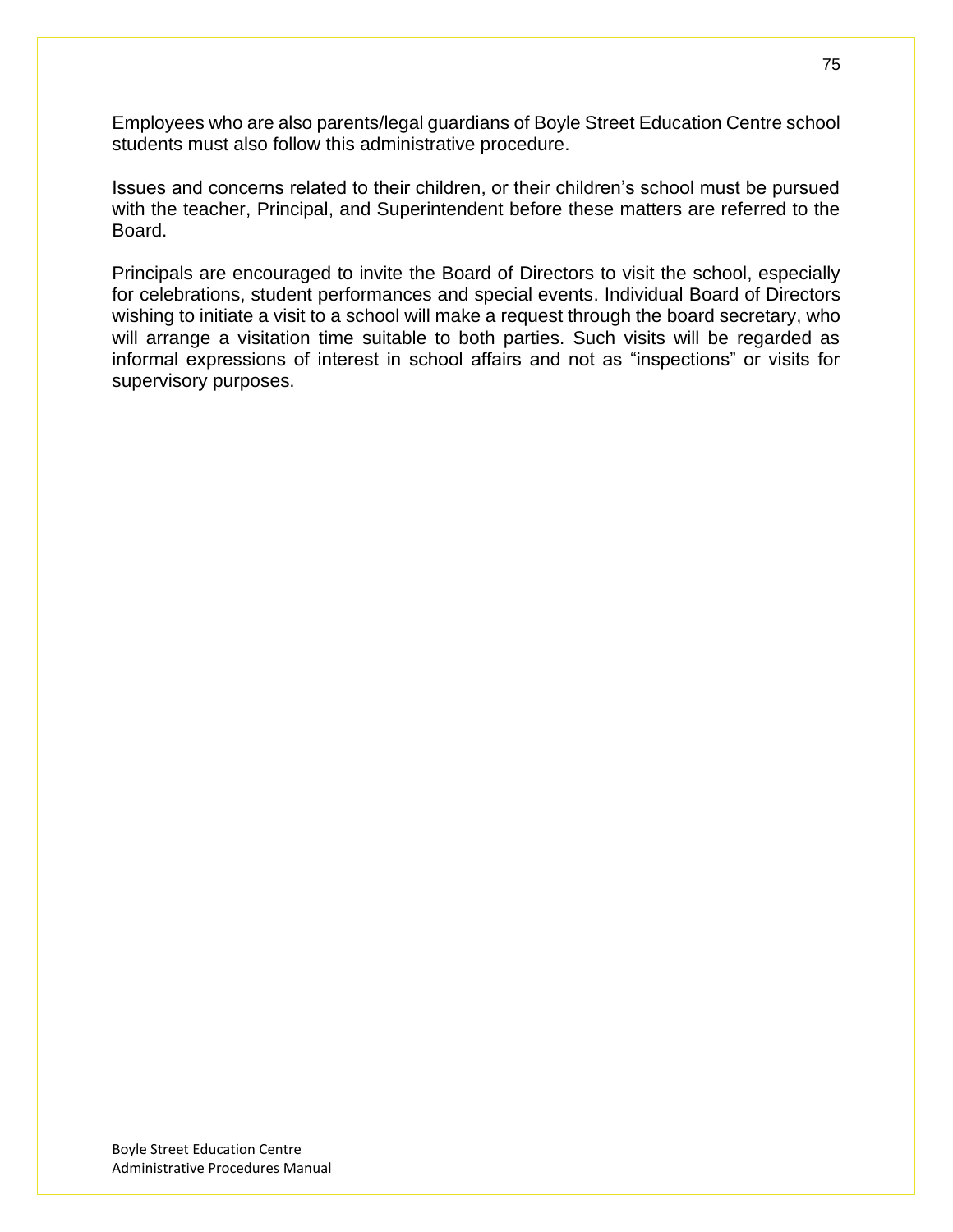Employees who are also parents/legal guardians of Boyle Street Education Centre school students must also follow this administrative procedure.

Issues and concerns related to their children, or their children's school must be pursued with the teacher, Principal, and Superintendent before these matters are referred to the Board.

Principals are encouraged to invite the Board of Directors to visit the school, especially for celebrations, student performances and special events. Individual Board of Directors wishing to initiate a visit to a school will make a request through the board secretary, who will arrange a visitation time suitable to both parties. Such visits will be regarded as informal expressions of interest in school affairs and not as "inspections" or visits for supervisory purposes.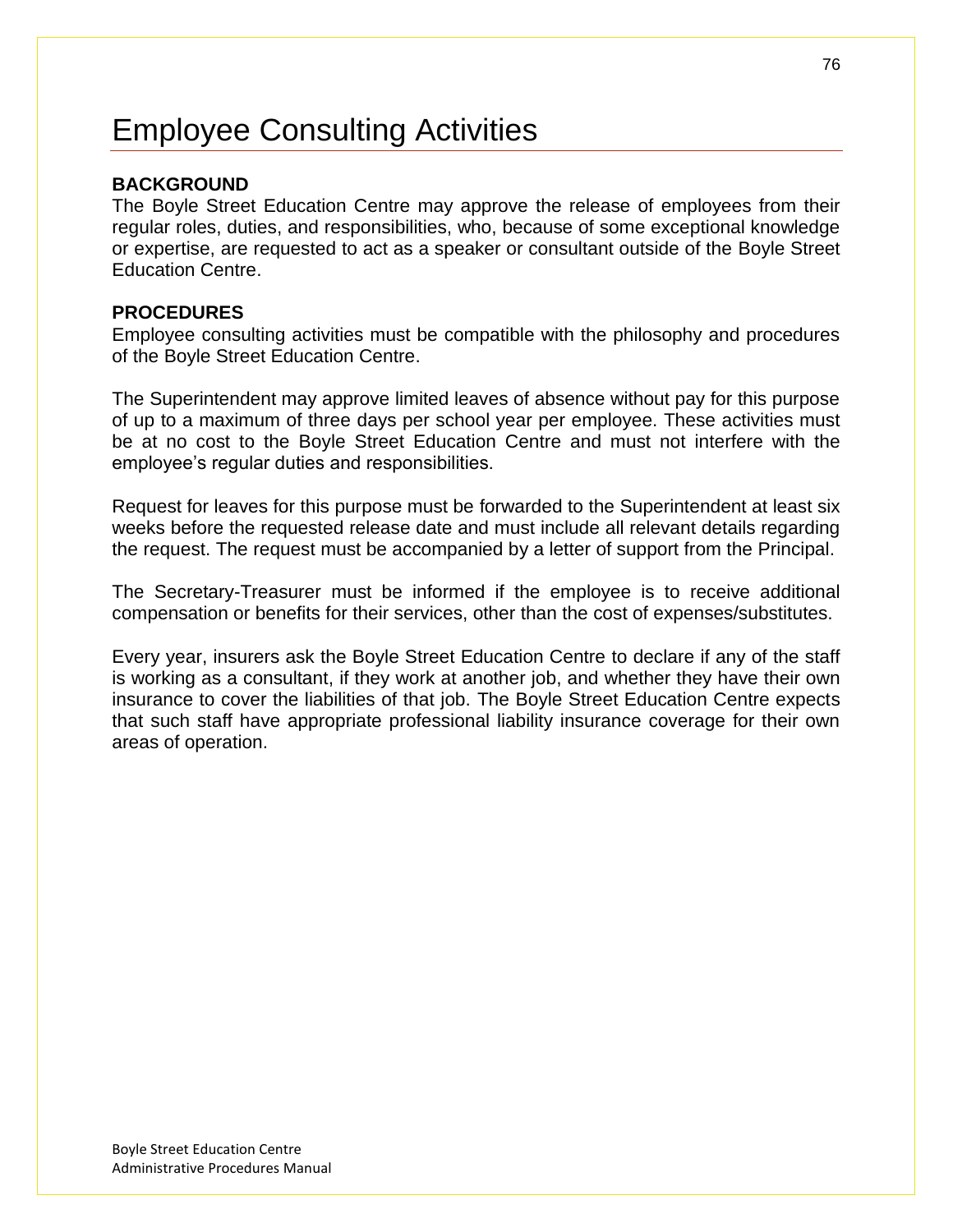# Employee Consulting Activities

#### **BACKGROUND**

The Boyle Street Education Centre may approve the release of employees from their regular roles, duties, and responsibilities, who, because of some exceptional knowledge or expertise, are requested to act as a speaker or consultant outside of the Boyle Street Education Centre.

#### **PROCEDURES**

Employee consulting activities must be compatible with the philosophy and procedures of the Boyle Street Education Centre.

The Superintendent may approve limited leaves of absence without pay for this purpose of up to a maximum of three days per school year per employee. These activities must be at no cost to the Boyle Street Education Centre and must not interfere with the employee's regular duties and responsibilities.

Request for leaves for this purpose must be forwarded to the Superintendent at least six weeks before the requested release date and must include all relevant details regarding the request. The request must be accompanied by a letter of support from the Principal.

The Secretary-Treasurer must be informed if the employee is to receive additional compensation or benefits for their services, other than the cost of expenses/substitutes.

Every year, insurers ask the Boyle Street Education Centre to declare if any of the staff is working as a consultant, if they work at another job, and whether they have their own insurance to cover the liabilities of that job. The Boyle Street Education Centre expects that such staff have appropriate professional liability insurance coverage for their own areas of operation.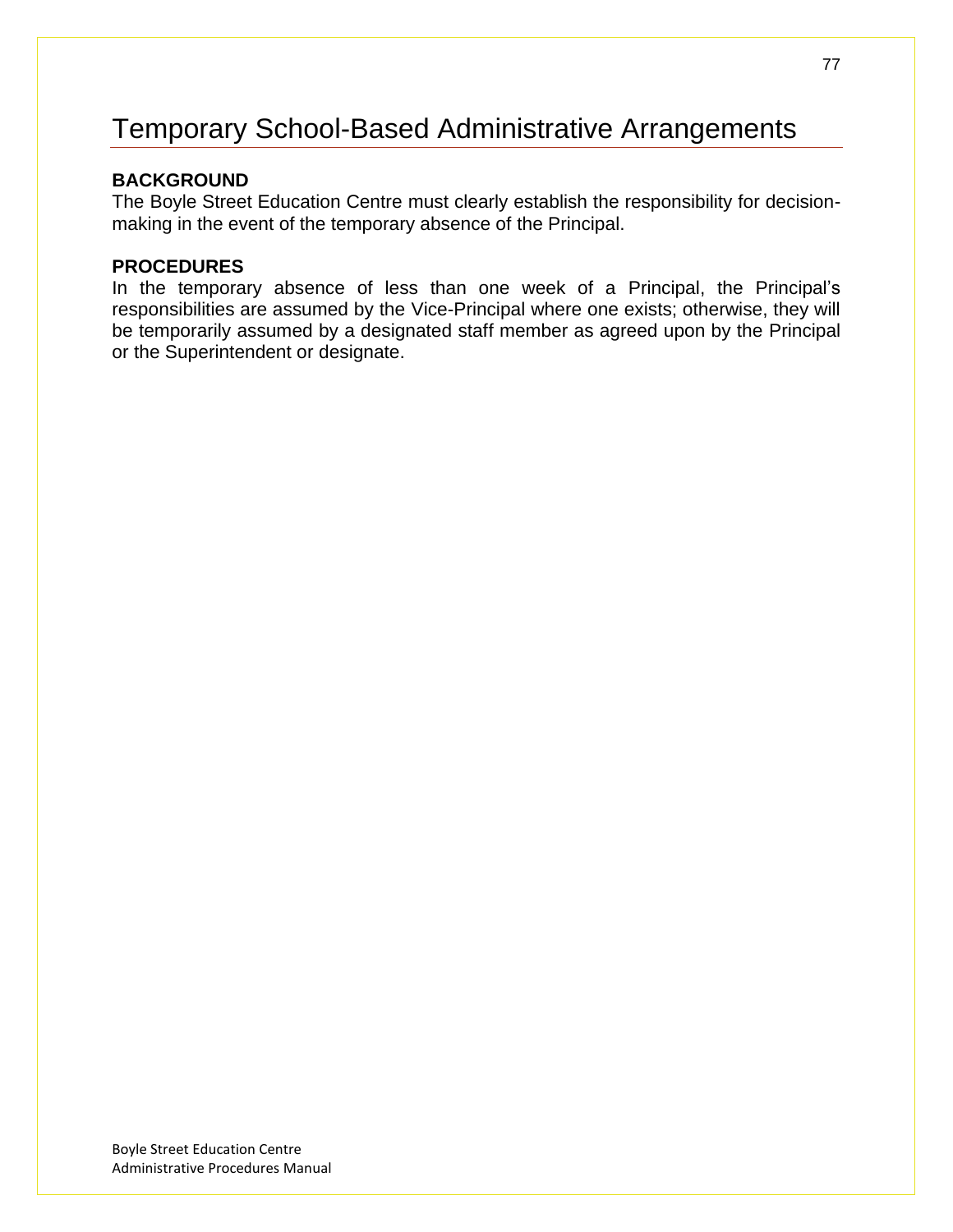# Temporary School-Based Administrative Arrangements

### **BACKGROUND**

The Boyle Street Education Centre must clearly establish the responsibility for decisionmaking in the event of the temporary absence of the Principal.

### **PROCEDURES**

In the temporary absence of less than one week of a Principal, the Principal's responsibilities are assumed by the Vice-Principal where one exists; otherwise, they will be temporarily assumed by a designated staff member as agreed upon by the Principal or the Superintendent or designate.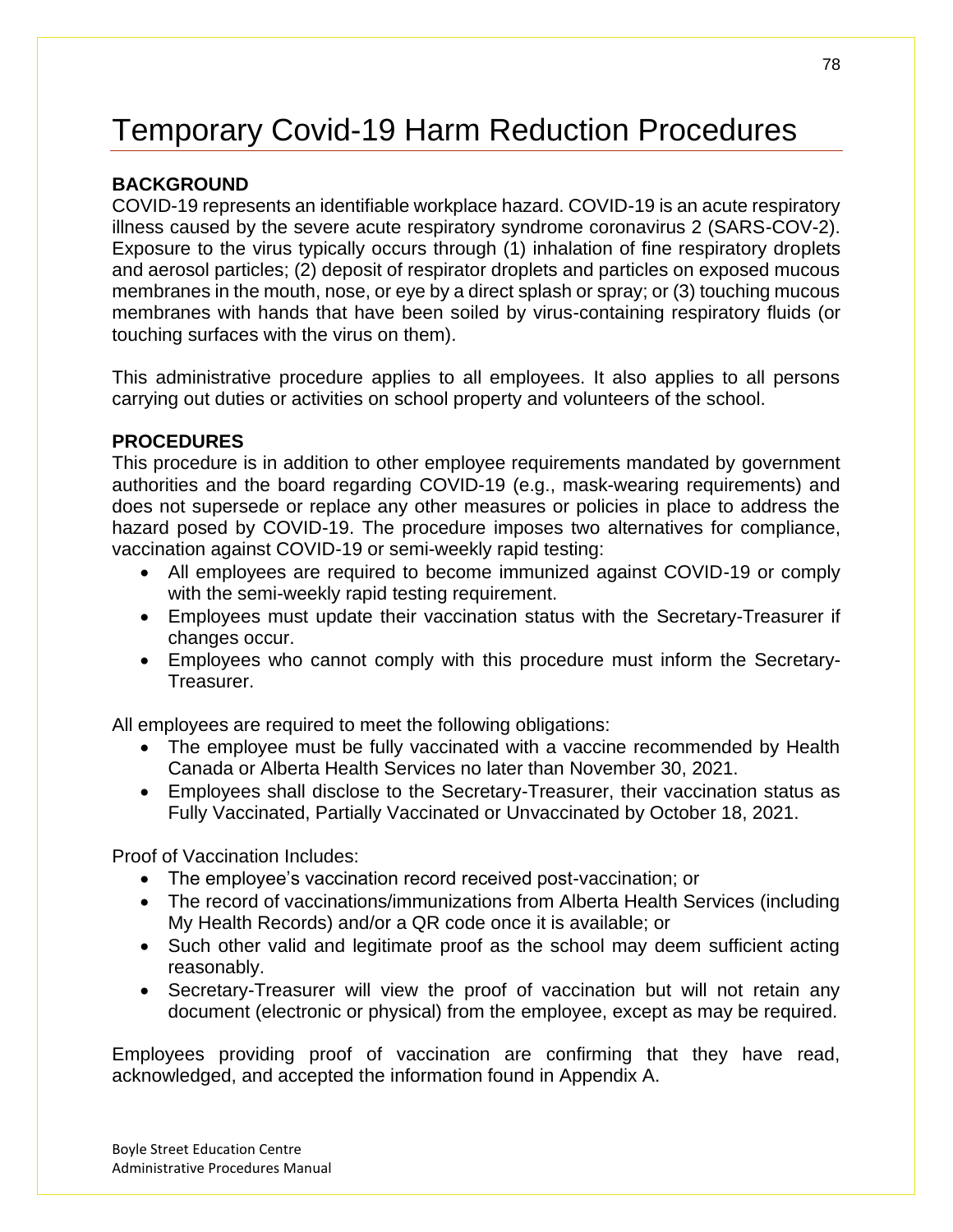# Temporary Covid-19 Harm Reduction Procedures

## **BACKGROUND**

COVID-19 represents an identifiable workplace hazard. COVID-19 is an acute respiratory illness caused by the severe acute respiratory syndrome coronavirus 2 (SARS-COV-2). Exposure to the virus typically occurs through (1) inhalation of fine respiratory droplets and aerosol particles; (2) deposit of respirator droplets and particles on exposed mucous membranes in the mouth, nose, or eye by a direct splash or spray; or (3) touching mucous membranes with hands that have been soiled by virus-containing respiratory fluids (or touching surfaces with the virus on them).

This administrative procedure applies to all employees. It also applies to all persons carrying out duties or activities on school property and volunteers of the school.

### **PROCEDURES**

This procedure is in addition to other employee requirements mandated by government authorities and the board regarding COVID-19 (e.g., mask-wearing requirements) and does not supersede or replace any other measures or policies in place to address the hazard posed by COVID-19. The procedure imposes two alternatives for compliance, vaccination against COVID-19 or semi-weekly rapid testing:

- All employees are required to become immunized against COVID-19 or comply with the semi-weekly rapid testing requirement.
- Employees must update their vaccination status with the Secretary-Treasurer if changes occur.
- Employees who cannot comply with this procedure must inform the Secretary-Treasurer.

All employees are required to meet the following obligations:

- The employee must be fully vaccinated with a vaccine recommended by Health Canada or Alberta Health Services no later than November 30, 2021.
- Employees shall disclose to the Secretary-Treasurer, their vaccination status as Fully Vaccinated, Partially Vaccinated or Unvaccinated by October 18, 2021.

Proof of Vaccination Includes:

- The employee's vaccination record received post-vaccination; or
- The record of vaccinations/immunizations from Alberta Health Services (including My Health Records) and/or a QR code once it is available; or
- Such other valid and legitimate proof as the school may deem sufficient acting reasonably.
- Secretary-Treasurer will view the proof of vaccination but will not retain any document (electronic or physical) from the employee, except as may be required.

Employees providing proof of vaccination are confirming that they have read, acknowledged, and accepted the information found in Appendix A.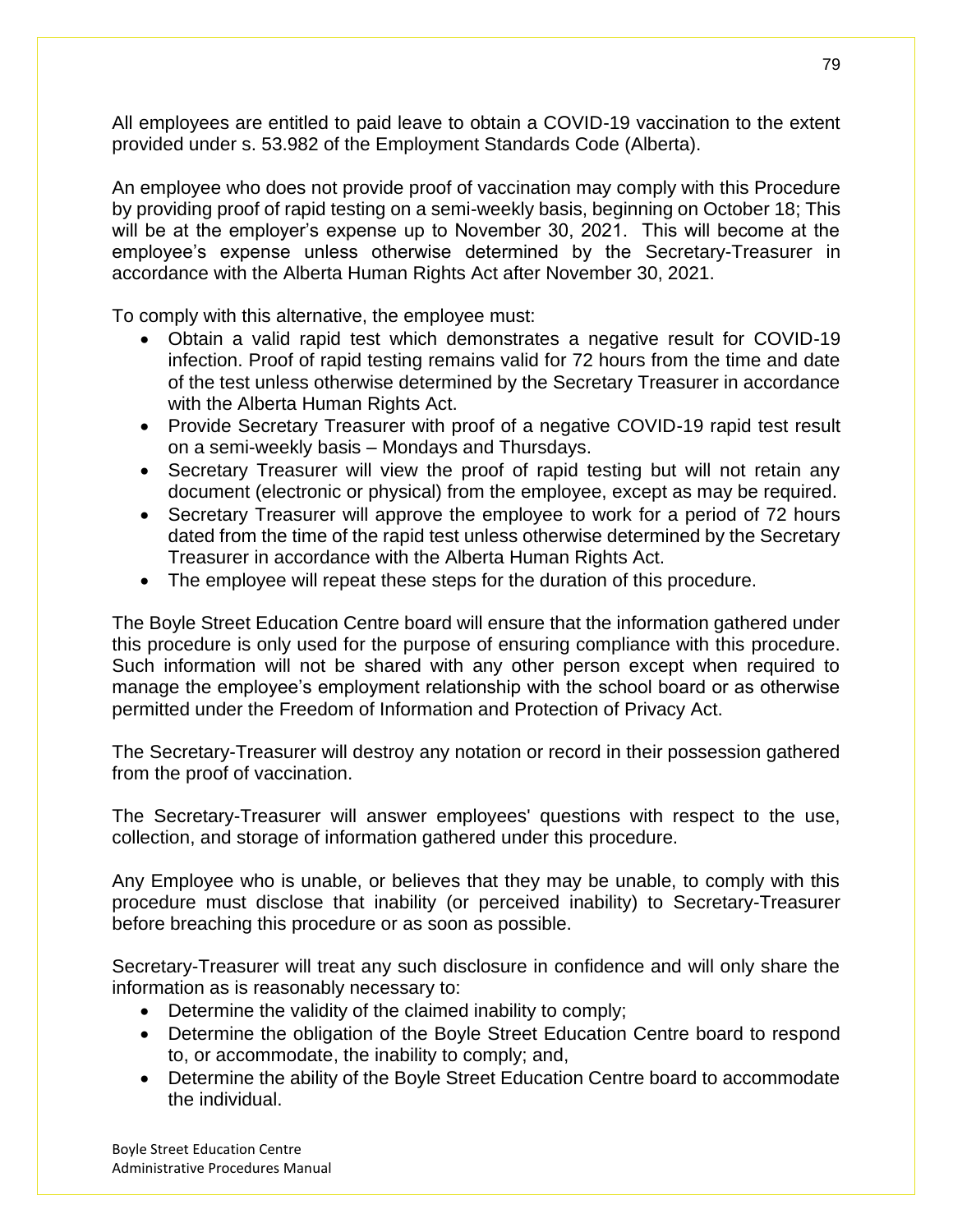All employees are entitled to paid leave to obtain a COVID-19 vaccination to the extent provided under s. 53.982 of the Employment Standards Code (Alberta).

An employee who does not provide proof of vaccination may comply with this Procedure by providing proof of rapid testing on a semi-weekly basis, beginning on October 18; This will be at the employer's expense up to November 30, 2021. This will become at the employee's expense unless otherwise determined by the Secretary-Treasurer in accordance with the Alberta Human Rights Act after November 30, 2021.

To comply with this alternative, the employee must:

- Obtain a valid rapid test which demonstrates a negative result for COVID-19 infection. Proof of rapid testing remains valid for 72 hours from the time and date of the test unless otherwise determined by the Secretary Treasurer in accordance with the Alberta Human Rights Act.
- Provide Secretary Treasurer with proof of a negative COVID-19 rapid test result on a semi-weekly basis – Mondays and Thursdays.
- Secretary Treasurer will view the proof of rapid testing but will not retain any document (electronic or physical) from the employee, except as may be required.
- Secretary Treasurer will approve the employee to work for a period of 72 hours dated from the time of the rapid test unless otherwise determined by the Secretary Treasurer in accordance with the Alberta Human Rights Act.
- The employee will repeat these steps for the duration of this procedure.

The Boyle Street Education Centre board will ensure that the information gathered under this procedure is only used for the purpose of ensuring compliance with this procedure. Such information will not be shared with any other person except when required to manage the employee's employment relationship with the school board or as otherwise permitted under the Freedom of Information and Protection of Privacy Act.

The Secretary-Treasurer will destroy any notation or record in their possession gathered from the proof of vaccination.

The Secretary-Treasurer will answer employees' questions with respect to the use, collection, and storage of information gathered under this procedure.

Any Employee who is unable, or believes that they may be unable, to comply with this procedure must disclose that inability (or perceived inability) to Secretary-Treasurer before breaching this procedure or as soon as possible.

Secretary-Treasurer will treat any such disclosure in confidence and will only share the information as is reasonably necessary to:

- Determine the validity of the claimed inability to comply;
- Determine the obligation of the Boyle Street Education Centre board to respond to, or accommodate, the inability to comply; and,
- Determine the ability of the Boyle Street Education Centre board to accommodate the individual.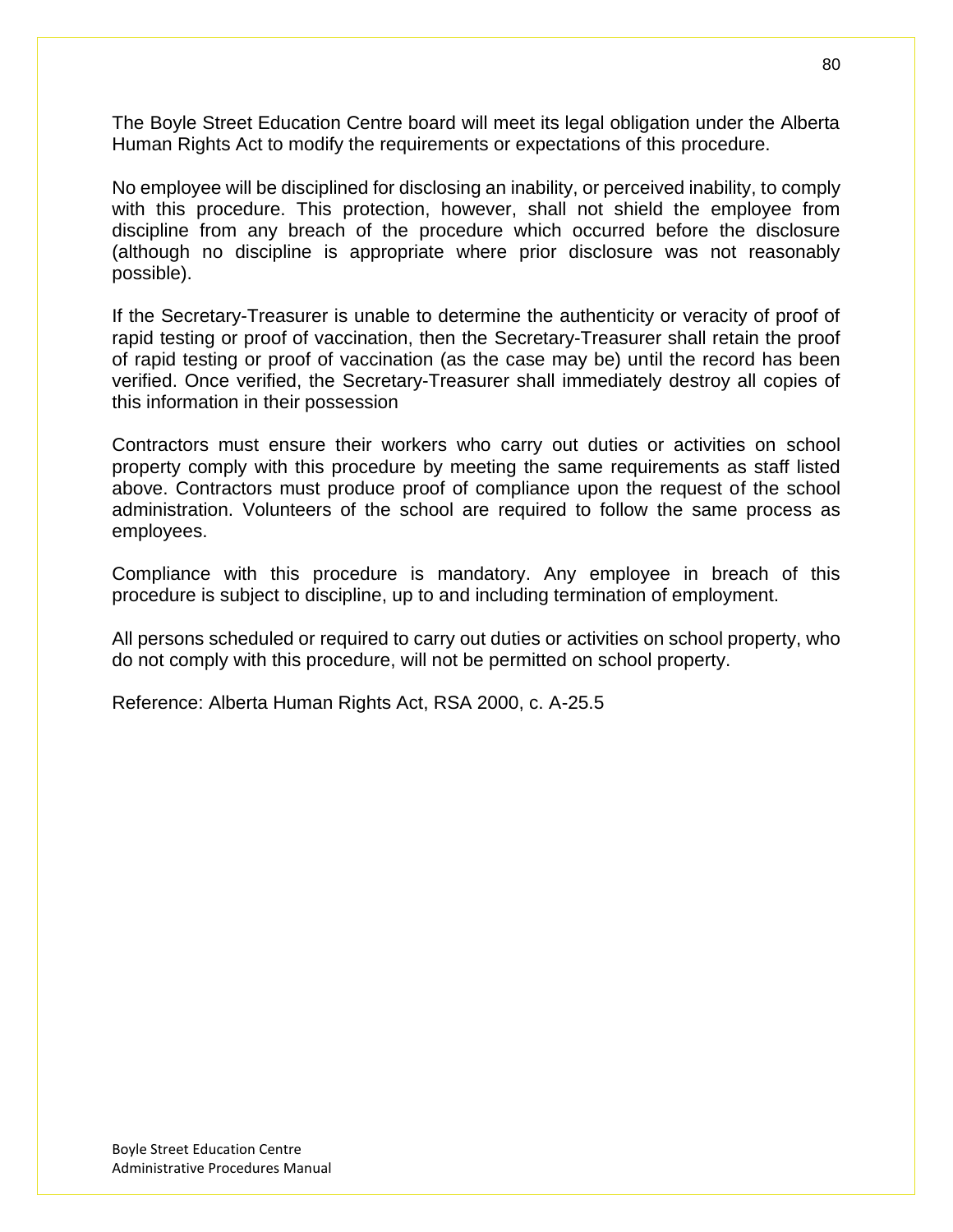The Boyle Street Education Centre board will meet its legal obligation under the Alberta Human Rights Act to modify the requirements or expectations of this procedure.

No employee will be disciplined for disclosing an inability, or perceived inability, to comply with this procedure. This protection, however, shall not shield the employee from discipline from any breach of the procedure which occurred before the disclosure (although no discipline is appropriate where prior disclosure was not reasonably possible).

If the Secretary-Treasurer is unable to determine the authenticity or veracity of proof of rapid testing or proof of vaccination, then the Secretary-Treasurer shall retain the proof of rapid testing or proof of vaccination (as the case may be) until the record has been verified. Once verified, the Secretary-Treasurer shall immediately destroy all copies of this information in their possession

Contractors must ensure their workers who carry out duties or activities on school property comply with this procedure by meeting the same requirements as staff listed above. Contractors must produce proof of compliance upon the request of the school administration. Volunteers of the school are required to follow the same process as employees.

Compliance with this procedure is mandatory. Any employee in breach of this procedure is subject to discipline, up to and including termination of employment.

All persons scheduled or required to carry out duties or activities on school property, who do not comply with this procedure, will not be permitted on school property.

Reference: Alberta Human Rights Act, RSA 2000, c. A-25.5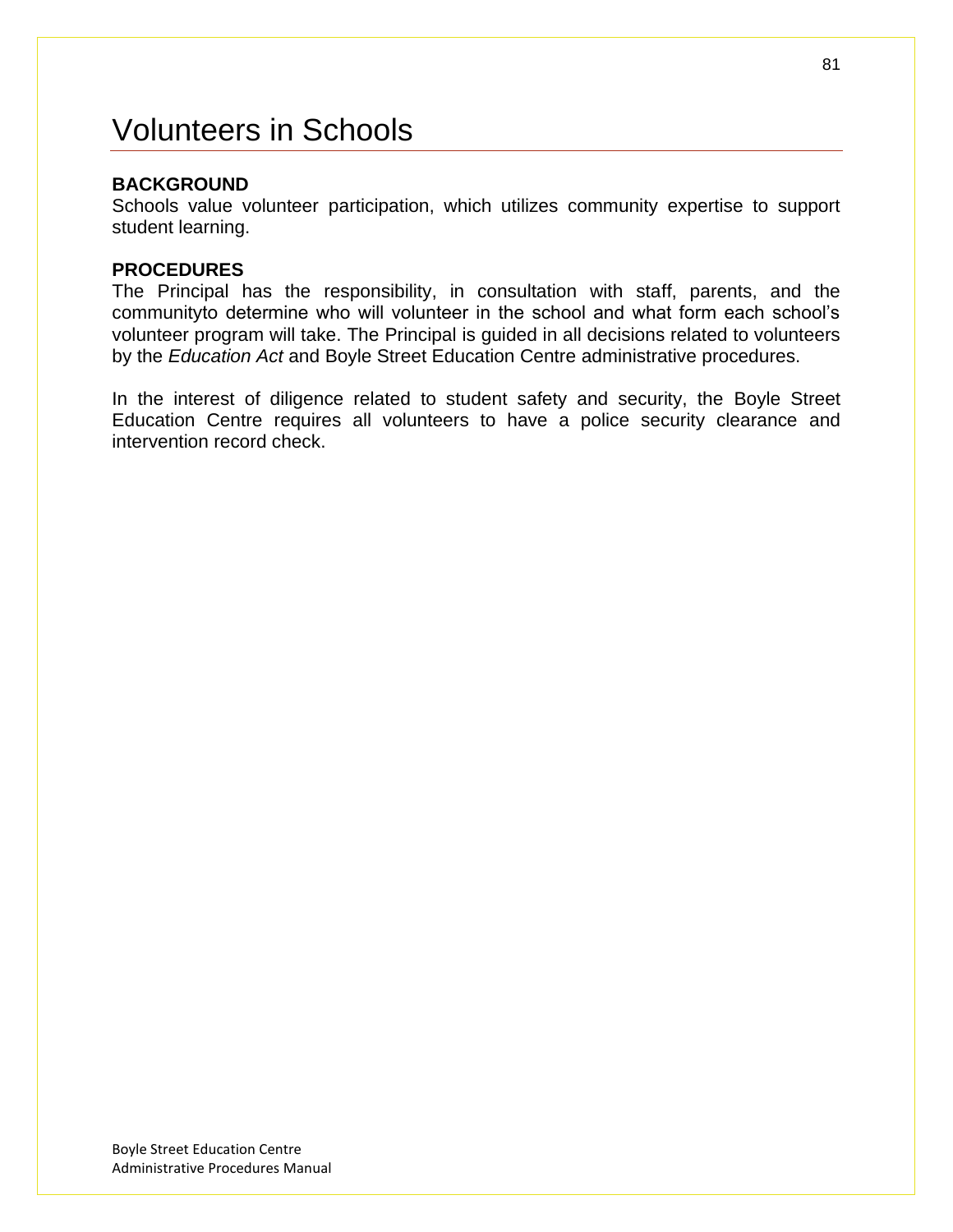# Volunteers in Schools

### **BACKGROUND**

Schools value volunteer participation, which utilizes community expertise to support student learning.

#### **PROCEDURES**

The Principal has the responsibility, in consultation with staff, parents, and the communityto determine who will volunteer in the school and what form each school's volunteer program will take. The Principal is guided in all decisions related to volunteers by the *Education Act* and Boyle Street Education Centre administrative procedures.

In the interest of diligence related to student safety and security, the Boyle Street Education Centre requires all volunteers to have a police security clearance and intervention record check.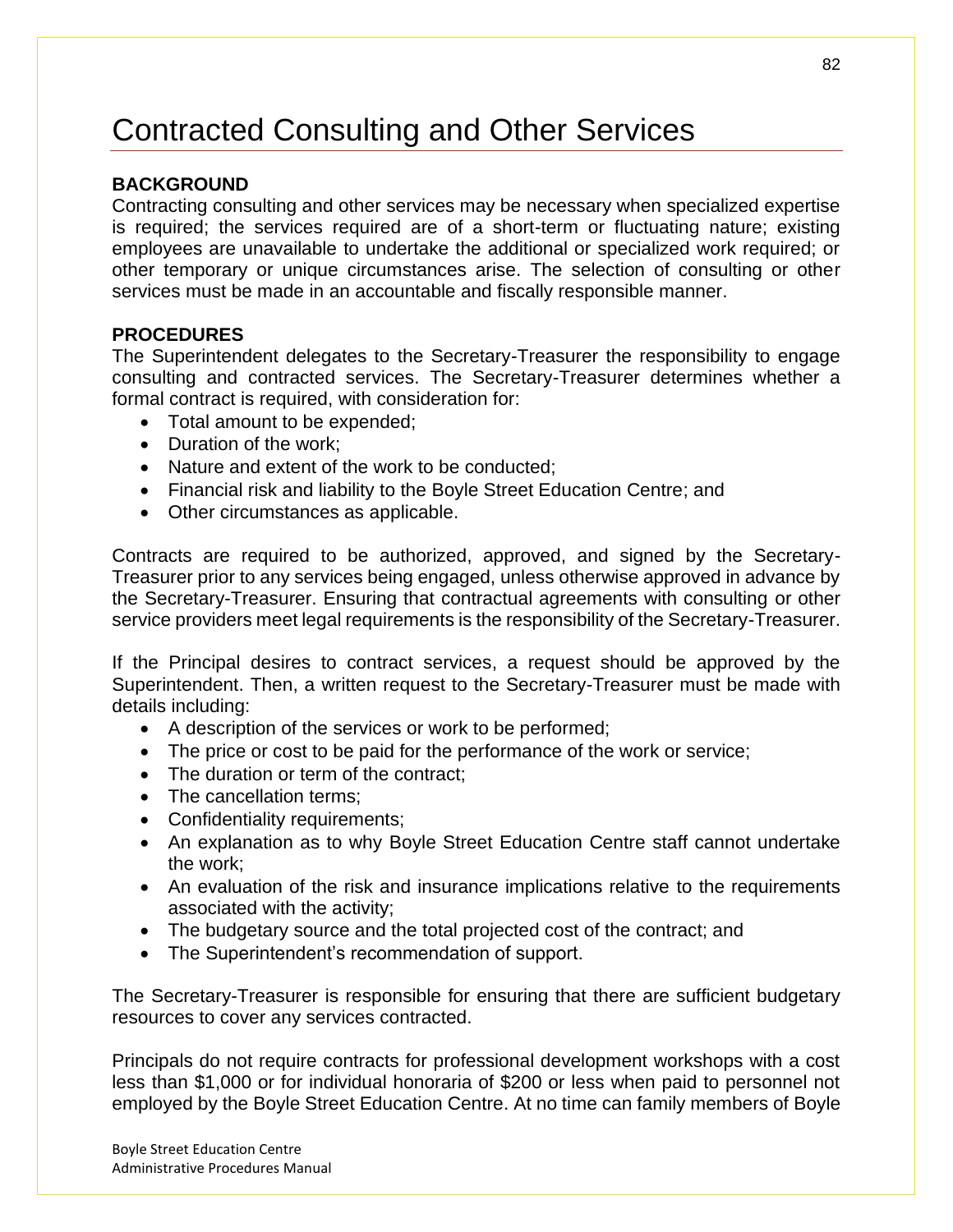# Contracted Consulting and Other Services

### **BACKGROUND**

Contracting consulting and other services may be necessary when specialized expertise is required; the services required are of a short-term or fluctuating nature; existing employees are unavailable to undertake the additional or specialized work required; or other temporary or unique circumstances arise. The selection of consulting or other services must be made in an accountable and fiscally responsible manner.

#### **PROCEDURES**

The Superintendent delegates to the Secretary-Treasurer the responsibility to engage consulting and contracted services. The Secretary-Treasurer determines whether a formal contract is required, with consideration for:

- Total amount to be expended;
- Duration of the work;
- Nature and extent of the work to be conducted;
- Financial risk and liability to the Boyle Street Education Centre; and
- Other circumstances as applicable.

Contracts are required to be authorized, approved, and signed by the Secretary-Treasurer prior to any services being engaged, unless otherwise approved in advance by the Secretary-Treasurer. Ensuring that contractual agreements with consulting or other service providers meet legal requirements is the responsibility of the Secretary-Treasurer.

If the Principal desires to contract services, a request should be approved by the Superintendent. Then, a written request to the Secretary-Treasurer must be made with details including:

- A description of the services or work to be performed;
- The price or cost to be paid for the performance of the work or service;
- The duration or term of the contract;
- The cancellation terms:
- Confidentiality requirements;
- An explanation as to why Boyle Street Education Centre staff cannot undertake the work;
- An evaluation of the risk and insurance implications relative to the requirements associated with the activity;
- The budgetary source and the total projected cost of the contract; and
- The Superintendent's recommendation of support.

The Secretary-Treasurer is responsible for ensuring that there are sufficient budgetary resources to cover any services contracted.

Principals do not require contracts for professional development workshops with a cost less than \$1,000 or for individual honoraria of \$200 or less when paid to personnel not employed by the Boyle Street Education Centre. At no time can family members of Boyle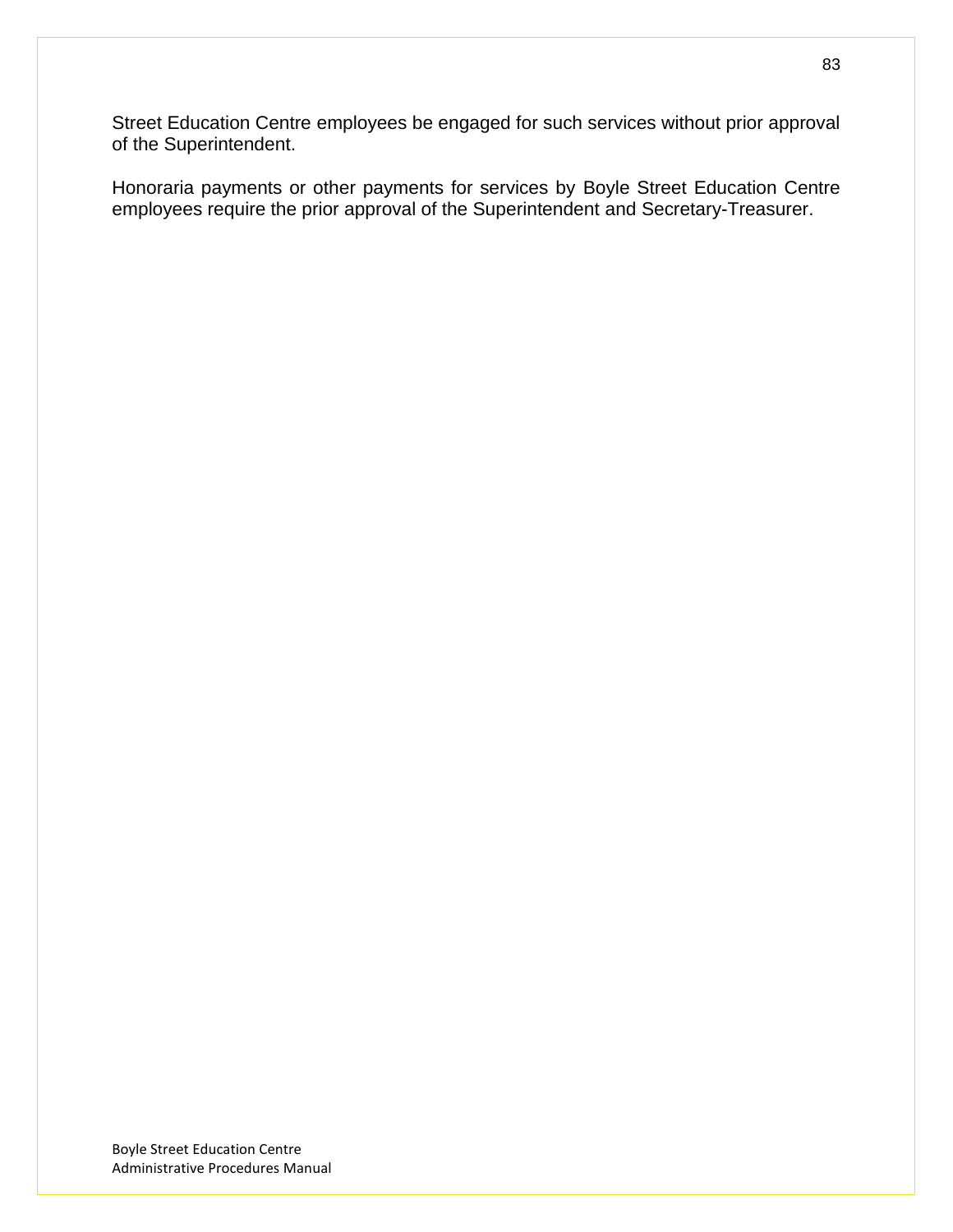Street Education Centre employees be engaged for such services without prior approval of the Superintendent.

Honoraria payments or other payments for services by Boyle Street Education Centre employees require the prior approval of the Superintendent and Secretary-Treasurer.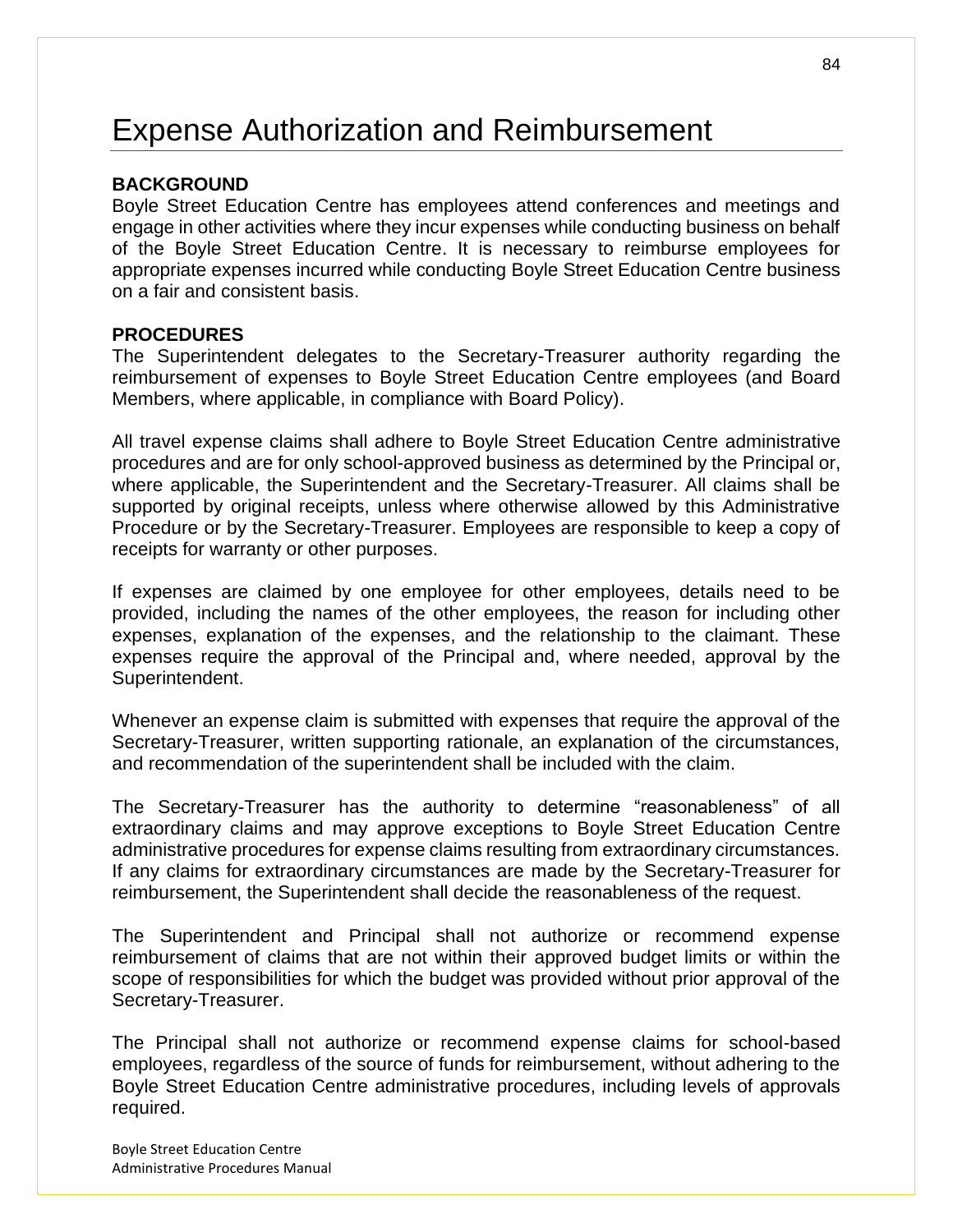# Expense Authorization and Reimbursement

#### **BACKGROUND**

Boyle Street Education Centre has employees attend conferences and meetings and engage in other activities where they incur expenses while conducting business on behalf of the Boyle Street Education Centre. It is necessary to reimburse employees for appropriate expenses incurred while conducting Boyle Street Education Centre business on a fair and consistent basis.

#### **PROCEDURES**

The Superintendent delegates to the Secretary-Treasurer authority regarding the reimbursement of expenses to Boyle Street Education Centre employees (and Board Members, where applicable, in compliance with Board Policy).

All travel expense claims shall adhere to Boyle Street Education Centre administrative procedures and are for only school-approved business as determined by the Principal or, where applicable, the Superintendent and the Secretary-Treasurer. All claims shall be supported by original receipts, unless where otherwise allowed by this Administrative Procedure or by the Secretary-Treasurer. Employees are responsible to keep a copy of receipts for warranty or other purposes.

If expenses are claimed by one employee for other employees, details need to be provided, including the names of the other employees, the reason for including other expenses, explanation of the expenses, and the relationship to the claimant. These expenses require the approval of the Principal and, where needed, approval by the Superintendent.

Whenever an expense claim is submitted with expenses that require the approval of the Secretary-Treasurer, written supporting rationale, an explanation of the circumstances, and recommendation of the superintendent shall be included with the claim.

The Secretary-Treasurer has the authority to determine "reasonableness" of all extraordinary claims and may approve exceptions to Boyle Street Education Centre administrative procedures for expense claims resulting from extraordinary circumstances. If any claims for extraordinary circumstances are made by the Secretary-Treasurer for reimbursement, the Superintendent shall decide the reasonableness of the request.

The Superintendent and Principal shall not authorize or recommend expense reimbursement of claims that are not within their approved budget limits or within the scope of responsibilities for which the budget was provided without prior approval of the Secretary-Treasurer.

The Principal shall not authorize or recommend expense claims for school-based employees, regardless of the source of funds for reimbursement, without adhering to the Boyle Street Education Centre administrative procedures, including levels of approvals required.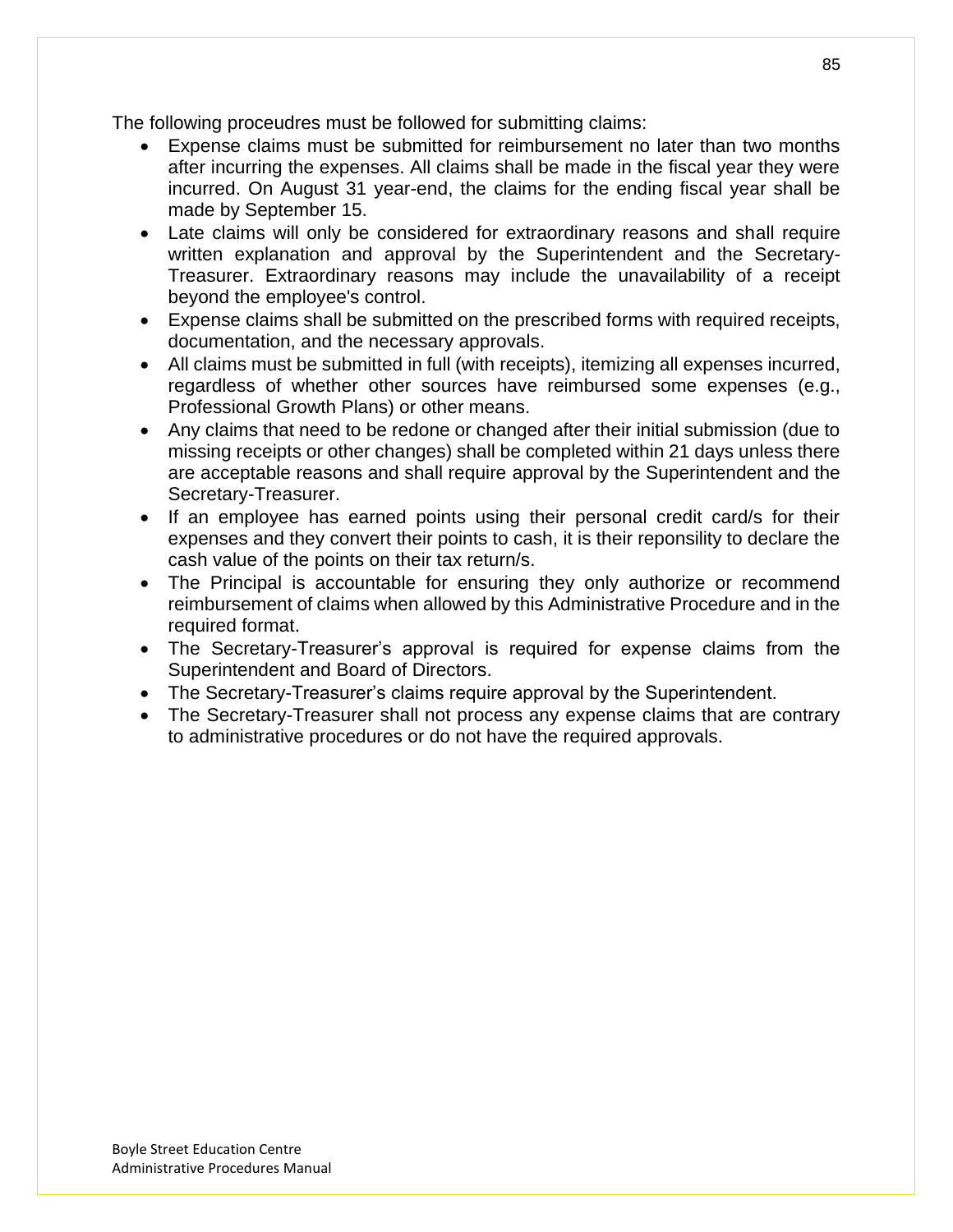The following proceudres must be followed for submitting claims:

- Expense claims must be submitted for reimbursement no later than two months after incurring the expenses. All claims shall be made in the fiscal year they were incurred. On August 31 year-end, the claims for the ending fiscal year shall be made by September 15.
- Late claims will only be considered for extraordinary reasons and shall require written explanation and approval by the Superintendent and the Secretary-Treasurer. Extraordinary reasons may include the unavailability of a receipt beyond the employee's control.
- Expense claims shall be submitted on the prescribed forms with required receipts, documentation, and the necessary approvals.
- All claims must be submitted in full (with receipts), itemizing all expenses incurred, regardless of whether other sources have reimbursed some expenses (e.g., Professional Growth Plans) or other means.
- Any claims that need to be redone or changed after their initial submission (due to missing receipts or other changes) shall be completed within 21 days unless there are acceptable reasons and shall require approval by the Superintendent and the Secretary-Treasurer.
- If an employee has earned points using their personal credit card/s for their expenses and they convert their points to cash, it is their reponsility to declare the cash value of the points on their tax return/s.
- The Principal is accountable for ensuring they only authorize or recommend reimbursement of claims when allowed by this Administrative Procedure and in the required format.
- The Secretary-Treasurer's approval is required for expense claims from the Superintendent and Board of Directors.
- The Secretary-Treasurer's claims require approval by the Superintendent.
- The Secretary-Treasurer shall not process any expense claims that are contrary to administrative procedures or do not have the required approvals.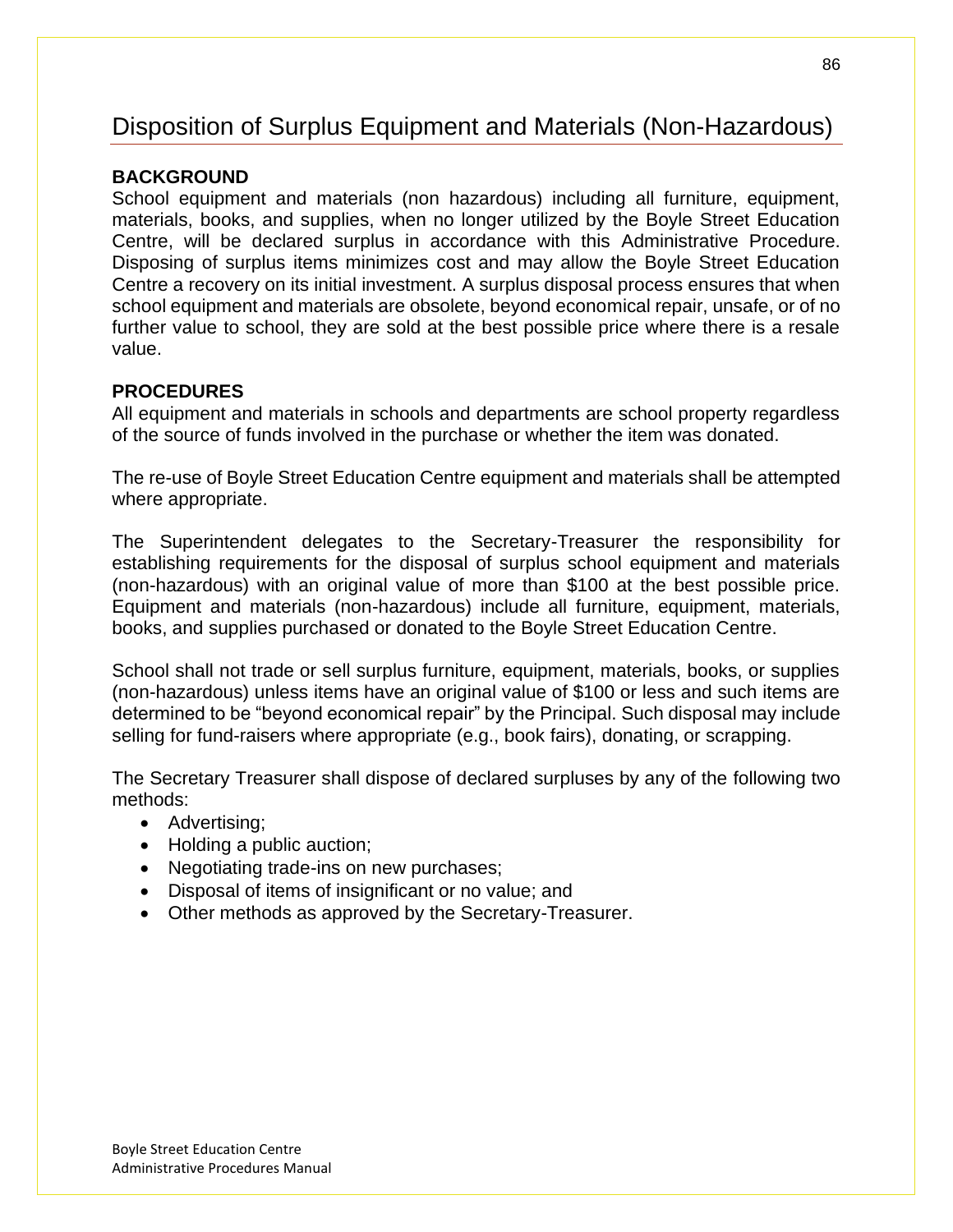# Disposition of Surplus Equipment and Materials (Non-Hazardous)

### **BACKGROUND**

School equipment and materials (non hazardous) including all furniture, equipment, materials, books, and supplies, when no longer utilized by the Boyle Street Education Centre, will be declared surplus in accordance with this Administrative Procedure. Disposing of surplus items minimizes cost and may allow the Boyle Street Education Centre a recovery on its initial investment. A surplus disposal process ensures that when school equipment and materials are obsolete, beyond economical repair, unsafe, or of no further value to school, they are sold at the best possible price where there is a resale value.

### **PROCEDURES**

All equipment and materials in schools and departments are school property regardless of the source of funds involved in the purchase or whether the item was donated.

The re-use of Boyle Street Education Centre equipment and materials shall be attempted where appropriate.

The Superintendent delegates to the Secretary-Treasurer the responsibility for establishing requirements for the disposal of surplus school equipment and materials (non-hazardous) with an original value of more than \$100 at the best possible price. Equipment and materials (non-hazardous) include all furniture, equipment, materials, books, and supplies purchased or donated to the Boyle Street Education Centre.

School shall not trade or sell surplus furniture, equipment, materials, books, or supplies (non-hazardous) unless items have an original value of \$100 or less and such items are determined to be "beyond economical repair" by the Principal. Such disposal may include selling for fund-raisers where appropriate (e.g., book fairs), donating, or scrapping.

The Secretary Treasurer shall dispose of declared surpluses by any of the following two methods:

- Advertising;
- Holding a public auction;
- Negotiating trade-ins on new purchases;
- Disposal of items of insignificant or no value; and
- Other methods as approved by the Secretary-Treasurer.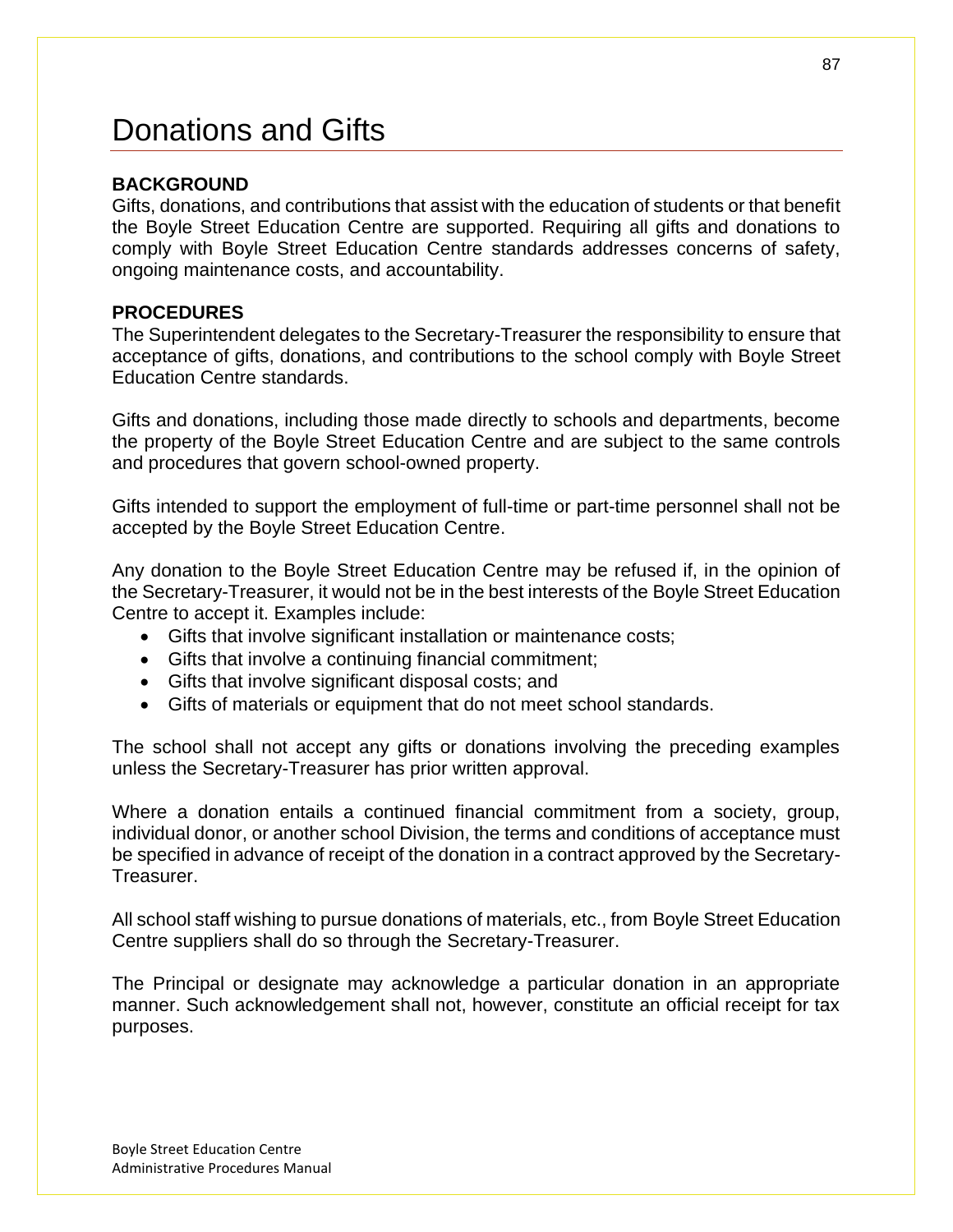# Donations and Gifts

#### **BACKGROUND**

Gifts, donations, and contributions that assist with the education of students or that benefit the Boyle Street Education Centre are supported. Requiring all gifts and donations to comply with Boyle Street Education Centre standards addresses concerns of safety, ongoing maintenance costs, and accountability.

#### **PROCEDURES**

The Superintendent delegates to the Secretary-Treasurer the responsibility to ensure that acceptance of gifts, donations, and contributions to the school comply with Boyle Street Education Centre standards.

Gifts and donations, including those made directly to schools and departments, become the property of the Boyle Street Education Centre and are subject to the same controls and procedures that govern school-owned property.

Gifts intended to support the employment of full-time or part-time personnel shall not be accepted by the Boyle Street Education Centre.

Any donation to the Boyle Street Education Centre may be refused if, in the opinion of the Secretary-Treasurer, it would not be in the best interests of the Boyle Street Education Centre to accept it. Examples include:

- Gifts that involve significant installation or maintenance costs;
- Gifts that involve a continuing financial commitment;
- Gifts that involve significant disposal costs; and
- Gifts of materials or equipment that do not meet school standards.

The school shall not accept any gifts or donations involving the preceding examples unless the Secretary-Treasurer has prior written approval.

Where a donation entails a continued financial commitment from a society, group, individual donor, or another school Division, the terms and conditions of acceptance must be specified in advance of receipt of the donation in a contract approved by the Secretary-Treasurer.

All school staff wishing to pursue donations of materials, etc., from Boyle Street Education Centre suppliers shall do so through the Secretary-Treasurer.

The Principal or designate may acknowledge a particular donation in an appropriate manner. Such acknowledgement shall not, however, constitute an official receipt for tax purposes.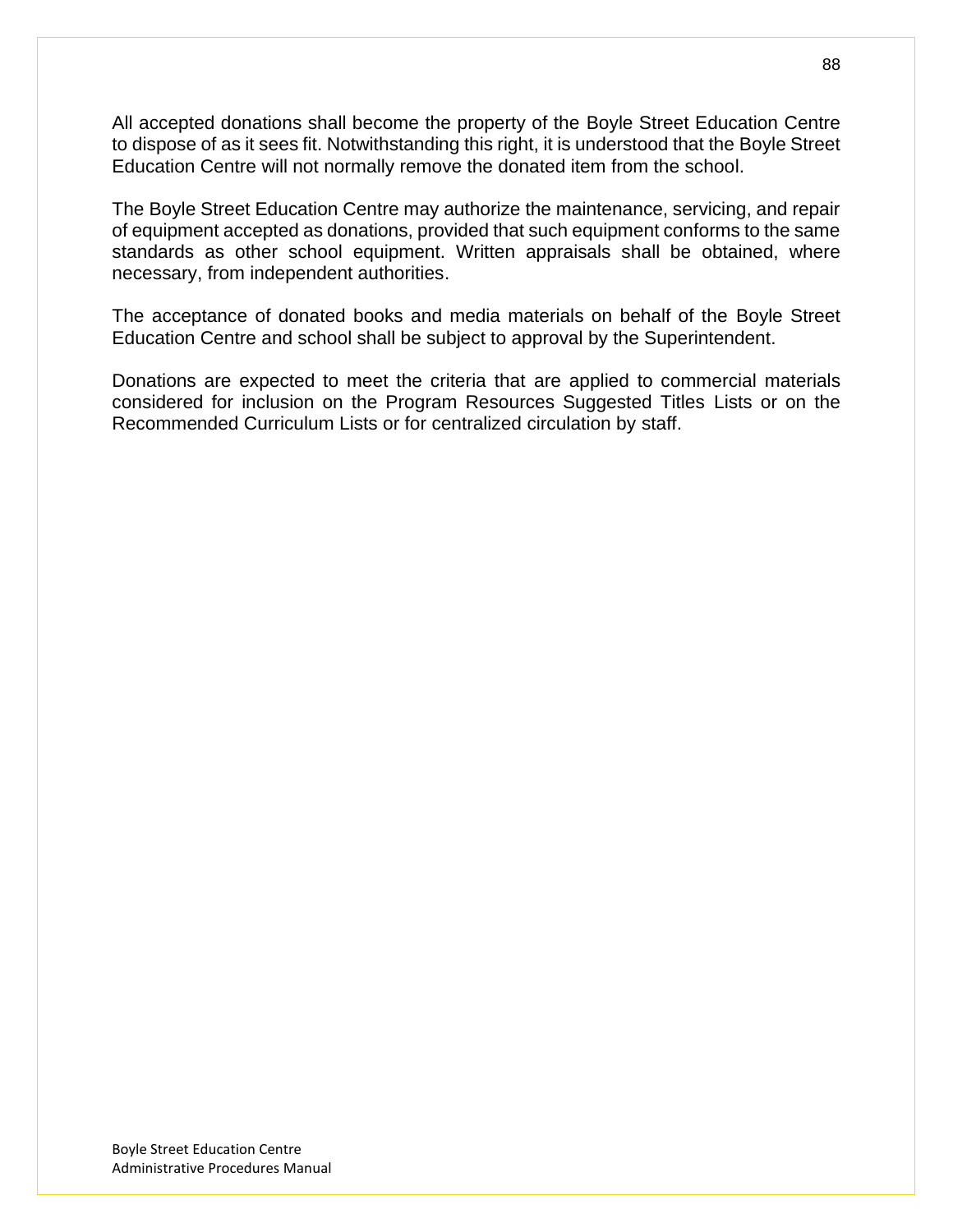All accepted donations shall become the property of the Boyle Street Education Centre to dispose of as it sees fit. Notwithstanding this right, it is understood that the Boyle Street Education Centre will not normally remove the donated item from the school.

The Boyle Street Education Centre may authorize the maintenance, servicing, and repair of equipment accepted as donations, provided that such equipment conforms to the same standards as other school equipment. Written appraisals shall be obtained, where necessary, from independent authorities.

The acceptance of donated books and media materials on behalf of the Boyle Street Education Centre and school shall be subject to approval by the Superintendent.

Donations are expected to meet the criteria that are applied to commercial materials considered for inclusion on the Program Resources Suggested Titles Lists or on the Recommended Curriculum Lists or for centralized circulation by staff.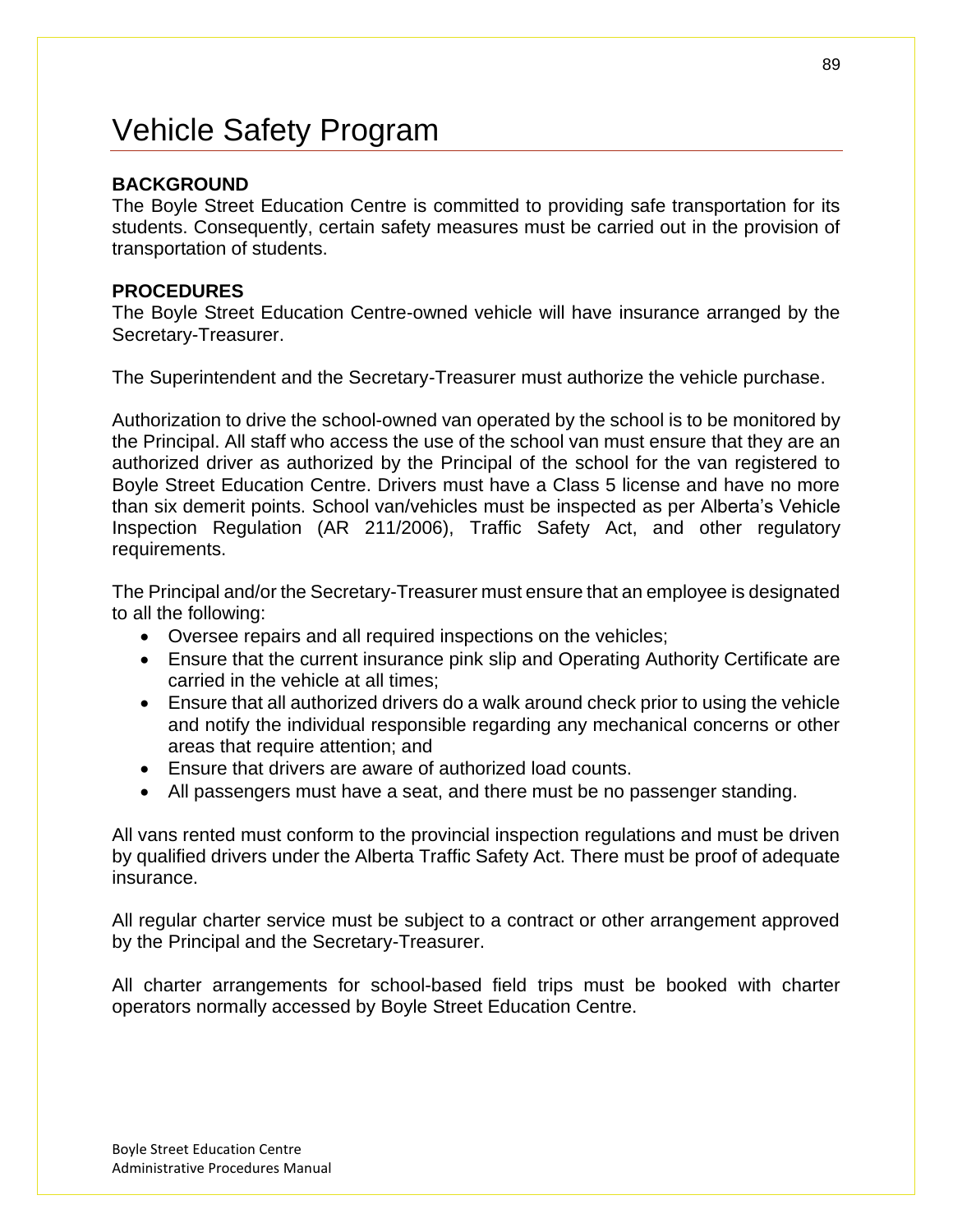# Vehicle Safety Program

### **BACKGROUND**

The Boyle Street Education Centre is committed to providing safe transportation for its students. Consequently, certain safety measures must be carried out in the provision of transportation of students.

#### **PROCEDURES**

The Boyle Street Education Centre-owned vehicle will have insurance arranged by the Secretary-Treasurer.

The Superintendent and the Secretary-Treasurer must authorize the vehicle purchase.

Authorization to drive the school-owned van operated by the school is to be monitored by the Principal. All staff who access the use of the school van must ensure that they are an authorized driver as authorized by the Principal of the school for the van registered to Boyle Street Education Centre. Drivers must have a Class 5 license and have no more than six demerit points. School van/vehicles must be inspected as per Alberta's Vehicle Inspection Regulation (AR 211/2006), Traffic Safety Act, and other regulatory requirements.

The Principal and/or the Secretary-Treasurer must ensure that an employee is designated to all the following:

- Oversee repairs and all required inspections on the vehicles;
- Ensure that the current insurance pink slip and Operating Authority Certificate are carried in the vehicle at all times;
- Ensure that all authorized drivers do a walk around check prior to using the vehicle and notify the individual responsible regarding any mechanical concerns or other areas that require attention; and
- Ensure that drivers are aware of authorized load counts.
- All passengers must have a seat, and there must be no passenger standing.

All vans rented must conform to the provincial inspection regulations and must be driven by qualified drivers under the Alberta Traffic Safety Act. There must be proof of adequate insurance.

All regular charter service must be subject to a contract or other arrangement approved by the Principal and the Secretary-Treasurer.

All charter arrangements for school-based field trips must be booked with charter operators normally accessed by Boyle Street Education Centre.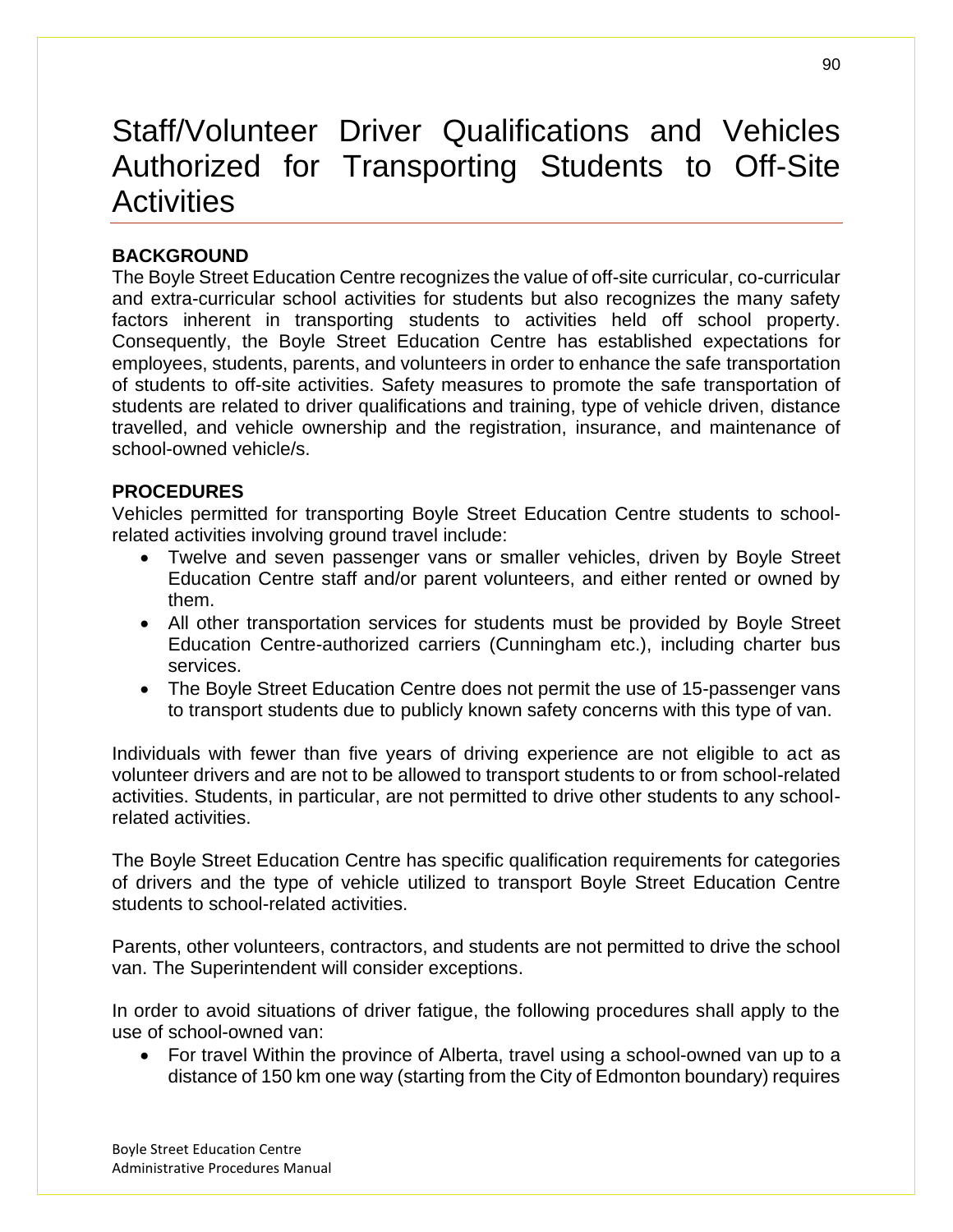# Staff/Volunteer Driver Qualifications and Vehicles Authorized for Transporting Students to Off-Site **Activities**

# **BACKGROUND**

The Boyle Street Education Centre recognizes the value of off-site curricular, co-curricular and extra-curricular school activities for students but also recognizes the many safety factors inherent in transporting students to activities held off school property. Consequently, the Boyle Street Education Centre has established expectations for employees, students, parents, and volunteers in order to enhance the safe transportation of students to off-site activities. Safety measures to promote the safe transportation of students are related to driver qualifications and training, type of vehicle driven, distance travelled, and vehicle ownership and the registration, insurance, and maintenance of school-owned vehicle/s.

### **PROCEDURES**

Vehicles permitted for transporting Boyle Street Education Centre students to schoolrelated activities involving ground travel include:

- Twelve and seven passenger vans or smaller vehicles, driven by Boyle Street Education Centre staff and/or parent volunteers, and either rented or owned by them.
- All other transportation services for students must be provided by Boyle Street Education Centre-authorized carriers (Cunningham etc.), including charter bus services.
- The Boyle Street Education Centre does not permit the use of 15-passenger vans to transport students due to publicly known safety concerns with this type of van.

Individuals with fewer than five years of driving experience are not eligible to act as volunteer drivers and are not to be allowed to transport students to or from school-related activities. Students, in particular, are not permitted to drive other students to any schoolrelated activities.

The Boyle Street Education Centre has specific qualification requirements for categories of drivers and the type of vehicle utilized to transport Boyle Street Education Centre students to school-related activities.

Parents, other volunteers, contractors, and students are not permitted to drive the school van. The Superintendent will consider exceptions.

In order to avoid situations of driver fatigue, the following procedures shall apply to the use of school-owned van:

• For travel Within the province of Alberta, travel using a school-owned van up to a distance of 150 km one way (starting from the City of Edmonton boundary) requires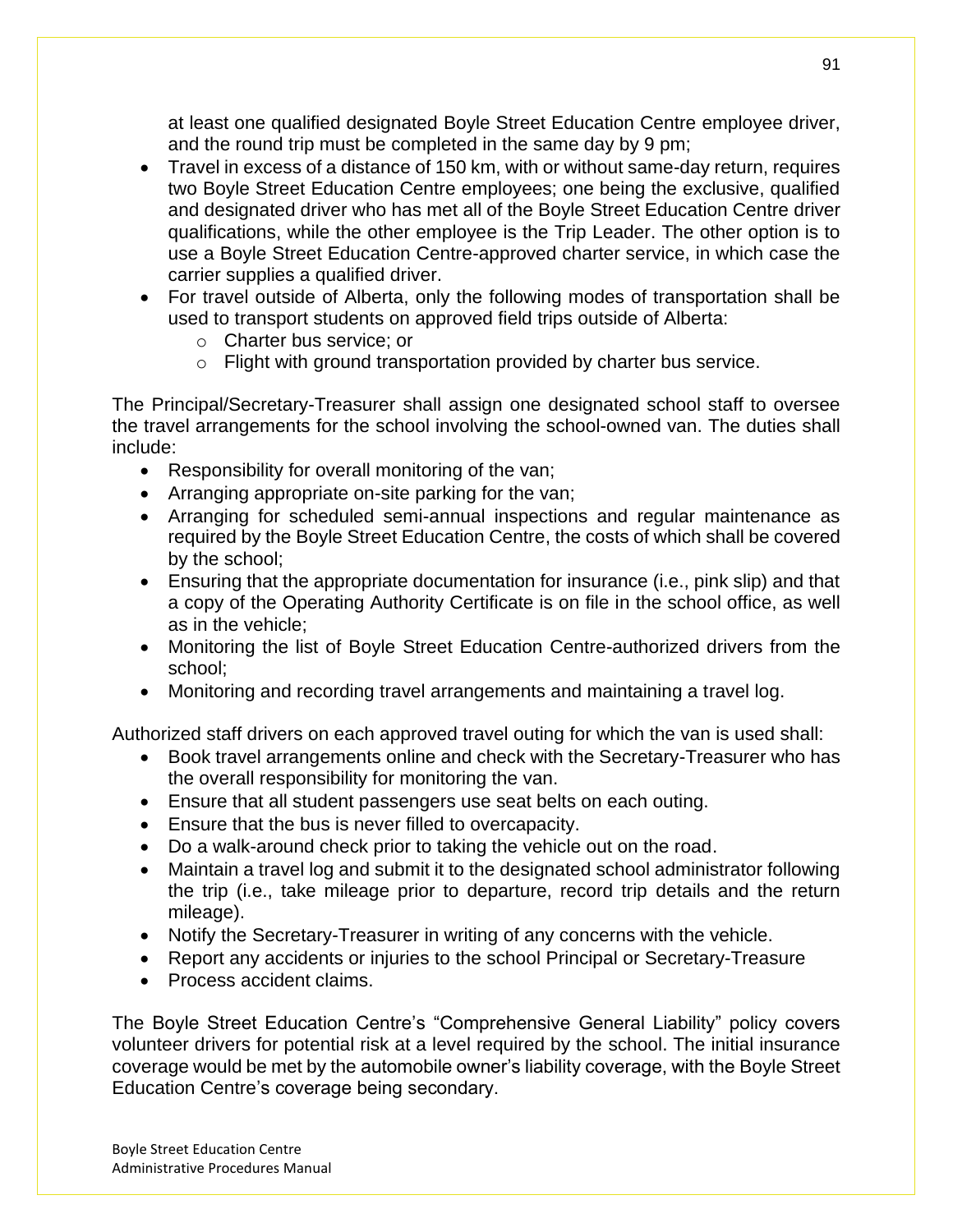at least one qualified designated Boyle Street Education Centre employee driver, and the round trip must be completed in the same day by 9 pm;

- Travel in excess of a distance of 150 km, with or without same-day return, requires two Boyle Street Education Centre employees; one being the exclusive, qualified and designated driver who has met all of the Boyle Street Education Centre driver qualifications, while the other employee is the Trip Leader. The other option is to use a Boyle Street Education Centre-approved charter service, in which case the carrier supplies a qualified driver.
- For travel outside of Alberta, only the following modes of transportation shall be used to transport students on approved field trips outside of Alberta:
	- o Charter bus service; or
	- o Flight with ground transportation provided by charter bus service.

The Principal/Secretary-Treasurer shall assign one designated school staff to oversee the travel arrangements for the school involving the school-owned van. The duties shall include:

- Responsibility for overall monitoring of the van;
- Arranging appropriate on-site parking for the van;
- Arranging for scheduled semi-annual inspections and regular maintenance as required by the Boyle Street Education Centre, the costs of which shall be covered by the school;
- Ensuring that the appropriate documentation for insurance (i.e., pink slip) and that a copy of the Operating Authority Certificate is on file in the school office, as well as in the vehicle;
- Monitoring the list of Boyle Street Education Centre-authorized drivers from the school;
- Monitoring and recording travel arrangements and maintaining a travel log.

Authorized staff drivers on each approved travel outing for which the van is used shall:

- Book travel arrangements online and check with the Secretary-Treasurer who has the overall responsibility for monitoring the van.
- Ensure that all student passengers use seat belts on each outing.
- Ensure that the bus is never filled to overcapacity.
- Do a walk-around check prior to taking the vehicle out on the road.
- Maintain a travel log and submit it to the designated school administrator following the trip (i.e., take mileage prior to departure, record trip details and the return mileage).
- Notify the Secretary-Treasurer in writing of any concerns with the vehicle.
- Report any accidents or injuries to the school Principal or Secretary-Treasure
- Process accident claims.

The Boyle Street Education Centre's "Comprehensive General Liability" policy covers volunteer drivers for potential risk at a level required by the school. The initial insurance coverage would be met by the automobile owner's liability coverage, with the Boyle Street Education Centre's coverage being secondary.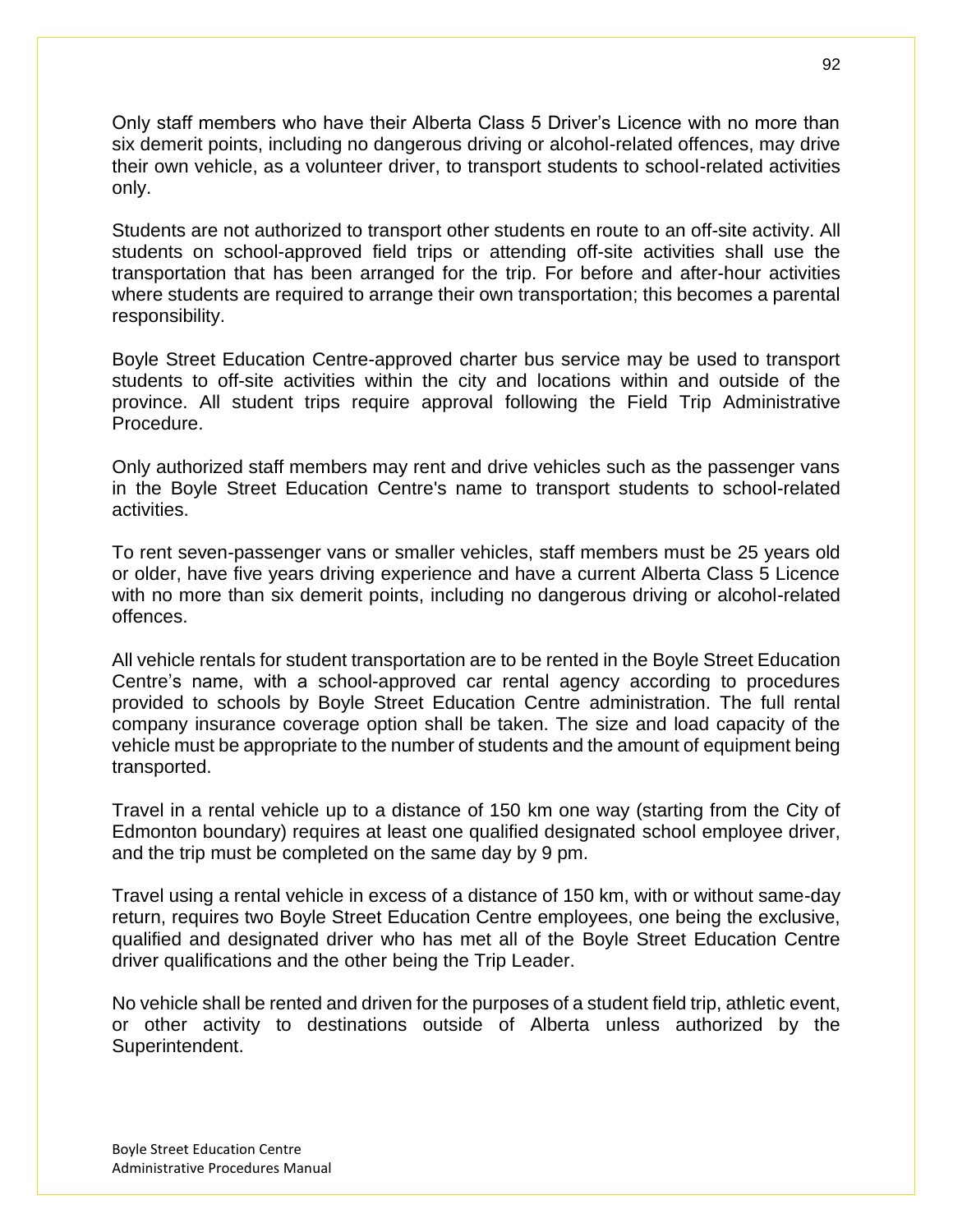Only staff members who have their Alberta Class 5 Driver's Licence with no more than six demerit points, including no dangerous driving or alcohol-related offences, may drive their own vehicle, as a volunteer driver, to transport students to school-related activities only.

Students are not authorized to transport other students en route to an off-site activity. All students on school-approved field trips or attending off-site activities shall use the transportation that has been arranged for the trip. For before and after-hour activities where students are required to arrange their own transportation; this becomes a parental responsibility.

Boyle Street Education Centre-approved charter bus service may be used to transport students to off-site activities within the city and locations within and outside of the province. All student trips require approval following the Field Trip Administrative Procedure.

Only authorized staff members may rent and drive vehicles such as the passenger vans in the Boyle Street Education Centre's name to transport students to school-related activities.

To rent seven-passenger vans or smaller vehicles, staff members must be 25 years old or older, have five years driving experience and have a current Alberta Class 5 Licence with no more than six demerit points, including no dangerous driving or alcohol-related offences.

All vehicle rentals for student transportation are to be rented in the Boyle Street Education Centre's name, with a school-approved car rental agency according to procedures provided to schools by Boyle Street Education Centre administration. The full rental company insurance coverage option shall be taken. The size and load capacity of the vehicle must be appropriate to the number of students and the amount of equipment being transported.

Travel in a rental vehicle up to a distance of 150 km one way (starting from the City of Edmonton boundary) requires at least one qualified designated school employee driver, and the trip must be completed on the same day by 9 pm.

Travel using a rental vehicle in excess of a distance of 150 km, with or without same-day return, requires two Boyle Street Education Centre employees, one being the exclusive, qualified and designated driver who has met all of the Boyle Street Education Centre driver qualifications and the other being the Trip Leader.

No vehicle shall be rented and driven for the purposes of a student field trip, athletic event, or other activity to destinations outside of Alberta unless authorized by the Superintendent.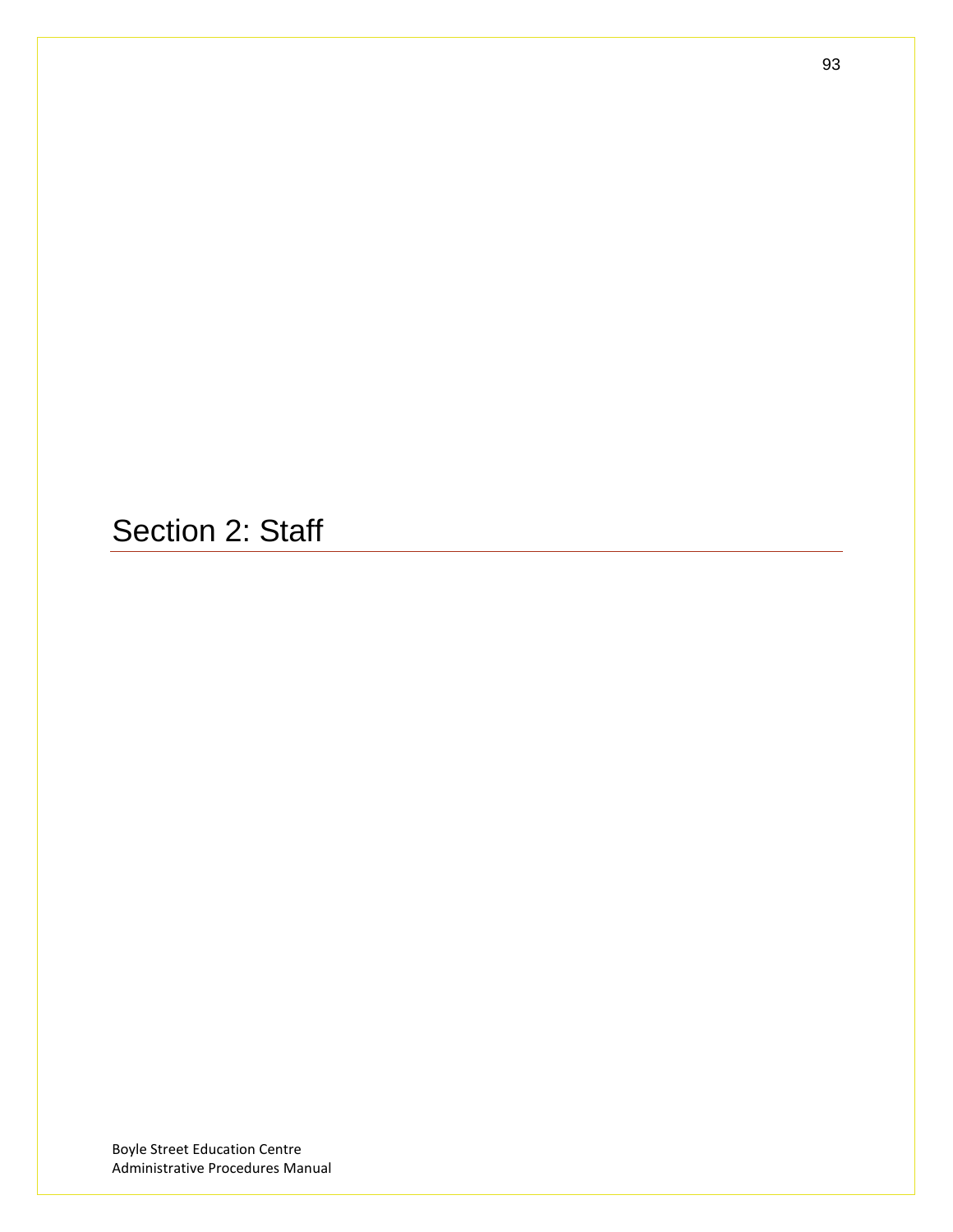Section 2: Staff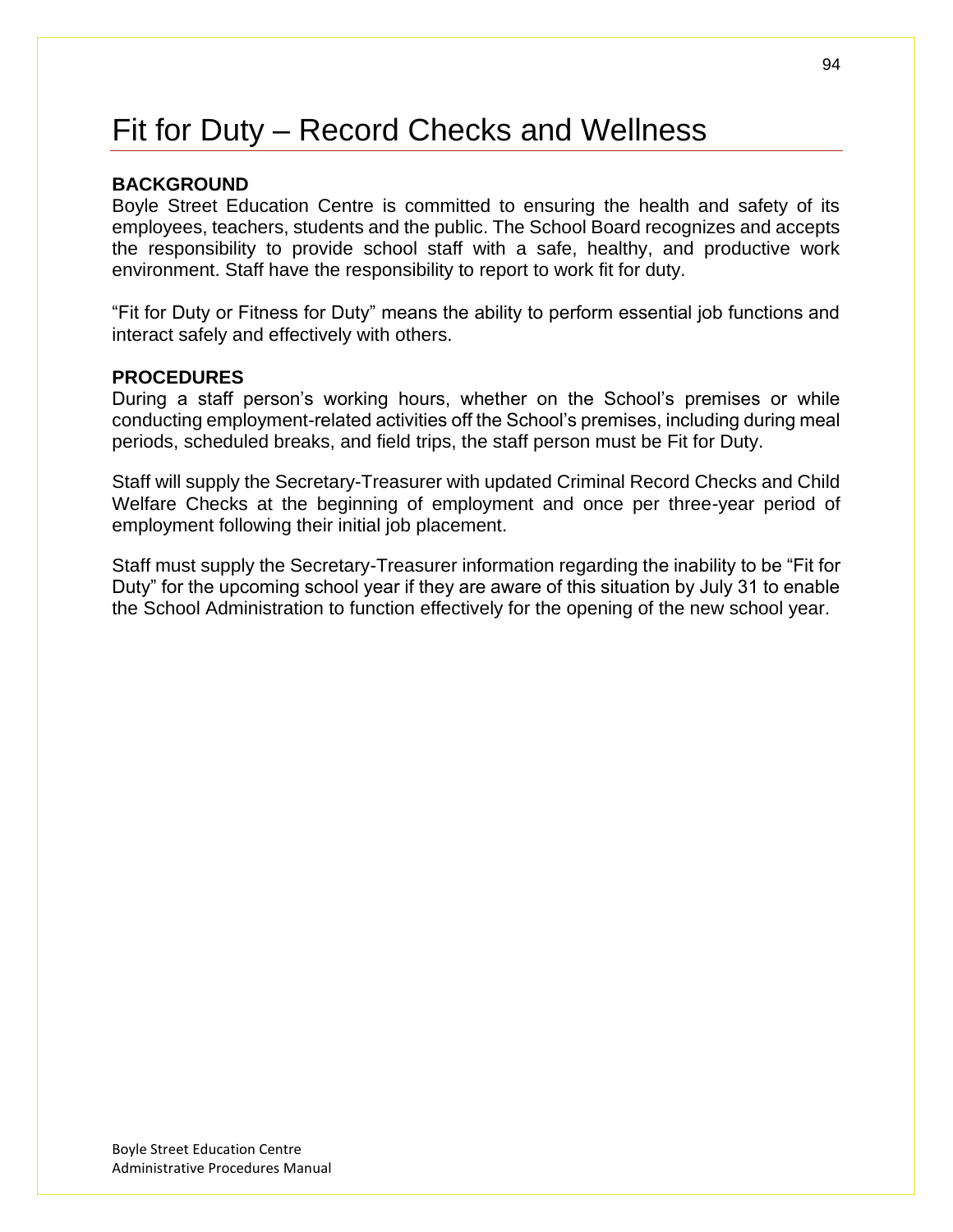# Fit for Duty – Record Checks and Wellness

#### **BACKGROUND**

Boyle Street Education Centre is committed to ensuring the health and safety of its employees, teachers, students and the public. The School Board recognizes and accepts the responsibility to provide school staff with a safe, healthy, and productive work environment. Staff have the responsibility to report to work fit for duty.

"Fit for Duty or Fitness for Duty" means the ability to perform essential job functions and interact safely and effectively with others.

### **PROCEDURES**

During a staff person's working hours, whether on the School's premises or while conducting employment-related activities off the School's premises, including during meal periods, scheduled breaks, and field trips, the staff person must be Fit for Duty.

Staff will supply the Secretary-Treasurer with updated Criminal Record Checks and Child Welfare Checks at the beginning of employment and once per three-year period of employment following their initial job placement.

Staff must supply the Secretary-Treasurer information regarding the inability to be "Fit for Duty" for the upcoming school year if they are aware of this situation by July 31 to enable the School Administration to function effectively for the opening of the new school year.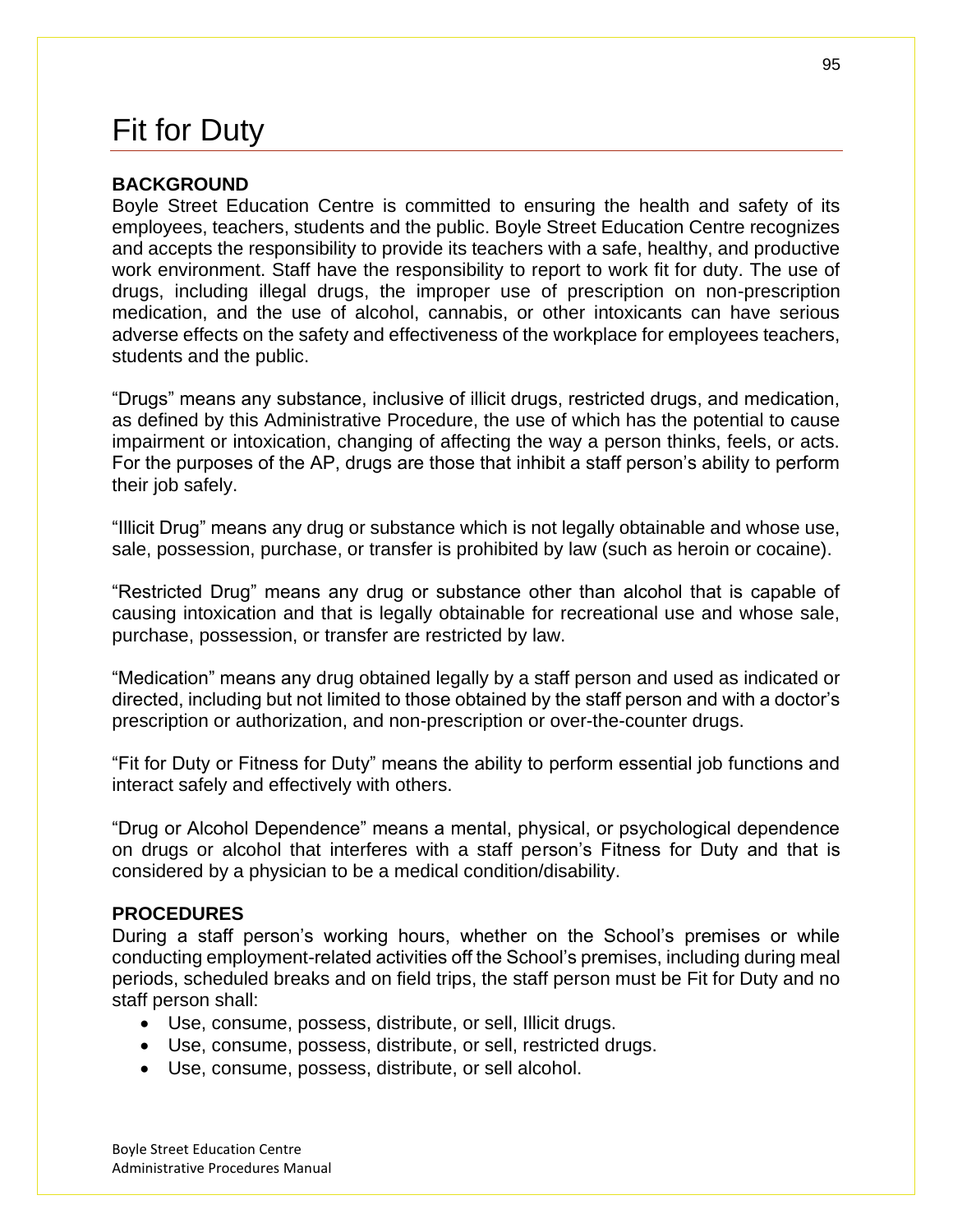# Fit for Duty

#### **BACKGROUND**

Boyle Street Education Centre is committed to ensuring the health and safety of its employees, teachers, students and the public. Boyle Street Education Centre recognizes and accepts the responsibility to provide its teachers with a safe, healthy, and productive work environment. Staff have the responsibility to report to work fit for duty. The use of drugs, including illegal drugs, the improper use of prescription on non-prescription medication, and the use of alcohol, cannabis, or other intoxicants can have serious adverse effects on the safety and effectiveness of the workplace for employees teachers, students and the public.

"Drugs" means any substance, inclusive of illicit drugs, restricted drugs, and medication, as defined by this Administrative Procedure, the use of which has the potential to cause impairment or intoxication, changing of affecting the way a person thinks, feels, or acts. For the purposes of the AP, drugs are those that inhibit a staff person's ability to perform their job safely.

"Illicit Drug" means any drug or substance which is not legally obtainable and whose use, sale, possession, purchase, or transfer is prohibited by law (such as heroin or cocaine).

"Restricted Drug" means any drug or substance other than alcohol that is capable of causing intoxication and that is legally obtainable for recreational use and whose sale, purchase, possession, or transfer are restricted by law.

"Medication" means any drug obtained legally by a staff person and used as indicated or directed, including but not limited to those obtained by the staff person and with a doctor's prescription or authorization, and non-prescription or over-the-counter drugs.

"Fit for Duty or Fitness for Duty" means the ability to perform essential job functions and interact safely and effectively with others.

"Drug or Alcohol Dependence" means a mental, physical, or psychological dependence on drugs or alcohol that interferes with a staff person's Fitness for Duty and that is considered by a physician to be a medical condition/disability.

#### **PROCEDURES**

During a staff person's working hours, whether on the School's premises or while conducting employment-related activities off the School's premises, including during meal periods, scheduled breaks and on field trips, the staff person must be Fit for Duty and no staff person shall:

- Use, consume, possess, distribute, or sell, Illicit drugs.
- Use, consume, possess, distribute, or sell, restricted drugs.
- Use, consume, possess, distribute, or sell alcohol.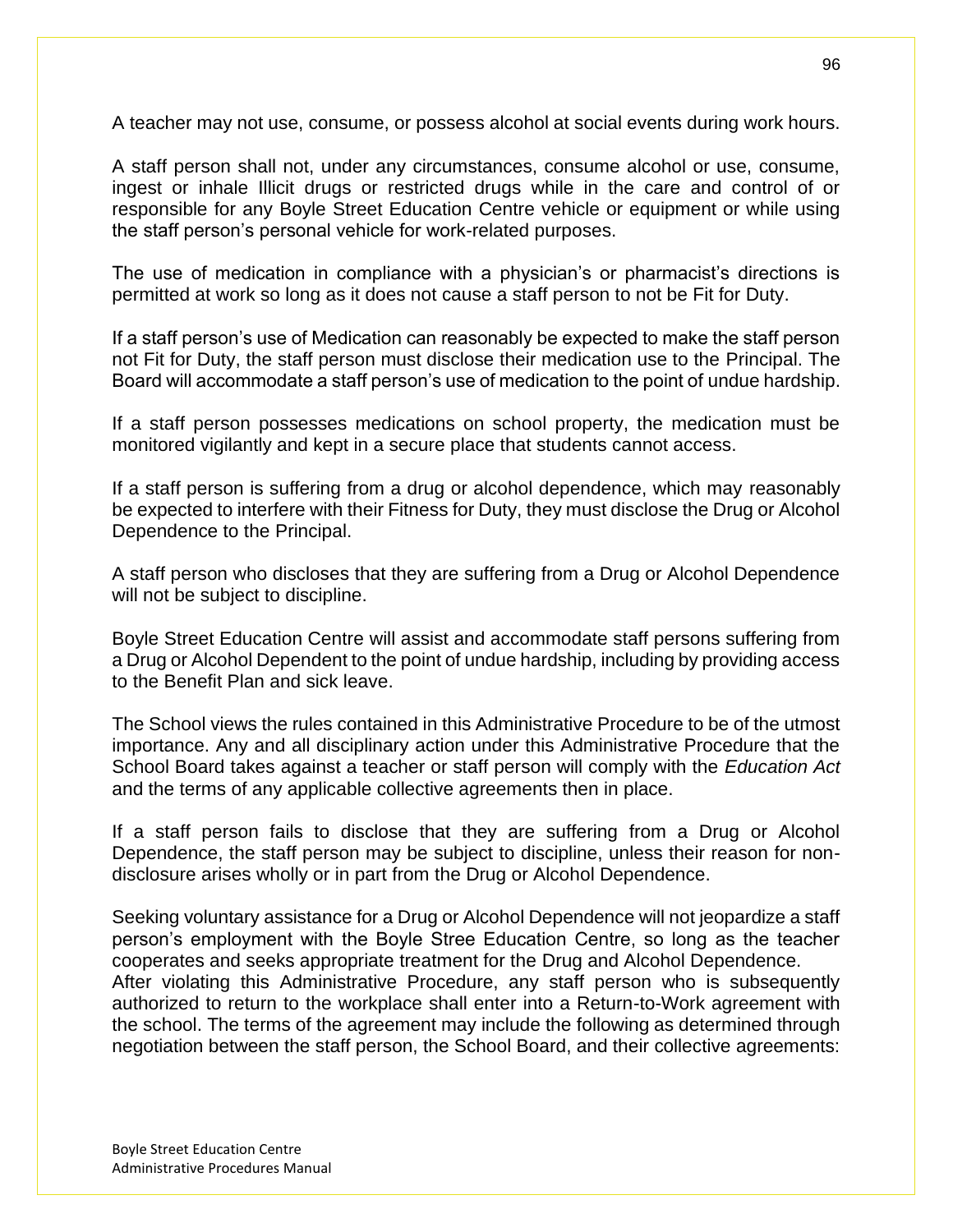A teacher may not use, consume, or possess alcohol at social events during work hours.

A staff person shall not, under any circumstances, consume alcohol or use, consume, ingest or inhale Illicit drugs or restricted drugs while in the care and control of or responsible for any Boyle Street Education Centre vehicle or equipment or while using the staff person's personal vehicle for work-related purposes.

The use of medication in compliance with a physician's or pharmacist's directions is permitted at work so long as it does not cause a staff person to not be Fit for Duty.

If a staff person's use of Medication can reasonably be expected to make the staff person not Fit for Duty, the staff person must disclose their medication use to the Principal. The Board will accommodate a staff person's use of medication to the point of undue hardship.

If a staff person possesses medications on school property, the medication must be monitored vigilantly and kept in a secure place that students cannot access.

If a staff person is suffering from a drug or alcohol dependence, which may reasonably be expected to interfere with their Fitness for Duty, they must disclose the Drug or Alcohol Dependence to the Principal.

A staff person who discloses that they are suffering from a Drug or Alcohol Dependence will not be subject to discipline.

Boyle Street Education Centre will assist and accommodate staff persons suffering from a Drug or Alcohol Dependent to the point of undue hardship, including by providing access to the Benefit Plan and sick leave.

The School views the rules contained in this Administrative Procedure to be of the utmost importance. Any and all disciplinary action under this Administrative Procedure that the School Board takes against a teacher or staff person will comply with the *Education Act* and the terms of any applicable collective agreements then in place.

If a staff person fails to disclose that they are suffering from a Drug or Alcohol Dependence, the staff person may be subject to discipline, unless their reason for nondisclosure arises wholly or in part from the Drug or Alcohol Dependence.

Seeking voluntary assistance for a Drug or Alcohol Dependence will not jeopardize a staff person's employment with the Boyle Stree Education Centre, so long as the teacher cooperates and seeks appropriate treatment for the Drug and Alcohol Dependence. After violating this Administrative Procedure, any staff person who is subsequently authorized to return to the workplace shall enter into a Return-to-Work agreement with the school. The terms of the agreement may include the following as determined through negotiation between the staff person, the School Board, and their collective agreements: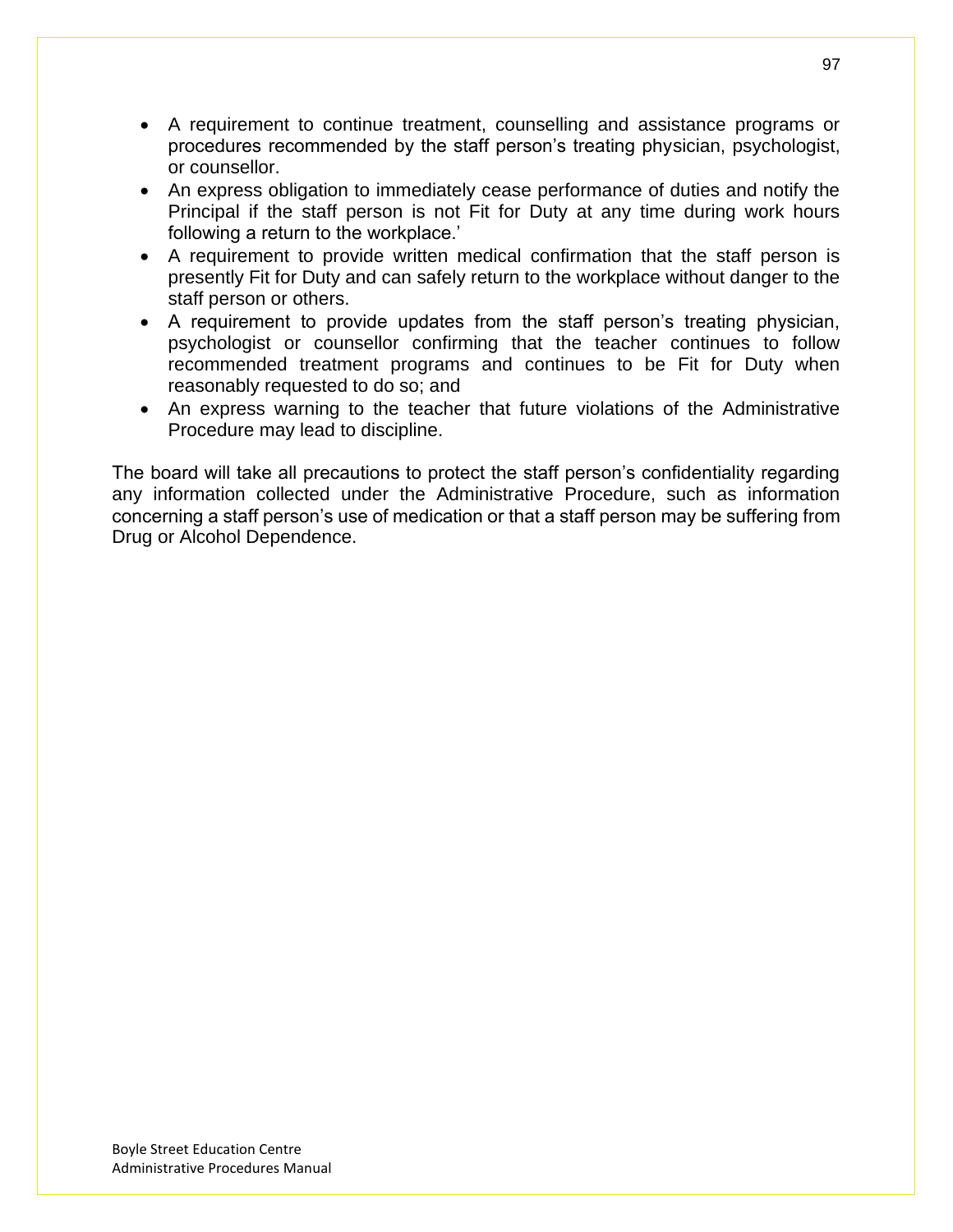- A requirement to continue treatment, counselling and assistance programs or procedures recommended by the staff person's treating physician, psychologist, or counsellor.
- An express obligation to immediately cease performance of duties and notify the Principal if the staff person is not Fit for Duty at any time during work hours following a return to the workplace.'
- A requirement to provide written medical confirmation that the staff person is presently Fit for Duty and can safely return to the workplace without danger to the staff person or others.
- A requirement to provide updates from the staff person's treating physician, psychologist or counsellor confirming that the teacher continues to follow recommended treatment programs and continues to be Fit for Duty when reasonably requested to do so; and
- An express warning to the teacher that future violations of the Administrative Procedure may lead to discipline.

The board will take all precautions to protect the staff person's confidentiality regarding any information collected under the Administrative Procedure, such as information concerning a staff person's use of medication or that a staff person may be suffering from Drug or Alcohol Dependence.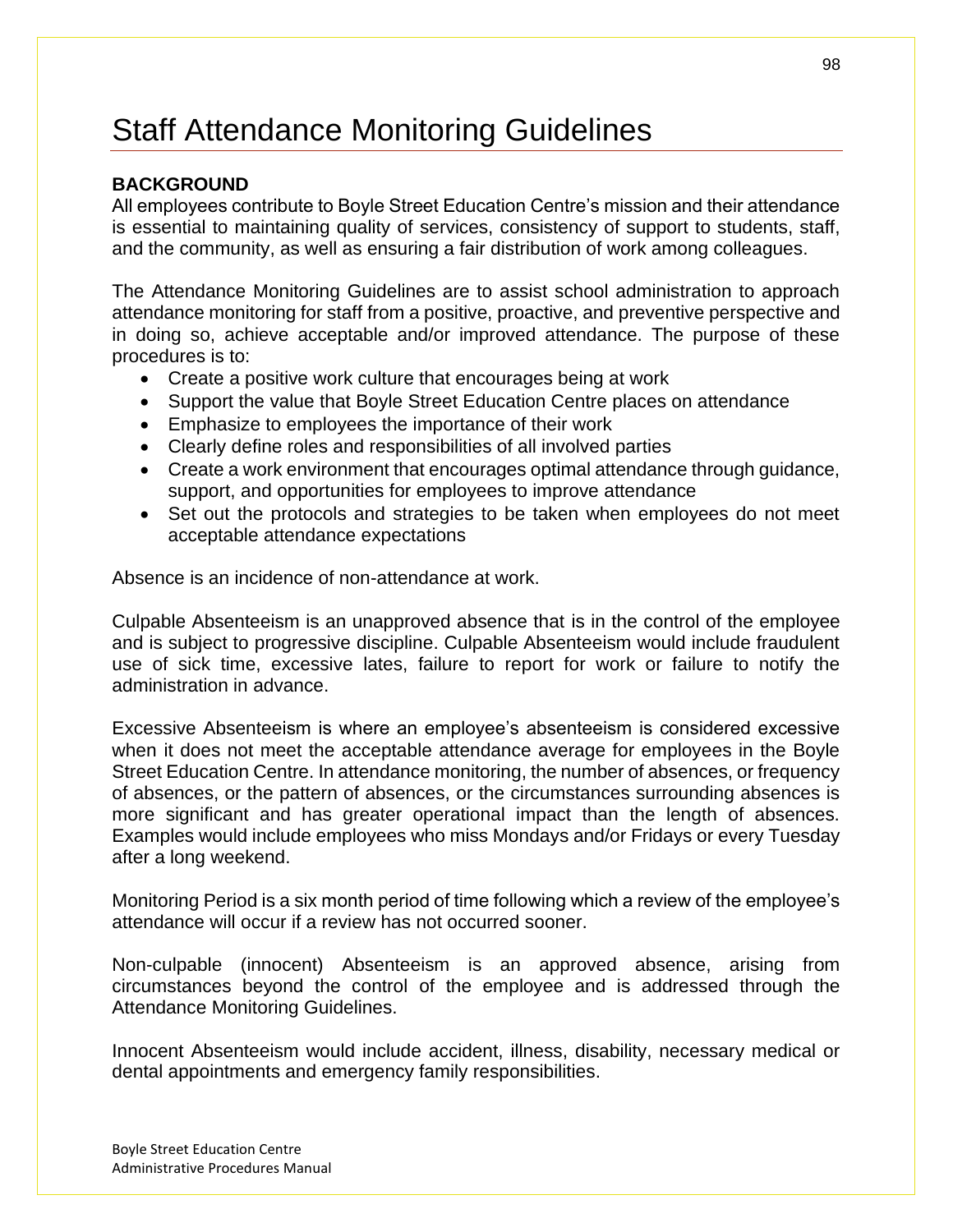# Staff Attendance Monitoring Guidelines

### **BACKGROUND**

All employees contribute to Boyle Street Education Centre's mission and their attendance is essential to maintaining quality of services, consistency of support to students, staff, and the community, as well as ensuring a fair distribution of work among colleagues.

The Attendance Monitoring Guidelines are to assist school administration to approach attendance monitoring for staff from a positive, proactive, and preventive perspective and in doing so, achieve acceptable and/or improved attendance. The purpose of these procedures is to:

- Create a positive work culture that encourages being at work
- Support the value that Boyle Street Education Centre places on attendance
- Emphasize to employees the importance of their work
- Clearly define roles and responsibilities of all involved parties
- Create a work environment that encourages optimal attendance through guidance, support, and opportunities for employees to improve attendance
- Set out the protocols and strategies to be taken when employees do not meet acceptable attendance expectations

Absence is an incidence of non-attendance at work.

Culpable Absenteeism is an unapproved absence that is in the control of the employee and is subject to progressive discipline. Culpable Absenteeism would include fraudulent use of sick time, excessive lates, failure to report for work or failure to notify the administration in advance.

Excessive Absenteeism is where an employee's absenteeism is considered excessive when it does not meet the acceptable attendance average for employees in the Boyle Street Education Centre. In attendance monitoring, the number of absences, or frequency of absences, or the pattern of absences, or the circumstances surrounding absences is more significant and has greater operational impact than the length of absences. Examples would include employees who miss Mondays and/or Fridays or every Tuesday after a long weekend.

Monitoring Period is a six month period of time following which a review of the employee's attendance will occur if a review has not occurred sooner.

Non-culpable (innocent) Absenteeism is an approved absence, arising from circumstances beyond the control of the employee and is addressed through the Attendance Monitoring Guidelines.

Innocent Absenteeism would include accident, illness, disability, necessary medical or dental appointments and emergency family responsibilities.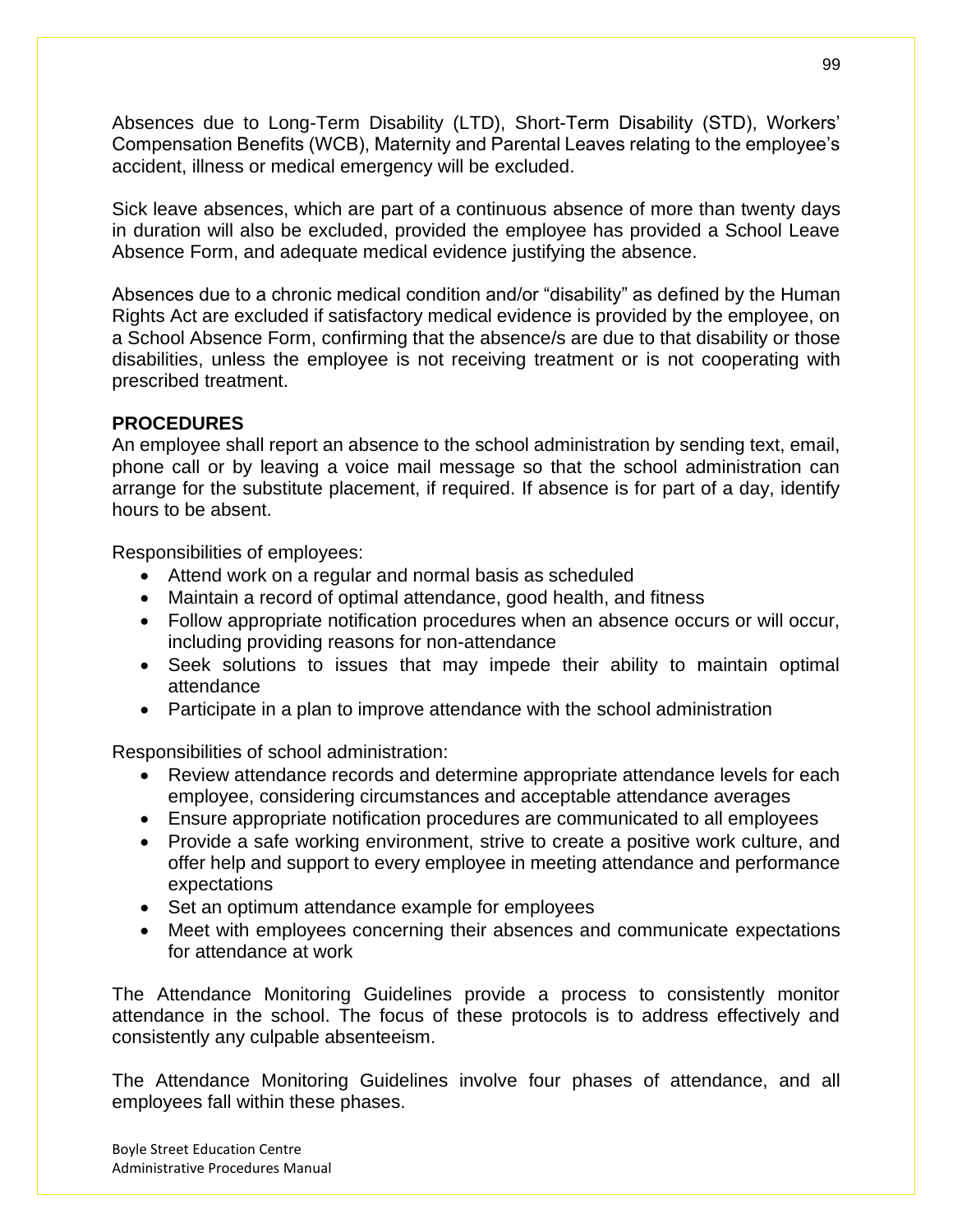Absences due to Long-Term Disability (LTD), Short-Term Disability (STD), Workers' Compensation Benefits (WCB), Maternity and Parental Leaves relating to the employee's accident, illness or medical emergency will be excluded.

Sick leave absences, which are part of a continuous absence of more than twenty days in duration will also be excluded, provided the employee has provided a School Leave Absence Form, and adequate medical evidence justifying the absence.

Absences due to a chronic medical condition and/or "disability" as defined by the Human Rights Act are excluded if satisfactory medical evidence is provided by the employee, on a School Absence Form, confirming that the absence/s are due to that disability or those disabilities, unless the employee is not receiving treatment or is not cooperating with prescribed treatment.

### **PROCEDURES**

An employee shall report an absence to the school administration by sending text, email, phone call or by leaving a voice mail message so that the school administration can arrange for the substitute placement, if required. If absence is for part of a day, identify hours to be absent.

Responsibilities of employees:

- Attend work on a regular and normal basis as scheduled
- Maintain a record of optimal attendance, good health, and fitness
- Follow appropriate notification procedures when an absence occurs or will occur, including providing reasons for non-attendance
- Seek solutions to issues that may impede their ability to maintain optimal attendance
- Participate in a plan to improve attendance with the school administration

Responsibilities of school administration:

- Review attendance records and determine appropriate attendance levels for each employee, considering circumstances and acceptable attendance averages
- Ensure appropriate notification procedures are communicated to all employees
- Provide a safe working environment, strive to create a positive work culture, and offer help and support to every employee in meeting attendance and performance expectations
- Set an optimum attendance example for employees
- Meet with employees concerning their absences and communicate expectations for attendance at work

The Attendance Monitoring Guidelines provide a process to consistently monitor attendance in the school. The focus of these protocols is to address effectively and consistently any culpable absenteeism.

The Attendance Monitoring Guidelines involve four phases of attendance, and all employees fall within these phases.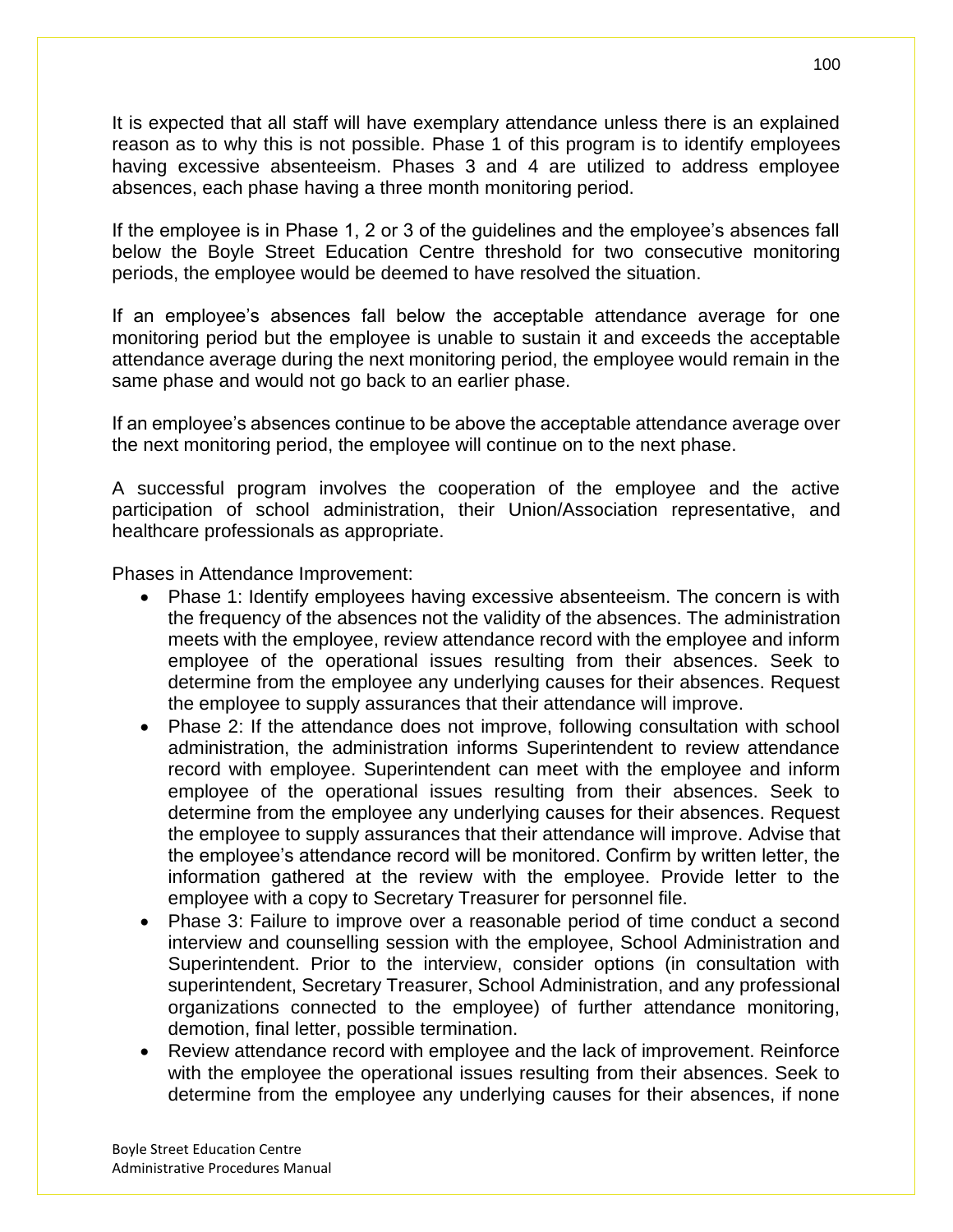It is expected that all staff will have exemplary attendance unless there is an explained reason as to why this is not possible. Phase 1 of this program is to identify employees having excessive absenteeism. Phases 3 and 4 are utilized to address employee absences, each phase having a three month monitoring period.

If the employee is in Phase 1, 2 or 3 of the guidelines and the employee's absences fall below the Boyle Street Education Centre threshold for two consecutive monitoring periods, the employee would be deemed to have resolved the situation.

If an employee's absences fall below the acceptable attendance average for one monitoring period but the employee is unable to sustain it and exceeds the acceptable attendance average during the next monitoring period, the employee would remain in the same phase and would not go back to an earlier phase.

If an employee's absences continue to be above the acceptable attendance average over the next monitoring period, the employee will continue on to the next phase.

A successful program involves the cooperation of the employee and the active participation of school administration, their Union/Association representative, and healthcare professionals as appropriate.

Phases in Attendance Improvement:

- Phase 1: Identify employees having excessive absenteeism. The concern is with the frequency of the absences not the validity of the absences. The administration meets with the employee, review attendance record with the employee and inform employee of the operational issues resulting from their absences. Seek to determine from the employee any underlying causes for their absences. Request the employee to supply assurances that their attendance will improve.
- Phase 2: If the attendance does not improve, following consultation with school administration, the administration informs Superintendent to review attendance record with employee. Superintendent can meet with the employee and inform employee of the operational issues resulting from their absences. Seek to determine from the employee any underlying causes for their absences. Request the employee to supply assurances that their attendance will improve. Advise that the employee's attendance record will be monitored. Confirm by written letter, the information gathered at the review with the employee. Provide letter to the employee with a copy to Secretary Treasurer for personnel file.
- Phase 3: Failure to improve over a reasonable period of time conduct a second interview and counselling session with the employee, School Administration and Superintendent. Prior to the interview, consider options (in consultation with superintendent, Secretary Treasurer, School Administration, and any professional organizations connected to the employee) of further attendance monitoring, demotion, final letter, possible termination.
- Review attendance record with employee and the lack of improvement. Reinforce with the employee the operational issues resulting from their absences. Seek to determine from the employee any underlying causes for their absences, if none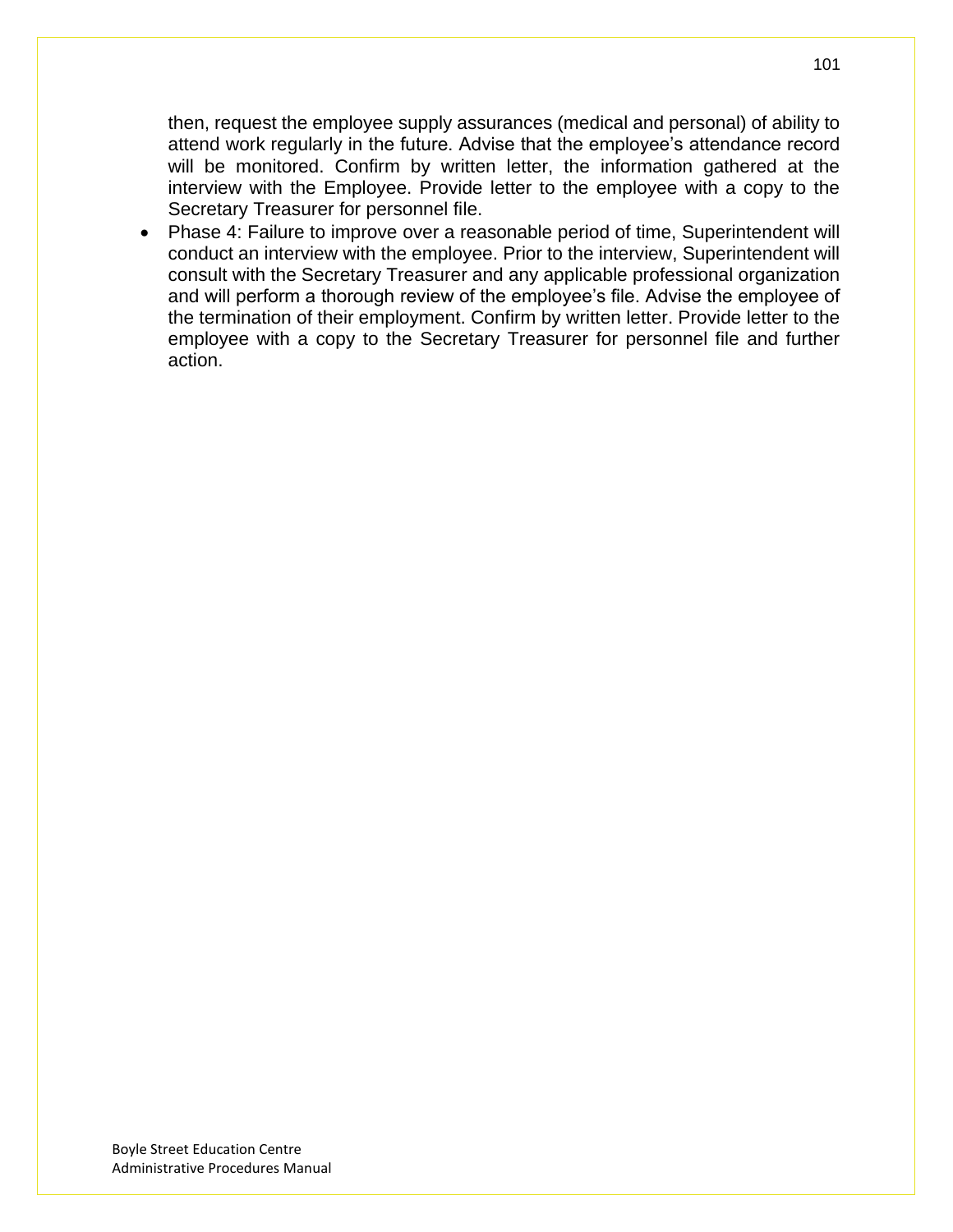then, request the employee supply assurances (medical and personal) of ability to attend work regularly in the future. Advise that the employee's attendance record will be monitored. Confirm by written letter, the information gathered at the interview with the Employee. Provide letter to the employee with a copy to the Secretary Treasurer for personnel file.

• Phase 4: Failure to improve over a reasonable period of time, Superintendent will conduct an interview with the employee. Prior to the interview, Superintendent will consult with the Secretary Treasurer and any applicable professional organization and will perform a thorough review of the employee's file. Advise the employee of the termination of their employment. Confirm by written letter. Provide letter to the employee with a copy to the Secretary Treasurer for personnel file and further action.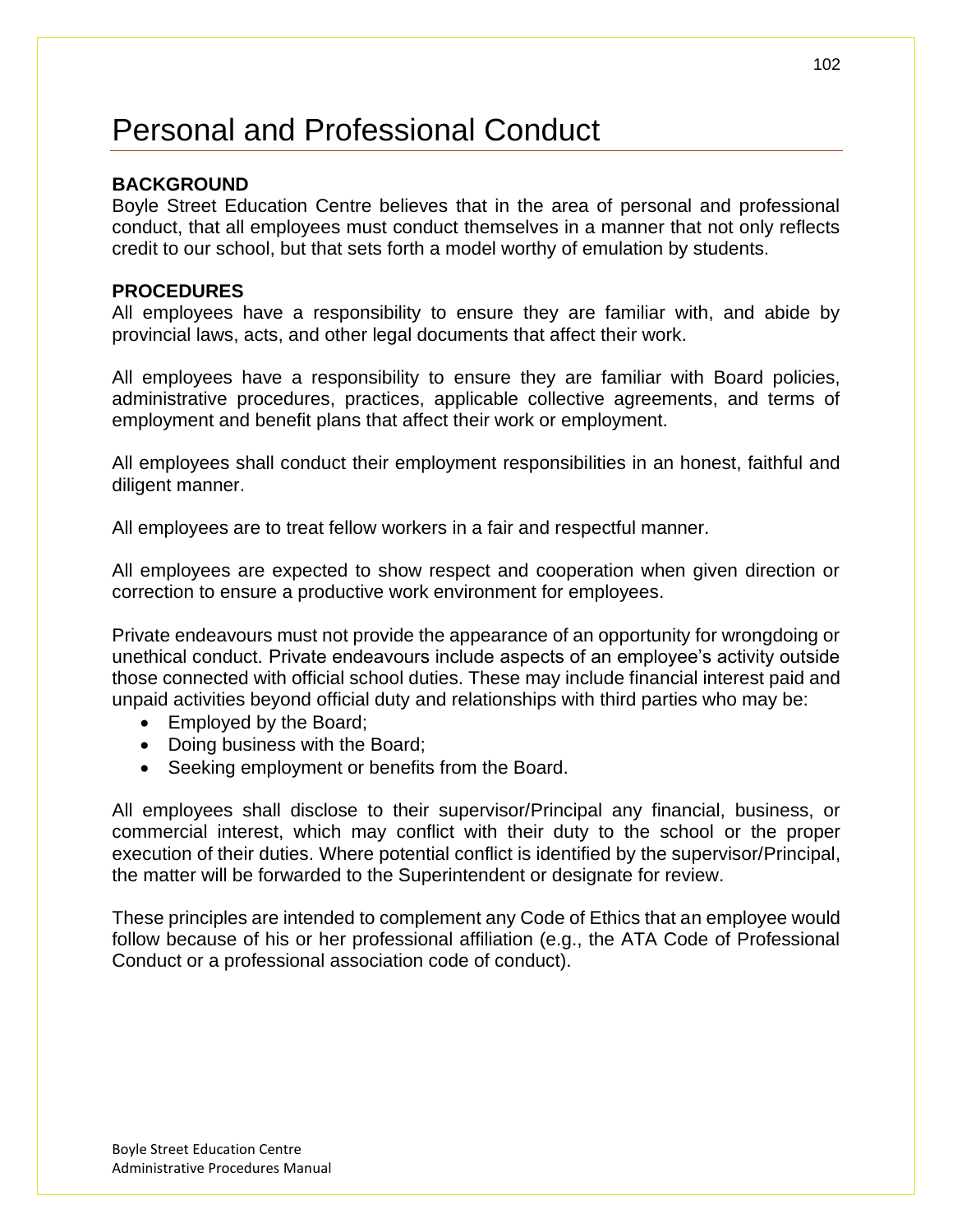# Personal and Professional Conduct

### **BACKGROUND**

Boyle Street Education Centre believes that in the area of personal and professional conduct, that all employees must conduct themselves in a manner that not only reflects credit to our school, but that sets forth a model worthy of emulation by students.

#### **PROCEDURES**

All employees have a responsibility to ensure they are familiar with, and abide by provincial laws, acts, and other legal documents that affect their work.

All employees have a responsibility to ensure they are familiar with Board policies, administrative procedures, practices, applicable collective agreements, and terms of employment and benefit plans that affect their work or employment.

All employees shall conduct their employment responsibilities in an honest, faithful and diligent manner.

All employees are to treat fellow workers in a fair and respectful manner.

All employees are expected to show respect and cooperation when given direction or correction to ensure a productive work environment for employees.

Private endeavours must not provide the appearance of an opportunity for wrongdoing or unethical conduct. Private endeavours include aspects of an employee's activity outside those connected with official school duties. These may include financial interest paid and unpaid activities beyond official duty and relationships with third parties who may be:

- Employed by the Board;
- Doing business with the Board;
- Seeking employment or benefits from the Board.

All employees shall disclose to their supervisor/Principal any financial, business, or commercial interest, which may conflict with their duty to the school or the proper execution of their duties. Where potential conflict is identified by the supervisor/Principal, the matter will be forwarded to the Superintendent or designate for review.

These principles are intended to complement any Code of Ethics that an employee would follow because of his or her professional affiliation (e.g., the ATA Code of Professional Conduct or a professional association code of conduct).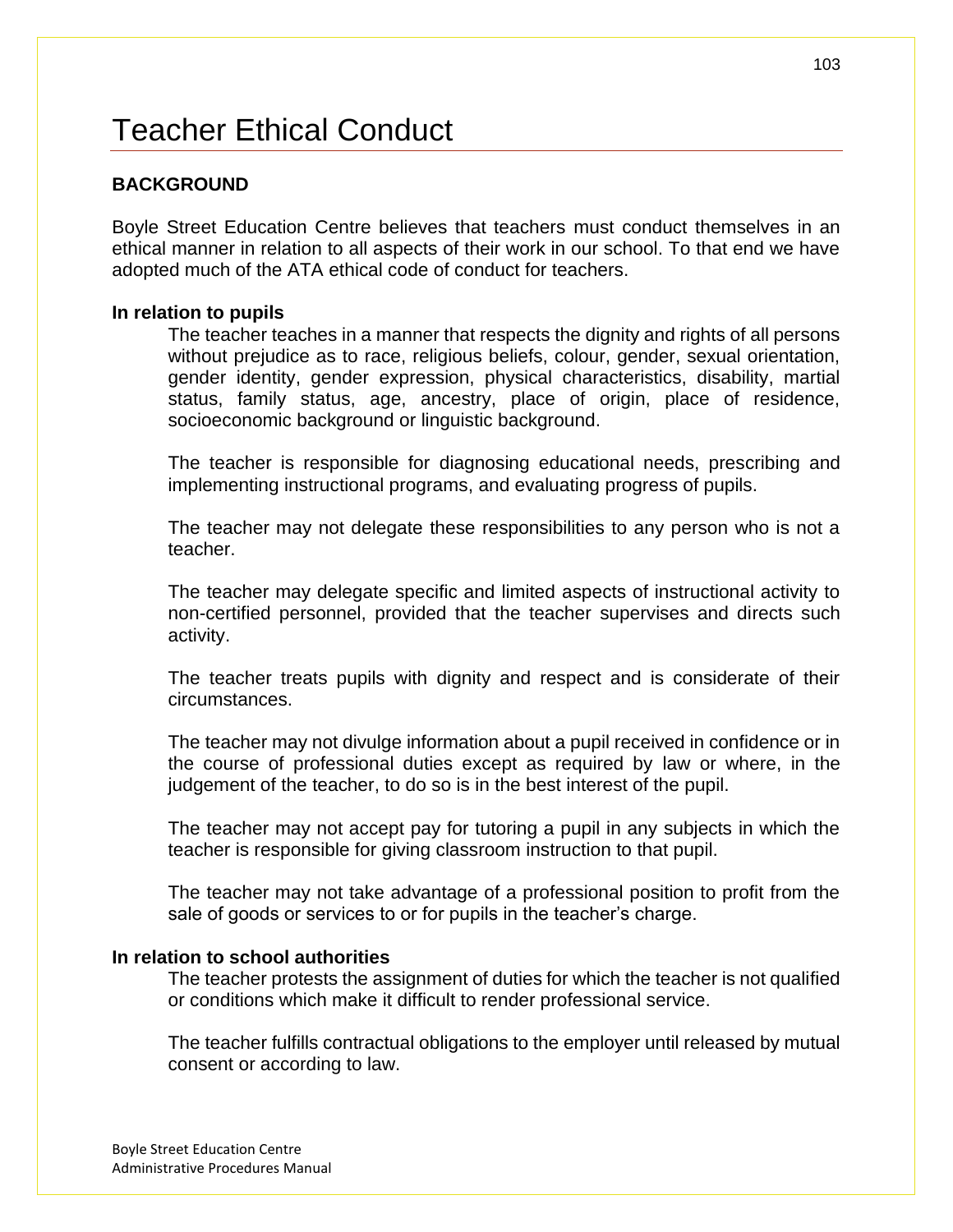# Teacher Ethical Conduct

### **BACKGROUND**

Boyle Street Education Centre believes that teachers must conduct themselves in an ethical manner in relation to all aspects of their work in our school. To that end we have adopted much of the ATA ethical code of conduct for teachers.

#### **In relation to pupils**

The teacher teaches in a manner that respects the dignity and rights of all persons without prejudice as to race, religious beliefs, colour, gender, sexual orientation, gender identity, gender expression, physical characteristics, disability, martial status, family status, age, ancestry, place of origin, place of residence, socioeconomic background or linguistic background.

The teacher is responsible for diagnosing educational needs, prescribing and implementing instructional programs, and evaluating progress of pupils.

The teacher may not delegate these responsibilities to any person who is not a teacher.

The teacher may delegate specific and limited aspects of instructional activity to non-certified personnel, provided that the teacher supervises and directs such activity.

The teacher treats pupils with dignity and respect and is considerate of their circumstances.

The teacher may not divulge information about a pupil received in confidence or in the course of professional duties except as required by law or where, in the judgement of the teacher, to do so is in the best interest of the pupil.

The teacher may not accept pay for tutoring a pupil in any subjects in which the teacher is responsible for giving classroom instruction to that pupil.

The teacher may not take advantage of a professional position to profit from the sale of goods or services to or for pupils in the teacher's charge.

#### **In relation to school authorities**

The teacher protests the assignment of duties for which the teacher is not qualified or conditions which make it difficult to render professional service.

The teacher fulfills contractual obligations to the employer until released by mutual consent or according to law.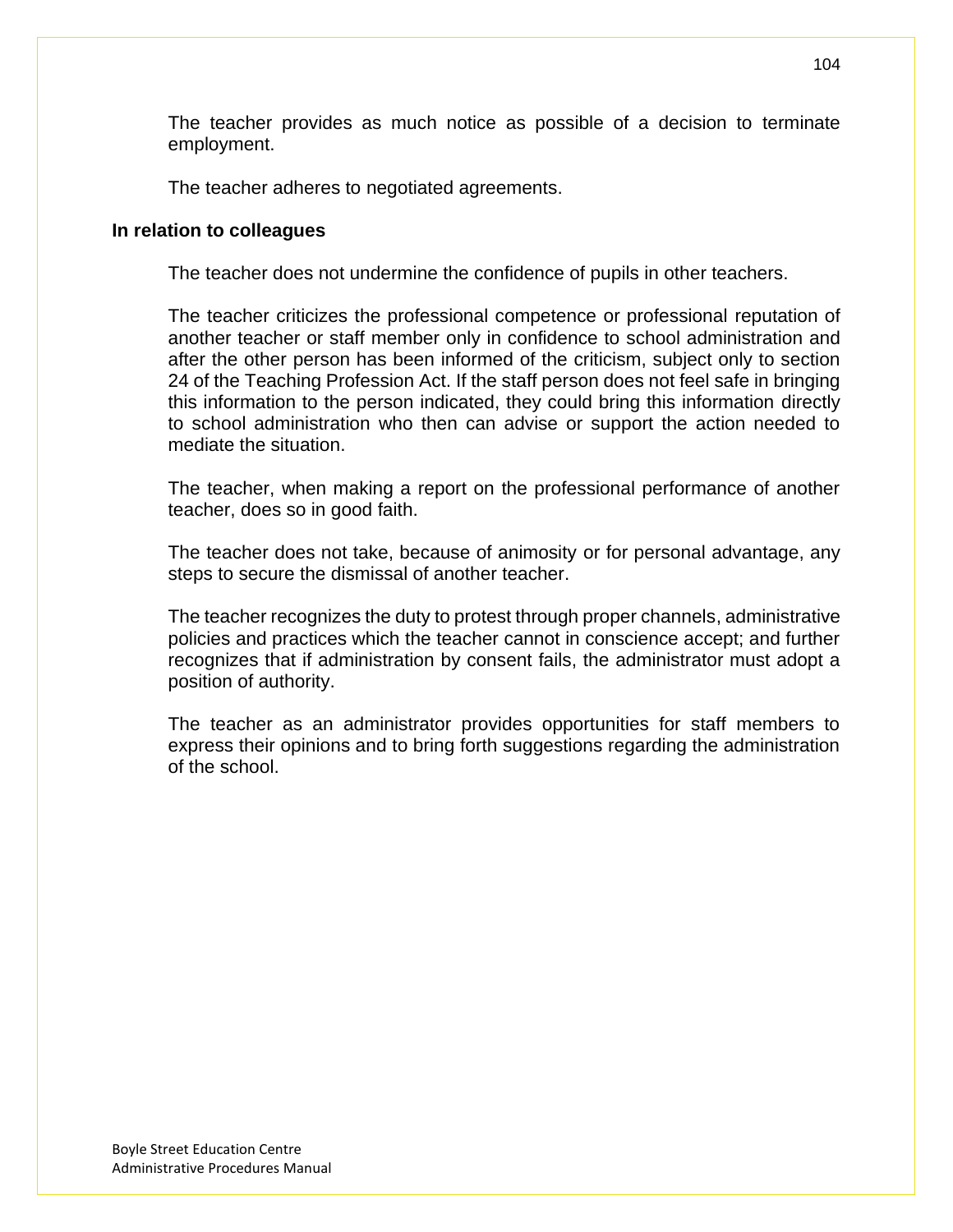The teacher provides as much notice as possible of a decision to terminate employment.

The teacher adheres to negotiated agreements.

#### **In relation to colleagues**

The teacher does not undermine the confidence of pupils in other teachers.

The teacher criticizes the professional competence or professional reputation of another teacher or staff member only in confidence to school administration and after the other person has been informed of the criticism, subject only to section 24 of the Teaching Profession Act. If the staff person does not feel safe in bringing this information to the person indicated, they could bring this information directly to school administration who then can advise or support the action needed to mediate the situation.

The teacher, when making a report on the professional performance of another teacher, does so in good faith.

The teacher does not take, because of animosity or for personal advantage, any steps to secure the dismissal of another teacher.

The teacher recognizes the duty to protest through proper channels, administrative policies and practices which the teacher cannot in conscience accept; and further recognizes that if administration by consent fails, the administrator must adopt a position of authority.

The teacher as an administrator provides opportunities for staff members to express their opinions and to bring forth suggestions regarding the administration of the school.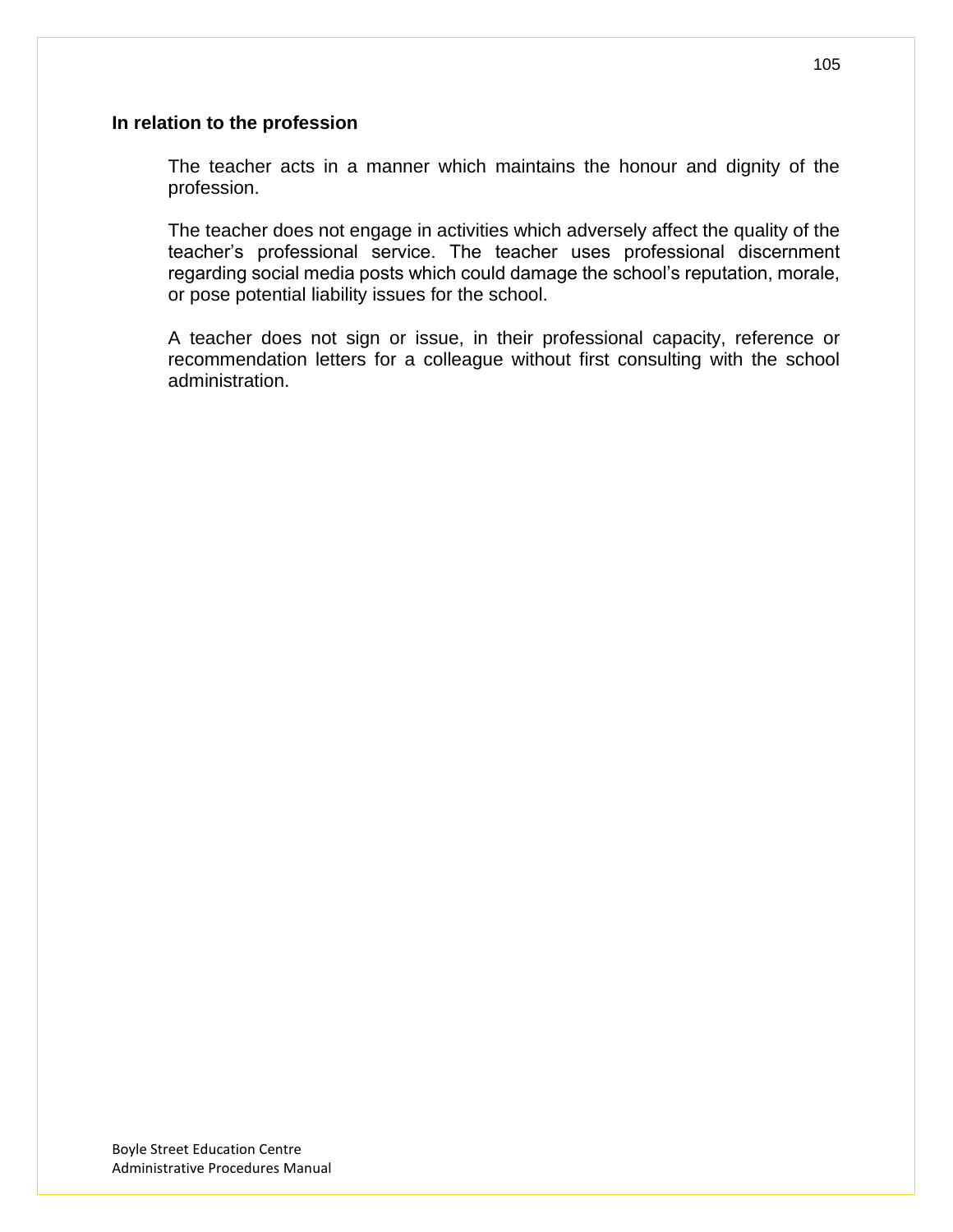#### **In relation to the profession**

The teacher acts in a manner which maintains the honour and dignity of the profession.

The teacher does not engage in activities which adversely affect the quality of the teacher's professional service. The teacher uses professional discernment regarding social media posts which could damage the school's reputation, morale, or pose potential liability issues for the school.

A teacher does not sign or issue, in their professional capacity, reference or recommendation letters for a colleague without first consulting with the school administration.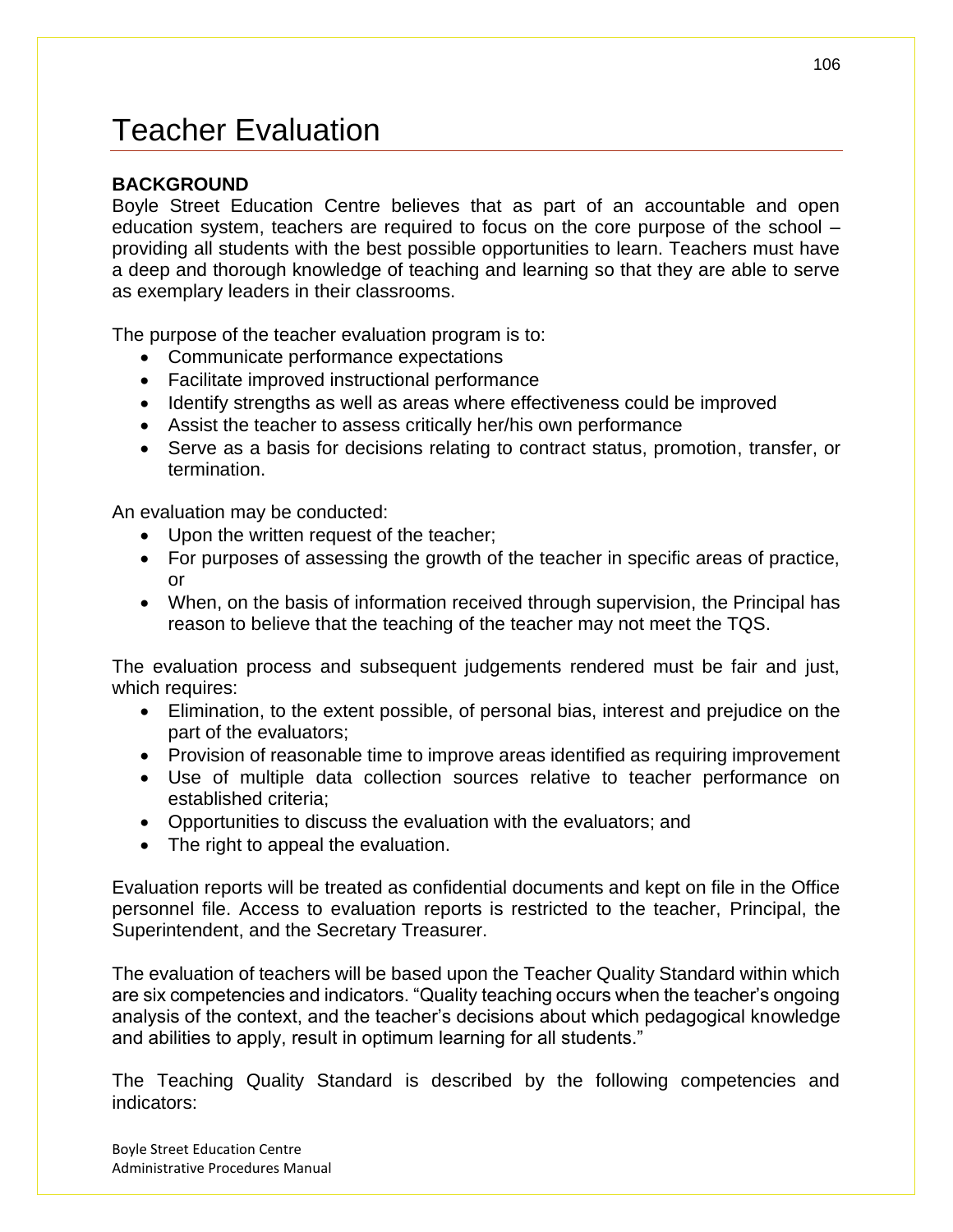# Teacher Evaluation

### **BACKGROUND**

Boyle Street Education Centre believes that as part of an accountable and open education system, teachers are required to focus on the core purpose of the school – providing all students with the best possible opportunities to learn. Teachers must have a deep and thorough knowledge of teaching and learning so that they are able to serve as exemplary leaders in their classrooms.

The purpose of the teacher evaluation program is to:

- Communicate performance expectations
- Facilitate improved instructional performance
- Identify strengths as well as areas where effectiveness could be improved
- Assist the teacher to assess critically her/his own performance
- Serve as a basis for decisions relating to contract status, promotion, transfer, or termination.

An evaluation may be conducted:

- Upon the written request of the teacher;
- For purposes of assessing the growth of the teacher in specific areas of practice, or
- When, on the basis of information received through supervision, the Principal has reason to believe that the teaching of the teacher may not meet the TQS.

The evaluation process and subsequent judgements rendered must be fair and just, which requires:

- Elimination, to the extent possible, of personal bias, interest and prejudice on the part of the evaluators;
- Provision of reasonable time to improve areas identified as requiring improvement
- Use of multiple data collection sources relative to teacher performance on established criteria;
- Opportunities to discuss the evaluation with the evaluators; and
- The right to appeal the evaluation.

Evaluation reports will be treated as confidential documents and kept on file in the Office personnel file. Access to evaluation reports is restricted to the teacher, Principal, the Superintendent, and the Secretary Treasurer.

The evaluation of teachers will be based upon the Teacher Quality Standard within which are six competencies and indicators. "Quality teaching occurs when the teacher's ongoing analysis of the context, and the teacher's decisions about which pedagogical knowledge and abilities to apply, result in optimum learning for all students."

The Teaching Quality Standard is described by the following competencies and indicators: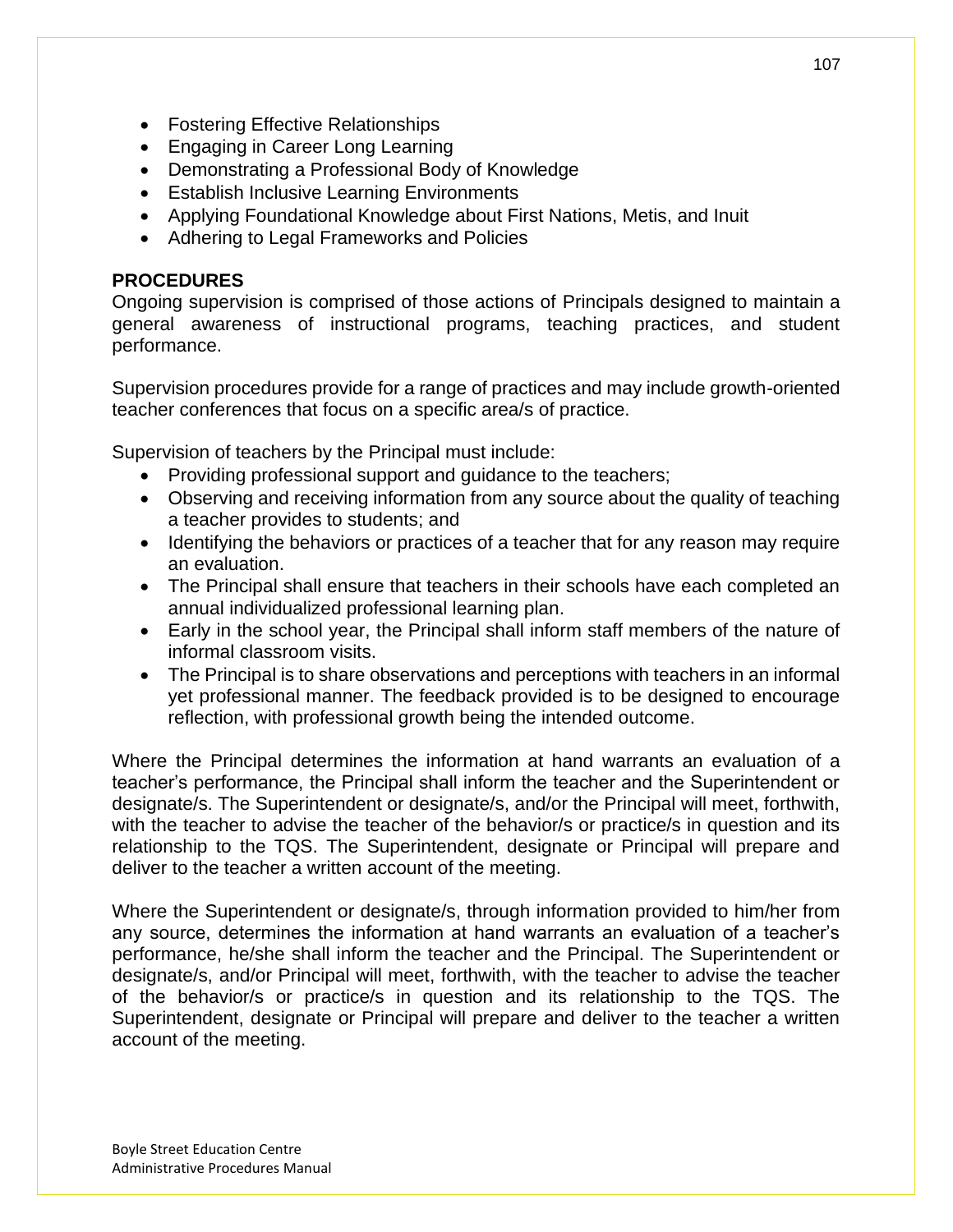- Fostering Effective Relationships
- Engaging in Career Long Learning
- Demonstrating a Professional Body of Knowledge
- Establish Inclusive Learning Environments
- Applying Foundational Knowledge about First Nations, Metis, and Inuit
- Adhering to Legal Frameworks and Policies

### **PROCEDURES**

Ongoing supervision is comprised of those actions of Principals designed to maintain a general awareness of instructional programs, teaching practices, and student performance.

Supervision procedures provide for a range of practices and may include growth-oriented teacher conferences that focus on a specific area/s of practice.

Supervision of teachers by the Principal must include:

- Providing professional support and quidance to the teachers;
- Observing and receiving information from any source about the quality of teaching a teacher provides to students; and
- Identifying the behaviors or practices of a teacher that for any reason may require an evaluation.
- The Principal shall ensure that teachers in their schools have each completed an annual individualized professional learning plan.
- Early in the school year, the Principal shall inform staff members of the nature of informal classroom visits.
- The Principal is to share observations and perceptions with teachers in an informal yet professional manner. The feedback provided is to be designed to encourage reflection, with professional growth being the intended outcome.

Where the Principal determines the information at hand warrants an evaluation of a teacher's performance, the Principal shall inform the teacher and the Superintendent or designate/s. The Superintendent or designate/s, and/or the Principal will meet, forthwith, with the teacher to advise the teacher of the behavior/s or practice/s in question and its relationship to the TQS. The Superintendent, designate or Principal will prepare and deliver to the teacher a written account of the meeting.

Where the Superintendent or designate/s, through information provided to him/her from any source, determines the information at hand warrants an evaluation of a teacher's performance, he/she shall inform the teacher and the Principal. The Superintendent or designate/s, and/or Principal will meet, forthwith, with the teacher to advise the teacher of the behavior/s or practice/s in question and its relationship to the TQS. The Superintendent, designate or Principal will prepare and deliver to the teacher a written account of the meeting.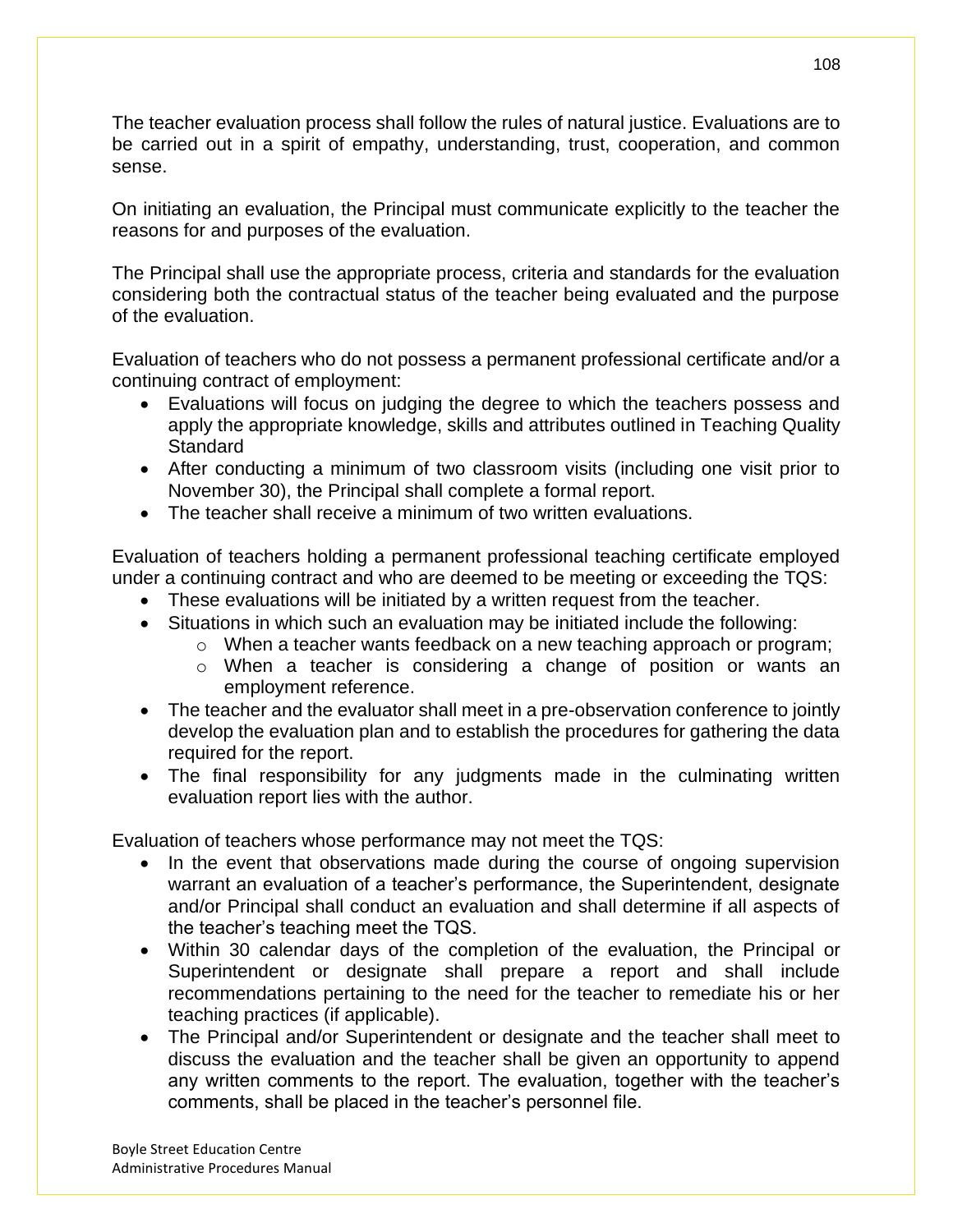The teacher evaluation process shall follow the rules of natural justice. Evaluations are to be carried out in a spirit of empathy, understanding, trust, cooperation, and common sense.

On initiating an evaluation, the Principal must communicate explicitly to the teacher the reasons for and purposes of the evaluation.

The Principal shall use the appropriate process, criteria and standards for the evaluation considering both the contractual status of the teacher being evaluated and the purpose of the evaluation.

Evaluation of teachers who do not possess a permanent professional certificate and/or a continuing contract of employment:

- Evaluations will focus on judging the degree to which the teachers possess and apply the appropriate knowledge, skills and attributes outlined in Teaching Quality **Standard**
- After conducting a minimum of two classroom visits (including one visit prior to November 30), the Principal shall complete a formal report.
- The teacher shall receive a minimum of two written evaluations.

Evaluation of teachers holding a permanent professional teaching certificate employed under a continuing contract and who are deemed to be meeting or exceeding the TQS:

- These evaluations will be initiated by a written request from the teacher.
- Situations in which such an evaluation may be initiated include the following:
	- o When a teacher wants feedback on a new teaching approach or program;
	- o When a teacher is considering a change of position or wants an employment reference.
- The teacher and the evaluator shall meet in a pre-observation conference to jointly develop the evaluation plan and to establish the procedures for gathering the data required for the report.
- The final responsibility for any judgments made in the culminating written evaluation report lies with the author.

Evaluation of teachers whose performance may not meet the TQS:

- In the event that observations made during the course of ongoing supervision warrant an evaluation of a teacher's performance, the Superintendent, designate and/or Principal shall conduct an evaluation and shall determine if all aspects of the teacher's teaching meet the TQS.
- Within 30 calendar days of the completion of the evaluation, the Principal or Superintendent or designate shall prepare a report and shall include recommendations pertaining to the need for the teacher to remediate his or her teaching practices (if applicable).
- The Principal and/or Superintendent or designate and the teacher shall meet to discuss the evaluation and the teacher shall be given an opportunity to append any written comments to the report. The evaluation, together with the teacher's comments, shall be placed in the teacher's personnel file.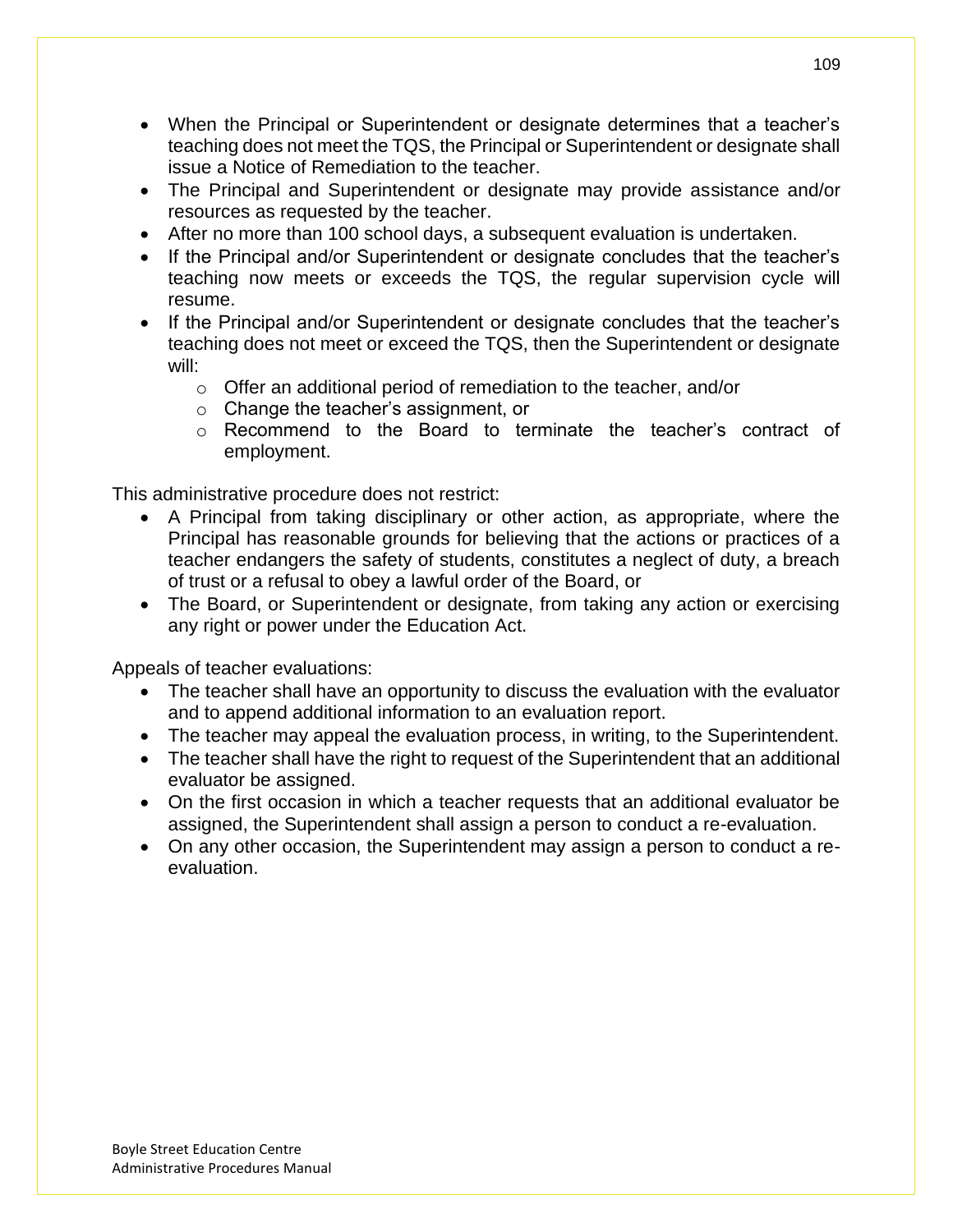- When the Principal or Superintendent or designate determines that a teacher's teaching does not meet the TQS, the Principal or Superintendent or designate shall issue a Notice of Remediation to the teacher.
- The Principal and Superintendent or designate may provide assistance and/or resources as requested by the teacher.
- After no more than 100 school days, a subsequent evaluation is undertaken.
- If the Principal and/or Superintendent or designate concludes that the teacher's teaching now meets or exceeds the TQS, the regular supervision cycle will resume.
- If the Principal and/or Superintendent or designate concludes that the teacher's teaching does not meet or exceed the TQS, then the Superintendent or designate will:
	- o Offer an additional period of remediation to the teacher, and/or
	- o Change the teacher's assignment, or
	- o Recommend to the Board to terminate the teacher's contract of employment.

This administrative procedure does not restrict:

- A Principal from taking disciplinary or other action, as appropriate, where the Principal has reasonable grounds for believing that the actions or practices of a teacher endangers the safety of students, constitutes a neglect of duty, a breach of trust or a refusal to obey a lawful order of the Board, or
- The Board, or Superintendent or designate, from taking any action or exercising any right or power under the Education Act.

Appeals of teacher evaluations:

- The teacher shall have an opportunity to discuss the evaluation with the evaluator and to append additional information to an evaluation report.
- The teacher may appeal the evaluation process, in writing, to the Superintendent.
- The teacher shall have the right to request of the Superintendent that an additional evaluator be assigned.
- On the first occasion in which a teacher requests that an additional evaluator be assigned, the Superintendent shall assign a person to conduct a re-evaluation.
- On any other occasion, the Superintendent may assign a person to conduct a reevaluation.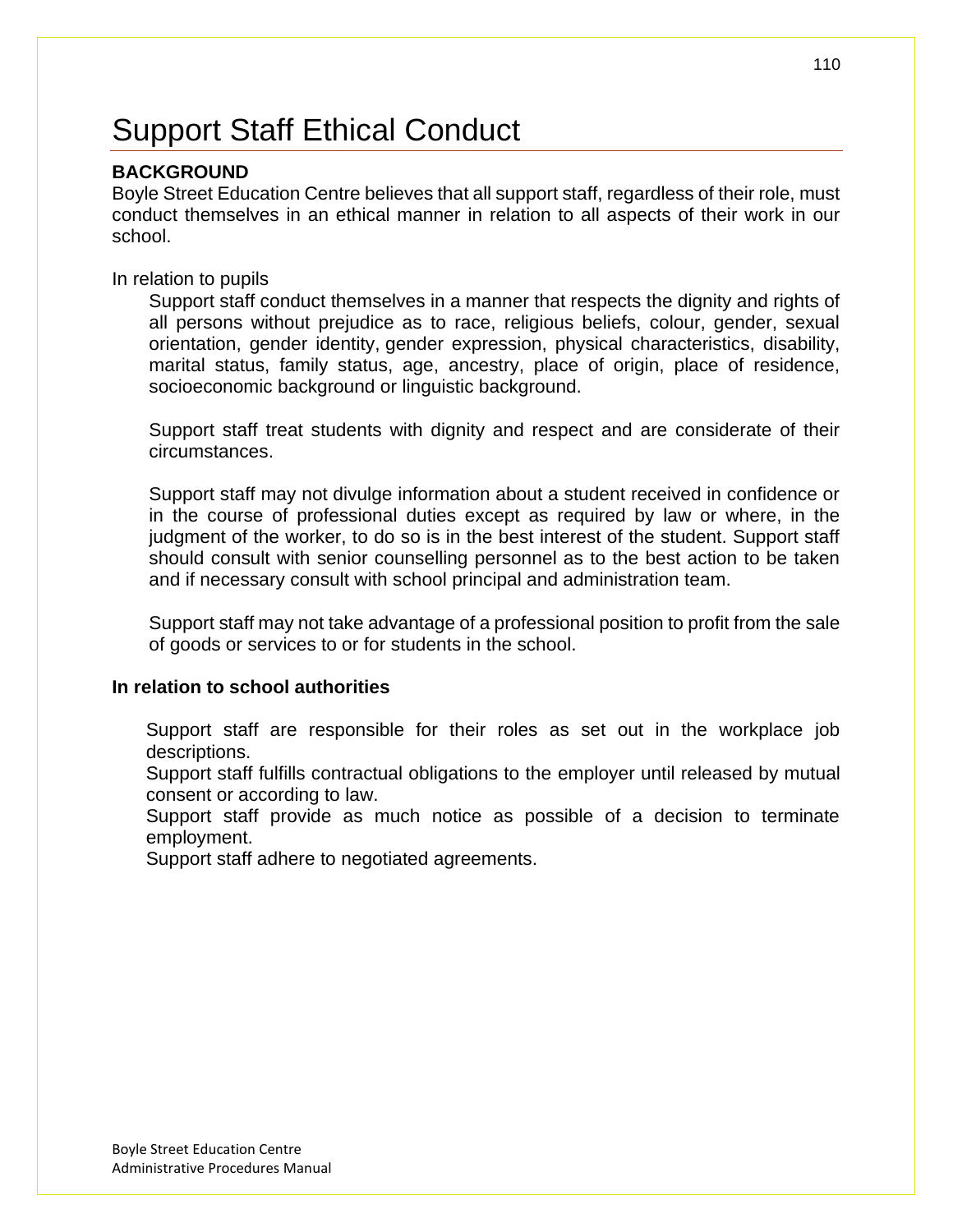# Support Staff Ethical Conduct

### **BACKGROUND**

Boyle Street Education Centre believes that all support staff, regardless of their role, must conduct themselves in an ethical manner in relation to all aspects of their work in our school.

In relation to pupils

Support staff conduct themselves in a manner that respects the dignity and rights of all persons without prejudice as to race, religious beliefs, colour, gender, sexual orientation, gender identity, gender expression, physical characteristics, disability, marital status, family status, age, ancestry, place of origin, place of residence, socioeconomic background or linguistic background.

Support staff treat students with dignity and respect and are considerate of their circumstances.

Support staff may not divulge information about a student received in confidence or in the course of professional duties except as required by law or where, in the judgment of the worker, to do so is in the best interest of the student. Support staff should consult with senior counselling personnel as to the best action to be taken and if necessary consult with school principal and administration team.

Support staff may not take advantage of a professional position to profit from the sale of goods or services to or for students in the school.

### **In relation to school authorities**

Support staff are responsible for their roles as set out in the workplace job descriptions.

Support staff fulfills contractual obligations to the employer until released by mutual consent or according to law.

Support staff provide as much notice as possible of a decision to terminate employment.

Support staff adhere to negotiated agreements.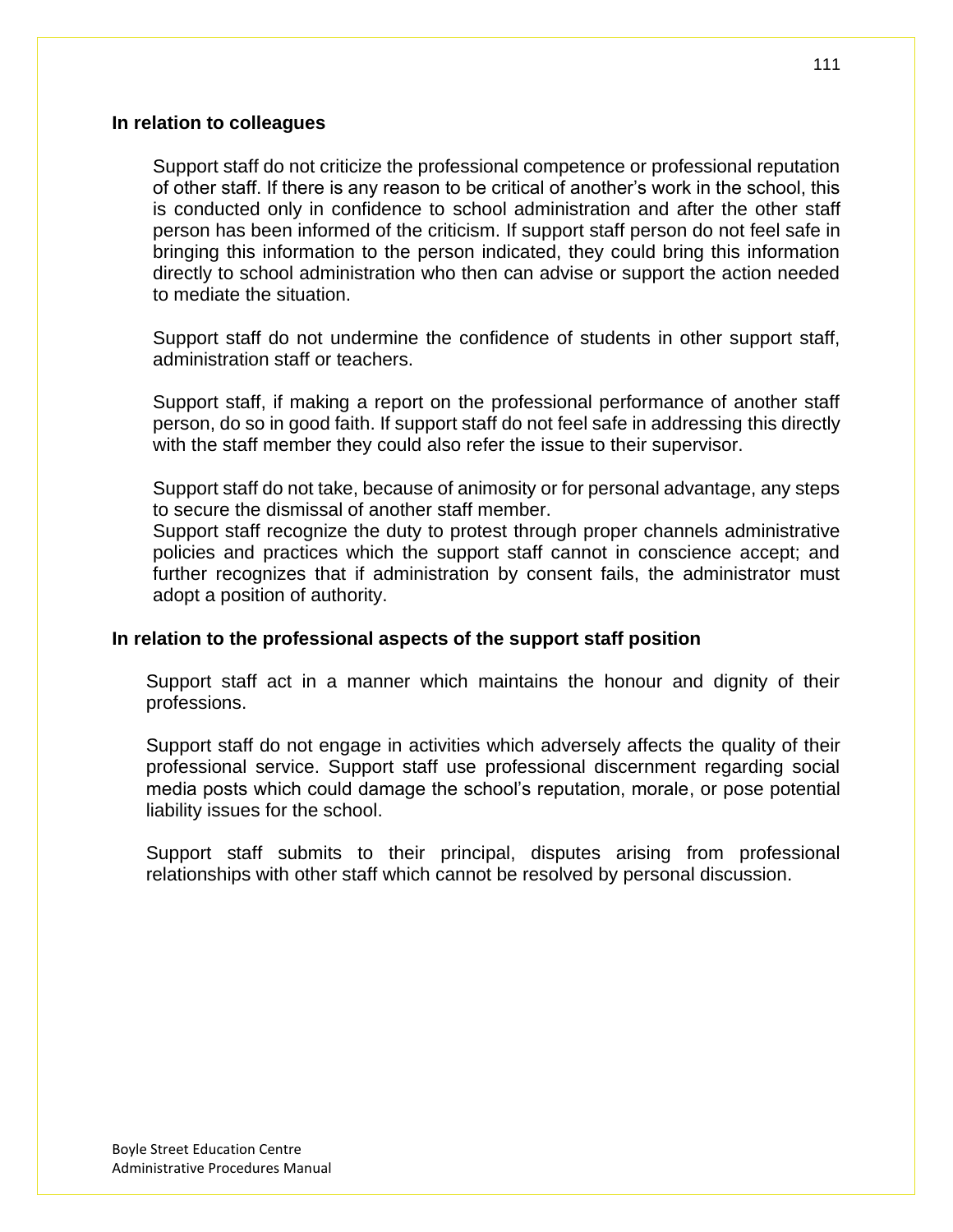Support staff do not criticize the professional competence or professional reputation of other staff. If there is any reason to be critical of another's work in the school, this is conducted only in confidence to school administration and after the other staff person has been informed of the criticism. If support staff person do not feel safe in bringing this information to the person indicated, they could bring this information directly to school administration who then can advise or support the action needed to mediate the situation.

Support staff do not undermine the confidence of students in other support staff, administration staff or teachers.

Support staff, if making a report on the professional performance of another staff person, do so in good faith. If support staff do not feel safe in addressing this directly with the staff member they could also refer the issue to their supervisor.

Support staff do not take, because of animosity or for personal advantage, any steps to secure the dismissal of another staff member.

Support staff recognize the duty to protest through proper channels administrative policies and practices which the support staff cannot in conscience accept; and further recognizes that if administration by consent fails, the administrator must adopt a position of authority.

#### **In relation to the professional aspects of the support staff position**

Support staff act in a manner which maintains the honour and dignity of their professions.

Support staff do not engage in activities which adversely affects the quality of their professional service. Support staff use professional discernment regarding social media posts which could damage the school's reputation, morale, or pose potential liability issues for the school.

Support staff submits to their principal, disputes arising from professional relationships with other staff which cannot be resolved by personal discussion.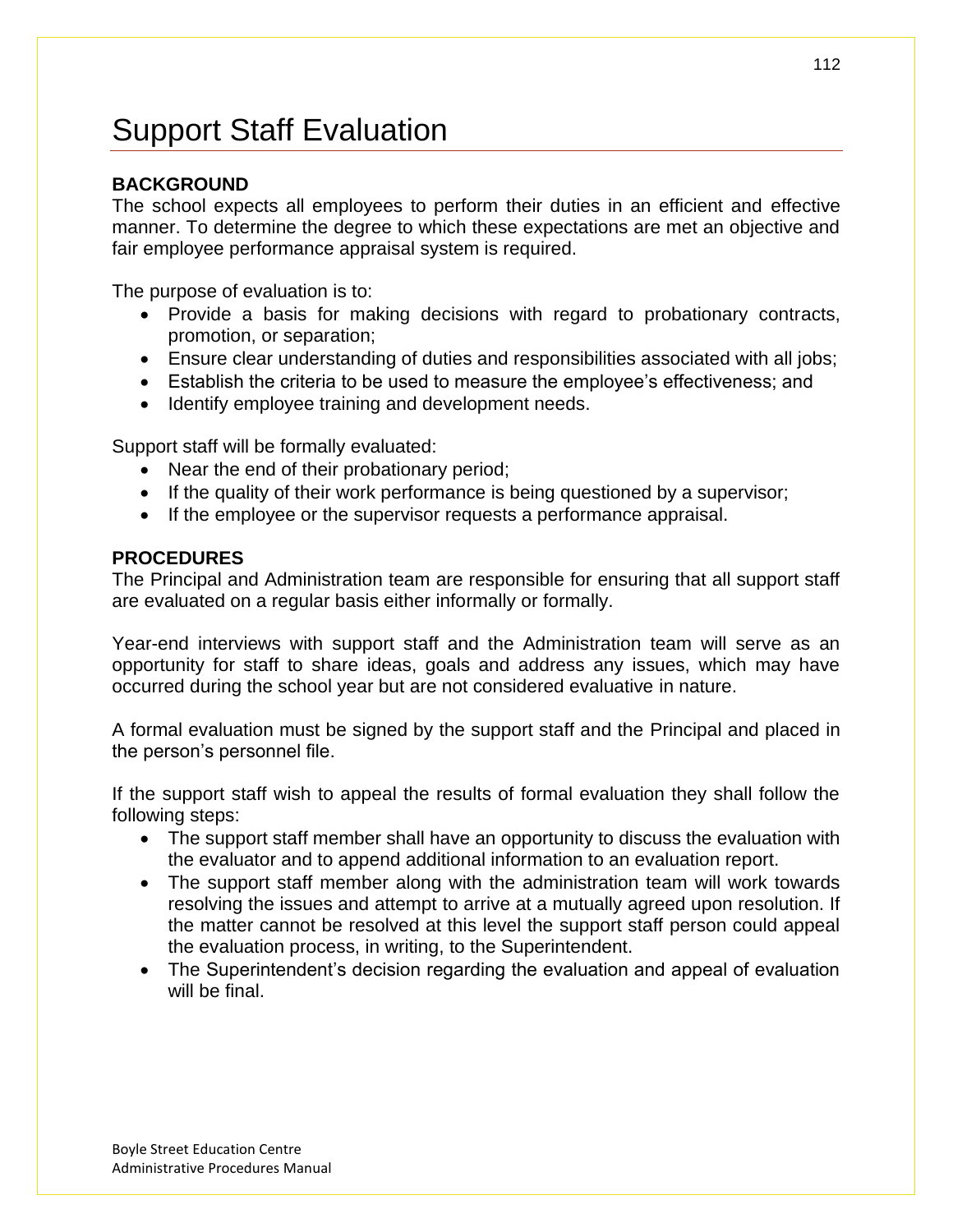# Support Staff Evaluation

## **BACKGROUND**

The school expects all employees to perform their duties in an efficient and effective manner. To determine the degree to which these expectations are met an objective and fair employee performance appraisal system is required.

The purpose of evaluation is to:

- Provide a basis for making decisions with regard to probationary contracts, promotion, or separation;
- Ensure clear understanding of duties and responsibilities associated with all jobs;
- Establish the criteria to be used to measure the employee's effectiveness; and
- Identify employee training and development needs.

Support staff will be formally evaluated:

- Near the end of their probationary period;
- If the quality of their work performance is being questioned by a supervisor;
- If the employee or the supervisor requests a performance appraisal.

### **PROCEDURES**

The Principal and Administration team are responsible for ensuring that all support staff are evaluated on a regular basis either informally or formally.

Year-end interviews with support staff and the Administration team will serve as an opportunity for staff to share ideas, goals and address any issues, which may have occurred during the school year but are not considered evaluative in nature.

A formal evaluation must be signed by the support staff and the Principal and placed in the person's personnel file.

If the support staff wish to appeal the results of formal evaluation they shall follow the following steps:

- The support staff member shall have an opportunity to discuss the evaluation with the evaluator and to append additional information to an evaluation report.
- The support staff member along with the administration team will work towards resolving the issues and attempt to arrive at a mutually agreed upon resolution. If the matter cannot be resolved at this level the support staff person could appeal the evaluation process, in writing, to the Superintendent.
- The Superintendent's decision regarding the evaluation and appeal of evaluation will be final.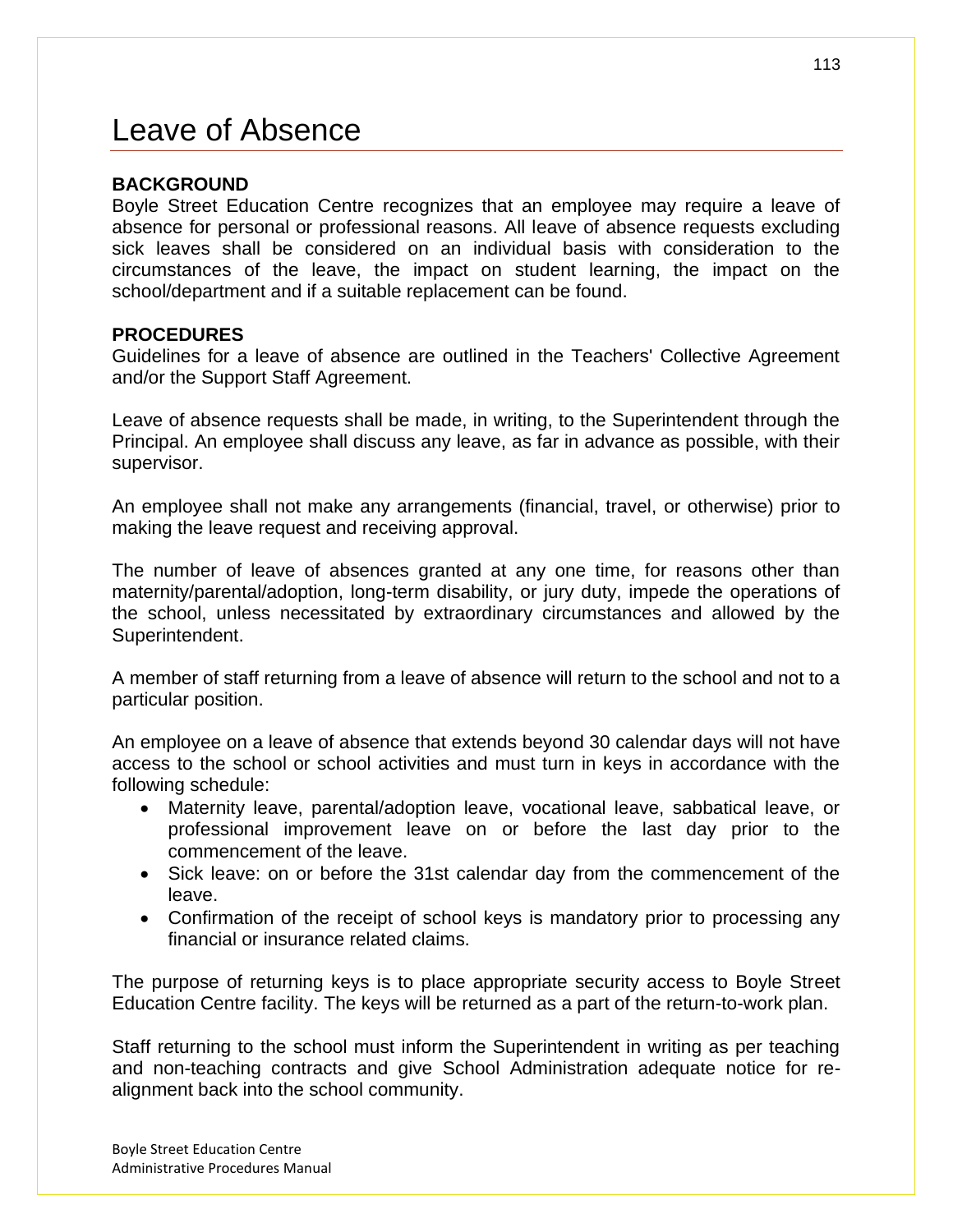## Leave of Absence

#### **BACKGROUND**

Boyle Street Education Centre recognizes that an employee may require a leave of absence for personal or professional reasons. All leave of absence requests excluding sick leaves shall be considered on an individual basis with consideration to the circumstances of the leave, the impact on student learning, the impact on the school/department and if a suitable replacement can be found.

### **PROCEDURES**

Guidelines for a leave of absence are outlined in the Teachers' Collective Agreement and/or the Support Staff Agreement.

Leave of absence requests shall be made, in writing, to the Superintendent through the Principal. An employee shall discuss any leave, as far in advance as possible, with their supervisor.

An employee shall not make any arrangements (financial, travel, or otherwise) prior to making the leave request and receiving approval.

The number of leave of absences granted at any one time, for reasons other than maternity/parental/adoption, long-term disability, or jury duty, impede the operations of the school, unless necessitated by extraordinary circumstances and allowed by the Superintendent.

A member of staff returning from a leave of absence will return to the school and not to a particular position.

An employee on a leave of absence that extends beyond 30 calendar days will not have access to the school or school activities and must turn in keys in accordance with the following schedule:

- Maternity leave, parental/adoption leave, vocational leave, sabbatical leave, or professional improvement leave on or before the last day prior to the commencement of the leave.
- Sick leave: on or before the 31st calendar day from the commencement of the leave.
- Confirmation of the receipt of school keys is mandatory prior to processing any financial or insurance related claims.

The purpose of returning keys is to place appropriate security access to Boyle Street Education Centre facility. The keys will be returned as a part of the return-to-work plan.

Staff returning to the school must inform the Superintendent in writing as per teaching and non-teaching contracts and give School Administration adequate notice for realignment back into the school community.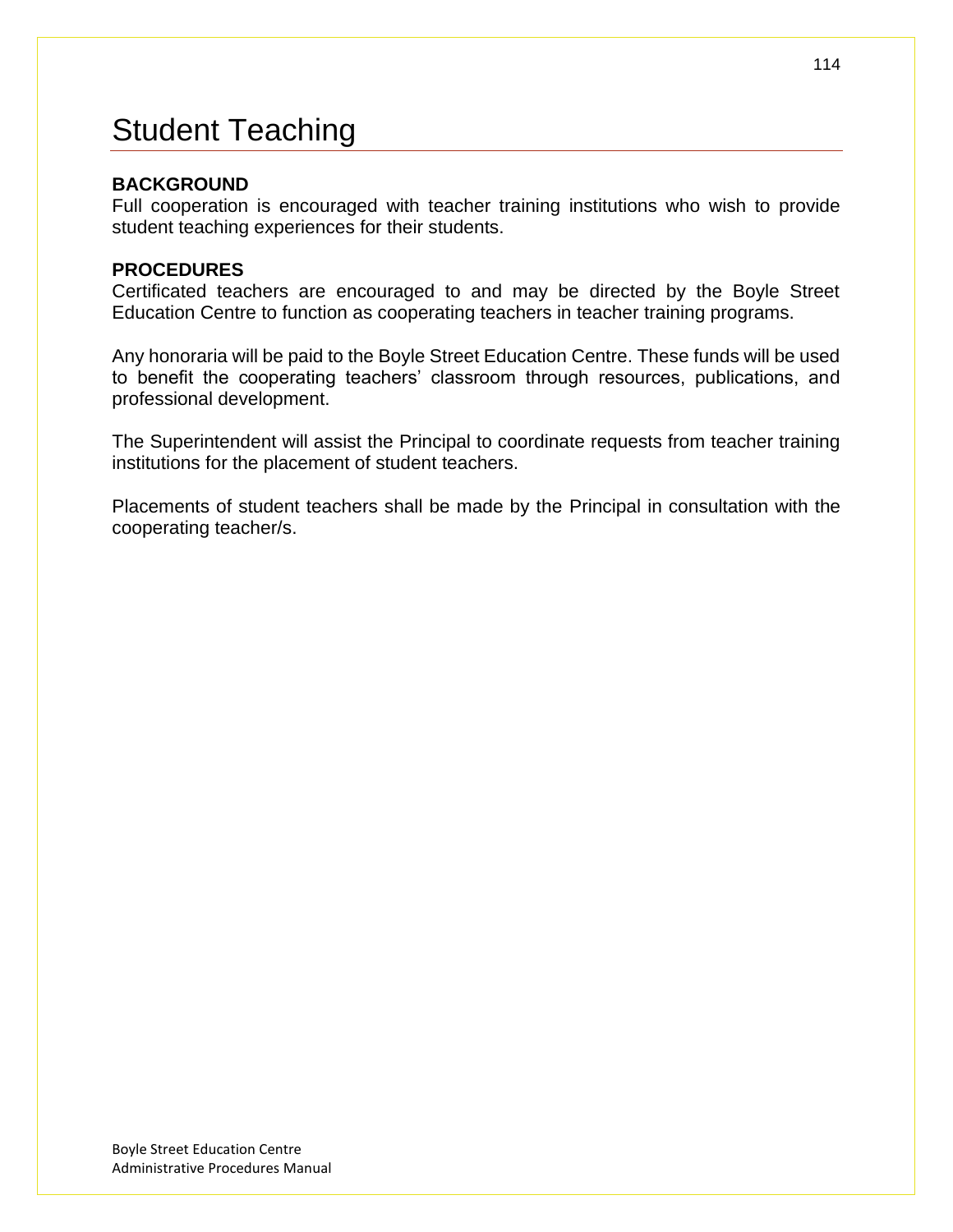## Student Teaching

### **BACKGROUND**

Full cooperation is encouraged with teacher training institutions who wish to provide student teaching experiences for their students.

#### **PROCEDURES**

Certificated teachers are encouraged to and may be directed by the Boyle Street Education Centre to function as cooperating teachers in teacher training programs.

Any honoraria will be paid to the Boyle Street Education Centre. These funds will be used to benefit the cooperating teachers' classroom through resources, publications, and professional development.

The Superintendent will assist the Principal to coordinate requests from teacher training institutions for the placement of student teachers.

Placements of student teachers shall be made by the Principal in consultation with the cooperating teacher/s.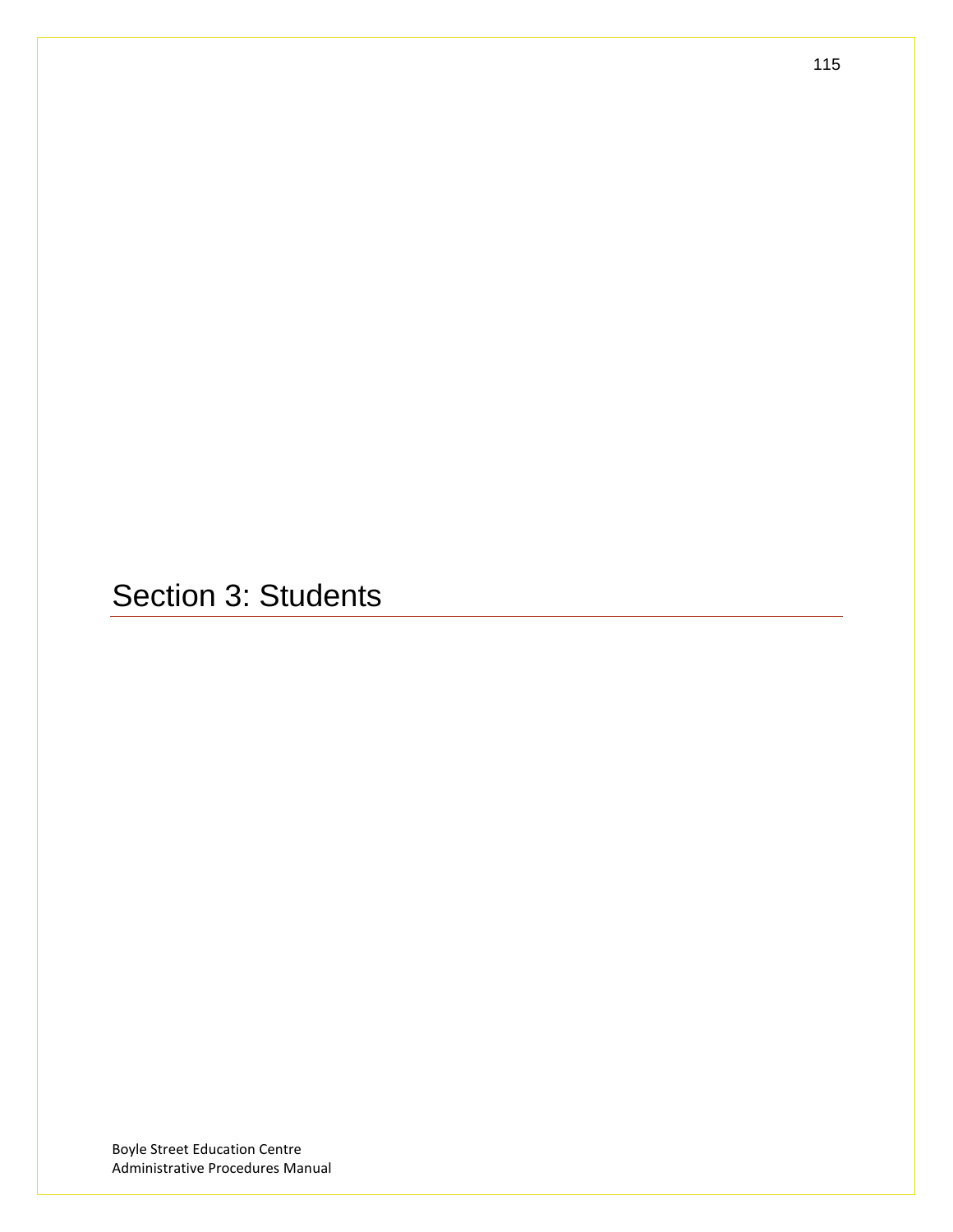Section 3: Students

Boyle Street Education Centre Administrative Procedures Manual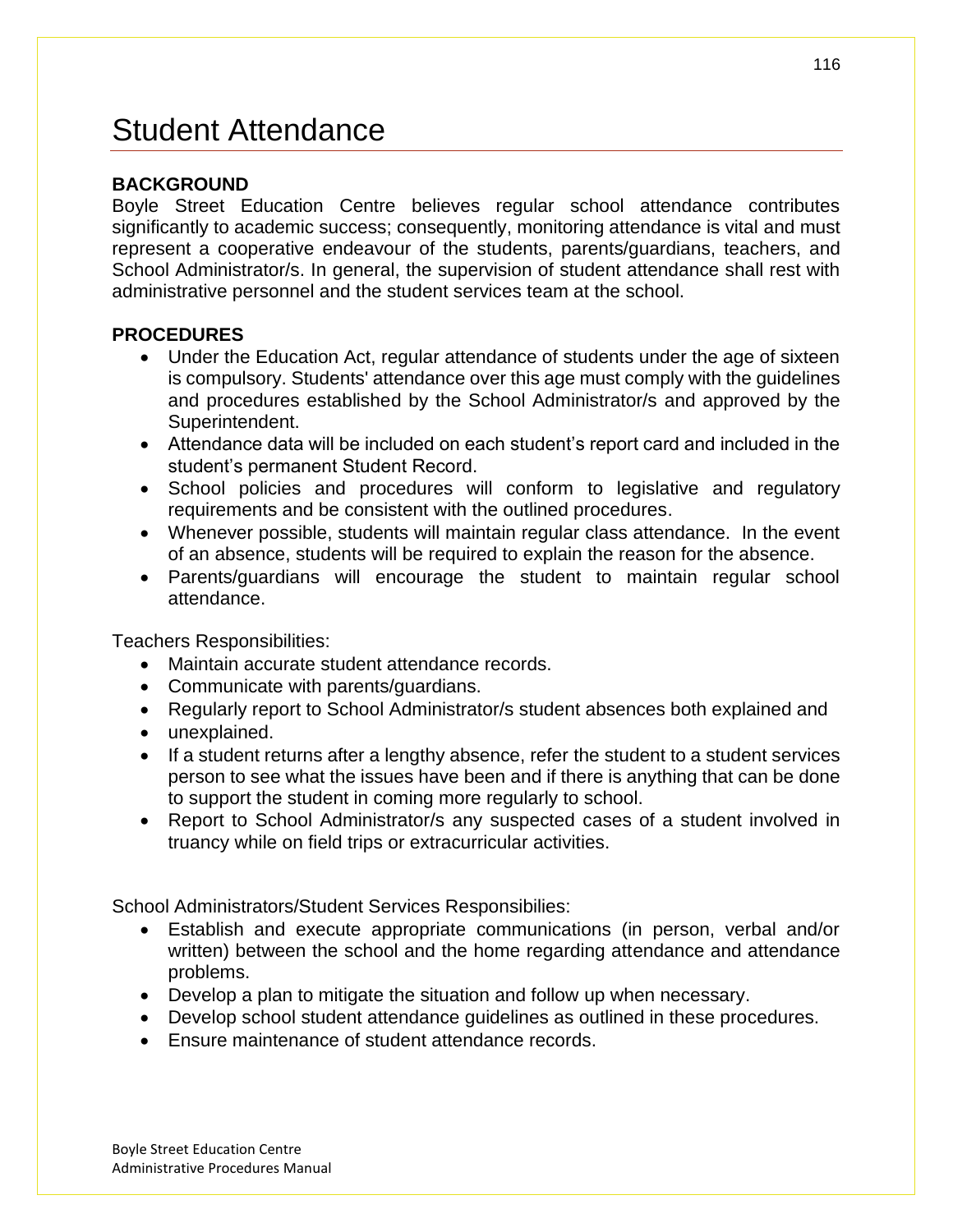## Student Attendance

### **BACKGROUND**

Boyle Street Education Centre believes regular school attendance contributes significantly to academic success; consequently, monitoring attendance is vital and must represent a cooperative endeavour of the students, parents/guardians, teachers, and School Administrator/s. In general, the supervision of student attendance shall rest with administrative personnel and the student services team at the school.

### **PROCEDURES**

- Under the Education Act, regular attendance of students under the age of sixteen is compulsory. Students' attendance over this age must comply with the guidelines and procedures established by the School Administrator/s and approved by the Superintendent.
- Attendance data will be included on each student's report card and included in the student's permanent Student Record.
- School policies and procedures will conform to legislative and regulatory requirements and be consistent with the outlined procedures.
- Whenever possible, students will maintain regular class attendance. In the event of an absence, students will be required to explain the reason for the absence.
- Parents/guardians will encourage the student to maintain regular school attendance.

Teachers Responsibilities:

- Maintain accurate student attendance records.
- Communicate with parents/guardians.
- Regularly report to School Administrator/s student absences both explained and
- unexplained.
- If a student returns after a lengthy absence, refer the student to a student services person to see what the issues have been and if there is anything that can be done to support the student in coming more regularly to school.
- Report to School Administrator/s any suspected cases of a student involved in truancy while on field trips or extracurricular activities.

School Administrators/Student Services Responsibilies:

- Establish and execute appropriate communications (in person, verbal and/or written) between the school and the home regarding attendance and attendance problems.
- Develop a plan to mitigate the situation and follow up when necessary.
- Develop school student attendance guidelines as outlined in these procedures.
- Ensure maintenance of student attendance records.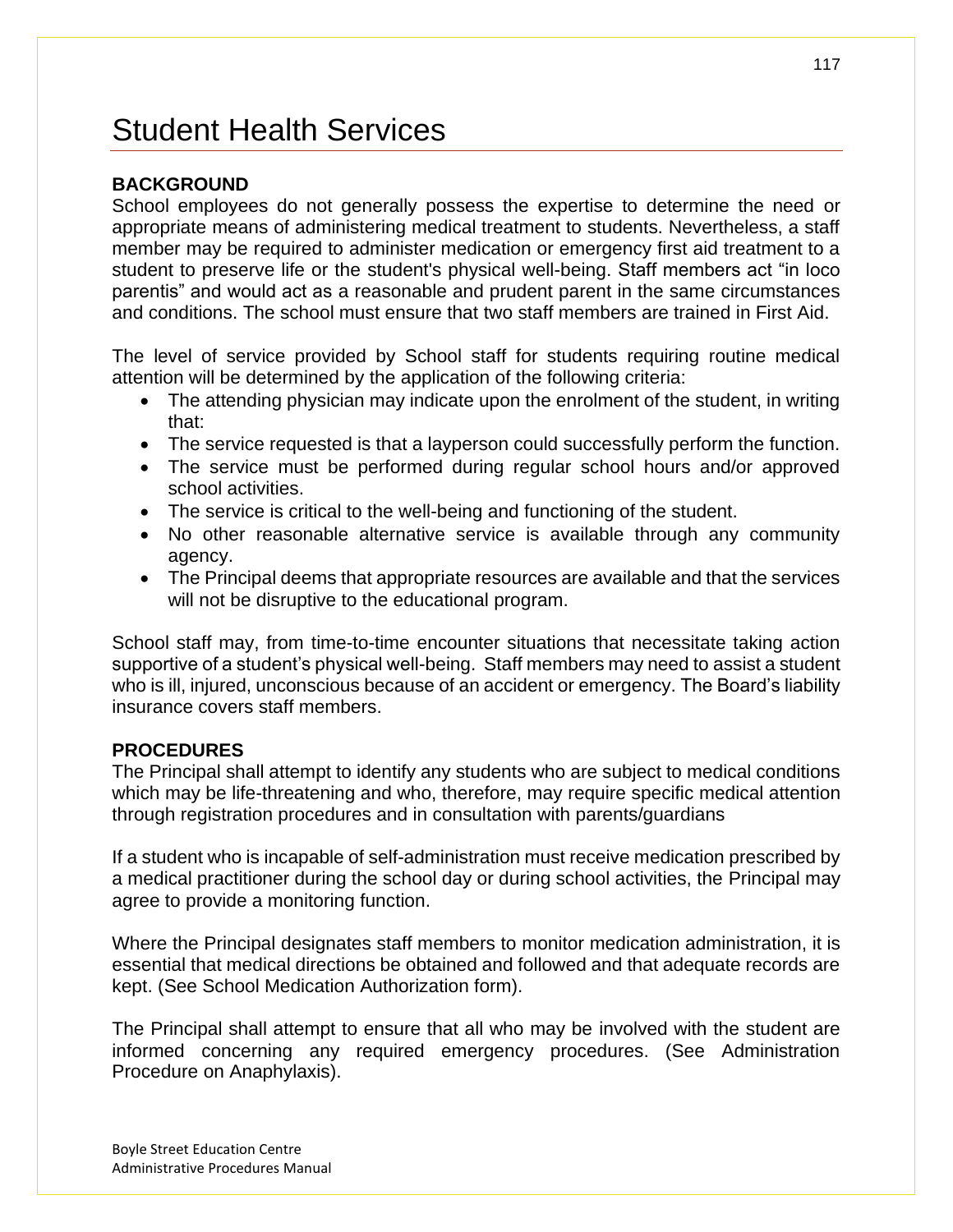## Student Health Services

### **BACKGROUND**

School employees do not generally possess the expertise to determine the need or appropriate means of administering medical treatment to students. Nevertheless, a staff member may be required to administer medication or emergency first aid treatment to a student to preserve life or the student's physical well-being. Staff members act "in loco parentis" and would act as a reasonable and prudent parent in the same circumstances and conditions. The school must ensure that two staff members are trained in First Aid.

The level of service provided by School staff for students requiring routine medical attention will be determined by the application of the following criteria:

- The attending physician may indicate upon the enrolment of the student, in writing that:
- The service requested is that a layperson could successfully perform the function.
- The service must be performed during regular school hours and/or approved school activities.
- The service is critical to the well-being and functioning of the student.
- No other reasonable alternative service is available through any community agency.
- The Principal deems that appropriate resources are available and that the services will not be disruptive to the educational program.

School staff may, from time-to-time encounter situations that necessitate taking action supportive of a student's physical well-being. Staff members may need to assist a student who is ill, injured, unconscious because of an accident or emergency. The Board's liability insurance covers staff members.

#### **PROCEDURES**

The Principal shall attempt to identify any students who are subject to medical conditions which may be life-threatening and who, therefore, may require specific medical attention through registration procedures and in consultation with parents/guardians

If a student who is incapable of self-administration must receive medication prescribed by a medical practitioner during the school day or during school activities, the Principal may agree to provide a monitoring function.

Where the Principal designates staff members to monitor medication administration, it is essential that medical directions be obtained and followed and that adequate records are kept. (See School Medication Authorization form).

The Principal shall attempt to ensure that all who may be involved with the student are informed concerning any required emergency procedures. (See Administration Procedure on Anaphylaxis).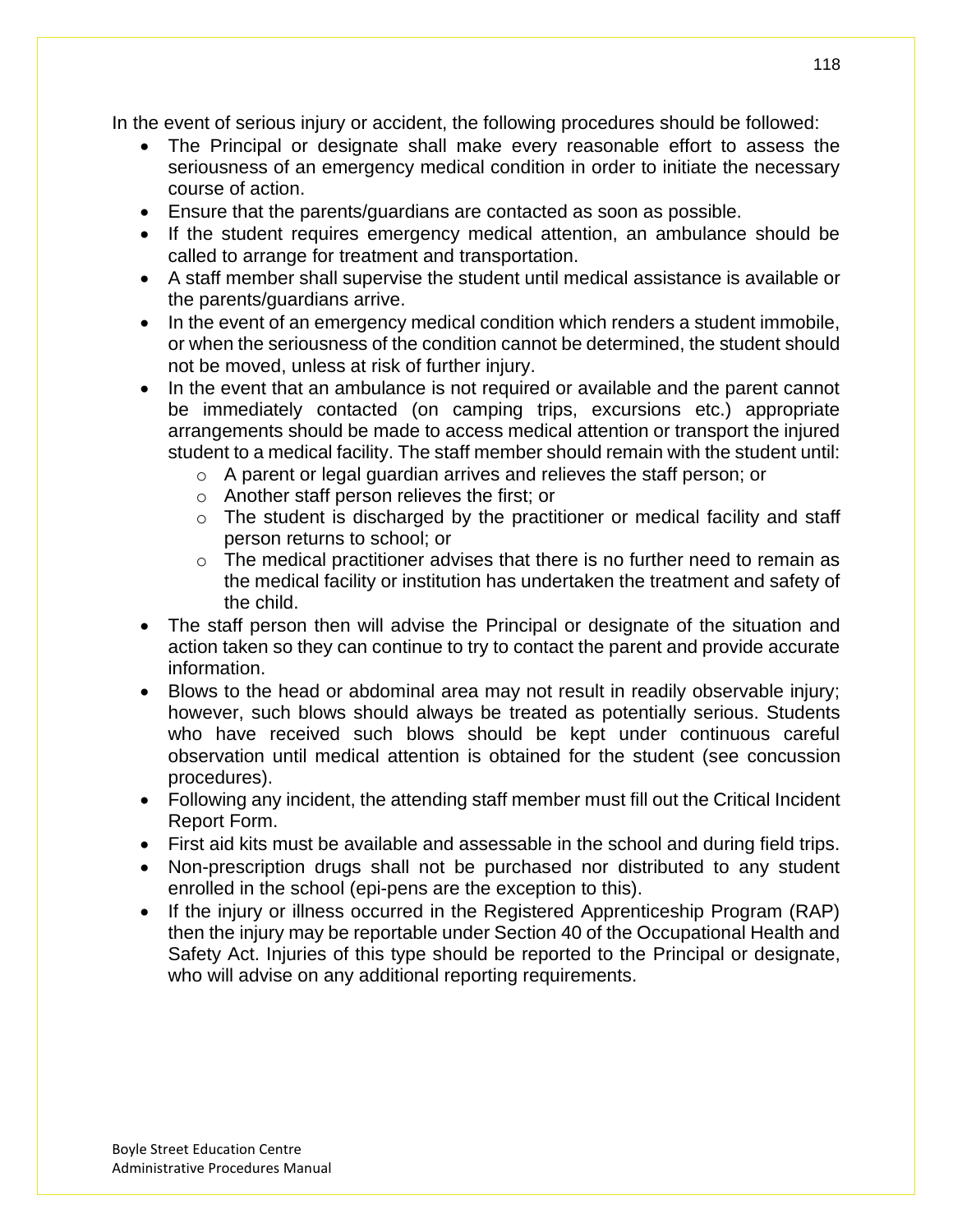In the event of serious injury or accident, the following procedures should be followed:

- The Principal or designate shall make every reasonable effort to assess the seriousness of an emergency medical condition in order to initiate the necessary course of action.
- Ensure that the parents/guardians are contacted as soon as possible.
- If the student requires emergency medical attention, an ambulance should be called to arrange for treatment and transportation.
- A staff member shall supervise the student until medical assistance is available or the parents/guardians arrive.
- In the event of an emergency medical condition which renders a student immobile, or when the seriousness of the condition cannot be determined, the student should not be moved, unless at risk of further injury.
- In the event that an ambulance is not required or available and the parent cannot be immediately contacted (on camping trips, excursions etc.) appropriate arrangements should be made to access medical attention or transport the injured student to a medical facility. The staff member should remain with the student until:
	- o A parent or legal guardian arrives and relieves the staff person; or
	- o Another staff person relieves the first; or
	- $\circ$  The student is discharged by the practitioner or medical facility and staff person returns to school; or
	- $\circ$  The medical practitioner advises that there is no further need to remain as the medical facility or institution has undertaken the treatment and safety of the child.
- The staff person then will advise the Principal or designate of the situation and action taken so they can continue to try to contact the parent and provide accurate information.
- Blows to the head or abdominal area may not result in readily observable injury; however, such blows should always be treated as potentially serious. Students who have received such blows should be kept under continuous careful observation until medical attention is obtained for the student (see concussion procedures).
- Following any incident, the attending staff member must fill out the Critical Incident Report Form.
- First aid kits must be available and assessable in the school and during field trips.
- Non-prescription drugs shall not be purchased nor distributed to any student enrolled in the school (epi-pens are the exception to this).
- If the injury or illness occurred in the Registered Apprenticeship Program (RAP) then the injury may be reportable under Section 40 of the Occupational Health and Safety Act. Injuries of this type should be reported to the Principal or designate, who will advise on any additional reporting requirements.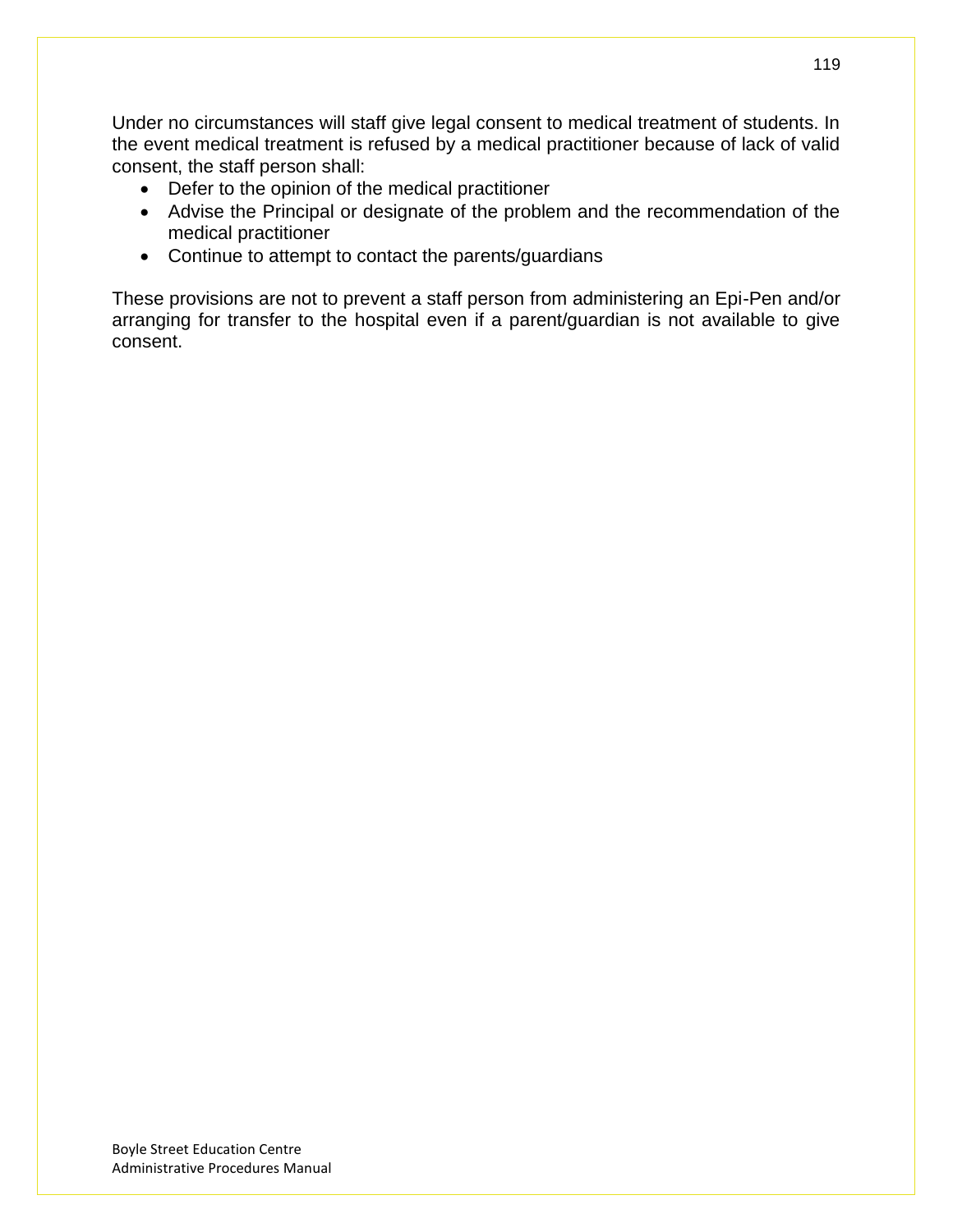Under no circumstances will staff give legal consent to medical treatment of students. In the event medical treatment is refused by a medical practitioner because of lack of valid consent, the staff person shall:

- Defer to the opinion of the medical practitioner
- Advise the Principal or designate of the problem and the recommendation of the medical practitioner
- Continue to attempt to contact the parents/guardians

These provisions are not to prevent a staff person from administering an Epi-Pen and/or arranging for transfer to the hospital even if a parent/guardian is not available to give consent.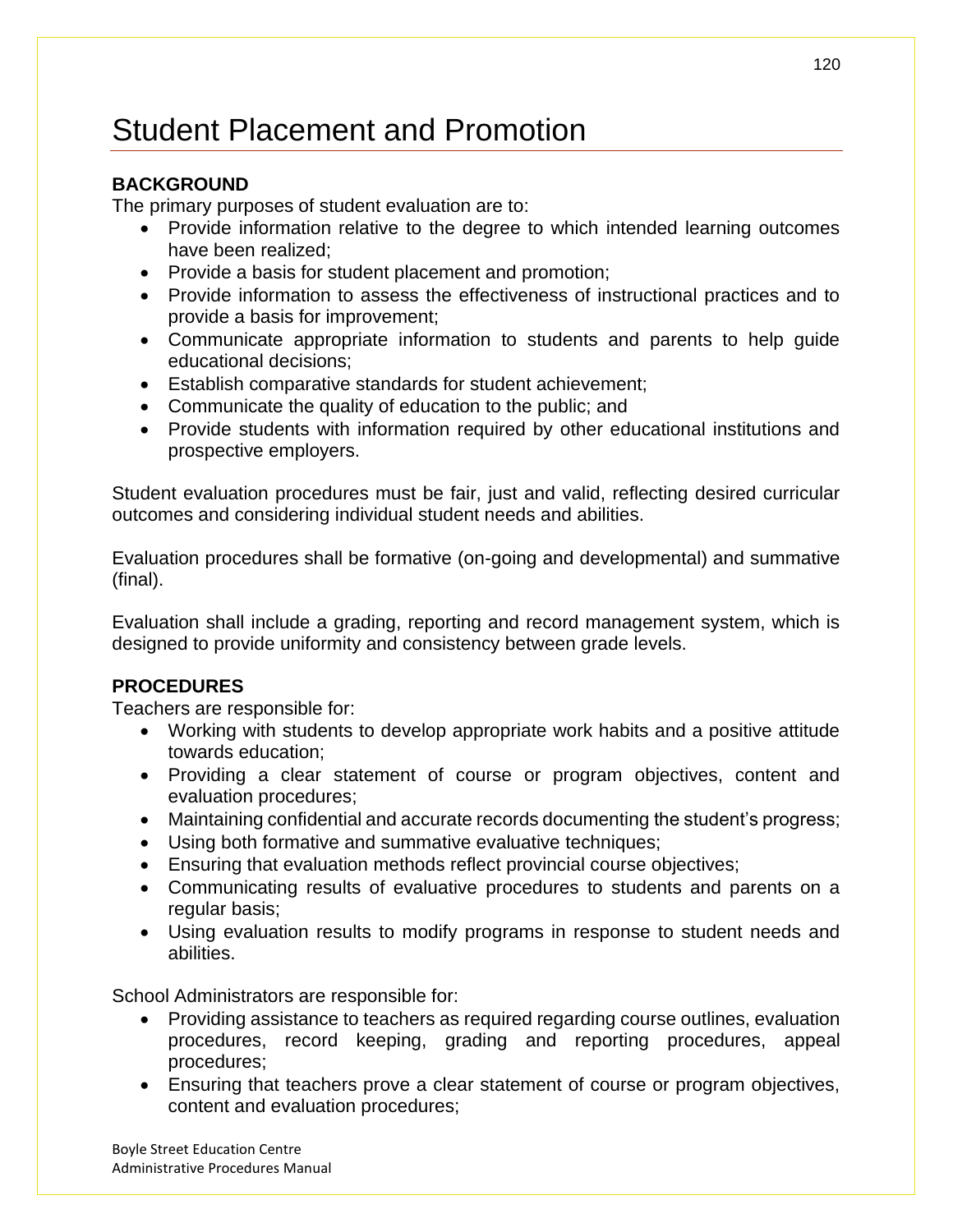# Student Placement and Promotion

## **BACKGROUND**

The primary purposes of student evaluation are to:

- Provide information relative to the degree to which intended learning outcomes have been realized;
- Provide a basis for student placement and promotion;
- Provide information to assess the effectiveness of instructional practices and to provide a basis for improvement;
- Communicate appropriate information to students and parents to help guide educational decisions;
- Establish comparative standards for student achievement;
- Communicate the quality of education to the public; and
- Provide students with information required by other educational institutions and prospective employers.

Student evaluation procedures must be fair, just and valid, reflecting desired curricular outcomes and considering individual student needs and abilities.

Evaluation procedures shall be formative (on-going and developmental) and summative (final).

Evaluation shall include a grading, reporting and record management system, which is designed to provide uniformity and consistency between grade levels.

## **PROCEDURES**

Teachers are responsible for:

- Working with students to develop appropriate work habits and a positive attitude towards education;
- Providing a clear statement of course or program objectives, content and evaluation procedures;
- Maintaining confidential and accurate records documenting the student's progress;
- Using both formative and summative evaluative techniques;
- Ensuring that evaluation methods reflect provincial course objectives;
- Communicating results of evaluative procedures to students and parents on a regular basis;
- Using evaluation results to modify programs in response to student needs and abilities.

School Administrators are responsible for:

- Providing assistance to teachers as required regarding course outlines, evaluation procedures, record keeping, grading and reporting procedures, appeal procedures;
- Ensuring that teachers prove a clear statement of course or program objectives, content and evaluation procedures;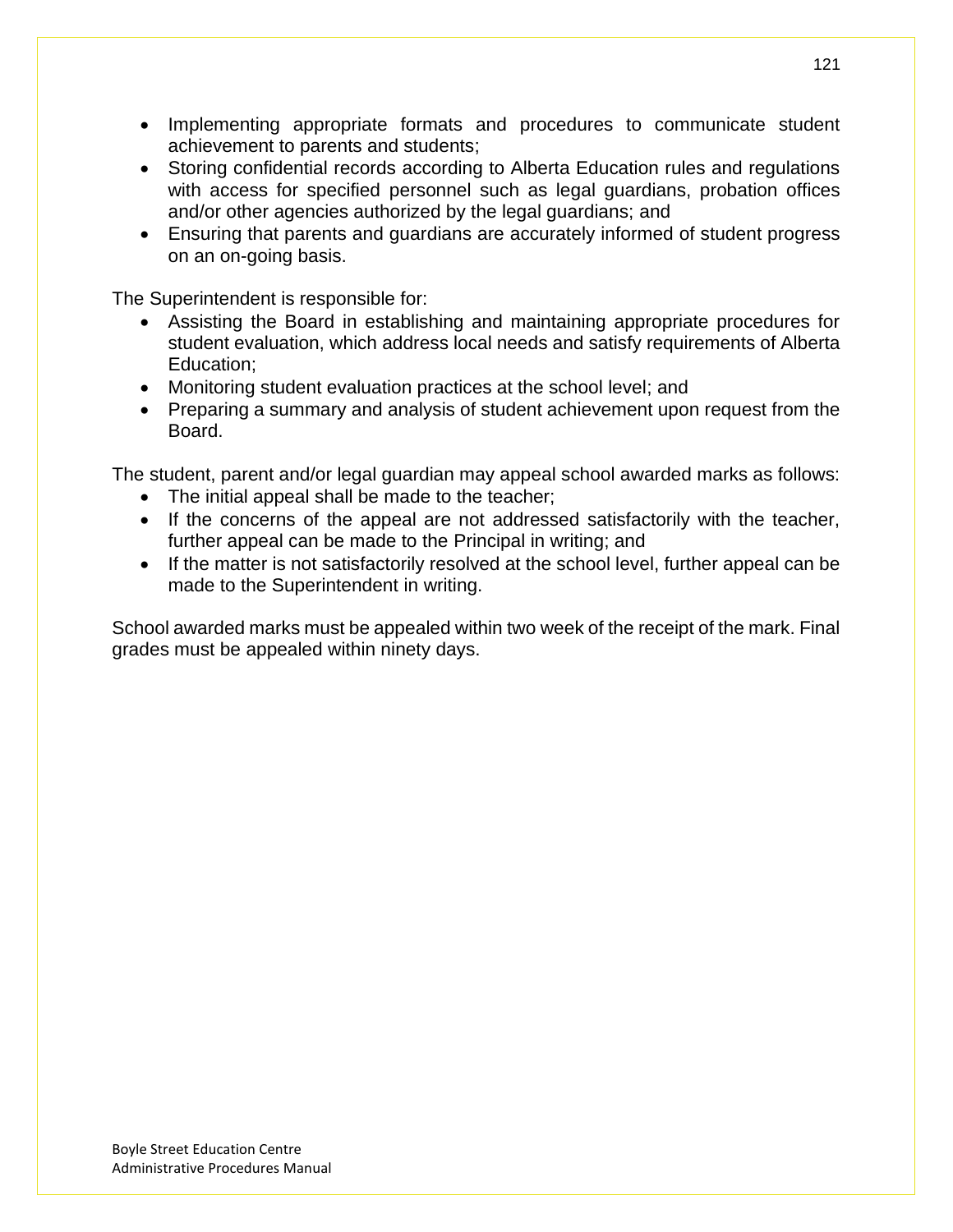- Implementing appropriate formats and procedures to communicate student achievement to parents and students;
- Storing confidential records according to Alberta Education rules and regulations with access for specified personnel such as legal guardians, probation offices and/or other agencies authorized by the legal guardians; and
- Ensuring that parents and guardians are accurately informed of student progress on an on-going basis.

The Superintendent is responsible for:

- Assisting the Board in establishing and maintaining appropriate procedures for student evaluation, which address local needs and satisfy requirements of Alberta Education;
- Monitoring student evaluation practices at the school level; and
- Preparing a summary and analysis of student achievement upon request from the Board.

The student, parent and/or legal guardian may appeal school awarded marks as follows:

- The initial appeal shall be made to the teacher;
- If the concerns of the appeal are not addressed satisfactorily with the teacher, further appeal can be made to the Principal in writing; and
- If the matter is not satisfactorily resolved at the school level, further appeal can be made to the Superintendent in writing.

School awarded marks must be appealed within two week of the receipt of the mark. Final grades must be appealed within ninety days.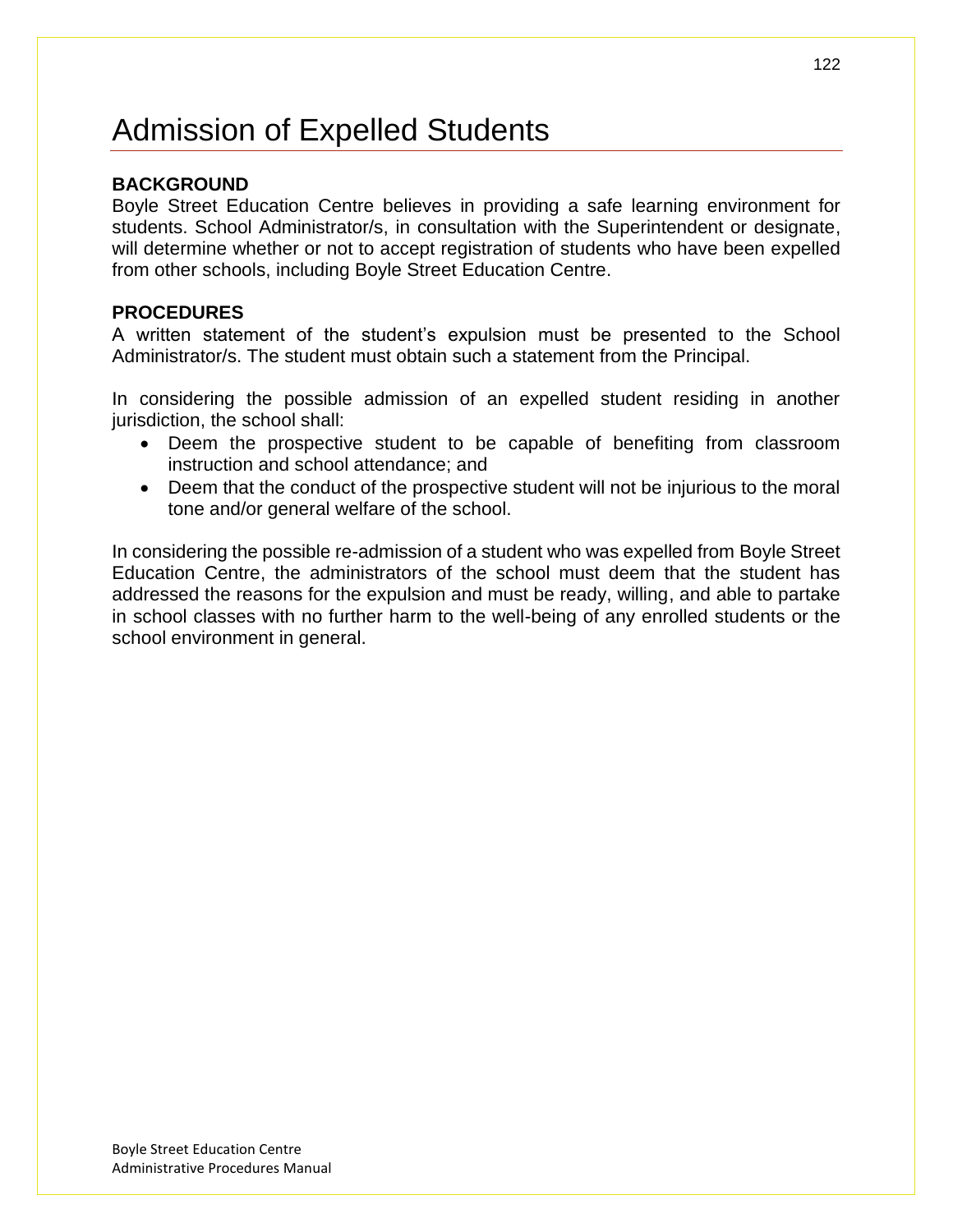## Admission of Expelled Students

### **BACKGROUND**

Boyle Street Education Centre believes in providing a safe learning environment for students. School Administrator/s, in consultation with the Superintendent or designate, will determine whether or not to accept registration of students who have been expelled from other schools, including Boyle Street Education Centre.

#### **PROCEDURES**

A written statement of the student's expulsion must be presented to the School Administrator/s. The student must obtain such a statement from the Principal.

In considering the possible admission of an expelled student residing in another jurisdiction, the school shall:

- Deem the prospective student to be capable of benefiting from classroom instruction and school attendance; and
- Deem that the conduct of the prospective student will not be injurious to the moral tone and/or general welfare of the school.

In considering the possible re-admission of a student who was expelled from Boyle Street Education Centre, the administrators of the school must deem that the student has addressed the reasons for the expulsion and must be ready, willing, and able to partake in school classes with no further harm to the well-being of any enrolled students or the school environment in general.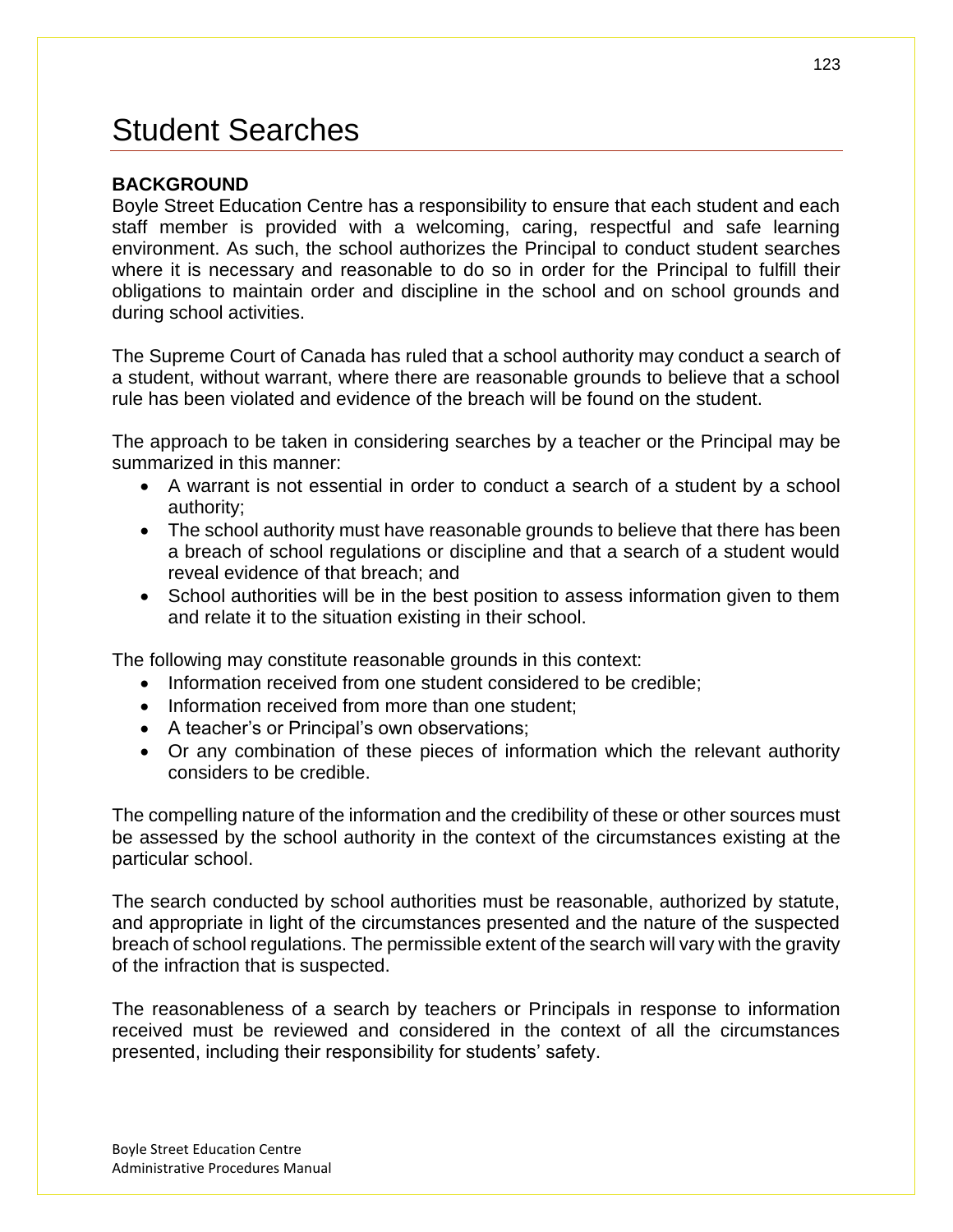## Student Searches

### **BACKGROUND**

Boyle Street Education Centre has a responsibility to ensure that each student and each staff member is provided with a welcoming, caring, respectful and safe learning environment. As such, the school authorizes the Principal to conduct student searches where it is necessary and reasonable to do so in order for the Principal to fulfill their obligations to maintain order and discipline in the school and on school grounds and during school activities.

The Supreme Court of Canada has ruled that a school authority may conduct a search of a student, without warrant, where there are reasonable grounds to believe that a school rule has been violated and evidence of the breach will be found on the student.

The approach to be taken in considering searches by a teacher or the Principal may be summarized in this manner:

- A warrant is not essential in order to conduct a search of a student by a school authority;
- The school authority must have reasonable grounds to believe that there has been a breach of school regulations or discipline and that a search of a student would reveal evidence of that breach; and
- School authorities will be in the best position to assess information given to them and relate it to the situation existing in their school.

The following may constitute reasonable grounds in this context:

- Information received from one student considered to be credible;
- Information received from more than one student:
- A teacher's or Principal's own observations;
- Or any combination of these pieces of information which the relevant authority considers to be credible.

The compelling nature of the information and the credibility of these or other sources must be assessed by the school authority in the context of the circumstances existing at the particular school.

The search conducted by school authorities must be reasonable, authorized by statute, and appropriate in light of the circumstances presented and the nature of the suspected breach of school regulations. The permissible extent of the search will vary with the gravity of the infraction that is suspected.

The reasonableness of a search by teachers or Principals in response to information received must be reviewed and considered in the context of all the circumstances presented, including their responsibility for students' safety.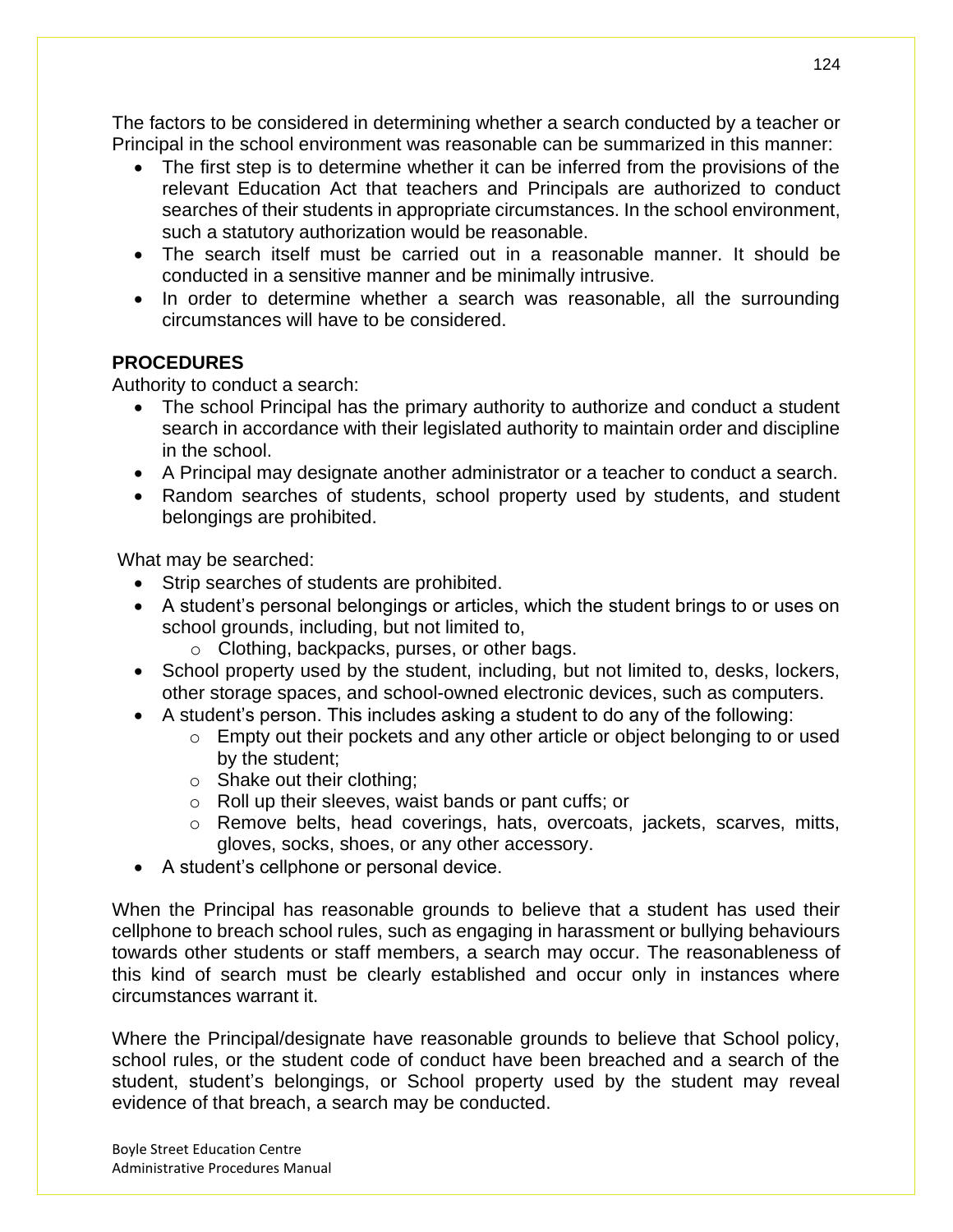The factors to be considered in determining whether a search conducted by a teacher or Principal in the school environment was reasonable can be summarized in this manner:

- The first step is to determine whether it can be inferred from the provisions of the relevant Education Act that teachers and Principals are authorized to conduct searches of their students in appropriate circumstances. In the school environment, such a statutory authorization would be reasonable.
- The search itself must be carried out in a reasonable manner. It should be conducted in a sensitive manner and be minimally intrusive.
- In order to determine whether a search was reasonable, all the surrounding circumstances will have to be considered.

### **PROCEDURES**

Authority to conduct a search:

- The school Principal has the primary authority to authorize and conduct a student search in accordance with their legislated authority to maintain order and discipline in the school.
- A Principal may designate another administrator or a teacher to conduct a search.
- Random searches of students, school property used by students, and student belongings are prohibited.

What may be searched:

- Strip searches of students are prohibited.
- A student's personal belongings or articles, which the student brings to or uses on school grounds, including, but not limited to,
	- o Clothing, backpacks, purses, or other bags.
- School property used by the student, including, but not limited to, desks, lockers, other storage spaces, and school-owned electronic devices, such as computers.
- A student's person. This includes asking a student to do any of the following:
	- o Empty out their pockets and any other article or object belonging to or used by the student;
	- o Shake out their clothing;
	- o Roll up their sleeves, waist bands or pant cuffs; or
	- o Remove belts, head coverings, hats, overcoats, jackets, scarves, mitts, gloves, socks, shoes, or any other accessory.
- A student's cellphone or personal device.

When the Principal has reasonable grounds to believe that a student has used their cellphone to breach school rules, such as engaging in harassment or bullying behaviours towards other students or staff members, a search may occur. The reasonableness of this kind of search must be clearly established and occur only in instances where circumstances warrant it.

Where the Principal/designate have reasonable grounds to believe that School policy, school rules, or the student code of conduct have been breached and a search of the student, student's belongings, or School property used by the student may reveal evidence of that breach, a search may be conducted.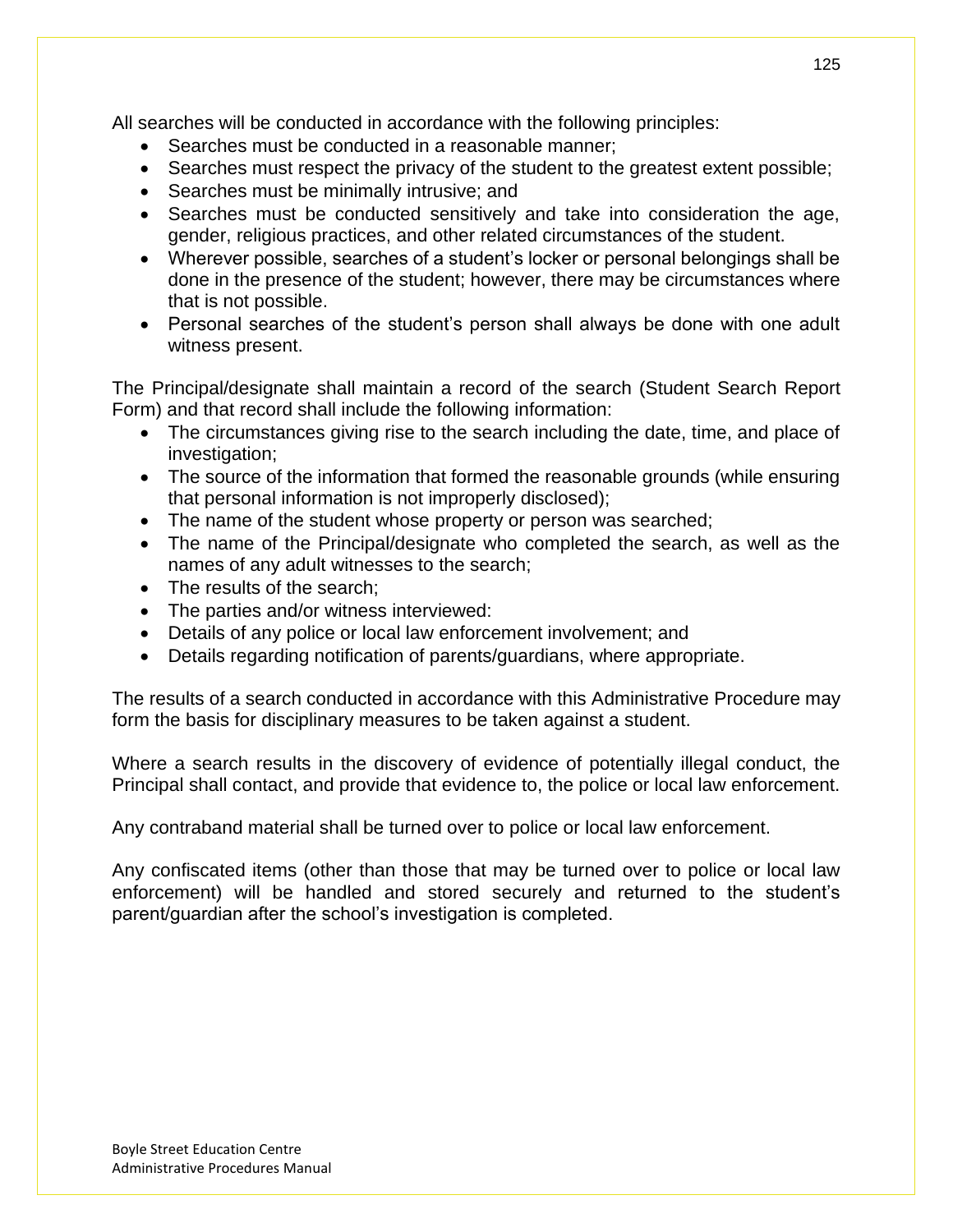All searches will be conducted in accordance with the following principles:

- Searches must be conducted in a reasonable manner;
- Searches must respect the privacy of the student to the greatest extent possible;
- Searches must be minimally intrusive; and
- Searches must be conducted sensitively and take into consideration the age, gender, religious practices, and other related circumstances of the student.
- Wherever possible, searches of a student's locker or personal belongings shall be done in the presence of the student; however, there may be circumstances where that is not possible.
- Personal searches of the student's person shall always be done with one adult witness present.

The Principal/designate shall maintain a record of the search (Student Search Report Form) and that record shall include the following information:

- The circumstances giving rise to the search including the date, time, and place of investigation;
- The source of the information that formed the reasonable grounds (while ensuring that personal information is not improperly disclosed);
- The name of the student whose property or person was searched;
- The name of the Principal/designate who completed the search, as well as the names of any adult witnesses to the search;
- The results of the search;
- The parties and/or witness interviewed:
- Details of any police or local law enforcement involvement; and
- Details regarding notification of parents/guardians, where appropriate.

The results of a search conducted in accordance with this Administrative Procedure may form the basis for disciplinary measures to be taken against a student.

Where a search results in the discovery of evidence of potentially illegal conduct, the Principal shall contact, and provide that evidence to, the police or local law enforcement.

Any contraband material shall be turned over to police or local law enforcement.

Any confiscated items (other than those that may be turned over to police or local law enforcement) will be handled and stored securely and returned to the student's parent/guardian after the school's investigation is completed.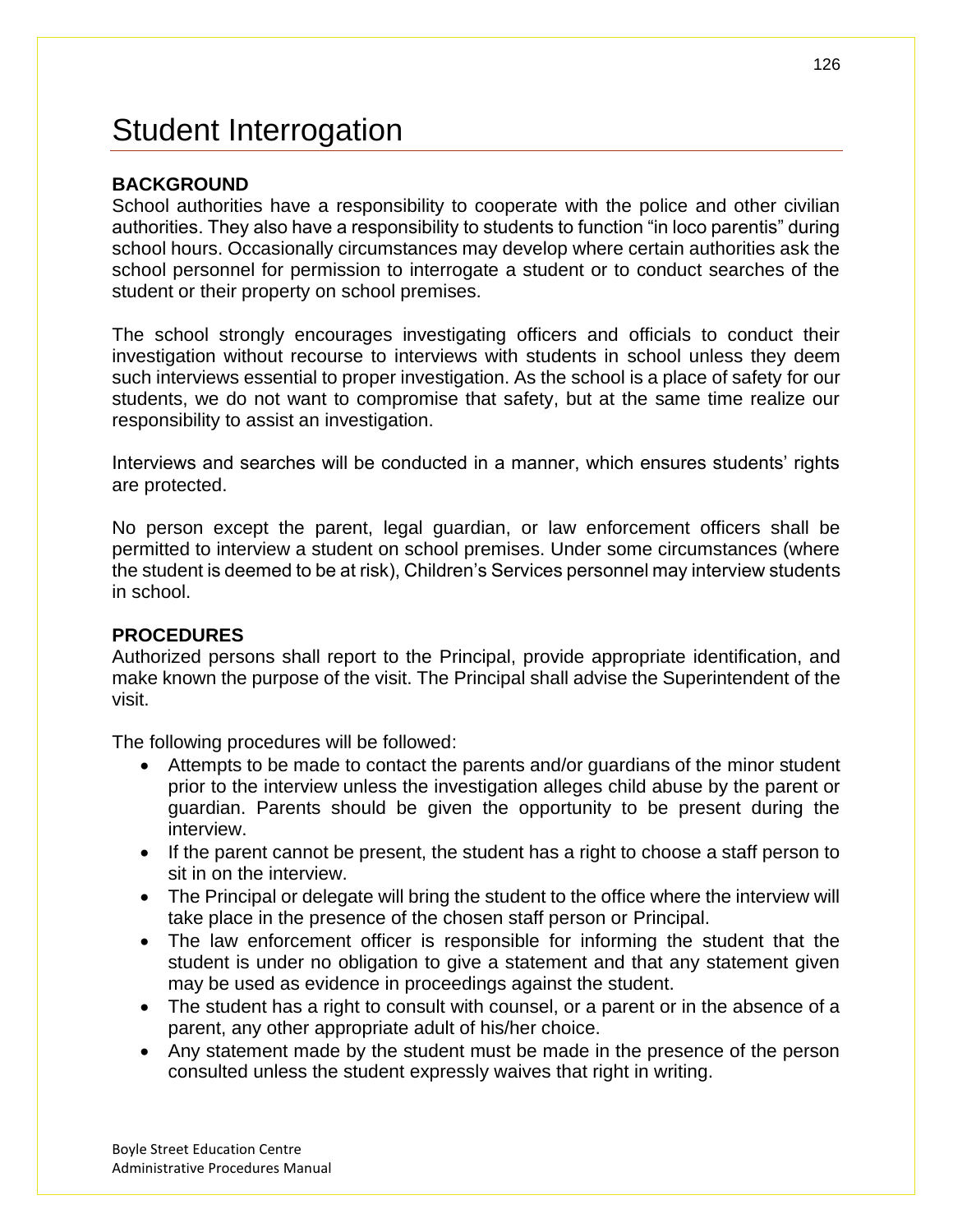## Student Interrogation

### **BACKGROUND**

School authorities have a responsibility to cooperate with the police and other civilian authorities. They also have a responsibility to students to function "in loco parentis" during school hours. Occasionally circumstances may develop where certain authorities ask the school personnel for permission to interrogate a student or to conduct searches of the student or their property on school premises.

The school strongly encourages investigating officers and officials to conduct their investigation without recourse to interviews with students in school unless they deem such interviews essential to proper investigation. As the school is a place of safety for our students, we do not want to compromise that safety, but at the same time realize our responsibility to assist an investigation.

Interviews and searches will be conducted in a manner, which ensures students' rights are protected.

No person except the parent, legal guardian, or law enforcement officers shall be permitted to interview a student on school premises. Under some circumstances (where the student is deemed to be at risk), Children's Services personnel may interview students in school.

### **PROCEDURES**

Authorized persons shall report to the Principal, provide appropriate identification, and make known the purpose of the visit. The Principal shall advise the Superintendent of the visit.

The following procedures will be followed:

- Attempts to be made to contact the parents and/or guardians of the minor student prior to the interview unless the investigation alleges child abuse by the parent or guardian. Parents should be given the opportunity to be present during the interview.
- If the parent cannot be present, the student has a right to choose a staff person to sit in on the interview.
- The Principal or delegate will bring the student to the office where the interview will take place in the presence of the chosen staff person or Principal.
- The law enforcement officer is responsible for informing the student that the student is under no obligation to give a statement and that any statement given may be used as evidence in proceedings against the student.
- The student has a right to consult with counsel, or a parent or in the absence of a parent, any other appropriate adult of his/her choice.
- Any statement made by the student must be made in the presence of the person consulted unless the student expressly waives that right in writing.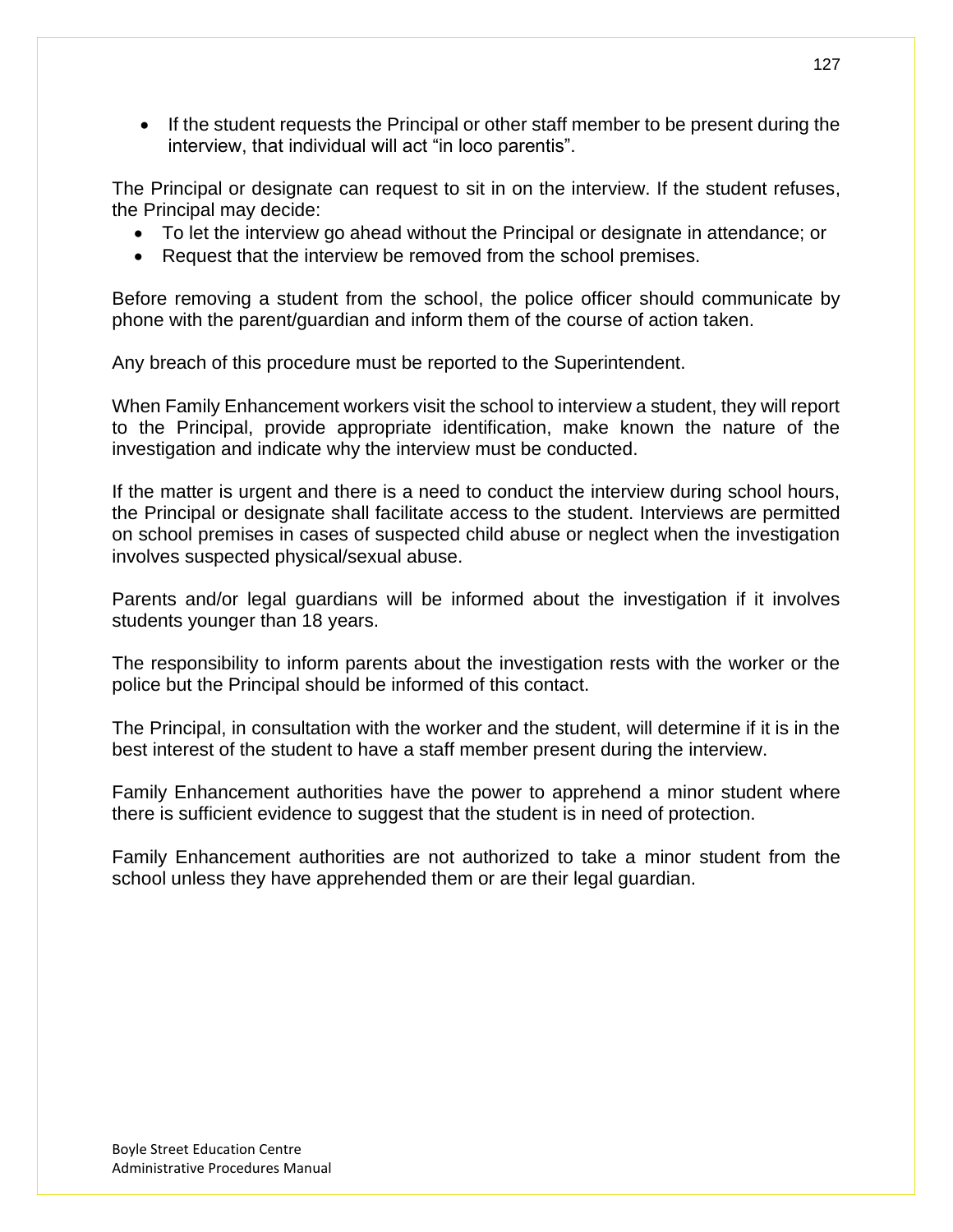• If the student requests the Principal or other staff member to be present during the interview, that individual will act "in loco parentis".

The Principal or designate can request to sit in on the interview. If the student refuses, the Principal may decide:

- To let the interview go ahead without the Principal or designate in attendance; or
- Request that the interview be removed from the school premises.

Before removing a student from the school, the police officer should communicate by phone with the parent/guardian and inform them of the course of action taken.

Any breach of this procedure must be reported to the Superintendent.

When Family Enhancement workers visit the school to interview a student, they will report to the Principal, provide appropriate identification, make known the nature of the investigation and indicate why the interview must be conducted.

If the matter is urgent and there is a need to conduct the interview during school hours, the Principal or designate shall facilitate access to the student. Interviews are permitted on school premises in cases of suspected child abuse or neglect when the investigation involves suspected physical/sexual abuse.

Parents and/or legal guardians will be informed about the investigation if it involves students younger than 18 years.

The responsibility to inform parents about the investigation rests with the worker or the police but the Principal should be informed of this contact.

The Principal, in consultation with the worker and the student, will determine if it is in the best interest of the student to have a staff member present during the interview.

Family Enhancement authorities have the power to apprehend a minor student where there is sufficient evidence to suggest that the student is in need of protection.

Family Enhancement authorities are not authorized to take a minor student from the school unless they have apprehended them or are their legal guardian.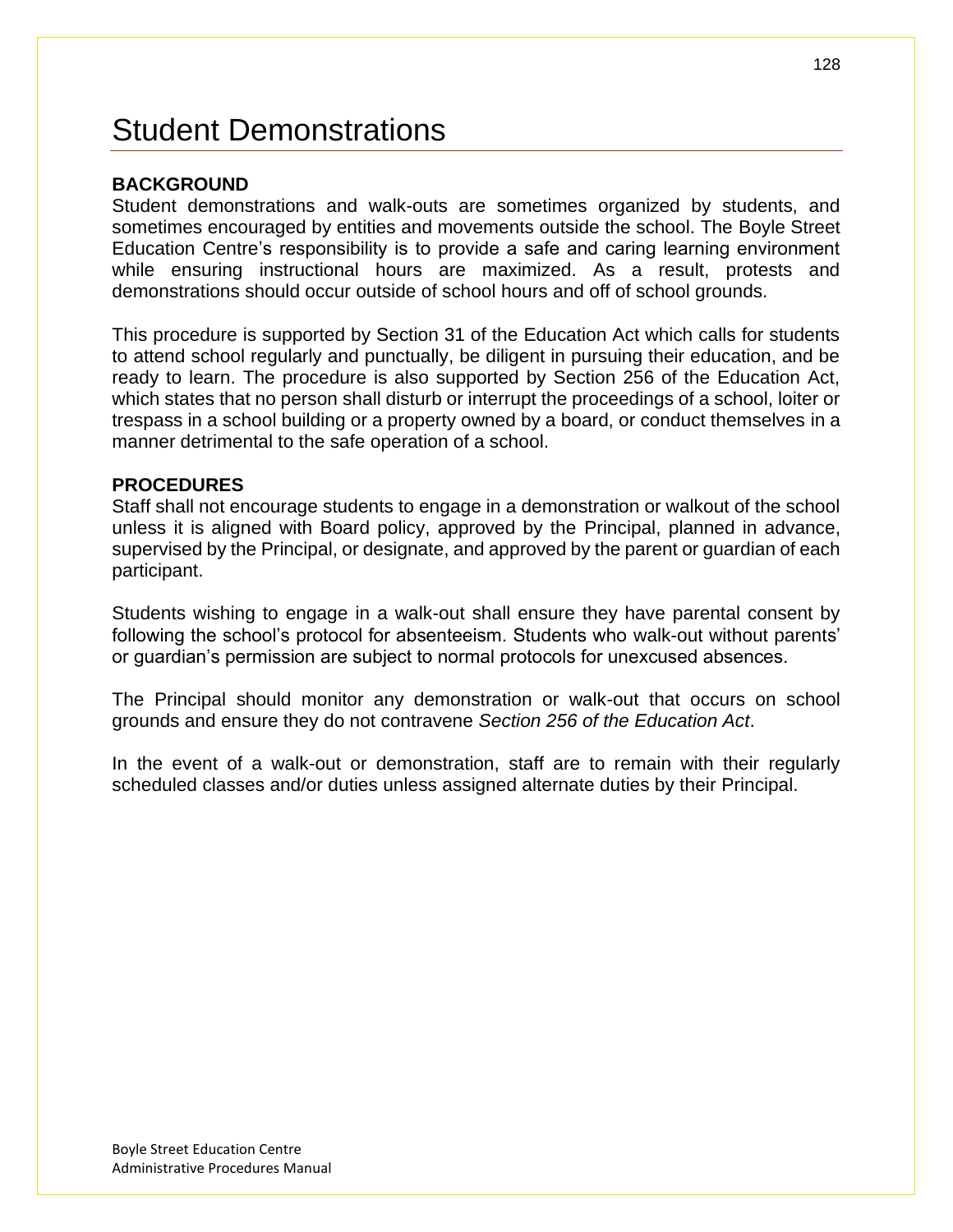## Student Demonstrations

### **BACKGROUND**

Student demonstrations and walk-outs are sometimes organized by students, and sometimes encouraged by entities and movements outside the school. The Boyle Street Education Centre's responsibility is to provide a safe and caring learning environment while ensuring instructional hours are maximized. As a result, protests and demonstrations should occur outside of school hours and off of school grounds.

This procedure is supported by Section 31 of the Education Act which calls for students to attend school regularly and punctually, be diligent in pursuing their education, and be ready to learn. The procedure is also supported by Section 256 of the Education Act, which states that no person shall disturb or interrupt the proceedings of a school, loiter or trespass in a school building or a property owned by a board, or conduct themselves in a manner detrimental to the safe operation of a school.

#### **PROCEDURES**

Staff shall not encourage students to engage in a demonstration or walkout of the school unless it is aligned with Board policy, approved by the Principal, planned in advance, supervised by the Principal, or designate, and approved by the parent or guardian of each participant.

Students wishing to engage in a walk-out shall ensure they have parental consent by following the school's protocol for absenteeism. Students who walk-out without parents' or guardian's permission are subject to normal protocols for unexcused absences.

The Principal should monitor any demonstration or walk-out that occurs on school grounds and ensure they do not contravene *Section 256 of the Education Act*.

In the event of a walk-out or demonstration, staff are to remain with their regularly scheduled classes and/or duties unless assigned alternate duties by their Principal.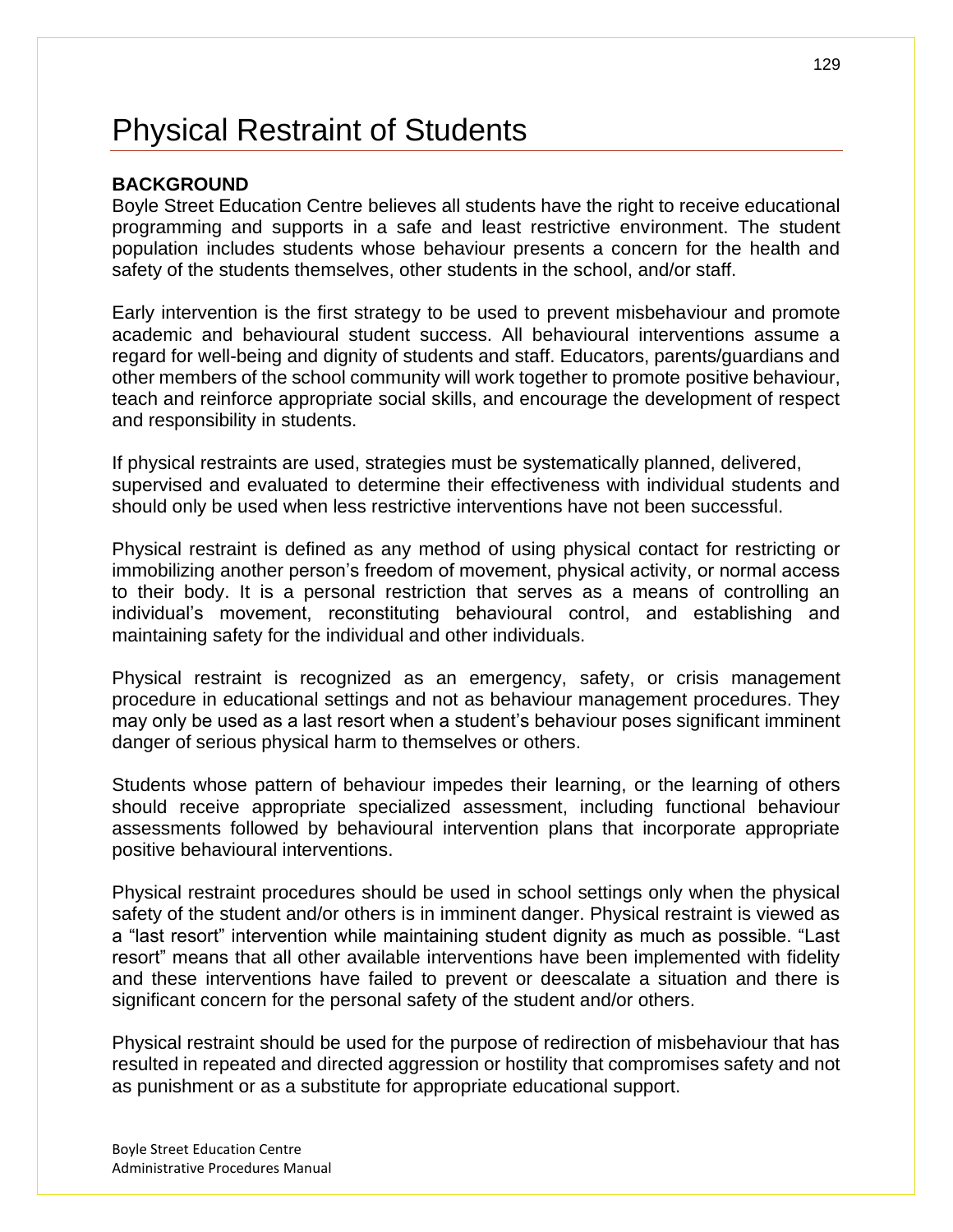## Physical Restraint of Students

### **BACKGROUND**

Boyle Street Education Centre believes all students have the right to receive educational programming and supports in a safe and least restrictive environment. The student population includes students whose behaviour presents a concern for the health and safety of the students themselves, other students in the school, and/or staff.

Early intervention is the first strategy to be used to prevent misbehaviour and promote academic and behavioural student success. All behavioural interventions assume a regard for well-being and dignity of students and staff. Educators, parents/guardians and other members of the school community will work together to promote positive behaviour, teach and reinforce appropriate social skills, and encourage the development of respect and responsibility in students.

If physical restraints are used, strategies must be systematically planned, delivered, supervised and evaluated to determine their effectiveness with individual students and should only be used when less restrictive interventions have not been successful.

Physical restraint is defined as any method of using physical contact for restricting or immobilizing another person's freedom of movement, physical activity, or normal access to their body. It is a personal restriction that serves as a means of controlling an individual's movement, reconstituting behavioural control, and establishing and maintaining safety for the individual and other individuals.

Physical restraint is recognized as an emergency, safety, or crisis management procedure in educational settings and not as behaviour management procedures. They may only be used as a last resort when a student's behaviour poses significant imminent danger of serious physical harm to themselves or others.

Students whose pattern of behaviour impedes their learning, or the learning of others should receive appropriate specialized assessment, including functional behaviour assessments followed by behavioural intervention plans that incorporate appropriate positive behavioural interventions.

Physical restraint procedures should be used in school settings only when the physical safety of the student and/or others is in imminent danger. Physical restraint is viewed as a "last resort" intervention while maintaining student dignity as much as possible. "Last resort" means that all other available interventions have been implemented with fidelity and these interventions have failed to prevent or deescalate a situation and there is significant concern for the personal safety of the student and/or others.

Physical restraint should be used for the purpose of redirection of misbehaviour that has resulted in repeated and directed aggression or hostility that compromises safety and not as punishment or as a substitute for appropriate educational support.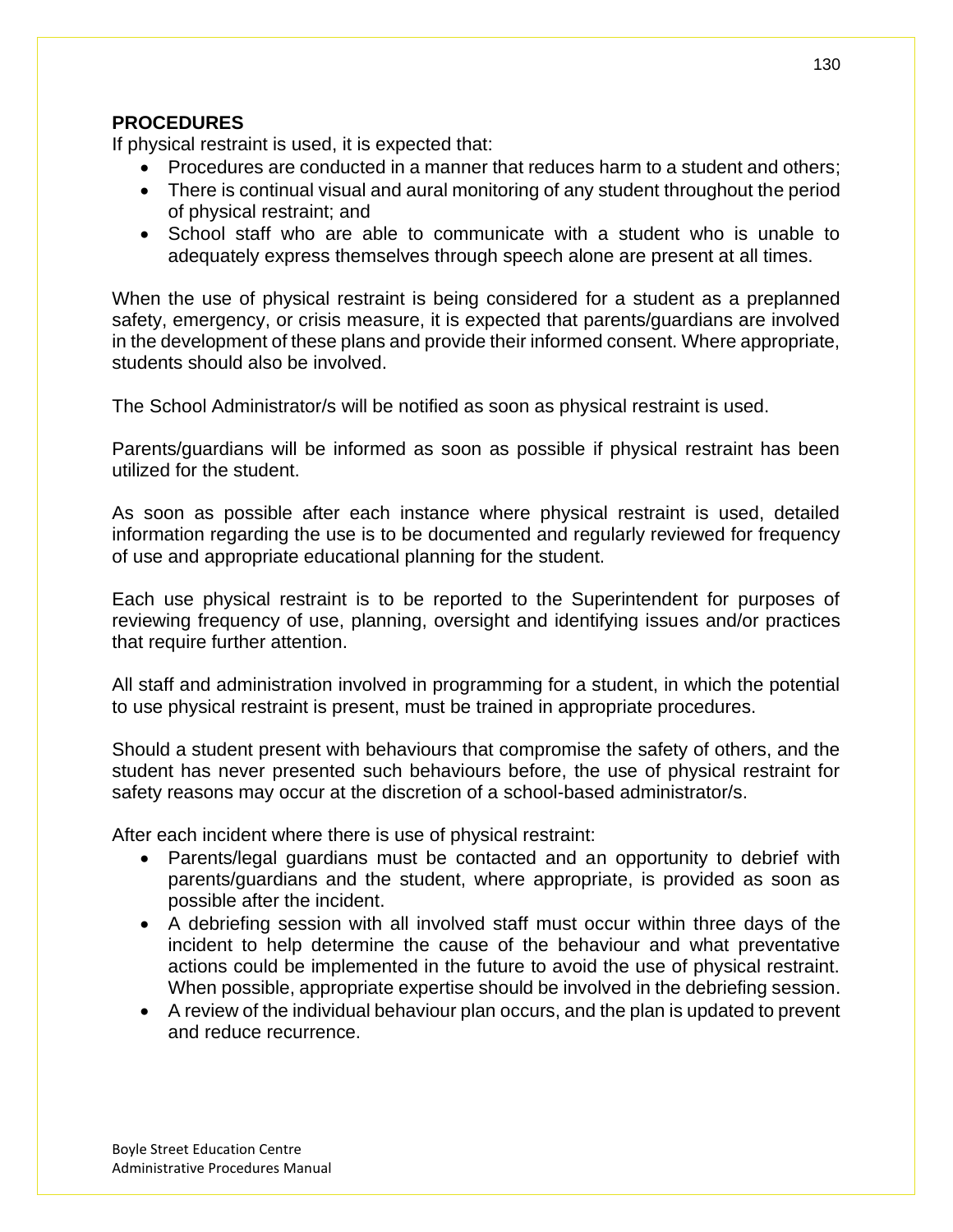### **PROCEDURES**

If physical restraint is used, it is expected that:

- Procedures are conducted in a manner that reduces harm to a student and others;
- There is continual visual and aural monitoring of any student throughout the period of physical restraint; and
- School staff who are able to communicate with a student who is unable to adequately express themselves through speech alone are present at all times.

When the use of physical restraint is being considered for a student as a preplanned safety, emergency, or crisis measure, it is expected that parents/guardians are involved in the development of these plans and provide their informed consent. Where appropriate, students should also be involved.

The School Administrator/s will be notified as soon as physical restraint is used.

Parents/guardians will be informed as soon as possible if physical restraint has been utilized for the student.

As soon as possible after each instance where physical restraint is used, detailed information regarding the use is to be documented and regularly reviewed for frequency of use and appropriate educational planning for the student.

Each use physical restraint is to be reported to the Superintendent for purposes of reviewing frequency of use, planning, oversight and identifying issues and/or practices that require further attention.

All staff and administration involved in programming for a student, in which the potential to use physical restraint is present, must be trained in appropriate procedures.

Should a student present with behaviours that compromise the safety of others, and the student has never presented such behaviours before, the use of physical restraint for safety reasons may occur at the discretion of a school-based administrator/s.

After each incident where there is use of physical restraint:

- Parents/legal guardians must be contacted and an opportunity to debrief with parents/guardians and the student, where appropriate, is provided as soon as possible after the incident.
- A debriefing session with all involved staff must occur within three days of the incident to help determine the cause of the behaviour and what preventative actions could be implemented in the future to avoid the use of physical restraint. When possible, appropriate expertise should be involved in the debriefing session.
- A review of the individual behaviour plan occurs, and the plan is updated to prevent and reduce recurrence.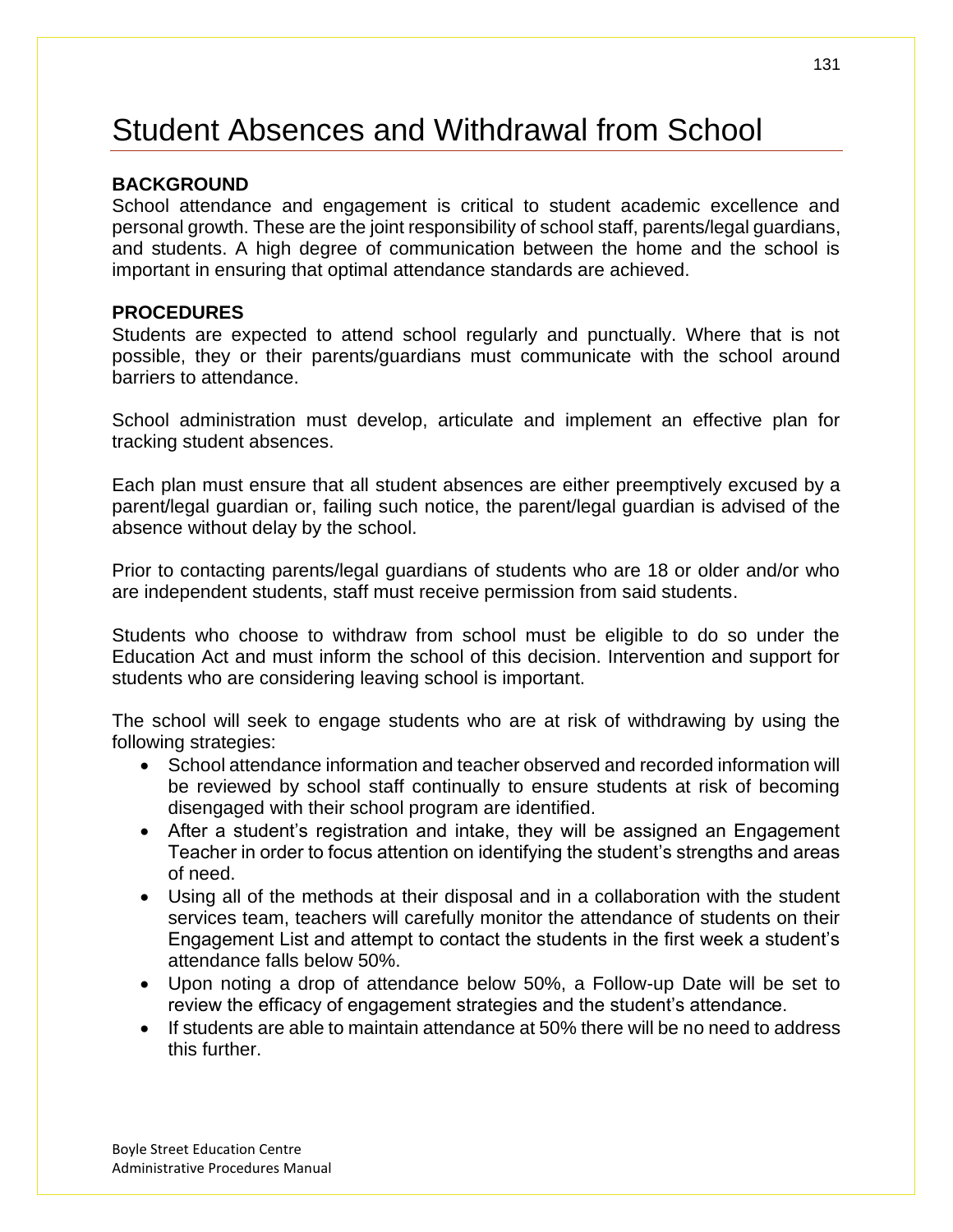# Student Absences and Withdrawal from School

### **BACKGROUND**

School attendance and engagement is critical to student academic excellence and personal growth. These are the joint responsibility of school staff, parents/legal guardians, and students. A high degree of communication between the home and the school is important in ensuring that optimal attendance standards are achieved.

#### **PROCEDURES**

Students are expected to attend school regularly and punctually. Where that is not possible, they or their parents/guardians must communicate with the school around barriers to attendance.

School administration must develop, articulate and implement an effective plan for tracking student absences.

Each plan must ensure that all student absences are either preemptively excused by a parent/legal guardian or, failing such notice, the parent/legal guardian is advised of the absence without delay by the school.

Prior to contacting parents/legal guardians of students who are 18 or older and/or who are independent students, staff must receive permission from said students.

Students who choose to withdraw from school must be eligible to do so under the Education Act and must inform the school of this decision. Intervention and support for students who are considering leaving school is important.

The school will seek to engage students who are at risk of withdrawing by using the following strategies:

- School attendance information and teacher observed and recorded information will be reviewed by school staff continually to ensure students at risk of becoming disengaged with their school program are identified.
- After a student's registration and intake, they will be assigned an Engagement Teacher in order to focus attention on identifying the student's strengths and areas of need.
- Using all of the methods at their disposal and in a collaboration with the student services team, teachers will carefully monitor the attendance of students on their Engagement List and attempt to contact the students in the first week a student's attendance falls below 50%.
- Upon noting a drop of attendance below 50%, a Follow-up Date will be set to review the efficacy of engagement strategies and the student's attendance.
- If students are able to maintain attendance at 50% there will be no need to address this further.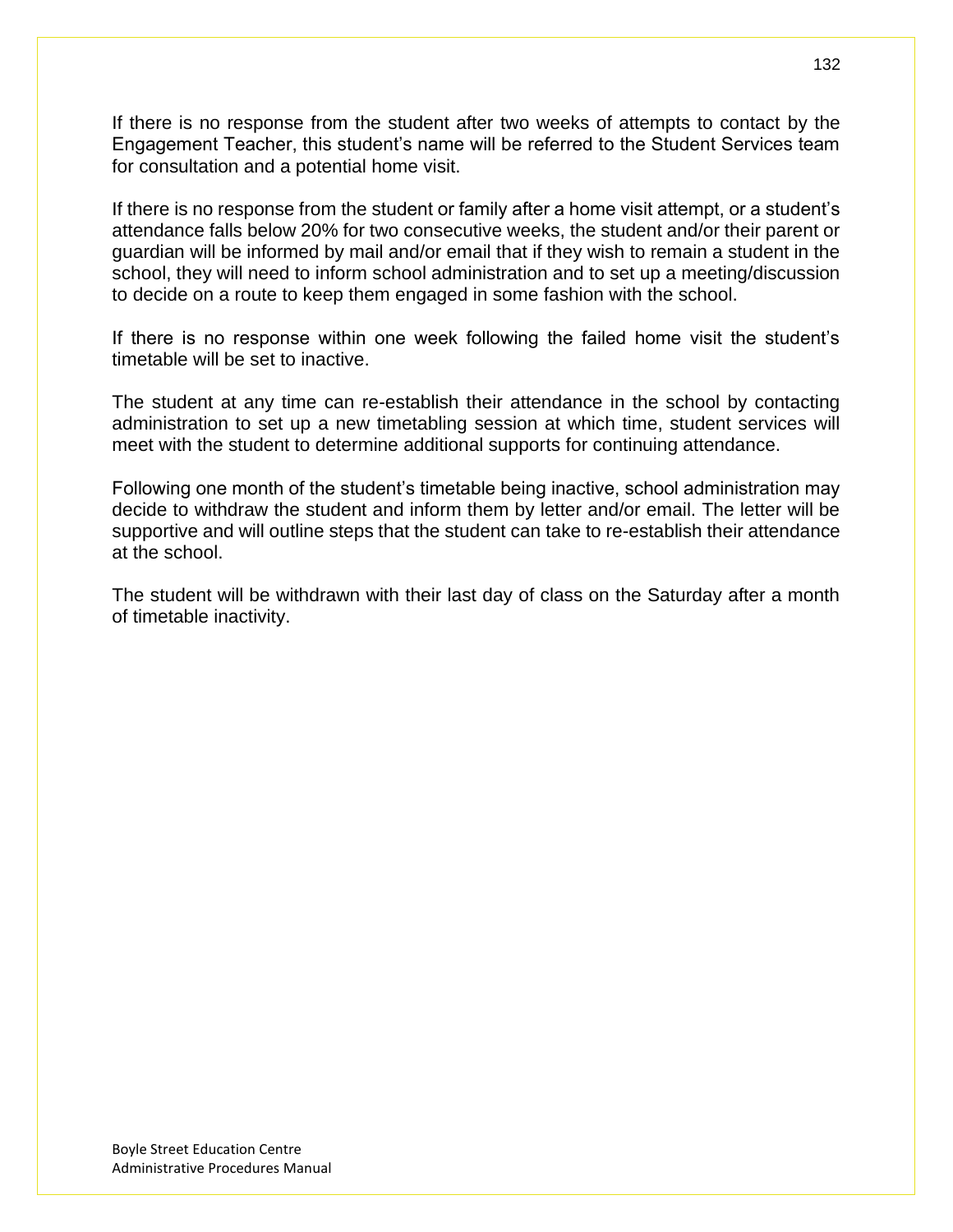If there is no response from the student after two weeks of attempts to contact by the Engagement Teacher, this student's name will be referred to the Student Services team for consultation and a potential home visit.

If there is no response from the student or family after a home visit attempt, or a student's attendance falls below 20% for two consecutive weeks, the student and/or their parent or guardian will be informed by mail and/or email that if they wish to remain a student in the school, they will need to inform school administration and to set up a meeting/discussion to decide on a route to keep them engaged in some fashion with the school.

If there is no response within one week following the failed home visit the student's timetable will be set to inactive.

The student at any time can re-establish their attendance in the school by contacting administration to set up a new timetabling session at which time, student services will meet with the student to determine additional supports for continuing attendance.

Following one month of the student's timetable being inactive, school administration may decide to withdraw the student and inform them by letter and/or email. The letter will be supportive and will outline steps that the student can take to re-establish their attendance at the school.

The student will be withdrawn with their last day of class on the Saturday after a month of timetable inactivity.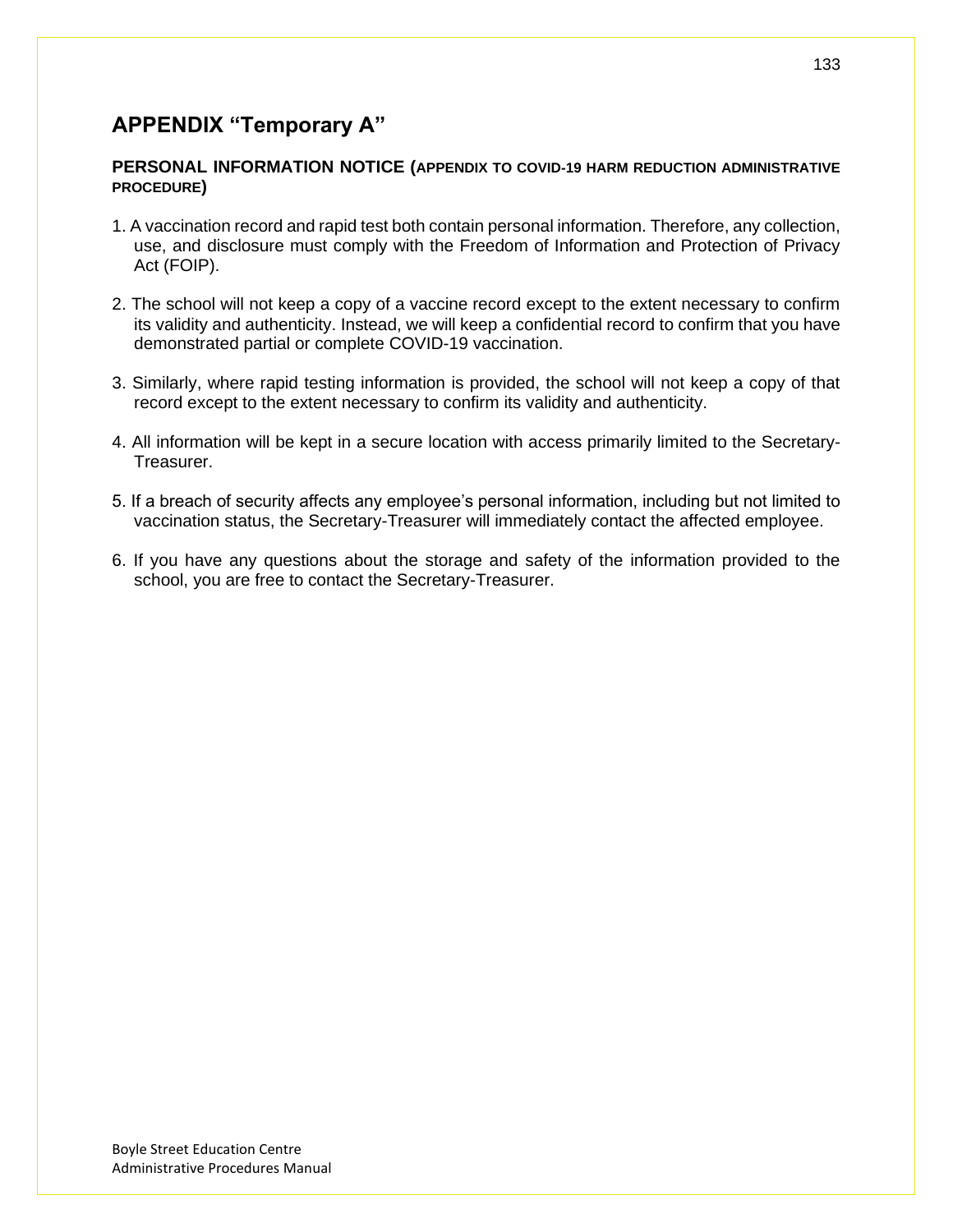## **APPENDIX "Temporary A"**

#### **PERSONAL INFORMATION NOTICE (APPENDIX TO COVID-19 HARM REDUCTION ADMINISTRATIVE PROCEDURE)**

- 1. A vaccination record and rapid test both contain personal information. Therefore, any collection, use, and disclosure must comply with the Freedom of Information and Protection of Privacy Act (FOIP).
- 2. The school will not keep a copy of a vaccine record except to the extent necessary to confirm its validity and authenticity. Instead, we will keep a confidential record to confirm that you have demonstrated partial or complete COVID-19 vaccination.
- 3. Similarly, where rapid testing information is provided, the school will not keep a copy of that record except to the extent necessary to confirm its validity and authenticity.
- 4. All information will be kept in a secure location with access primarily limited to the Secretary-Treasurer.
- 5. If a breach of security affects any employee's personal information, including but not limited to vaccination status, the Secretary-Treasurer will immediately contact the affected employee.
- 6. If you have any questions about the storage and safety of the information provided to the school, you are free to contact the Secretary-Treasurer.